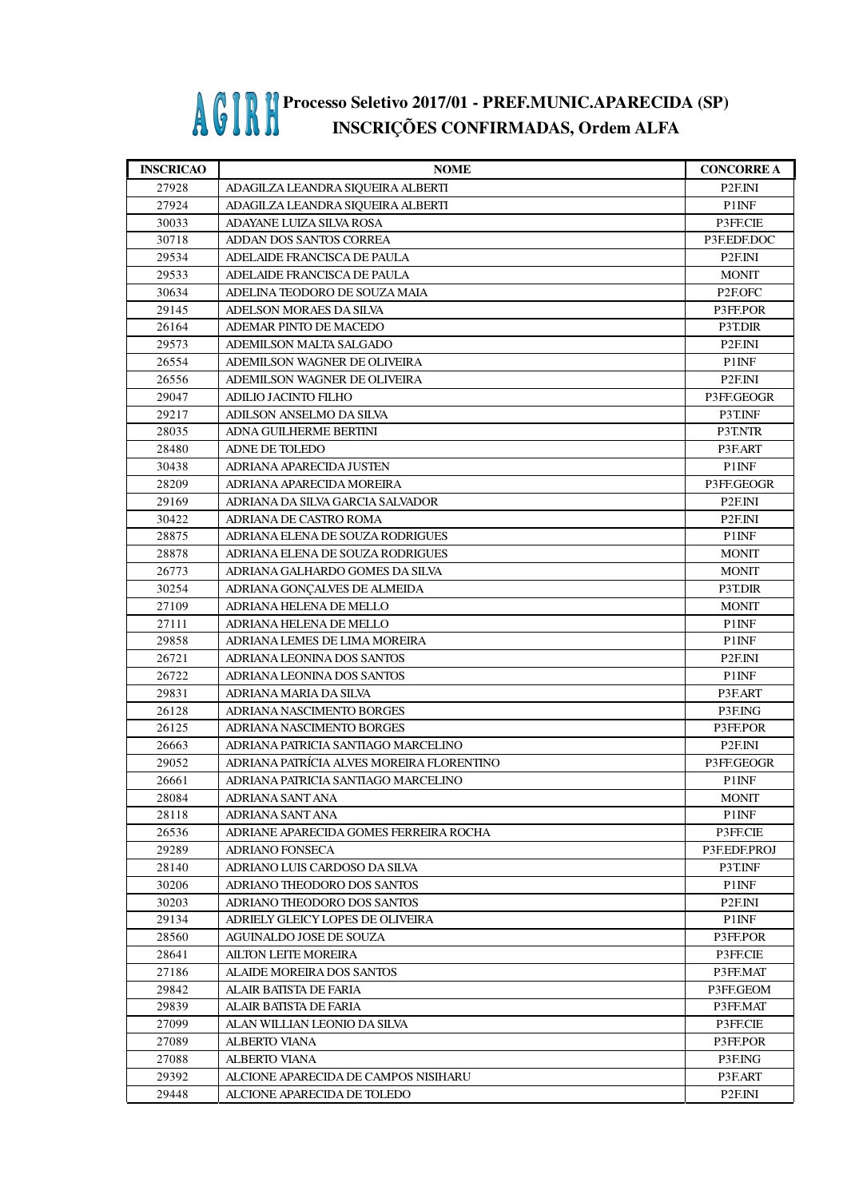## **Processo Seletivo 2017/01 - PREF.MUNIC.APARECIDA (SP) INSCRIÇÕES CONFIRMADAS, Ordem ALFA**

| <b>INSCRICAO</b> | <b>NOME</b>                               | <b>CONCORRE A</b>    |
|------------------|-------------------------------------------|----------------------|
| 27928            | ADAGILZA LEANDRA SIQUEIRA ALBERTI         | P <sub>2F.INI</sub>  |
| 27924            | ADAGILZA LEANDRA SIQUEIRA ALBERTI         | P1INF                |
| 30033            | ADAYANE LUIZA SILVA ROSA                  | P3FF.CIE             |
| 30718            | ADDAN DOS SANTOS CORREA                   | P3F.EDF.DOC          |
| 29534            | ADELAIDE FRANCISCA DE PAULA               | P <sub>2F.INI</sub>  |
| 29533            | ADELAIDE FRANCISCA DE PAULA               | <b>MONIT</b>         |
| 30634            | ADELINA TEODORO DE SOUZA MAIA             | P <sub>2</sub> F.OFC |
| 29145            | <b>ADELSON MORAES DA SILVA</b>            | P3FF.POR             |
| 26164            | ADEMAR PINTO DE MACEDO                    | P3T.DIR              |
| 29573            | ADEMILSON MALTA SALGADO                   | P <sub>2F.INI</sub>  |
| 26554            | ADEMILSON WAGNER DE OLIVEIRA              | P1INF                |
| 26556            | ADEMILSON WAGNER DE OLIVEIRA              | P <sub>2F.INI</sub>  |
| 29047            | ADILIO JACINTO FILHO                      | P3FF.GEOGR           |
| 29217            | ADILSON ANSELMO DA SILVA                  | P3T.INF              |
| 28035            | ADNA GUILHERME BERTINI                    | P3T.NTR              |
| 28480            | ADNE DE TOLEDO                            | P3F.ART              |
| 30438            | ADRIANA APARECIDA JUSTEN                  | P1INF                |
| 28209            | ADRIANA APARECIDA MOREIRA                 | P3FF.GEOGR           |
| 29169            | ADRIANA DA SILVA GARCIA SALVADOR          | P <sub>2F.INI</sub>  |
| 30422            | <b>ADRIANA DE CASTRO ROMA</b>             | P <sub>2F.INI</sub>  |
| 28875            | ADRIANA ELENA DE SOUZA RODRIGUES          | P1INF                |
| 28878            | ADRIANA ELENA DE SOUZA RODRIGUES          | <b>MONIT</b>         |
| 26773            | ADRIANA GALHARDO GOMES DA SILVA           | <b>MONIT</b>         |
| 30254            | ADRIANA GONÇALVES DE ALMEIDA              | P3T.DIR              |
| 27109            | ADRIANA HELENA DE MELLO                   | <b>MONIT</b>         |
| 27111            | ADRIANA HELENA DE MELLO                   | P1INF                |
| 29858            | ADRIANA LEMES DE LIMA MOREIRA             | P1INF                |
| 26721            | ADRIANA LEONINA DOS SANTOS                | P <sub>2F.INI</sub>  |
| 26722            | ADRIANA LEONINA DOS SANTOS                | P1INF                |
| 29831            | ADRIANA MARIA DA SILVA                    | P3F.ART              |
| 26128            | ADRIANA NASCIMENTO BORGES                 | P3F.ING              |
| 26125            | ADRIANA NASCIMENTO BORGES                 | P3FF.POR             |
| 26663            | ADRIANA PATRICIA SANTIAGO MARCELINO       | P <sub>2F.INI</sub>  |
| 29052            | ADRIANA PATRÍCIA ALVES MOREIRA FLORENTINO | P3FF.GEOGR           |
| 26661            | ADRIANA PATRICIA SANTIAGO MARCELINO       | P1INF                |
| 28084            | ADRIANA SANT ANA                          | <b>MONIT</b>         |
| 28118            | ADRIANA SANT ANA                          | P1INF                |
| 26536            | ADRIANE APARECIDA GOMES FERREIRA ROCHA    | P3FF.CIE             |
| 29289            | <b>ADRIANO FONSECA</b>                    | P3F.EDF.PROJ         |
| 28140            | ADRIANO LUIS CARDOSO DA SILVA             | P3T.INF              |
| 30206            | ADRIANO THEODORO DOS SANTOS               | P1INF                |
| 30203            | ADRIANO THEODORO DOS SANTOS               | P2F.INI              |
| 29134            | ADRIELY GLEICY LOPES DE OLIVEIRA          | P1INF                |
| 28560            | <b>AGUINALDO JOSE DE SOUZA</b>            | P3FF.POR             |
| 28641            | AILTON LEITE MOREIRA                      | P3FF.CIE             |
| 27186            | <b>ALAIDE MOREIRA DOS SANTOS</b>          | P3FF.MAT             |
| 29842            | ALAIR BATISTA DE FARIA                    | P3FF.GEOM            |
| 29839            | ALAIR BATISTA DE FARIA                    | P3FF.MAT             |
| 27099            | ALAN WILLIAN LEONIO DA SILVA              | P3FF.CIE             |
| 27089            | ALBERTO VIANA                             | P3FF.POR             |
| 27088            | <b>ALBERTO VIANA</b>                      | P3F.ING              |
| 29392            | ALCIONE APARECIDA DE CAMPOS NISIHARU      | P3F.ART              |
| 29448            | ALCIONE APARECIDA DE TOLEDO               | P <sub>2F.INI</sub>  |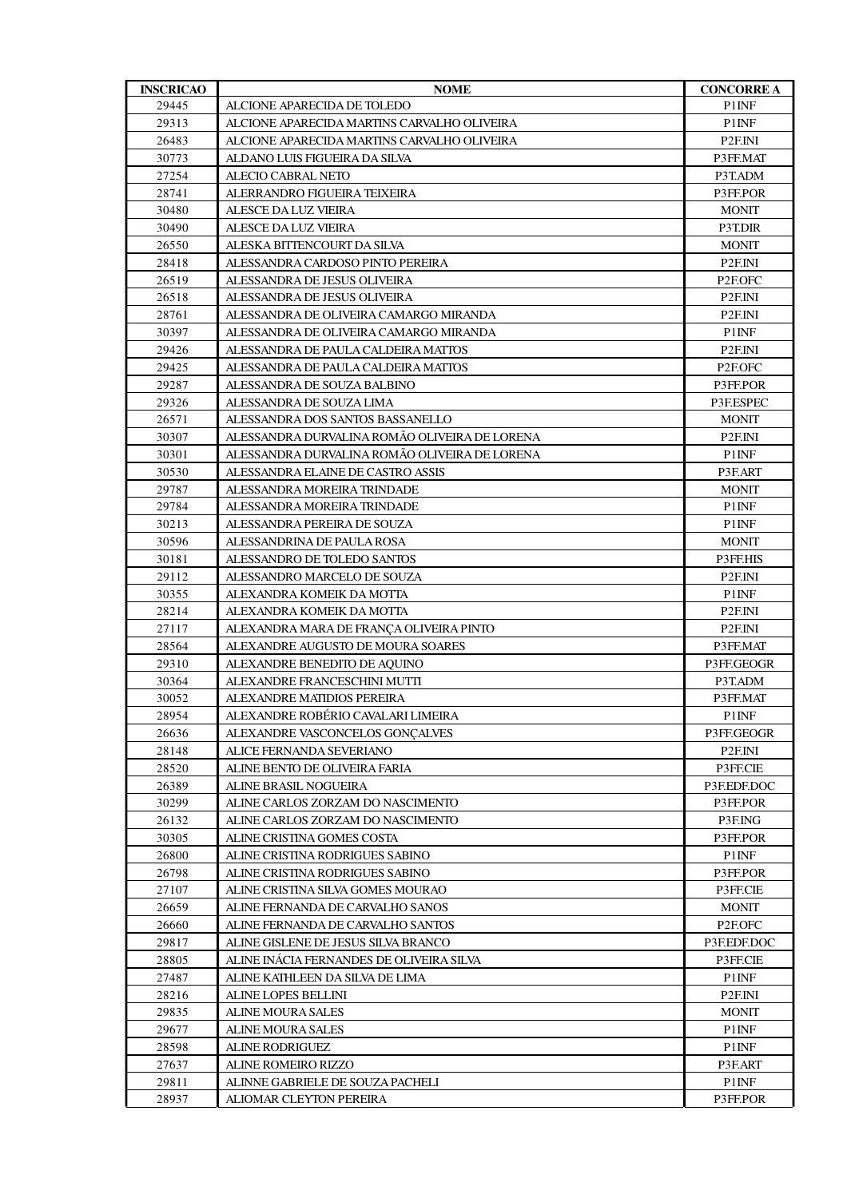| <b>INSCRICAO</b> | <b>NOME</b>                                   | <b>CONCORRE A</b>    |
|------------------|-----------------------------------------------|----------------------|
| 29445            | ALCIONE APARECIDA DE TOLEDO                   | P1INF                |
| 29313            | ALCIONE APARECIDA MARTINS CARVALHO OLIVEIRA   | P1INF                |
| 26483            | ALCIONE APARECIDA MARTINS CARVALHO OLIVEIRA   | P <sub>2F.INI</sub>  |
| 30773            | ALDANO LUIS FIGUEIRA DA SILVA                 | P3FF.MAT             |
| 27254            | <b>ALECIO CABRAL NETO</b>                     | P3T.ADM              |
| 28741            | ALERRANDRO FIGUEIRA TEIXEIRA                  | P3FF.POR             |
| 30480            | ALESCE DA LUZ VIEIRA                          | <b>MONIT</b>         |
| 30490            | ALESCE DA LUZ VIEIRA                          | P3T.DIR              |
| 26550            | ALESKA BITTENCOURT DA SILVA                   | <b>MONIT</b>         |
| 28418            | ALESSANDRA CARDOSO PINTO PEREIRA              | P <sub>2F.INI</sub>  |
| 26519            | ALESSANDRA DE JESUS OLIVEIRA                  | P <sub>2</sub> F.OFC |
| 26518            | ALESSANDRA DE JESUS OLIVEIRA                  | P <sub>2F.INI</sub>  |
| 28761            | ALESSANDRA DE OLIVEIRA CAMARGO MIRANDA        | P <sub>2F.INI</sub>  |
| 30397            | ALESSANDRA DE OLIVEIRA CAMARGO MIRANDA        | P1INF                |
| 29426            | ALESSANDRA DE PAULA CALDEIRA MATTOS           | P <sub>2F.INI</sub>  |
| 29425            | ALESSANDRA DE PAULA CALDEIRA MATTOS           | P <sub>2</sub> F.OFC |
| 29287            | ALESSANDRA DE SOUZA BALBINO                   | P3FF.POR             |
| 29326            | ALESSANDRA DE SOUZA LIMA                      | P3F.ESPEC            |
| 26571            | ALESSANDRA DOS SANTOS BASSANELLO              | <b>MONIT</b>         |
| 30307            | ALESSANDRA DURVALINA ROMAO OLIVEIRA DE LORENA | P <sub>2</sub> F.INI |
| 30301            | ALESSANDRA DURVALINA ROMÃO OLIVEIRA DE LORENA | P1INF                |
| 30530            | ALESSANDRA ELAINE DE CASTRO ASSIS             | P3F.ART              |
| 29787            | ALESSANDRA MOREIRA TRINDADE                   | <b>MONIT</b>         |
| 29784            | ALESSANDRA MOREIRA TRINDADE                   | P1INF                |
| 30213            | ALESSANDRA PEREIRA DE SOUZA                   | P1INF                |
| 30596            | ALESSANDRINA DE PAULA ROSA                    | <b>MONIT</b>         |
| 30181            | ALESSANDRO DE TOLEDO SANTOS                   | P3FF.HIS             |
| 29112            | ALESSANDRO MARCELO DE SOUZA                   | P <sub>2</sub> F.INI |
| 30355            | ALEXANDRA KOMEIK DA MOTTA                     | P1INF                |
| 28214            | ALEXANDRA KOMEIK DA MOTTA                     | P <sub>2F.INI</sub>  |
| 27117            | ALEXANDRA MARA DE FRANÇA OLIVEIRA PINTO       | P <sub>2F.INI</sub>  |
| 28564            | ALEXANDRE AUGUSTO DE MOURA SOARES             | P3FF.MAT             |
| 29310            | ALEXANDRE BENEDITO DE AQUINO                  | P3FF.GEOGR           |
| 30364            | ALEXANDRE FRANCESCHINI MUTTI                  | P3T.ADM              |
| 30052            | ALEXANDRE MATIDIOS PEREIRA                    | P3FF.MAT             |
| 28954            | ALEXANDRE ROBÉRIO CAVALARI LIMEIRA            | P1INF                |
| 26636            | ALEXANDRE VASCONCELOS GONCALVES               | P3FF.GEOGR           |
| 28148            | <b>ALICE FERNANDA SEVERIANO</b>               | P <sub>2F.INI</sub>  |
| 28520            | ALINE BENTO DE OLIVEIRA FARIA                 | P3FF.CIE             |
| 26389            | ALINE BRASIL NOGUEIRA                         | P3F.EDF.DOC          |
| 30299            | ALINE CARLOS ZORZAM DO NASCIMENTO             | P3FF.POR             |
| 26132            | ALINE CARLOS ZORZAM DO NASCIMENTO             | P3F.ING              |
| 30305            | ALINE CRISTINA GOMES COSTA                    | P3FF.POR             |
| 26800            | ALINE CRISTINA RODRIGUES SABINO               | P1INF                |
| 26798            | ALINE CRISTINA RODRIGUES SABINO               | P3FF.POR             |
| 27107            | ALINE CRISTINA SILVA GOMES MOURAO             | P3FF.CIE             |
| 26659            | ALINE FERNANDA DE CARVALHO SANOS              | <b>MONIT</b>         |
| 26660            | ALINE FERNANDA DE CARVALHO SANTOS             | P <sub>2</sub> F.OFC |
| 29817            | ALINE GISLENE DE JESUS SILVA BRANCO           | P3F.EDF.DOC          |
| 28805            | ALINE INACIA FERNANDES DE OLIVEIRA SILVA      | P3FF.CIE             |
| 27487            | ALINE KATHLEEN DA SILVA DE LIMA               | P1INF                |
| 28216            | ALINE LOPES BELLINI                           | P <sub>2</sub> F.INI |
| 29835<br>29677   | ALINE MOURA SALES                             | <b>MONIT</b>         |
| 28598            | ALINE MOURA SALES<br><b>ALINE RODRIGUEZ</b>   | P1INF<br>P1INF       |
| 27637            | ALINE ROMEIRO RIZZO                           | P3F.ART              |
| 29811            | ALINNE GABRIELE DE SOUZA PACHELI              | P1INF                |
| 28937            | ALIOMAR CLEYTON PEREIRA                       | P3FF.POR             |
|                  |                                               |                      |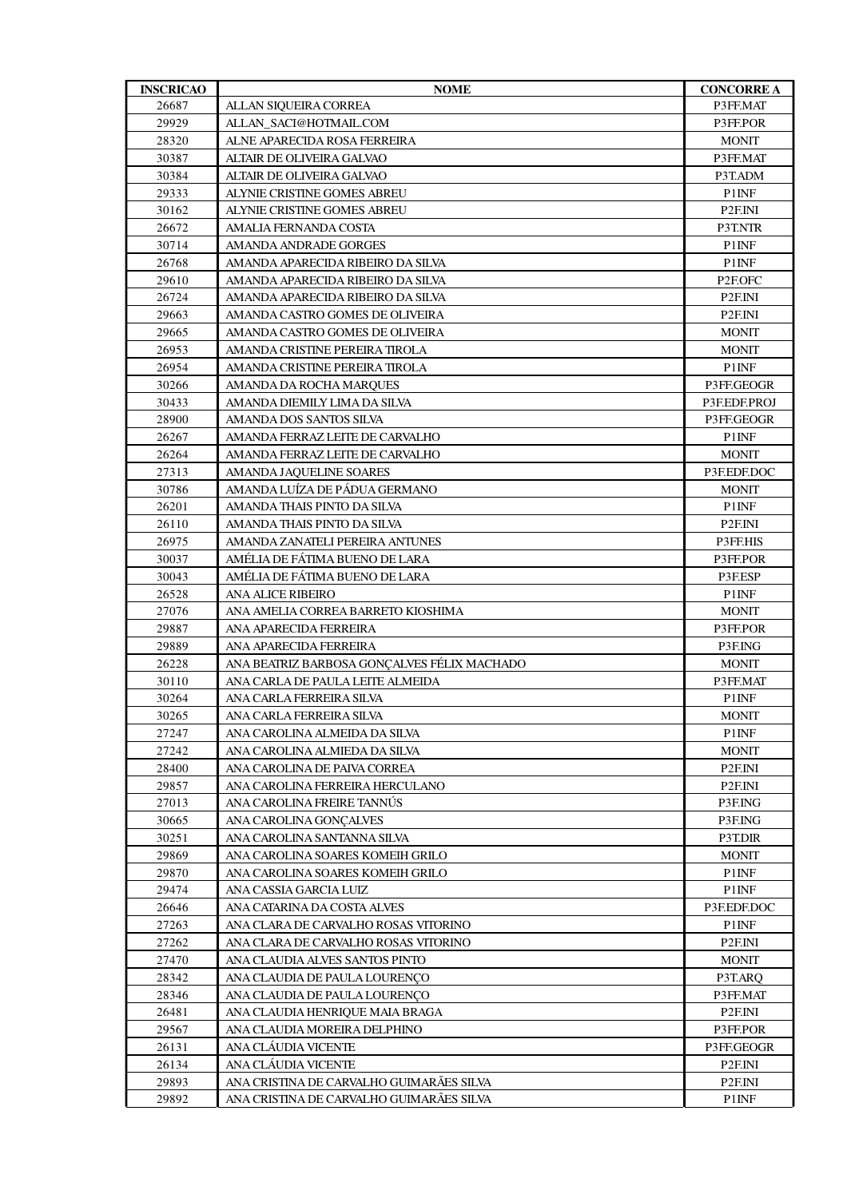| <b>INSCRICAO</b> | <b>NOME</b>                                 | <b>CONCORRE A</b>    |
|------------------|---------------------------------------------|----------------------|
| 26687            | ALLAN SIQUEIRA CORREA                       | P3FF.MAT             |
| 29929            | ALLAN_SACI@HOTMAIL.COM                      | P3FF.POR             |
| 28320            | ALNE APARECIDA ROSA FERREIRA                | <b>MONIT</b>         |
| 30387            | ALTAIR DE OLIVEIRA GALVAO                   | P3FF.MAT             |
| 30384            | ALTAIR DE OLIVEIRA GALVAO                   | P3T.ADM              |
| 29333            | ALYNIE CRISTINE GOMES ABREU                 | P1INF                |
| 30162            | ALYNIE CRISTINE GOMES ABREU                 | P <sub>2F.INI</sub>  |
| 26672            | AMALIA FERNANDA COSTA                       | P3T.NTR              |
| 30714            | <b>AMANDA ANDRADE GORGES</b>                | P1INF                |
| 26768            | AMANDA APARECIDA RIBEIRO DA SILVA           | P1INF                |
| 29610            | AMANDA APARECIDA RIBEIRO DA SILVA           | P <sub>2</sub> F.OFC |
| 26724            | AMANDA APARECIDA RIBEIRO DA SILVA           | P <sub>2F.INI</sub>  |
| 29663            | AMANDA CASTRO GOMES DE OLIVEIRA             | P <sub>2F.INI</sub>  |
| 29665            | AMANDA CASTRO GOMES DE OLIVEIRA             | <b>MONIT</b>         |
| 26953            | AMANDA CRISTINE PEREIRA TIROLA              | <b>MONIT</b>         |
| 26954            | AMANDA CRISTINE PEREIRA TIROLA              | P1INF                |
| 30266            | AMANDA DA ROCHA MARQUES                     | P3FF.GEOGR           |
| 30433            | AMANDA DIEMILY LIMA DA SILVA                | P3F.EDF.PROJ         |
| 28900            | AMANDA DOS SANTOS SILVA                     | P3FF.GEOGR           |
| 26267            | AMANDA FERRAZ LEITE DE CARVALHO             | P1INF                |
| 26264            | AMANDA FERRAZ LEITE DE CARVALHO             | <b>MONIT</b>         |
| 27313            | AMANDA JAQUELINE SOARES                     | P3F.EDF.DOC          |
| 30786            | AMANDA LUÍZA DE PÁDUA GERMANO               | <b>MONIT</b>         |
| 26201            | AMANDA THAIS PINTO DA SILVA                 | P1INF                |
| 26110            | AMANDA THAIS PINTO DA SILVA                 | P <sub>2F.INI</sub>  |
| 26975            | AMANDA ZANATELI PEREIRA ANTUNES             | P3FF.HIS             |
| 30037            | AMÉLIA DE FÁTIMA BUENO DE LARA              | P3FF.POR             |
| 30043            | AMÉLIA DE FÁTIMA BUENO DE LARA              | P3F.ESP              |
| 26528            | <b>ANA ALICE RIBEIRO</b>                    | P1INF                |
| 27076            | ANA AMELIA CORREA BARRETO KIOSHIMA          | <b>MONIT</b>         |
| 29887            | ANA APARECIDA FERREIRA                      | P3FF.POR             |
| 29889            | ANA APARECIDA FERREIRA                      | P3F.ING              |
| 26228            | ANA BEATRIZ BARBOSA GONÇALVES FÉLIX MACHADO | <b>MONIT</b>         |
| 30110            | ANA CARLA DE PAULA LEITE ALMEIDA            | P3FF.MAT             |
| 30264            | ANA CARLA FERREIRA SILVA                    | P1INF                |
| 30265            | ANA CARLA FERREIRA SILVA                    | <b>MONIT</b>         |
| 27247            | ANA CAROLINA ALMEIDA DA SILVA               | P1INF                |
| 27242            | ANA CAROLINA ALMIEDA DA SILVA               | <b>MONIT</b>         |
| 28400            | ANA CAROLINA DE PAIVA CORREA                | P <sub>2F.INI</sub>  |
| 29857            | ANA CAROLINA FERREIRA HERCULANO             | P <sub>2F.INI</sub>  |
| 27013            | ANA CAROLINA FREIRE TANNÚS                  | P3F.ING              |
| 30665            | ANA CAROLINA GONCALVES                      | P3F.ING              |
| 30251            | ANA CAROLINA SANTANNA SILVA                 | P3T.DIR              |
| 29869            | ANA CAROLINA SOARES KOMEIH GRILO            | <b>MONIT</b>         |
| 29870            | ANA CAROLINA SOARES KOMEIH GRILO            | P1INF                |
| 29474            | ANA CASSIA GARCIA LUIZ                      | P1INF                |
| 26646            | ANA CATARINA DA COSTA ALVES                 | P3F.EDF.DOC          |
| 27263            | ANA CLARA DE CARVALHO ROSAS VITORINO        | P1INF                |
| 27262            | ANA CLARA DE CARVALHO ROSAS VITORINO        | P <sub>2F.INI</sub>  |
| 27470            | ANA CLAUDIA ALVES SANTOS PINTO              | <b>MONIT</b>         |
| 28342            | ANA CLAUDIA DE PAULA LOURENÇO               | P3T.ARQ              |
| 28346            | ANA CLAUDIA DE PAULA LOURENÇO               | P3FF.MAT             |
| 26481            | ANA CLAUDIA HENRIQUE MAIA BRAGA             | P <sub>2</sub> F.INI |
| 29567            | ANA CLAUDIA MOREIRA DELPHINO                | P3FF.POR             |
| 26131            | ANA CLAUDIA VICENTE                         | P3FF.GEOGR           |
| 26134            | ANA CLAUDIA VICENTE                         | P <sub>2</sub> F.INI |
| 29893            | ANA CRISTINA DE CARVALHO GUIMARÃES SILVA    | P <sub>2F.INI</sub>  |
| 29892            | ANA CRISTINA DE CARVALHO GUIMARÃES SILVA    | P1INF                |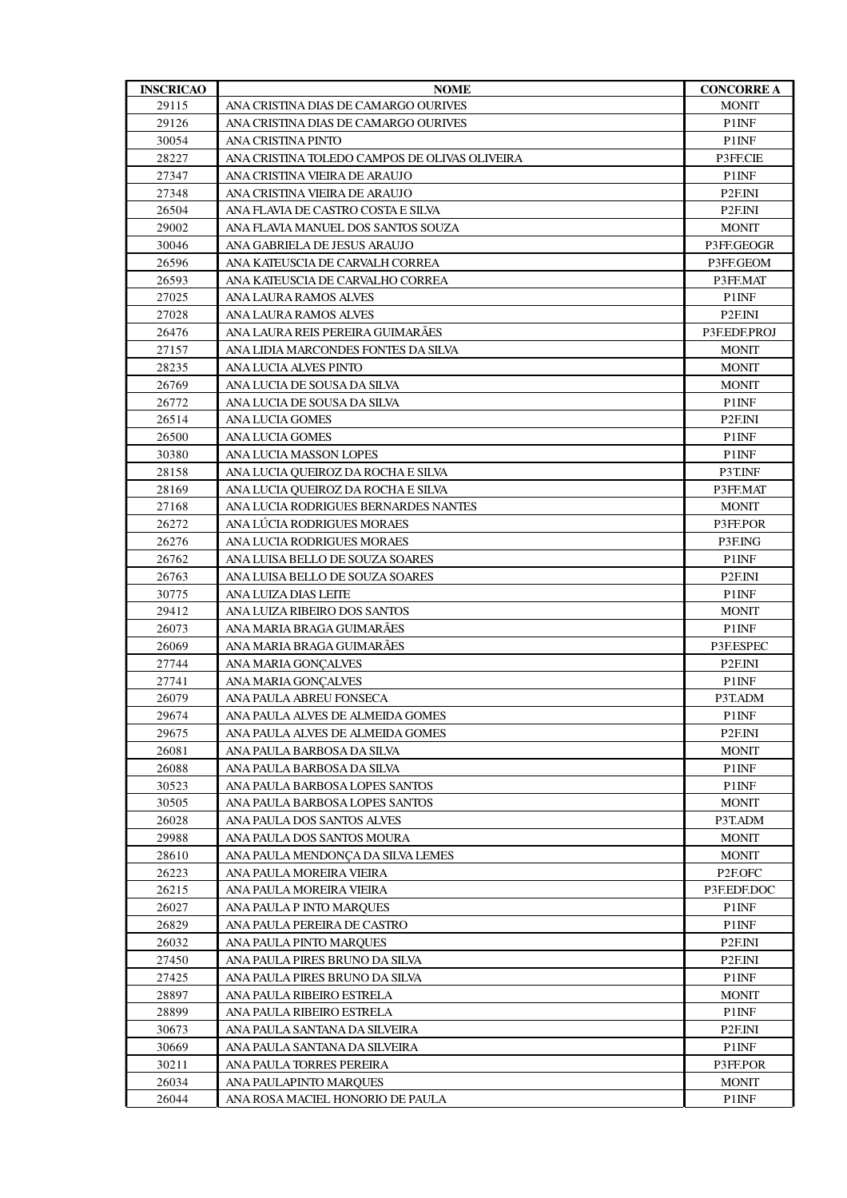| <b>INSCRICAO</b> | <b>NOME</b>                                   | <b>CONCORRE A</b>    |
|------------------|-----------------------------------------------|----------------------|
| 29115            | ANA CRISTINA DIAS DE CAMARGO OURIVES          | <b>MONIT</b>         |
| 29126            | ANA CRISTINA DIAS DE CAMARGO OURIVES          | P1INF                |
| 30054            | ANA CRISTINA PINTO                            | P1INF                |
| 28227            | ANA CRISTINA TOLEDO CAMPOS DE OLIVAS OLIVEIRA | P3FF.CIE             |
| 27347            | ANA CRISTINA VIEIRA DE ARAUJO                 | P1INF                |
| 27348            | ANA CRISTINA VIEIRA DE ARAUJO                 | P <sub>2F.INI</sub>  |
| 26504            | ANA FLAVIA DE CASTRO COSTA E SILVA            | P <sub>2F.INI</sub>  |
| 29002            | ANA FLAVIA MANUEL DOS SANTOS SOUZA            | <b>MONIT</b>         |
| 30046            | ANA GABRIELA DE JESUS ARAUJO                  | P3FF.GEOGR           |
| 26596            | ANA KATEUSCIA DE CARVALH CORREA               | P3FF.GEOM            |
| 26593            | ANA KATEUSCIA DE CARVALHO CORREA              | P3FF.MAT             |
|                  |                                               |                      |
| 27025            | ANA LAURA RAMOS ALVES                         | P1INF                |
| 27028            | ANA LAURA RAMOS ALVES                         | P <sub>2F.INI</sub>  |
| 26476            | ANA LAURA REIS PEREIRA GUIMARAES              | P3F.EDF.PROJ         |
| 27157            | ANA LIDIA MARCONDES FONTES DA SILVA           | <b>MONIT</b>         |
| 28235            | ANA LUCIA ALVES PINTO                         | <b>MONIT</b>         |
| 26769            | ANA LUCIA DE SOUSA DA SILVA                   | <b>MONIT</b>         |
| 26772            | ANA LUCIA DE SOUSA DA SILVA                   | P1INF                |
| 26514            | <b>ANA LUCIA GOMES</b>                        | P <sub>2F.INI</sub>  |
| 26500            | <b>ANA LUCIA GOMES</b>                        | P1INF                |
| 30380            | ANA LUCIA MASSON LOPES                        | P1INF                |
| 28158            | ANA LUCIA QUEIROZ DA ROCHA E SILVA            | P3T.INF              |
| 28169            | ANA LUCIA QUEIROZ DA ROCHA E SILVA            | P3FF.MAT             |
| 27168            | ANA LUCIA RODRIGUES BERNARDES NANTES          | <b>MONIT</b>         |
| 26272            | ANA LÚCIA RODRIGUES MORAES                    | P3FF.POR             |
| 26276            | ANA LUCIA RODRIGUES MORAES                    | P3F.ING              |
| 26762            | ANA LUISA BELLO DE SOUZA SOARES               | P1INF                |
| 26763            | ANA LUISA BELLO DE SOUZA SOARES               | P <sub>2F.INI</sub>  |
| 30775            | ANA LUIZA DIAS LEITE                          | P1INF                |
| 29412            | ANA LUIZA RIBEIRO DOS SANTOS                  | <b>MONIT</b>         |
| 26073            | ANA MARIA BRAGA GUIMARÃES                     | P1INF                |
| 26069            | ANA MARIA BRAGA GUIMARÃES                     | P3F.ESPEC            |
| 27744            | ANA MARIA GONCALVES                           | P <sub>2F.INI</sub>  |
| 27741            | ANA MARIA GONCALVES                           | P1INF                |
| 26079            | ANA PAULA ABREU FONSECA                       | P3T.ADM              |
| 29674            | ANA PAULA ALVES DE ALMEIDA GOMES              | P1INF                |
| 29675            | ANA PAULA ALVES DE ALMEIDA GOMES              | P <sub>2</sub> F.INI |
| 26081            | ANA PAULA BARBOSA DA SILVA                    | <b>MONIT</b>         |
| 26088            | ANA PAULA BARBOSA DA SILVA                    | P1INF                |
| 30523            | ANA PAULA BARBOSA LOPES SANTOS                | P1INF                |
| 30505            | ANA PAULA BARBOSA LOPES SANTOS                | <b>MONIT</b>         |
| 26028            | ANA PAULA DOS SANTOS ALVES                    | P3T.ADM              |
| 29988            | ANA PAULA DOS SANTOS MOURA                    | <b>MONIT</b>         |
|                  | ANA PAULA MENDONÇA DA SILVA LEMES             | <b>MONIT</b>         |
| 28610<br>26223   | ANA PAULA MOREIRA VIEIRA                      | P <sub>2</sub> F.OFC |
|                  |                                               |                      |
| 26215            | ANA PAULA MOREIRA VIEIRA                      | P3F.EDF.DOC          |
| 26027            | ANA PAULA P INTO MARQUES                      | P1INF                |
| 26829            | ANA PAULA PEREIRA DE CASTRO                   | P1INF                |
| 26032            | ANA PAULA PINTO MARQUES                       | P <sub>2F.INI</sub>  |
| 27450            | ANA PAULA PIRES BRUNO DA SILVA                | P <sub>2F.INI</sub>  |
| 27425            | ANA PAULA PIRES BRUNO DA SILVA                | P1INF                |
| 28897            | ANA PAULA RIBEIRO ESTRELA                     | <b>MONIT</b>         |
| 28899            | ANA PAULA RIBEIRO ESTRELA                     | P1INF                |
| 30673            | ANA PAULA SANTANA DA SILVEIRA                 | P <sub>2</sub> F.INI |
| 30669            | ANA PAULA SANTANA DA SILVEIRA                 | P1INF                |
| 30211            | ANA PAULA TORRES PEREIRA                      | P3FF.POR             |
| 26034            | ANA PAULAPINTO MARQUES                        | <b>MONIT</b>         |
| 26044            | ANA ROSA MACIEL HONORIO DE PAULA              | P1INF                |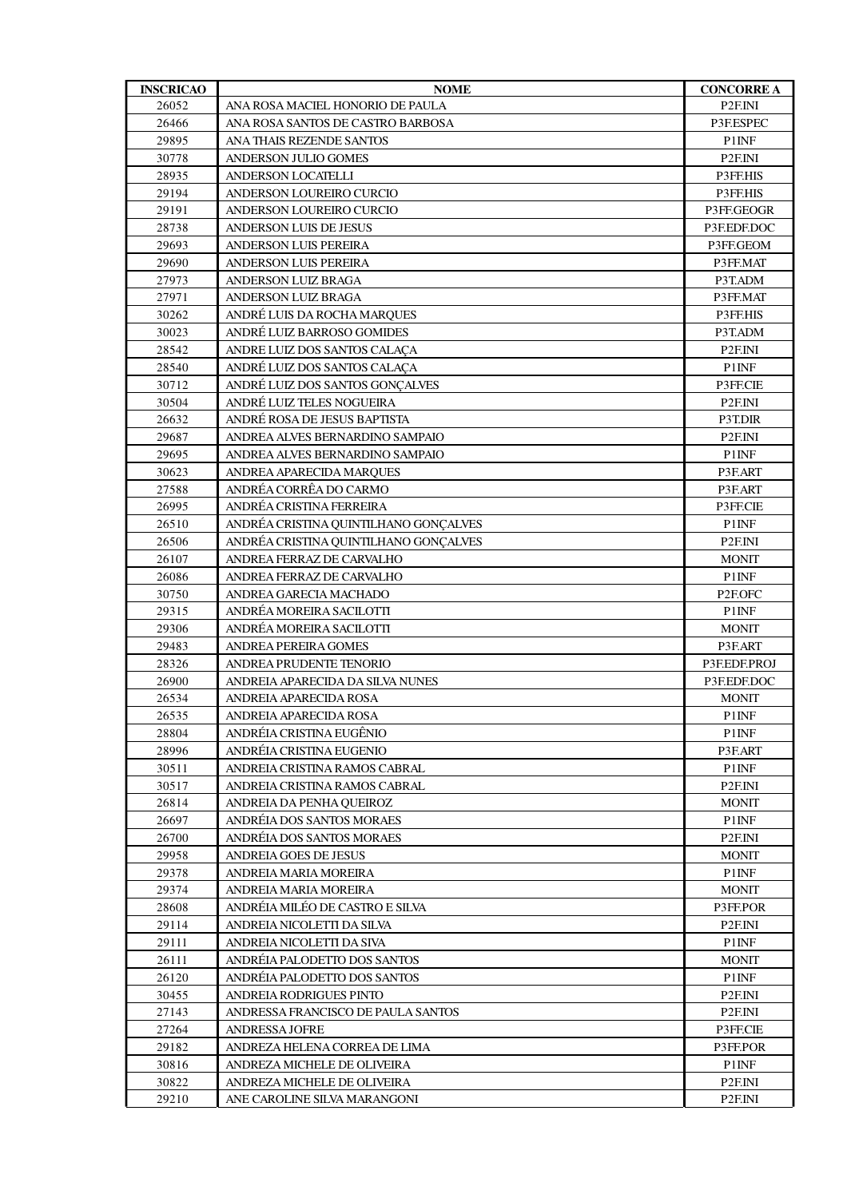| <b>INSCRICAO</b> | <b>NOME</b>                           | <b>CONCORRE A</b>    |
|------------------|---------------------------------------|----------------------|
| 26052            | ANA ROSA MACIEL HONORIO DE PAULA      | P2F.INI              |
| 26466            | ANA ROSA SANTOS DE CASTRO BARBOSA     | P3F.ESPEC            |
| 29895            | ANA THAIS REZENDE SANTOS              | P1INF                |
| 30778            | ANDERSON JULIO GOMES                  | P <sub>2F.INI</sub>  |
| 28935            | ANDERSON LOCATELLI                    | P3FF.HIS             |
| 29194            | ANDERSON LOUREIRO CURCIO              | P3FF.HIS             |
| 29191            | ANDERSON LOUREIRO CURCIO              | P3FF.GEOGR           |
| 28738            | <b>ANDERSON LUIS DE JESUS</b>         | P3F.EDF.DOC          |
| 29693            | ANDERSON LUIS PEREIRA                 | P3FF.GEOM            |
| 29690            | ANDERSON LUIS PEREIRA                 | P3FF.MAT             |
| 27973            | ANDERSON LUIZ BRAGA                   | P3T.ADM              |
| 27971            | ANDERSON LUIZ BRAGA                   | P3FF.MAT             |
| 30262            | ANDRÉ LUIS DA ROCHA MARQUES           | P3FF.HIS             |
| 30023            | ANDRÉ LUIZ BARROSO GOMIDES            | P3T.ADM              |
| 28542            | ANDRE LUIZ DOS SANTOS CALAÇA          | P2F.INI              |
| 28540            | ANDRÉ LUIZ DOS SANTOS CALAÇA          | P1INF                |
| 30712            | ANDRÉ LUIZ DOS SANTOS GONÇALVES       | P3FF.CIE             |
| 30504            | ANDRÉ LUIZ TELES NOGUEIRA             | P <sub>2F.INI</sub>  |
| 26632            | ANDRÉ ROSA DE JESUS BAPTISTA          | P3T.DIR              |
| 29687            | ANDREA ALVES BERNARDINO SAMPAIO       | P <sub>2F.INI</sub>  |
| 29695            | ANDREA ALVES BERNARDINO SAMPAIO       | P1INF                |
| 30623            | ANDREA APARECIDA MARQUES              | P3F.ART              |
| 27588            | ANDRÉA CORRÊA DO CARMO                | P3F.ART              |
| 26995            | ANDRÉA CRISTINA FERREIRA              | P3FF.CIE             |
| 26510            | ANDRÉA CRISTINA QUINTILHANO GONÇALVES | P1INF                |
| 26506            | ANDRÉA CRISTINA QUINTILHANO GONÇALVES | P <sub>2F.INI</sub>  |
| 26107            | ANDREA FERRAZ DE CARVALHO             | <b>MONIT</b>         |
| 26086            | ANDREA FERRAZ DE CARVALHO             | P1INF                |
| 30750            | ANDREA GARECIA MACHADO                | P <sub>2</sub> F.OFC |
| 29315            | ANDRÉA MOREIRA SACILOTTI              | P1INF                |
| 29306            | ANDRÉA MOREIRA SACILOTTI              | <b>MONIT</b>         |
| 29483            | ANDREA PEREIRA GOMES                  | P3F.ART              |
| 28326            | ANDREA PRUDENTE TENORIO               | P3F.EDF.PROJ         |
| 26900            | ANDREIA APARECIDA DA SILVA NUNES      | P3F.EDF.DOC          |
| 26534            | ANDREIA APARECIDA ROSA                | <b>MONIT</b>         |
| 26535            | ANDREIA APARECIDA ROSA                | P1INF                |
| 28804            | ANDRÉIA CRISTINA EUGÊNIO              | P1INF                |
| 28996            | ANDRÉIA CRISTINA EUGENIO              | P3F.ART              |
| 30511            | ANDREIA CRISTINA RAMOS CABRAL         | P1INF                |
| 30517            | ANDREIA CRISTINA RAMOS CABRAL         | P <sub>2</sub> F.INI |
| 26814            | ANDREIA DA PENHA QUEIROZ              | <b>MONIT</b>         |
| 26697            | ANDRÉIA DOS SANTOS MORAES             | P1INF                |
| 26700            | ANDRÉIA DOS SANTOS MORAES             | P <sub>2F.INI</sub>  |
| 29958            | <b>ANDREIA GOES DE JESUS</b>          | <b>MONIT</b>         |
| 29378            | ANDREIA MARIA MOREIRA                 | P1INF                |
| 29374            | ANDREIA MARIA MOREIRA                 | <b>MONIT</b>         |
| 28608            | ANDRÉIA MILÉO DE CASTRO E SILVA       | P3FF.POR             |
| 29114            | ANDREIA NICOLETTI DA SILVA            | P <sub>2</sub> F.INI |
| 29111            | ANDREIA NICOLETTI DA SIVA             | P1INF                |
| 26111            | ANDRÉIA PALODETTO DOS SANTOS          | <b>MONIT</b>         |
| 26120            | ANDRÉIA PALODETTO DOS SANTOS          | P1INF                |
| 30455            | ANDREIA RODRIGUES PINTO               | P <sub>2</sub> F.INI |
| 27143            | ANDRESSA FRANCISCO DE PAULA SANTOS    | P <sub>2</sub> F.INI |
| 27264            | <b>ANDRESSA JOFRE</b>                 | P3FF.CIE             |
| 29182            | ANDREZA HELENA CORREA DE LIMA         | P3FF.POR             |
| 30816            | ANDREZA MICHELE DE OLIVEIRA           | P1INF                |
| 30822            | ANDREZA MICHELE DE OLIVEIRA           | P2F.INI              |
| 29210            | ANE CAROLINE SILVA MARANGONI          | P2F.INI              |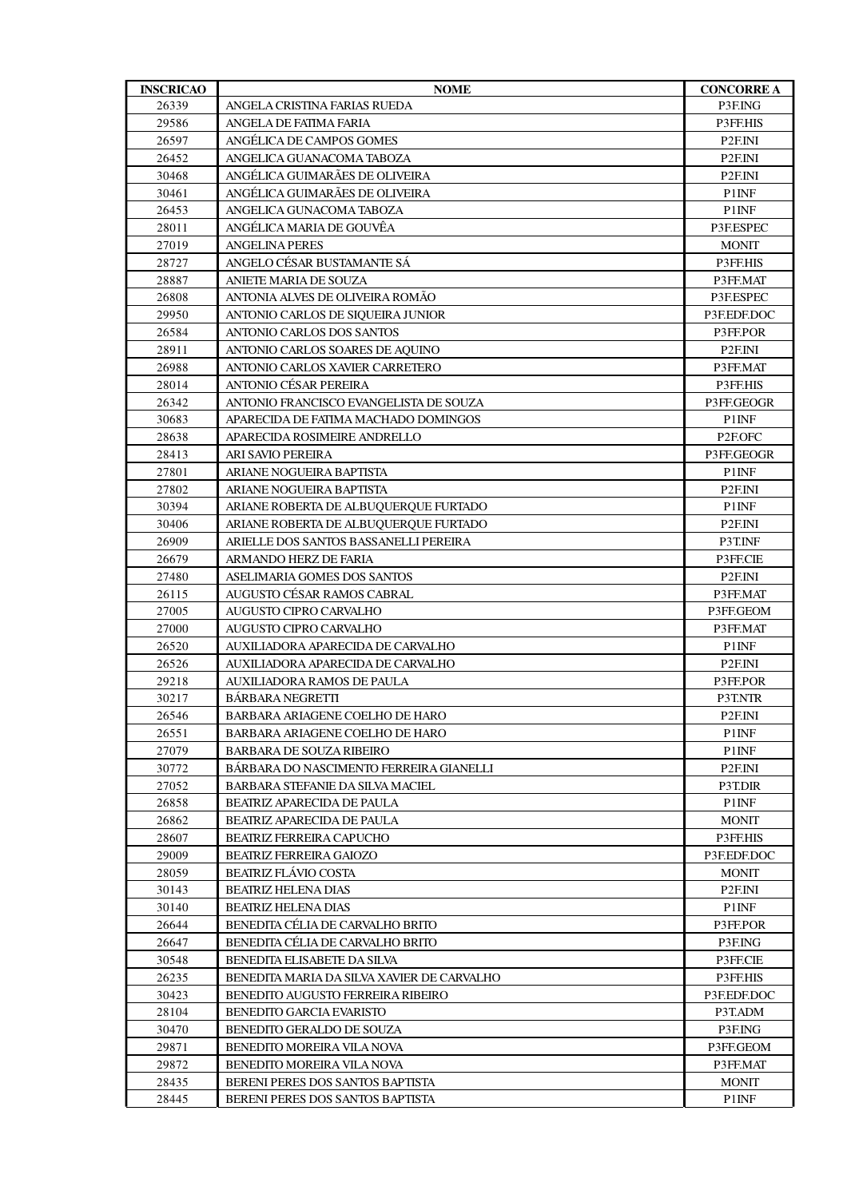| <b>INSCRICAO</b> | <b>NOME</b>                                | <b>CONCORRE A</b>    |
|------------------|--------------------------------------------|----------------------|
| 26339            | ANGELA CRISTINA FARIAS RUEDA               | P3F.ING              |
| 29586            | ANGELA DE FATIMA FARIA                     | P3FF.HIS             |
| 26597            | ANGÉLICA DE CAMPOS GOMES                   | P <sub>2F.INI</sub>  |
| 26452            | ANGELICA GUANACOMA TABOZA                  | P <sub>2</sub> F.INI |
| 30468            | ANGÉLICA GUIMARÃES DE OLIVEIRA             | P <sub>2F.INI</sub>  |
| 30461            | ANGÉLICA GUIMARÃES DE OLIVEIRA             | P1INF                |
| 26453            | ANGELICA GUNACOMA TABOZA                   | P1INF                |
| 28011            | ANGÉLICA MARIA DE GOUVÊA                   | P3F.ESPEC            |
| 27019            | <b>ANGELINA PERES</b>                      | <b>MONIT</b>         |
| 28727            | ANGELO CÉSAR BUSTAMANTE SÁ                 | P3FF.HIS             |
| 28887            | <b>ANIETE MARIA DE SOUZA</b>               | P3FF.MAT             |
| 26808            | ANTONIA ALVES DE OLIVEIRA ROMAO            | P3F.ESPEC            |
| 29950            | ANTONIO CARLOS DE SIQUEIRA JUNIOR          | P3F.EDF.DOC          |
| 26584            | ANTONIO CARLOS DOS SANTOS                  | P3FF.POR             |
| 28911            | ANTONIO CARLOS SOARES DE AQUINO            | P <sub>2F.INI</sub>  |
| 26988            | ANTONIO CARLOS XAVIER CARRETERO            | P3FF.MAT             |
| 28014            | ANTONIO CÉSAR PEREIRA                      | P3FF.HIS             |
| 26342            | ANTONIO FRANCISCO EVANGELISTA DE SOUZA     | P3FF.GEOGR           |
| 30683            | APARECIDA DE FATIMA MACHADO DOMINGOS       | P1INF                |
| 28638            | APARECIDA ROSIMEIRE ANDRELLO               | P2F.OFC              |
| 28413            | <b>ARI SAVIO PEREIRA</b>                   | P3FF.GEOGR           |
| 27801            | ARIANE NOGUEIRA BAPTISTA                   | P1INF                |
| 27802            | ARIANE NOGUEIRA BAPTISTA                   | P <sub>2F.INI</sub>  |
| 30394            | ARIANE ROBERTA DE ALBUQUERQUE FURTADO      | P1INF                |
| 30406            | ARIANE ROBERTA DE ALBUQUERQUE FURTADO      | P <sub>2F.INI</sub>  |
| 26909            | ARIELLE DOS SANTOS BASSANELLI PEREIRA      | P3T.INF              |
| 26679            | ARMANDO HERZ DE FARIA                      | P3FF.CIE             |
| 27480            | ASELIMARIA GOMES DOS SANTOS                | P <sub>2F.INI</sub>  |
| 26115            | AUGUSTO CÉSAR RAMOS CABRAL                 | P3FF.MAT             |
| 27005            | AUGUSTO CIPRO CARVALHO                     | P3FF.GEOM            |
| 27000            | AUGUSTO CIPRO CARVALHO                     | P3FF.MAT             |
| 26520            | AUXILIADORA APARECIDA DE CARVALHO          | P1INF                |
| 26526            | AUXILIADORA APARECIDA DE CARVALHO          | P <sub>2F.INI</sub>  |
| 29218            | AUXILIADORA RAMOS DE PAULA                 | P3FF.POR             |
| 30217            | <b>BÁRBARA NEGRETTI</b>                    | P3T.NTR              |
| 26546            | BARBARA ARIAGENE COELHO DE HARO            | P <sub>2</sub> F.INI |
| 26551            | BARBARA ARIAGENE COELHO DE HARO            | P1INF                |
| 27079            | <b>BARBARA DE SOUZA RIBEIRO</b>            | P1INF                |
| 30772            | BÁRBARA DO NASCIMENTO FERREIRA GIANELLI    | P <sub>2F.INI</sub>  |
| 27052            | BARBARA STEFANIE DA SILVA MACIEL           | P3T.DIR              |
| 26858            | BEATRIZ APARECIDA DE PAULA                 | P1INF                |
| 26862            | BEATRIZ APARECIDA DE PAULA                 | <b>MONIT</b>         |
| 28607            | <b>BEATRIZ FERREIRA CAPUCHO</b>            | P3FF.HIS             |
| 29009            | <b>BEATRIZ FERREIRA GAIOZO</b>             | P3F.EDF.DOC          |
| 28059            | <b>BEATRIZ FLAVIO COSTA</b>                | <b>MONIT</b>         |
| 30143            | <b>BEATRIZ HELENA DIAS</b>                 | P <sub>2</sub> F.INI |
| 30140            | <b>BEATRIZ HELENA DIAS</b>                 | P1INF                |
| 26644            | BENEDITA CÉLIA DE CARVALHO BRITO           | P3FF.POR             |
| 26647            | BENEDITA CÉLIA DE CARVALHO BRITO           | P3F.ING              |
| 30548            | BENEDITA ELISABETE DA SILVA                | P3FF.CIE             |
| 26235            | BENEDITA MARIA DA SILVA XAVIER DE CARVALHO | P3FF.HIS             |
| 30423            | BENEDITO AUGUSTO FERREIRA RIBEIRO          | P3F.EDF.DOC          |
| 28104            | <b>BENEDITO GARCIA EVARISTO</b>            | P3T.ADM              |
| 30470            | BENEDITO GERALDO DE SOUZA                  | P3F.ING              |
| 29871            | <b>BENEDITO MOREIRA VILA NOVA</b>          | P3FF.GEOM            |
| 29872            | <b>BENEDITO MOREIRA VILA NOVA</b>          | P3FF.MAT             |
| 28435            | BERENI PERES DOS SANTOS BAPTISTA           | <b>MONIT</b>         |
| 28445            | BERENI PERES DOS SANTOS BAPTISTA           | P1INF                |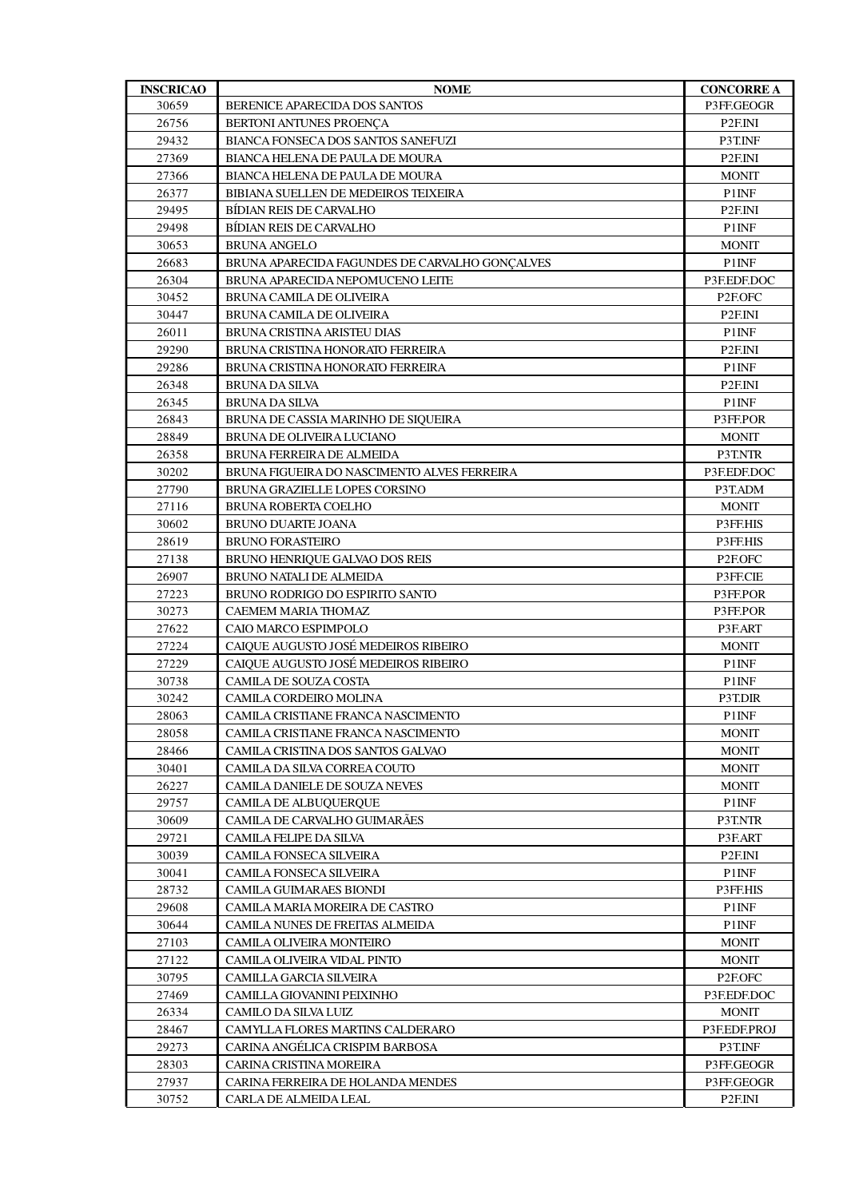| <b>INSCRICAO</b> | <b>NOME</b>                                    | <b>CONCORRE A</b>    |
|------------------|------------------------------------------------|----------------------|
| 30659            | BERENICE APARECIDA DOS SANTOS                  | P3FF.GEOGR           |
| 26756            | BERTONI ANTUNES PROENCA                        | P <sub>2F.INI</sub>  |
| 29432            | BIANCA FONSECA DOS SANTOS SANEFUZI             | P3T.INF              |
| 27369            | <b>BIANCA HELENA DE PAULA DE MOURA</b>         | P <sub>2</sub> F.INI |
| 27366            | <b>BIANCA HELENA DE PAULA DE MOURA</b>         | <b>MONIT</b>         |
| 26377            | <b>BIBIANA SUELLEN DE MEDEIROS TEIXEIRA</b>    | P1INF                |
| 29495            | <b>BÍDIAN REIS DE CARVALHO</b>                 | P <sub>2F.INI</sub>  |
| 29498            | <b>BÍDIAN REIS DE CARVALHO</b>                 | P1INF                |
| 30653            | <b>BRUNA ANGELO</b>                            | <b>MONIT</b>         |
| 26683            | BRUNA APARECIDA FAGUNDES DE CARVALHO GONÇALVES | P1INF                |
| 26304            | BRUNA APARECIDA NEPOMUCENO LEITE               | P3F.EDF.DOC          |
| 30452            | <b>BRUNA CAMILA DE OLIVEIRA</b>                | P <sub>2</sub> F.OFC |
| 30447            | <b>BRUNA CAMILA DE OLIVEIRA</b>                | P <sub>2F.INI</sub>  |
| 26011            | BRUNA CRISTINA ARISTEU DIAS                    | P1INF                |
| 29290            | BRUNA CRISTINA HONORATO FERREIRA               | P <sub>2F.INI</sub>  |
| 29286            | BRUNA CRISTINA HONORATO FERREIRA               | P1INF                |
| 26348            | <b>BRUNA DA SILVA</b>                          | P <sub>2F.INI</sub>  |
| 26345            | <b>BRUNA DA SILVA</b>                          | P1INF                |
| 26843            | BRUNA DE CASSIA MARINHO DE SIQUEIRA            | P3FF.POR             |
| 28849            | <b>BRUNA DE OLIVEIRA LUCIANO</b>               | <b>MONIT</b>         |
| 26358            | <b>BRUNA FERREIRA DE ALMEIDA</b>               | P3T.NTR              |
| 30202            | BRUNA FIGUEIRA DO NASCIMENTO ALVES FERREIRA    | P3F.EDF.DOC          |
| 27790            | BRUNA GRAZIELLE LOPES CORSINO                  | P3T.ADM              |
| 27116            | <b>BRUNA ROBERTA COELHO</b>                    | <b>MONIT</b>         |
| 30602            | <b>BRUNO DUARTE JOANA</b>                      | P3FF.HIS             |
| 28619            | <b>BRUNO FORASTEIRO</b>                        | P3FF.HIS             |
| 27138            | BRUNO HENRIQUE GALVAO DOS REIS                 | P <sub>2</sub> F.OFC |
| 26907            | <b>BRUNO NATALI DE ALMEIDA</b>                 | P3FF.CIE             |
| 27223            | BRUNO RODRIGO DO ESPIRITO SANTO                | P3FF.POR             |
| 30273            | <b>CAEMEM MARIA THOMAZ</b>                     | P3FF.POR             |
| 27622            | CAIO MARCO ESPIMPOLO                           | P3F.ART              |
| 27224            | CAIQUE AUGUSTO JOSÉ MEDEIROS RIBEIRO           | <b>MONIT</b>         |
| 27229            | CAIQUE AUGUSTO JOSÉ MEDEIROS RIBEIRO           | P1INF                |
| 30738            | CAMILA DE SOUZA COSTA                          | P1INF                |
| 30242            | CAMILA CORDEIRO MOLINA                         | P3T.DIR              |
| 28063            | CAMILA CRISTIANE FRANCA NASCIMENTO             | P1INF                |
| 28058            | CAMILA CRISTIANE FRANCA NASCIMENTO             | <b>MONIT</b>         |
| 28466            | CAMILA CRISTINA DOS SANTOS GALVAO              | <b>MONIT</b>         |
| 30401            | CAMILA DA SILVA CORREA COUTO                   | <b>MONIT</b>         |
| 26227            | CAMILA DANIELE DE SOUZA NEVES                  | <b>MONIT</b>         |
| 29757            | CAMILA DE ALBUQUERQUE                          | P1INF                |
| 30609            | CAMILA DE CARVALHO GUIMARÃES                   | P3T.NTR              |
| 29721            | <b>CAMILA FELIPE DA SILVA</b>                  | P3F.ART              |
| 30039            | CAMILA FONSECA SILVEIRA                        | P <sub>2</sub> F.INI |
| 30041            | CAMILA FONSECA SILVEIRA                        | P1INF                |
| 28732            | CAMILA GUIMARAES BIONDI                        | P3FF.HIS             |
| 29608            | CAMILA MARIA MOREIRA DE CASTRO                 | P1INF                |
| 30644            | CAMILA NUNES DE FREITAS ALMEIDA                | P1INF                |
| 27103            | CAMILA OLIVEIRA MONTEIRO                       | <b>MONIT</b>         |
| 27122            | CAMILA OLIVEIRA VIDAL PINTO                    | <b>MONIT</b>         |
| 30795            | CAMILLA GARCIA SILVEIRA                        | P <sub>2</sub> F.OFC |
|                  |                                                |                      |
| 27469            | CAMILLA GIOVANINI PEIXINHO                     | P3F.EDF.DOC          |
| 26334            | CAMILO DA SILVA LUIZ                           | <b>MONIT</b>         |
| 28467            | CAMYLLA FLORES MARTINS CALDERARO               | P3F.EDF.PROJ         |
| 29273            | CARINA ANGÉLICA CRISPIM BARBOSA                | P3T.INF              |
| 28303            | CARINA CRISTINA MOREIRA                        | P3FF.GEOGR           |
| 27937            | CARINA FERREIRA DE HOLANDA MENDES              | P3FF.GEOGR           |
| 30752            | CARLA DE ALMEIDA LEAL                          | P <sub>2</sub> F.INI |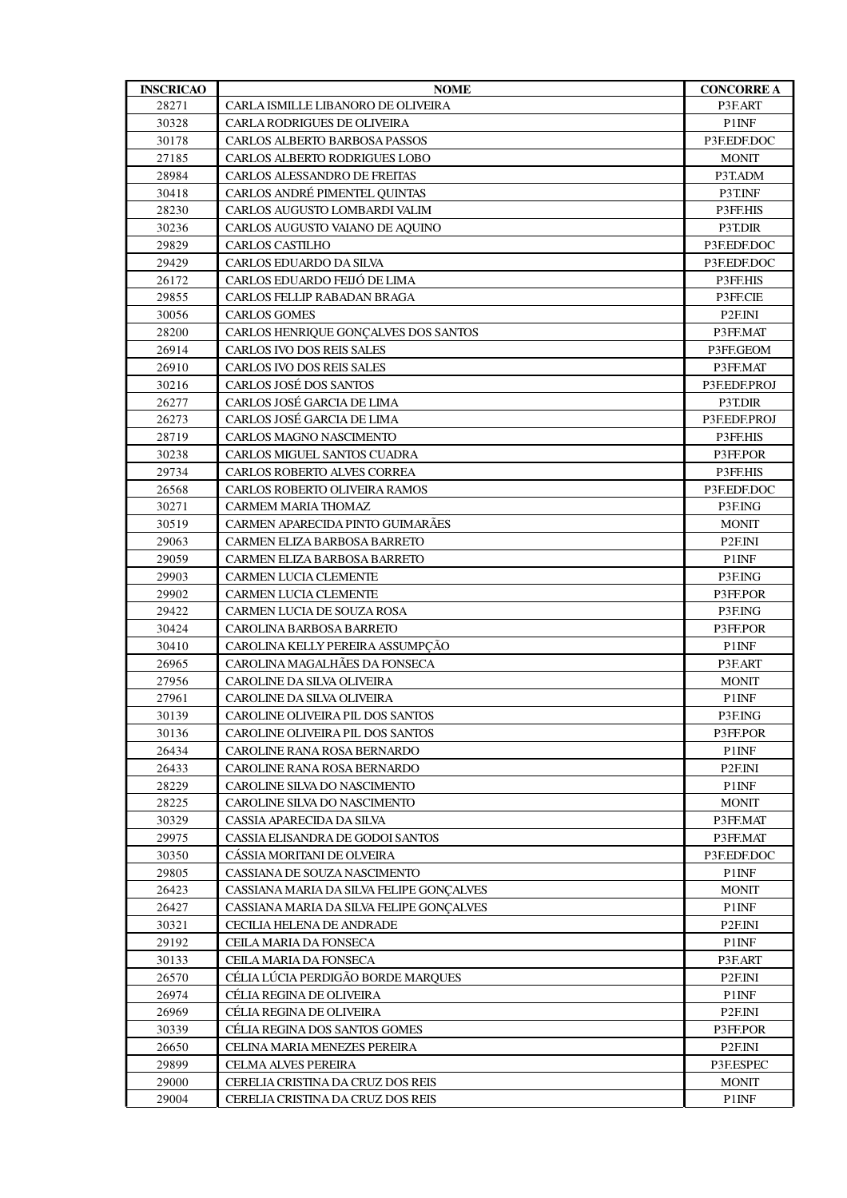| <b>INSCRICAO</b> | <b>NOME</b>                              | <b>CONCORRE A</b>    |
|------------------|------------------------------------------|----------------------|
| 28271            | CARLA ISMILLE LIBANORO DE OLIVEIRA       | P3F.ART              |
| 30328            | CARLA RODRIGUES DE OLIVEIRA              | P1INF                |
| 30178            | <b>CARLOS ALBERTO BARBOSA PASSOS</b>     | P3F.EDF.DOC          |
| 27185            | <b>CARLOS ALBERTO RODRIGUES LOBO</b>     | <b>MONIT</b>         |
| 28984            | CARLOS ALESSANDRO DE FREITAS             | P3T.ADM              |
| 30418            | CARLOS ANDRÉ PIMENTEL QUINTAS            | P3T.INF              |
| 28230            | CARLOS AUGUSTO LOMBARDI VALIM            | P3FF.HIS             |
| 30236            | CARLOS AUGUSTO VAIANO DE AQUINO          | P3T.DIR              |
| 29829            | <b>CARLOS CASTILHO</b>                   | P3F.EDF.DOC          |
| 29429            | CARLOS EDUARDO DA SILVA                  | P3F.EDF.DOC          |
| 26172            | CARLOS EDUARDO FEIJÓ DE LIMA             | P3FF.HIS             |
| 29855            |                                          |                      |
|                  | CARLOS FELLIP RABADAN BRAGA              | P3FF.CIE             |
| 30056            | <b>CARLOS GOMES</b>                      | P <sub>2F.INI</sub>  |
| 28200            | CARLOS HENRIQUE GONÇALVES DOS SANTOS     | P3FF.MAT             |
| 26914            | CARLOS IVO DOS REIS SALES                | P3FF.GEOM            |
| 26910            | CARLOS IVO DOS REIS SALES                | P3FF.MAT             |
| 30216            | CARLOS JOSÉ DOS SANTOS                   | P3F.EDF.PROJ         |
| 26277            | CARLOS JOSÉ GARCIA DE LIMA               | P3T.DIR              |
| 26273            | CARLOS JOSÉ GARCIA DE LIMA               | P3F.EDF.PROJ         |
| 28719            | CARLOS MAGNO NASCIMENTO                  | P3FF.HIS             |
| 30238            | CARLOS MIGUEL SANTOS CUADRA              | P3FF.POR             |
| 29734            | <b>CARLOS ROBERTO ALVES CORREA</b>       | P3FF.HIS             |
| 26568            | <b>CARLOS ROBERTO OLIVEIRA RAMOS</b>     | P3F.EDF.DOC          |
| 30271            | <b>CARMEM MARIA THOMAZ</b>               | P3F.ING              |
| 30519            | <b>CARMEN APARECIDA PINTO GUIMARAES</b>  | <b>MONIT</b>         |
| 29063            | CARMEN ELIZA BARBOSA BARRETO             | P <sub>2F.INI</sub>  |
| 29059            | CARMEN ELIZA BARBOSA BARRETO             | P1INF                |
| 29903            | <b>CARMEN LUCIA CLEMENTE</b>             | P3F.ING              |
| 29902            | <b>CARMEN LUCIA CLEMENTE</b>             | P3FF.POR             |
| 29422            | CARMEN LUCIA DE SOUZA ROSA               | P3F.ING              |
| 30424            | CAROLINA BARBOSA BARRETO                 | P3FF.POR             |
| 30410            | CAROLINA KELLY PEREIRA ASSUMPCAO         | P1INF                |
| 26965            | CAROLINA MAGALHAES DA FONSECA            | P3F.ART              |
| 27956            | CAROLINE DA SILVA OLIVEIRA               | <b>MONIT</b>         |
| 27961            | CAROLINE DA SILVA OLIVEIRA               | P1INF                |
| 30139            | CAROLINE OLIVEIRA PIL DOS SANTOS         | P3F.ING              |
| 30136            | CAROLINE OLIVEIRA PIL DOS SANTOS         | P3FF.POR             |
|                  |                                          |                      |
| 26434            | CAROLINE RANA ROSA BERNARDO              | P1INF                |
| 26433<br>28229   | CAROLINE RANA ROSA BERNARDO              | P <sub>2F.INI</sub>  |
|                  | CAROLINE SILVA DO NASCIMENTO             | P1INF                |
| 28225            | CAROLINE SILVA DO NASCIMENTO             | <b>MONIT</b>         |
| 30329            | CASSIA APARECIDA DA SILVA                | P3FF.MAT             |
| 29975            | CASSIA ELISANDRA DE GODOI SANTOS         | P3FF.MAT             |
| 30350            | CASSIA MORITANI DE OLVEIRA               | P3F.EDF.DOC          |
| 29805            | CASSIANA DE SOUZA NASCIMENTO             | P1INF                |
| 26423            | CASSIANA MARIA DA SILVA FELIPE GONCALVES | <b>MONIT</b>         |
| 26427            | CASSIANA MARIA DA SILVA FELIPE GONÇALVES | P1INF                |
| 30321            | CECILIA HELENA DE ANDRADE                | P <sub>2</sub> F.INI |
| 29192            | CEILA MARIA DA FONSECA                   | P1INF                |
| 30133            | CEILA MARIA DA FONSECA                   | P3F.ART              |
| 26570            | CÉLIA LÚCIA PERDIGÃO BORDE MARQUES       | P <sub>2F.INI</sub>  |
| 26974            | CÉLIA REGINA DE OLIVEIRA                 | P1INF                |
| 26969            | CÉLIA REGINA DE OLIVEIRA                 | P <sub>2</sub> F.INI |
| 30339            | CELIA REGINA DOS SANTOS GOMES            | P3FF.POR             |
| 26650            | CELINA MARIA MENEZES PEREIRA             | P2F.INI              |
| 29899            | <b>CELMA ALVES PEREIRA</b>               | P3F.ESPEC            |
| 29000            | CERELIA CRISTINA DA CRUZ DOS REIS        | <b>MONIT</b>         |
| 29004            | CERELIA CRISTINA DA CRUZ DOS REIS        | P1INF                |
|                  |                                          |                      |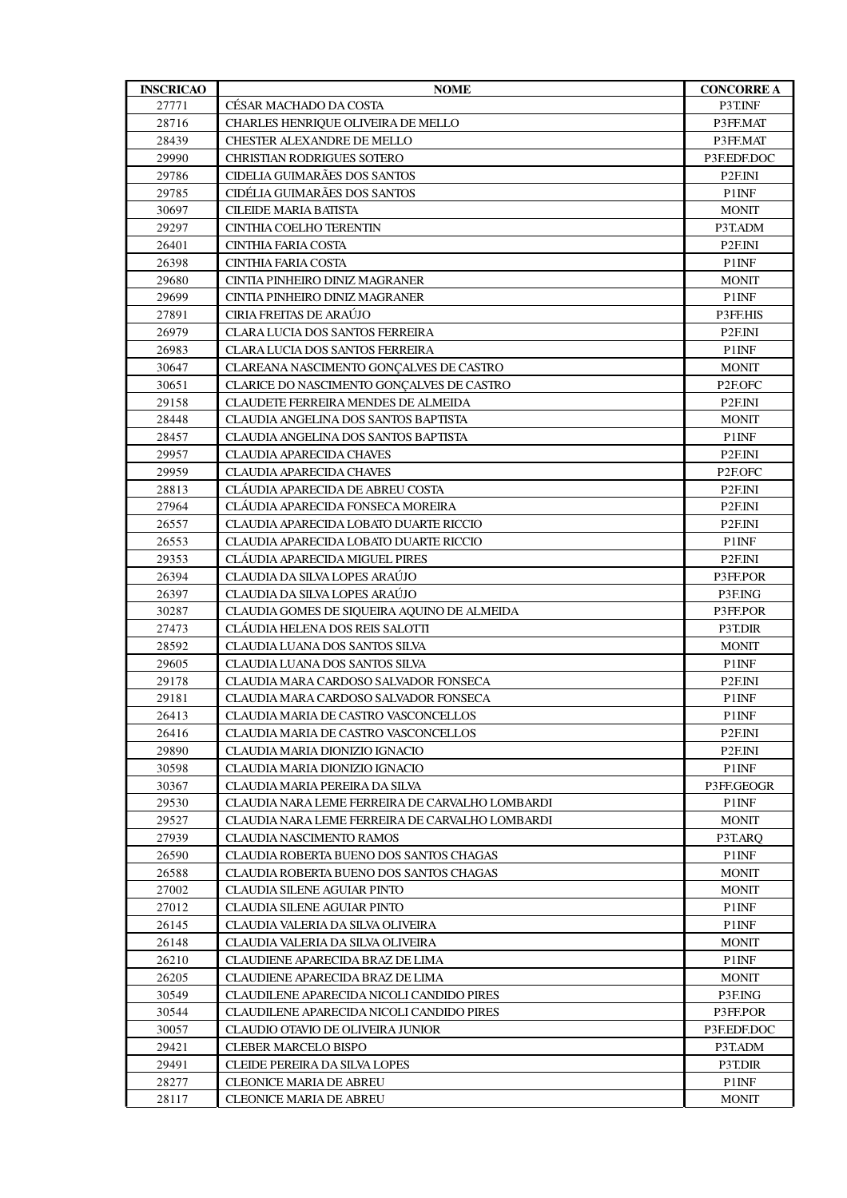| <b>INSCRICAO</b> | <b>NOME</b>                                                         | <b>CONCORRE A</b>    |
|------------------|---------------------------------------------------------------------|----------------------|
| 27771            | CÉSAR MACHADO DA COSTA                                              | P3T.INF              |
| 28716            | CHARLES HENRIQUE OLIVEIRA DE MELLO                                  | P3FF.MAT             |
| 28439            | CHESTER ALEXANDRE DE MELLO                                          | P3FF.MAT             |
| 29990            | <b>CHRISTIAN RODRIGUES SOTERO</b>                                   | P3F.EDF.DOC          |
| 29786            | CIDELIA GUIMARÃES DOS SANTOS                                        | P <sub>2F.INI</sub>  |
| 29785            | CIDÉLIA GUIMARÃES DOS SANTOS                                        | P1INF                |
| 30697            | <b>CILEIDE MARIA BATISTA</b>                                        | <b>MONIT</b>         |
| 29297            | <b>CINTHIA COELHO TERENTIN</b>                                      | P3T.ADM              |
| 26401            | <b>CINTHIA FARIA COSTA</b>                                          | P <sub>2F.INI</sub>  |
| 26398            | <b>CINTHIA FARIA COSTA</b>                                          | P1INF                |
| 29680            | CINTIA PINHEIRO DINIZ MAGRANER                                      | <b>MONIT</b>         |
| 29699            | CINTIA PINHEIRO DINIZ MAGRANER                                      | P1INF                |
| 27891            | CIRIA FREITAS DE ARAÚJO                                             | P3FF.HIS             |
| 26979            | CLARA LUCIA DOS SANTOS FERREIRA                                     | P <sub>2F.INI</sub>  |
| 26983            | CLARA LUCIA DOS SANTOS FERREIRA                                     | P1INF                |
| 30647            | CLAREANA NASCIMENTO GONÇALVES DE CASTRO                             | <b>MONIT</b>         |
| 30651            | CLARICE DO NASCIMENTO GONÇALVES DE CASTRO                           | P2F.OFC              |
| 29158            | <b>CLAUDETE FERREIRA MENDES DE ALMEIDA</b>                          | P <sub>2F.INI</sub>  |
| 28448            | CLAUDIA ANGELINA DOS SANTOS BAPTISTA                                | <b>MONIT</b>         |
| 28457            | CLAUDIA ANGELINA DOS SANTOS BAPTISTA                                | P1INF                |
| 29957            | <b>CLAUDIA APARECIDA CHAVES</b>                                     | P <sub>2F.INI</sub>  |
| 29959            | <b>CLAUDIA APARECIDA CHAVES</b>                                     | P <sub>2</sub> F.OFC |
| 28813            | CLÁUDIA APARECIDA DE ABREU COSTA                                    | P <sub>2F.INI</sub>  |
| 27964            | CLÀUDIA APARECIDA FONSECA MOREIRA                                   | P <sub>2F.INI</sub>  |
| 26557            | CLAUDIA APARECIDA LOBATO DUARTE RICCIO                              | P <sub>2F.INI</sub>  |
| 26553            | CLAUDIA APARECIDA LOBATO DUARTE RICCIO                              | P1INF                |
| 29353            | CLÀUDIA APARECIDA MIGUEL PIRES                                      | P <sub>2F.INI</sub>  |
| 26394            | CLAUDIA DA SILVA LOPES ARAÚJO                                       | P3FF.POR             |
| 26397            | CLAUDIA DA SILVA LOPES ARAÚJO                                       | P3F.ING              |
| 30287            | CLAUDIA GOMES DE SIQUEIRA AQUINO DE ALMEIDA                         | P3FF.POR             |
| 27473            | CLÀUDIA HELENA DOS REIS SALOTTI                                     | P3T.DIR              |
| 28592            | CLAUDIA LUANA DOS SANTOS SILVA                                      | <b>MONIT</b>         |
| 29605            | CLAUDIA LUANA DOS SANTOS SILVA                                      | P1INF                |
| 29178            | CLAUDIA MARA CARDOSO SALVADOR FONSECA                               | P <sub>2F.INI</sub>  |
| 29181            | CLAUDIA MARA CARDOSO SALVADOR FONSECA                               | P1INF                |
| 26413            | CLAUDIA MARIA DE CASTRO VASCONCELLOS                                | P1INF                |
| 26416            | CLAUDIA MARIA DE CASTRO VASCONCELLOS                                | P <sub>2F.INI</sub>  |
| 29890            | CLAUDIA MARIA DIONIZIO IGNACIO                                      | P <sub>2</sub> F.INI |
| 30598            | CLAUDIA MARIA DIONIZIO IGNACIO                                      | P1INF                |
| 30367            | CLAUDIA MARIA PEREIRA DA SILVA                                      | P3FF.GEOGR           |
| 29530            | CLAUDIA NARA LEME FERREIRA DE CARVALHO LOMBARDI                     | P1INF                |
| 29527            | CLAUDIA NARA LEME FERREIRA DE CARVALHO LOMBARDI                     | <b>MONIT</b>         |
| 27939            | CLAUDIA NASCIMENTO RAMOS                                            | P3T.ARQ              |
| 26590            | CLAUDIA ROBERTA BUENO DOS SANTOS CHAGAS                             | P1INF                |
| 26588            | CLAUDIA ROBERTA BUENO DOS SANTOS CHAGAS                             | <b>MONIT</b>         |
| 27002            | CLAUDIA SILENE AGUIAR PINTO                                         | <b>MONIT</b>         |
| 27012            | CLAUDIA SILENE AGUIAR PINTO                                         | P1INF                |
| 26145            | CLAUDIA VALERIA DA SILVA OLIVEIRA                                   | P1INF                |
| 26148            | CLAUDIA VALERIA DA SILVA OLIVEIRA                                   | <b>MONIT</b>         |
| 26210            | CLAUDIENE APARECIDA BRAZ DE LIMA                                    | P1INF                |
| 26205            | CLAUDIENE APARECIDA BRAZ DE LIMA                                    | <b>MONIT</b>         |
| 30549            | CLAUDILENE APARECIDA NICOLI CANDIDO PIRES                           | P3F.ING              |
| 30544            | CLAUDILENE APARECIDA NICOLI CANDIDO PIRES                           | P3FF.POR             |
| 30057            | CLAUDIO OTAVIO DE OLIVEIRA JUNIOR                                   | P3F.EDF.DOC          |
| 29421<br>29491   | <b>CLEBER MARCELO BISPO</b><br><b>CLEIDE PEREIRA DA SILVA LOPES</b> | P3T.ADM<br>P3T.DIR   |
| 28277            | CLEONICE MARIA DE ABREU                                             | P1INF                |
| 28117            | <b>CLEONICE MARIA DE ABREU</b>                                      | <b>MONIT</b>         |
|                  |                                                                     |                      |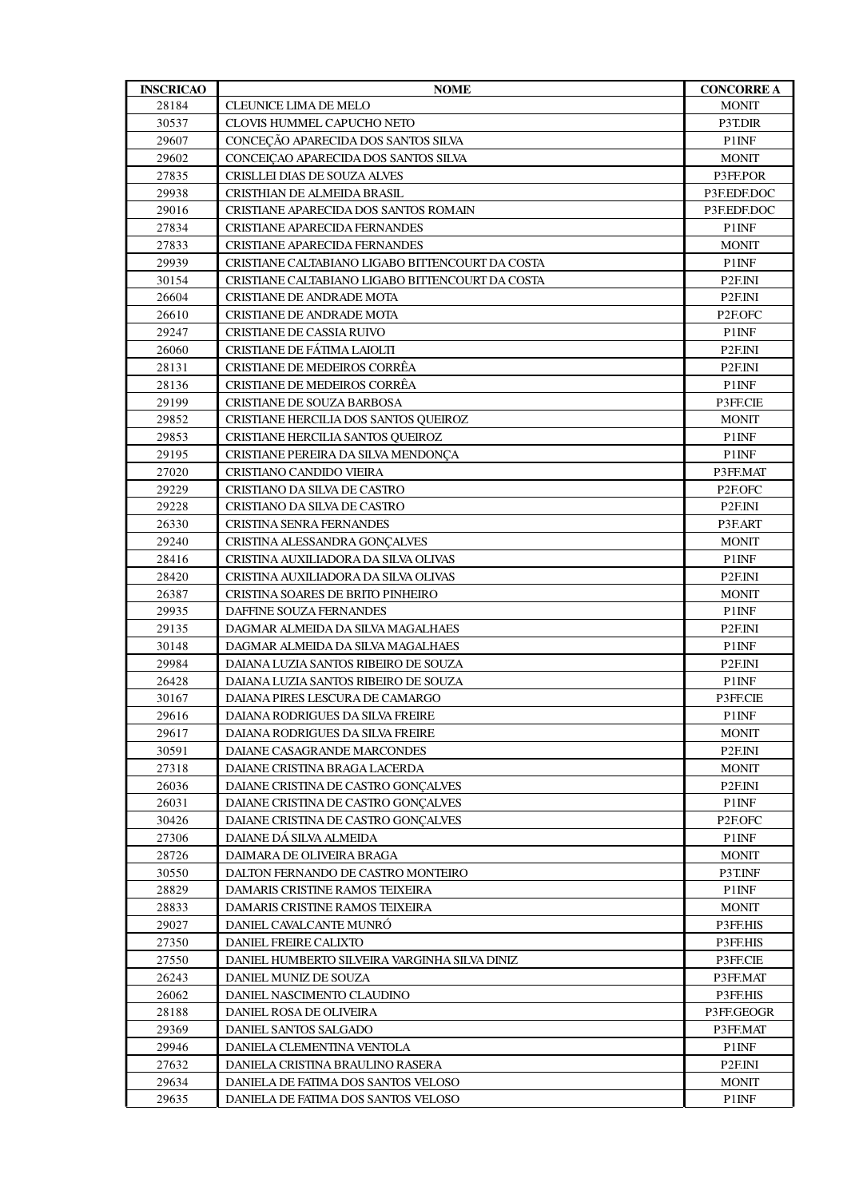| <b>INSCRICAO</b> | <b>NOME</b>                                      | <b>CONCORRE A</b>    |
|------------------|--------------------------------------------------|----------------------|
| 28184            | <b>CLEUNICE LIMA DE MELO</b>                     | <b>MONIT</b>         |
| 30537            | CLOVIS HUMMEL CAPUCHO NETO                       | P3T.DIR              |
| 29607            | CONCECÃO APARECIDA DOS SANTOS SILVA              | P1INF                |
| 29602            | CONCEICAO APARECIDA DOS SANTOS SILVA             | <b>MONIT</b>         |
| 27835            | CRISLLEI DIAS DE SOUZA ALVES                     | P3FF.POR             |
| 29938            | CRISTHIAN DE ALMEIDA BRASIL                      | P3F.EDF.DOC          |
| 29016            | CRISTIANE APARECIDA DOS SANTOS ROMAIN            | P3F.EDF.DOC          |
| 27834            | <b>CRISTIANE APARECIDA FERNANDES</b>             | P1INF                |
| 27833            | <b>CRISTIANE APARECIDA FERNANDES</b>             | <b>MONIT</b>         |
| 29939            | CRISTIANE CALTABIANO LIGABO BITTENCOURT DA COSTA | P1INF                |
| 30154            | CRISTIANE CALTABIANO LIGABO BITTENCOURT DA COSTA | P <sub>2F.INI</sub>  |
| 26604            | <b>CRISTIANE DE ANDRADE MOTA</b>                 | P <sub>2F.INI</sub>  |
| 26610            | CRISTIANE DE ANDRADE MOTA                        | P <sub>2</sub> F.OFC |
| 29247            | <b>CRISTIANE DE CASSIA RUIVO</b>                 | P1INF                |
| 26060            | CRISTIANE DE FÁTIMA LAIOLTI                      | P2F.INI              |
| 28131            | CRISTIANE DE MEDEIROS CORRÊA                     | P <sub>2F.INI</sub>  |
| 28136            | CRISTIANE DE MEDEIROS CORRÊA                     | P1INF                |
| 29199            | <b>CRISTIANE DE SOUZA BARBOSA</b>                | P3FF.CIE             |
| 29852            | CRISTIANE HERCILIA DOS SANTOS QUEIROZ            | <b>MONIT</b>         |
| 29853            | CRISTIANE HERCILIA SANTOS QUEIROZ                | P1INF                |
| 29195            | CRISTIANE PEREIRA DA SILVA MENDONÇA              | P1INF                |
| 27020            | <b>CRISTIANO CANDIDO VIEIRA</b>                  | P3FF.MAT             |
| 29229            | CRISTIANO DA SILVA DE CASTRO                     | P <sub>2</sub> F.OFC |
| 29228            | CRISTIANO DA SILVA DE CASTRO                     | P <sub>2F.INI</sub>  |
| 26330            | <b>CRISTINA SENRA FERNANDES</b>                  | P3F.ART              |
| 29240            | CRISTINA ALESSANDRA GONÇALVES                    | <b>MONIT</b>         |
| 28416            | CRISTINA AUXILIADORA DA SILVA OLIVAS             | P1INF                |
| 28420            | CRISTINA AUXILIADORA DA SILVA OLIVAS             | P <sub>2F.INI</sub>  |
| 26387            | CRISTINA SOARES DE BRITO PINHEIRO                | <b>MONIT</b>         |
| 29935            | DAFFINE SOUZA FERNANDES                          | P1INF                |
| 29135            | DAGMAR ALMEIDA DA SILVA MAGALHAES                | P <sub>2F.INI</sub>  |
| 30148            | DAGMAR ALMEIDA DA SILVA MAGALHAES                | P1INF                |
| 29984            | DAIANA LUZIA SANTOS RIBEIRO DE SOUZA             | P <sub>2F.INI</sub>  |
| 26428            | DAIANA LUZIA SANTOS RIBEIRO DE SOUZA             | P1INF                |
| 30167            | DAIANA PIRES LESCURA DE CAMARGO                  | P3FF.CIE             |
| 29616            | DAJANA RODRIGUES DA SILVA FREIRE                 | P1INF                |
| 29617            | DAIANA RODRIGUES DA SILVA FREIRE                 | <b>MONIT</b>         |
| 30591            | DAIANE CASAGRANDE MARCONDES                      | P <sub>2F.INI</sub>  |
| 27318            | DAIANE CRISTINA BRAGA LACERDA                    | <b>MONIT</b>         |
| 26036            | DAIANE CRISTINA DE CASTRO GONÇALVES              | P <sub>2</sub> F.INI |
| 26031            | DAIANE CRISTINA DE CASTRO GONÇALVES              | P1INF                |
| 30426            | DAIANE CRISTINA DE CASTRO GONÇALVES              | P <sub>2</sub> F.OFC |
| 27306            | DAIANE DA SILVA ALMEIDA                          | P1INF                |
| 28726            | DAIMARA DE OLIVEIRA BRAGA                        | <b>MONIT</b>         |
| 30550            | DALTON FERNANDO DE CASTRO MONTEIRO               | P3T.INF              |
| 28829            | DAMARIS CRISTINE RAMOS TEIXEIRA                  | P1INF                |
| 28833            | DAMARIS CRISTINE RAMOS TEIXEIRA                  | <b>MONIT</b>         |
| 29027            | DANIEL CAVALCANTE MUNRÓ                          | P3FF.HIS             |
| 27350            | <b>DANIEL FREIRE CALIXTO</b>                     | P3FF.HIS             |
| 27550            | DANIEL HUMBERTO SILVEIRA VARGINHA SILVA DINIZ    | P3FF.CIE             |
| 26243            | DANIEL MUNIZ DE SOUZA                            | P3FF.MAT             |
| 26062            | DANIEL NASCIMENTO CLAUDINO                       | P3FF.HIS             |
| 28188            | DANIEL ROSA DE OLIVEIRA                          | P3FF.GEOGR           |
| 29369            | DANIEL SANTOS SALGADO                            | P3FF.MAT             |
| 29946            | DANIELA CLEMENTINA VENTOLA                       | P1INF                |
| 27632            | DANIELA CRISTINA BRAULINO RASERA                 | P <sub>2F.INI</sub>  |
| 29634            | DANIELA DE FATIMA DOS SANTOS VELOSO              | <b>MONIT</b>         |
| 29635            | DANIELA DE FATIMA DOS SANTOS VELOSO              | P1INF                |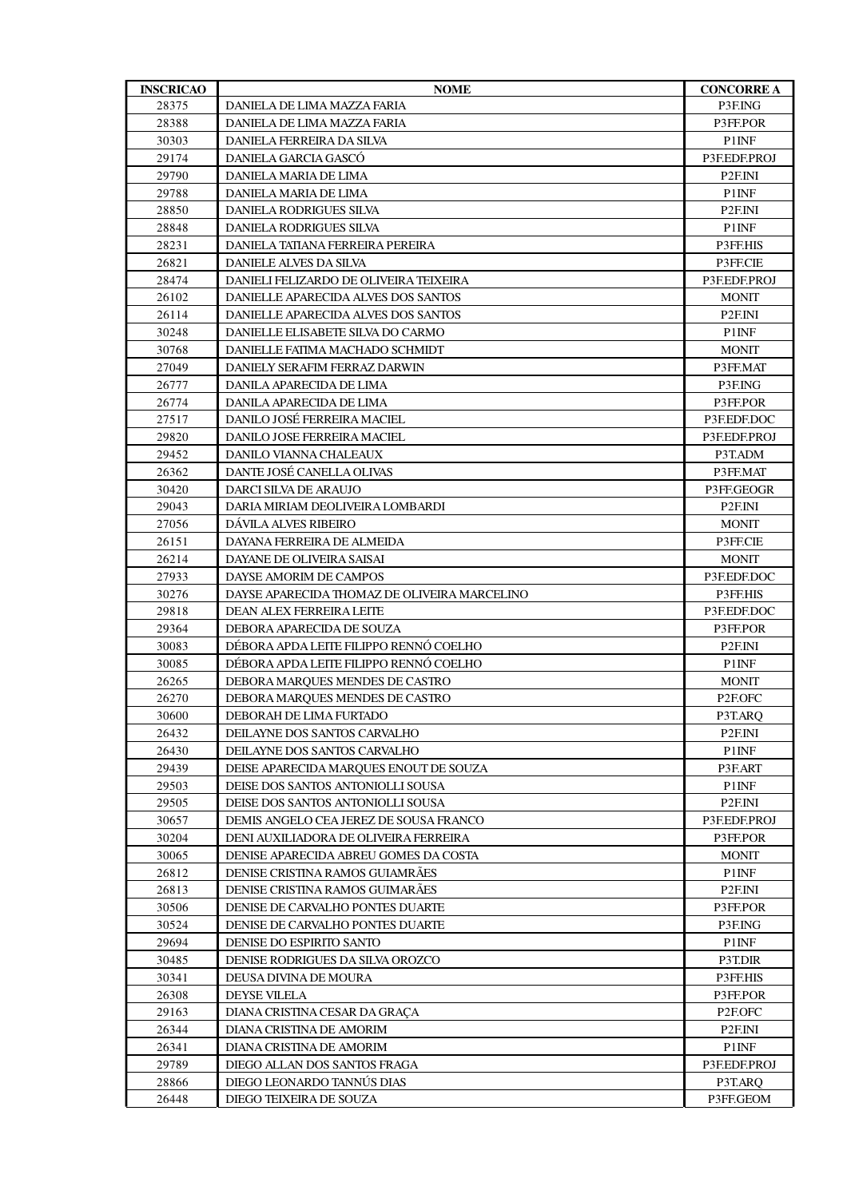| <b>INSCRICAO</b> | <b>NOME</b>                                  | <b>CONCORRE A</b>    |
|------------------|----------------------------------------------|----------------------|
| 28375            | DANIELA DE LIMA MAZZA FARIA                  | P3F.ING              |
| 28388            | DANIELA DE LIMA MAZZA FARIA                  | P3FF.POR             |
| 30303            | DANIELA FERREIRA DA SILVA                    | P1INF                |
| 29174            | DANIELA GARCIA GASCÓ                         | P3F.EDF.PROJ         |
| 29790            | DANIELA MARIA DE LIMA                        | P <sub>2F.INI</sub>  |
| 29788            | DANIELA MARIA DE LIMA                        | P1INF                |
| 28850            | <b>DANIELA RODRIGUES SILVA</b>               | P <sub>2F.INI</sub>  |
| 28848            | <b>DANIELA RODRIGUES SILVA</b>               | P1INF                |
| 28231            | DANIELA TATIANA FERREIRA PEREIRA             | P3FF.HIS             |
| 26821            | <b>DANIELE ALVES DA SILVA</b>                | P3FF.CIE             |
| 28474            | DANIELI FELIZARDO DE OLIVEIRA TEIXEIRA       | P3F.EDF.PROJ         |
| 26102            | DANIELLE APARECIDA ALVES DOS SANTOS          | <b>MONIT</b>         |
| 26114            | DANIELLE APARECIDA ALVES DOS SANTOS          | P <sub>2F.INI</sub>  |
| 30248            | DANIELLE ELISABETE SILVA DO CARMO            | P1INF                |
| 30768            | DANIELLE FATIMA MACHADO SCHMIDT              | <b>MONIT</b>         |
| 27049            | DANIELY SERAFIM FERRAZ DARWIN                | P3FF.MAT             |
| 26777            | DANILA APARECIDA DE LIMA                     | P3F.ING              |
| 26774            | DANILA APARECIDA DE LIMA                     | P3FF.POR             |
| 27517            | DANILO JOSÉ FERREIRA MACIEL                  | P3F.EDF.DOC          |
| 29820            | DANILO JOSE FERREIRA MACIEL                  | P3F.EDF.PROJ         |
| 29452            | DANILO VIANNA CHALEAUX                       | P3T.ADM              |
| 26362            | DANTE JOSÉ CANELLA OLIVAS                    | P3FF.MAT             |
| 30420            | DARCI SILVA DE ARAUJO                        | P3FF.GEOGR           |
| 29043            | DARIA MIRIAM DEOLIVEIRA LOMBARDI             | P <sub>2F.INI</sub>  |
| 27056            | <b>DAVILA ALVES RIBEIRO</b>                  | <b>MONIT</b>         |
| 26151            | DAYANA FERREIRA DE ALMEIDA                   | P3FF.CIE             |
| 26214            | DAYANE DE OLIVEIRA SAISAI                    | <b>MONIT</b>         |
| 27933            | DAYSE AMORIM DE CAMPOS                       | P3F.EDF.DOC          |
| 30276            | DAYSE APARECIDA THOMAZ DE OLIVEIRA MARCELINO | P3FF.HIS             |
| 29818            | DEAN ALEX FERREIRA LEITE                     | P3F.EDF.DOC          |
| 29364            | DEBORA APARECIDA DE SOUZA                    | P3FF.POR             |
| 30083            | DÉBORA APDA LEITE FILIPPO RENNÓ COELHO       | P <sub>2F.INI</sub>  |
| 30085            | DÉBORA APDA LEITE FILIPPO RENNÓ COELHO       | P1INF                |
| 26265            | DEBORA MARQUES MENDES DE CASTRO              | <b>MONIT</b>         |
| 26270            | DEBORA MARQUES MENDES DE CASTRO              | P <sub>2</sub> F.OFC |
| 30600            | DEBORAH DE LIMA FURTADO                      | P3T.ARQ              |
| 26432            | DEILAYNE DOS SANTOS CARVALHO                 | P <sub>2</sub> F.INI |
| 26430            | DEILAYNE DOS SANTOS CARVALHO                 | P1INF                |
| 29439            | DEISE APARECIDA MARQUES ENOUT DE SOUZA       | P3F.ART              |
| 29503            | DEISE DOS SANTOS ANTONIOLLI SOUSA            | P1INF                |
| 29505            | DEISE DOS SANTOS ANTONIOLLI SOUSA            | P <sub>2</sub> F.INI |
| 30657            | DEMIS ANGELO CEA JEREZ DE SOUSA FRANCO       | P3F.EDF.PROJ         |
| 30204            | DENI AUXILIADORA DE OLIVEIRA FERREIRA        | P3FF.POR             |
| 30065            | DENISE APARECIDA ABREU GOMES DA COSTA        | <b>MONIT</b>         |
| 26812            | DENISE CRISTINA RAMOS GUIAMRÃES              | P1INF                |
| 26813            | DENISE CRISTINA RAMOS GUIMARAES              | P <sub>2</sub> F.INI |
| 30506            | DENISE DE CARVALHO PONTES DUARTE             | P3FF.POR             |
| 30524            | DENISE DE CARVALHO PONTES DUARTE             | P3F.ING              |
| 29694            | DENISE DO ESPIRITO SANTO                     | P1INF                |
| 30485            | DENISE RODRIGUES DA SILVA OROZCO             | P3T.DIR              |
| 30341            | DEUSA DIVINA DE MOURA                        | P3FF.HIS             |
| 26308            | DEYSE VILELA                                 | P3FF.POR             |
| 29163            | DIANA CRISTINA CESAR DA GRACA                | P <sub>2</sub> F.OFC |
| 26344            | DIANA CRISTINA DE AMORIM                     | P <sub>2</sub> F.INI |
| 26341            | DIANA CRISTINA DE AMORIM                     | P1INF                |
| 29789            | DIEGO ALLAN DOS SANTOS FRAGA                 | P3F.EDF.PROJ         |
| 28866            | DIEGO LEONARDO TANNÚS DIAS                   | P3T.ARQ              |
| 26448            | DIEGO TEIXEIRA DE SOUZA                      | P3FF.GEOM            |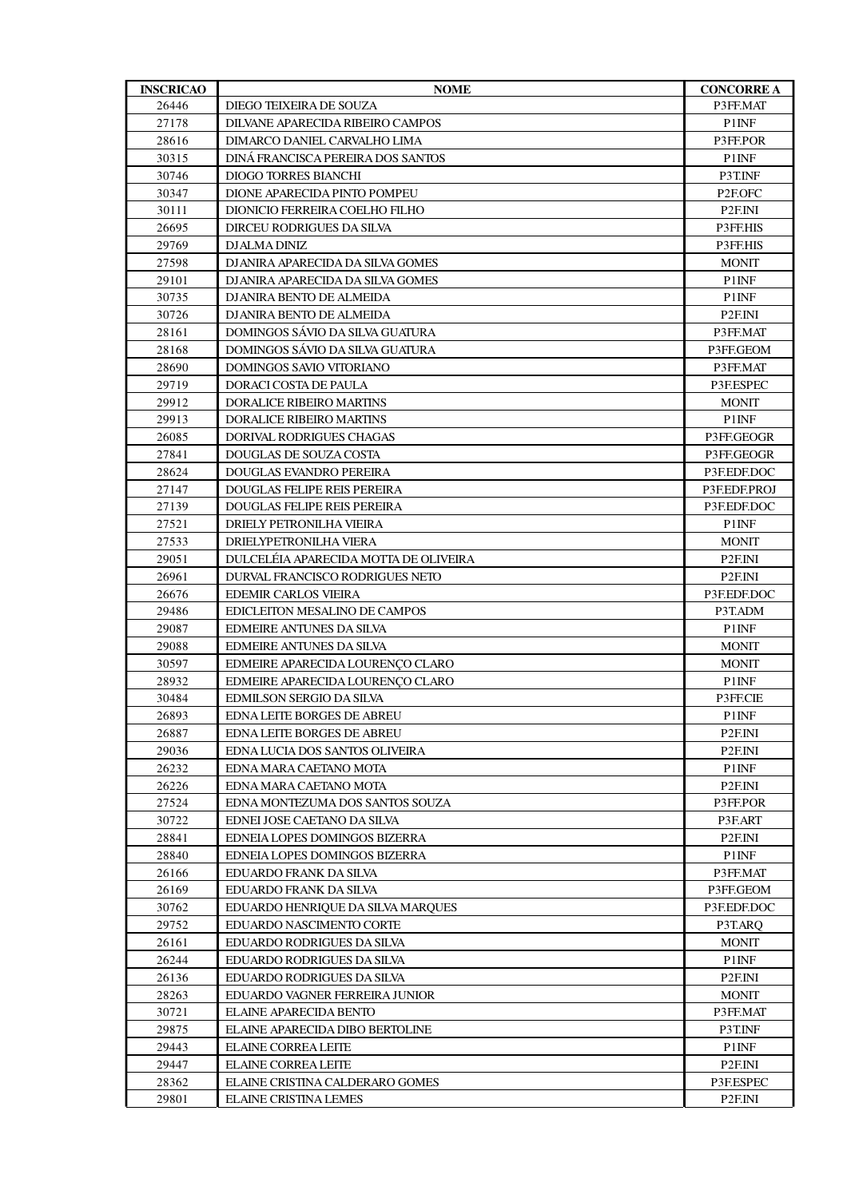| <b>INSCRICAO</b> | <b>NOME</b>                           | <b>CONCORRE A</b>    |
|------------------|---------------------------------------|----------------------|
| 26446            | DIEGO TEIXEIRA DE SOUZA               | P3FF.MAT             |
| 27178            | DILVANE APARECIDA RIBEIRO CAMPOS      | P1INF                |
| 28616            | DIMARCO DANIEL CARVALHO LIMA          | P3FF.POR             |
| 30315            | DINÁ FRANCISCA PEREIRA DOS SANTOS     | P1INF                |
| 30746            | <b>DIOGO TORRES BIANCHI</b>           | P3T.INF              |
| 30347            | DIONE APARECIDA PINTO POMPEU          | P <sub>2</sub> F.OFC |
| 30111            | DIONICIO FERREIRA COELHO FILHO        | P <sub>2F.INI</sub>  |
| 26695            | DIRCEU RODRIGUES DA SILVA             | P3FF.HIS             |
| 29769            | DJALMA DINIZ                          | P3FF.HIS             |
| 27598            | DJANIRA APARECIDA DA SILVA GOMES      | <b>MONIT</b>         |
| 29101            | DJANIRA APARECIDA DA SILVA GOMES      | P1INF                |
| 30735            | DJANIRA BENTO DE ALMEIDA              | P1INF                |
| 30726            | DJANIRA BENTO DE ALMEIDA              | P <sub>2F.INI</sub>  |
| 28161            | DOMINGOS SÁVIO DA SILVA GUATURA       | P3FF.MAT             |
| 28168            | DOMINGOS SÁVIO DA SILVA GUATURA       | P3FF.GEOM            |
| 28690            | <b>DOMINGOS SAVIO VITORIANO</b>       | P3FF.MAT             |
| 29719            | DORACI COSTA DE PAULA                 | P3F.ESPEC            |
| 29912            | <b>DORALICE RIBEIRO MARTINS</b>       | <b>MONIT</b>         |
| 29913            | <b>DORALICE RIBEIRO MARTINS</b>       | P1INF                |
| 26085            | DORIVAL RODRIGUES CHAGAS              | P3FF.GEOGR           |
| 27841            | <b>DOUGLAS DE SOUZA COSTA</b>         | P3FF.GEOGR           |
| 28624            | <b>DOUGLAS EVANDRO PEREIRA</b>        | P3F.EDF.DOC          |
| 27147            | <b>DOUGLAS FELIPE REIS PEREIRA</b>    | P3F.EDF.PROJ         |
| 27139            | <b>DOUGLAS FELIPE REIS PEREIRA</b>    | P3F.EDF.DOC          |
| 27521            | DRIELY PETRONILHA VIEIRA              | P1INF                |
| 27533            | DRIELYPETRONILHA VIERA                | <b>MONIT</b>         |
| 29051            | DULCELÉIA APARECIDA MOTTA DE OLIVEIRA | P <sub>2F.INI</sub>  |
| 26961            | DURVAL FRANCISCO RODRIGUES NETO       | P <sub>2F.INI</sub>  |
| 26676            | <b>EDEMIR CARLOS VIEIRA</b>           | P3F.EDF.DOC          |
| 29486            | EDICLEITON MESALINO DE CAMPOS         | P3T.ADM              |
| 29087            | <b>EDMEIRE ANTUNES DA SILVA</b>       | P1INF                |
| 29088            | <b>EDMEIRE ANTUNES DA SILVA</b>       | <b>MONIT</b>         |
| 30597            | EDMEIRE APARECIDA LOURENÇO CLARO      | <b>MONIT</b>         |
| 28932            | EDMEIRE APARECIDA LOURENCO CLARO      | P1INF                |
| 30484            | <b>EDMILSON SERGIO DA SILVA</b>       | P3FF.CIE             |
| 26893            | EDNA LEITE BORGES DE ABREU            | P1INF                |
| 26887            | <b>EDNA LEITE BORGES DE ABREU</b>     | P <sub>2F.INI</sub>  |
| 29036            | EDNA LUCIA DOS SANTOS OLIVEIRA        | P <sub>2F.INI</sub>  |
| 26232            | EDNA MARA CAETANO MOTA                | P1INF                |
| 26226            | EDNA MARA CAETANO MOTA                | P <sub>2</sub> F.INI |
| 27524            | EDNA MONTEZUMA DOS SANTOS SOUZA       | P3FF.POR             |
| 30722            | EDNEI JOSE CAETANO DA SILVA           | P3F.ART              |
| 28841            | EDNEIA LOPES DOMINGOS BIZERRA         | P <sub>2</sub> F.INI |
| 28840            | EDNEIA LOPES DOMINGOS BIZERRA         | P1INF                |
| 26166            | EDUARDO FRANK DA SILVA                | P3FF.MAT             |
| 26169            | EDUARDO FRANK DA SILVA                | P3FF.GEOM            |
| 30762            | EDUARDO HENRIQUE DA SILVA MARQUES     | P3F.EDF.DOC          |
| 29752            | EDUARDO NASCIMENTO CORTE              | P3T.ARQ              |
| 26161            | EDUARDO RODRIGUES DA SILVA            | <b>MONIT</b>         |
| 26244            | EDUARDO RODRIGUES DA SILVA            | P1INF                |
| 26136            | EDUARDO RODRIGUES DA SILVA            | P <sub>2</sub> F.INI |
| 28263            | EDUARDO VAGNER FERREIRA JUNIOR        | <b>MONIT</b>         |
| 30721            | ELAINE APARECIDA BENTO                | P3FF.MAT             |
| 29875            | ELAINE APARECIDA DIBO BERTOLINE       | P3T.INF              |
| 29443            | <b>ELAINE CORREA LEITE</b>            | P1INF                |
| 29447            | <b>ELAINE CORREA LEITE</b>            | P <sub>2F.INI</sub>  |
| 28362            | ELAINE CRISTINA CALDERARO GOMES       | P3F.ESPEC            |
| 29801            | <b>ELAINE CRISTINA LEMES</b>          | P <sub>2F.INI</sub>  |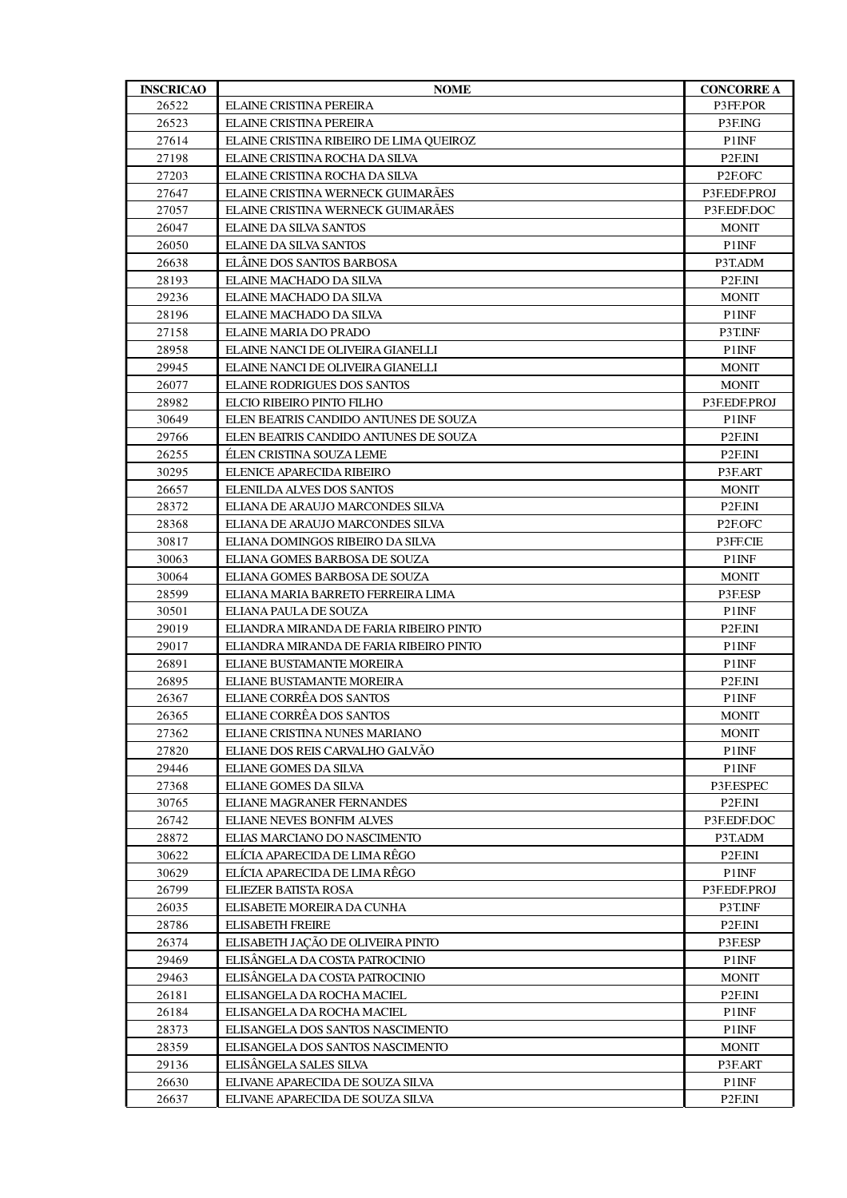| <b>INSCRICAO</b> | <b>NOME</b>                             | <b>CONCORRE A</b>    |
|------------------|-----------------------------------------|----------------------|
| 26522            | ELAINE CRISTINA PEREIRA                 | P3FF.POR             |
| 26523            | ELAINE CRISTINA PEREIRA                 | P3F.ING              |
| 27614            | ELAINE CRISTINA RIBEIRO DE LIMA QUEIROZ | P1INF                |
| 27198            | ELAINE CRISTINA ROCHA DA SILVA          | P <sub>2</sub> F.INI |
| 27203            | ELAINE CRISTINA ROCHA DA SILVA          | P <sub>2</sub> F.OFC |
| 27647            | ELAINE CRISTINA WERNECK GUIMARAES       | P3F.EDF.PROJ         |
| 27057            | ELAINE CRISTINA WERNECK GUIMARAES       | P3F.EDF.DOC          |
| 26047            | ELAINE DA SILVA SANTOS                  | <b>MONIT</b>         |
| 26050            | <b>ELAINE DA SILVA SANTOS</b>           | P1INF                |
| 26638            | ELÂINE DOS SANTOS BARBOSA               | P3T.ADM              |
| 28193            | ELAINE MACHADO DA SILVA                 | P <sub>2F.INI</sub>  |
| 29236            | ELAINE MACHADO DA SILVA                 | <b>MONIT</b>         |
| 28196            | ELAINE MACHADO DA SILVA                 | P1INF                |
| 27158            | ELAINE MARIA DO PRADO                   | P3T.INF              |
| 28958            | ELAINE NANCI DE OLIVEIRA GIANELLI       | P1INF                |
| 29945            | ELAINE NANCI DE OLIVEIRA GIANELLI       | <b>MONIT</b>         |
| 26077            | ELAINE RODRIGUES DOS SANTOS             | <b>MONIT</b>         |
| 28982            | ELCIO RIBEIRO PINTO FILHO               | P3F.EDF.PROJ         |
| 30649            | ELEN BEATRIS CANDIDO ANTUNES DE SOUZA   | P1INF                |
| 29766            | ELEN BEATRIS CANDIDO ANTUNES DE SOUZA   | P <sub>2F.INI</sub>  |
| 26255            | ÉLEN CRISTINA SOUZA LEME                | P <sub>2F.INI</sub>  |
| 30295            | ELENICE APARECIDA RIBEIRO               | P3F.ART              |
| 26657            | ELENILDA ALVES DOS SANTOS               | <b>MONIT</b>         |
| 28372            | ELIANA DE ARAUJO MARCONDES SILVA        | P <sub>2F.INI</sub>  |
| 28368            | ELIANA DE ARAUJO MARCONDES SILVA        | P <sub>2</sub> F.OFC |
| 30817            | ELIANA DOMINGOS RIBEIRO DA SILVA        | P3FF.CIE             |
| 30063            | ELIANA GOMES BARBOSA DE SOUZA           | P1INF                |
| 30064            | ELIANA GOMES BARBOSA DE SOUZA           | <b>MONIT</b>         |
| 28599            | ELIANA MARIA BARRETO FERREIRA LIMA      | P3F.ESP              |
| 30501            | ELIANA PAULA DE SOUZA                   | P1INF                |
| 29019            | ELIANDRA MIRANDA DE FARIA RIBEIRO PINTO | P <sub>2F.INI</sub>  |
| 29017            | ELIANDRA MIRANDA DE FARIA RIBEIRO PINTO | P1INF                |
| 26891            | ELIANE BUSTAMANTE MOREIRA               | P1INF                |
| 26895            | ELIANE BUSTAMANTE MOREIRA               | P <sub>2F.INI</sub>  |
| 26367            | ELIANE CORRÊA DOS SANTOS                | P1INF                |
| 26365            | ELIANE CORRÊA DOS SANTOS                | <b>MONIT</b>         |
| 27362            | ELIANE CRISTINA NUNES MARIANO           | <b>MONIT</b>         |
| 27820            | ELIANE DOS REIS CARVALHO GALVAO         | P1INF                |
| 29446            | ELIANE GOMES DA SILVA                   | P1INF                |
| 27368            | ELIANE GOMES DA SILVA                   | P3F.ESPEC            |
| 30765            | ELIANE MAGRANER FERNANDES               | P <sub>2</sub> F.INI |
| 26742            | ELIANE NEVES BONFIM ALVES               | P3F.EDF.DOC          |
| 28872            | ELIAS MARCIANO DO NASCIMENTO            | P3T.ADM              |
| 30622            | ELÍCIA APARECIDA DE LIMA RÊGO           | P <sub>2</sub> F.INI |
| 30629            | ELÍCIA APARECIDA DE LIMA RÊGO           | P1INF                |
| 26799            | ELIEZER BATISTA ROSA                    | P3F.EDF.PROJ         |
| 26035            | ELISABETE MOREIRA DA CUNHA              | P3T.INF              |
| 28786            | <b>ELISABETH FREIRE</b>                 | P <sub>2</sub> F.INI |
| 26374            | ELISABETH JAÇÃO DE OLIVEIRA PINTO       | P3F.ESP              |
| 29469            | ELISÂNGELA DA COSTA PATROCINIO          | P1INF                |
| 29463            | ELISÄNGELA DA COSTA PATROCINIO          | <b>MONIT</b>         |
| 26181            | ELISANGELA DA ROCHA MACIEL              | P <sub>2</sub> F.INI |
| 26184            | ELISANGELA DA ROCHA MACIEL              | P1INF                |
| 28373            | ELISANGELA DOS SANTOS NASCIMENTO        | P1INF                |
| 28359            | ELISANGELA DOS SANTOS NASCIMENTO        | <b>MONIT</b>         |
| 29136            | ELISÄNGELA SALES SILVA                  | P3F.ART              |
| 26630            | ELIVANE APARECIDA DE SOUZA SILVA        | P1INF                |
| 26637            | ELIVANE APARECIDA DE SOUZA SILVA        | P2F.INI              |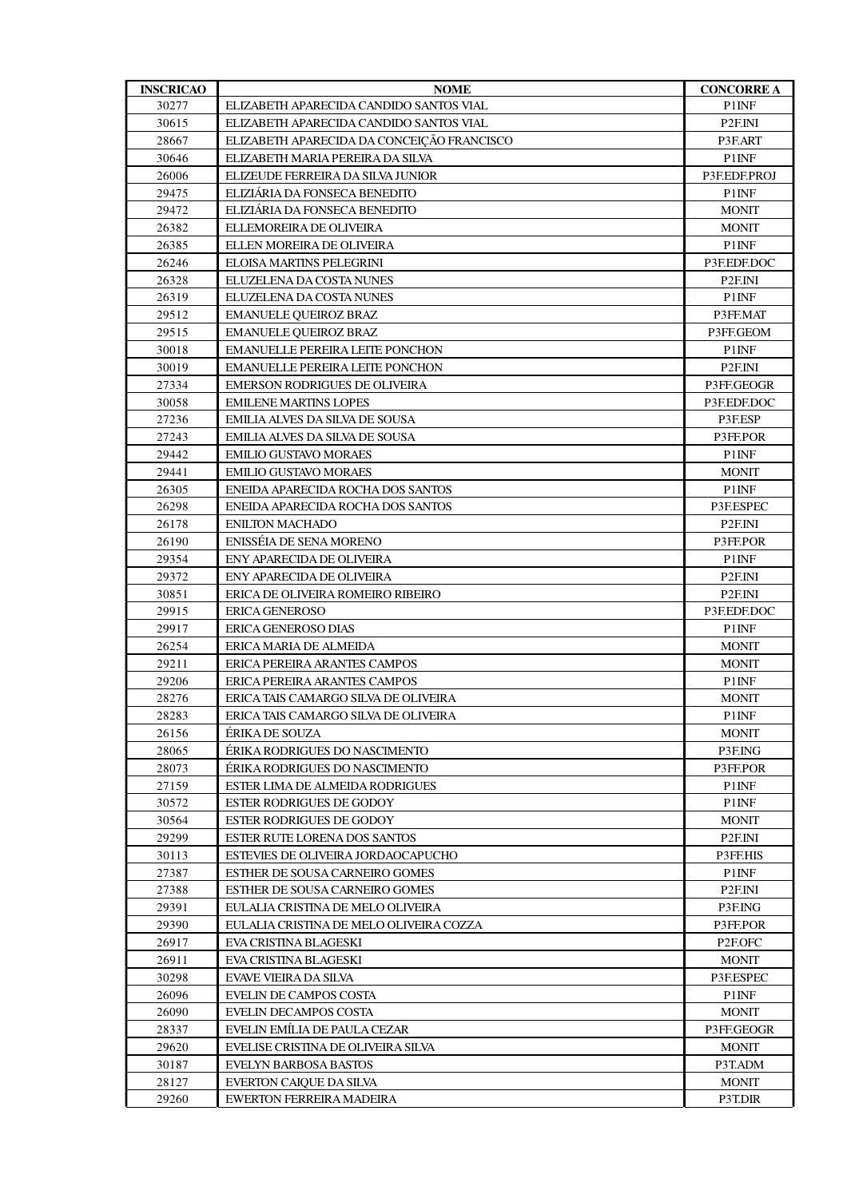| 30277<br>ELIZABETH APARECIDA CANDIDO SANTOS VIAL<br>P1INF<br>30615<br>ELIZABETH APARECIDA CANDIDO SANTOS VIAL<br>P <sub>2F.INI</sub><br>28667<br>ELIZABETH APARECIDA DA CONCEICAO FRANCISCO<br>P3F.ART<br>30646<br>ELIZABETH MARIA PEREIRA DA SILVA<br>P1INF<br>26006<br>ELIZEUDE FERREIRA DA SILVA JUNIOR<br>P3F.EDF.PROJ<br>29475<br>ELIZIARIA DA FONSECA BENEDITO<br>P1INF<br>29472<br>ELIZIÁRIA DA FONSECA BENEDITO<br><b>MONIT</b><br>26382<br>ELLEMOREIRA DE OLIVEIRA<br><b>MONIT</b><br>26385<br>ELLEN MOREIRA DE OLIVEIRA<br>P1INF<br>26246<br>ELOISA MARTINS PELEGRINI<br>P3F.EDF.DOC<br>26328<br>ELUZELENA DA COSTA NUNES<br>P <sub>2F.INI</sub><br>26319<br>ELUZELENA DA COSTA NUNES<br>P1INF<br>29512<br><b>EMANUELE QUEIROZ BRAZ</b><br>P3FF.MAT<br>29515<br><b>EMANUELE QUEIROZ BRAZ</b><br>P3FF.GEOM<br>30018<br><b>EMANUELLE PEREIRA LEITE PONCHON</b><br>P1INF<br>30019<br>P <sub>2</sub> F.INI<br><b>EMANUELLE PEREIRA LEITE PONCHON</b><br>27334<br>EMERSON RODRIGUES DE OLIVEIRA<br>P3FF.GEOGR<br>30058<br><b>EMILENE MARTINS LOPES</b><br>P3F.EDF.DOC<br>27236<br>EMILIA ALVES DA SILVA DE SOUSA<br>P3F.ESP<br>27243<br>EMILIA ALVES DA SILVA DE SOUSA<br>P3FF.POR<br>29442<br><b>EMILIO GUSTAVO MORAES</b><br>P1INF<br>29441<br><b>EMILIO GUSTAVO MORAES</b><br><b>MONIT</b><br>26305<br>ENEIDA APARECIDA ROCHA DOS SANTOS<br>P1INF<br>26298<br>ENEIDA APARECIDA ROCHA DOS SANTOS<br>P3F.ESPEC<br>26178<br><b>ENILTON MACHADO</b><br>P <sub>2F.INI</sub><br>26190<br>ENISSEIA DE SENA MORENO<br>P3FF.POR<br>29354<br>ENY APARECIDA DE OLIVEIRA<br>P1INF<br>29372<br>P <sub>2F.INI</sub><br>ENY APARECIDA DE OLIVEIRA<br>30851<br>ERICA DE OLIVEIRA ROMEIRO RIBEIRO<br>P <sub>2F.INI</sub><br>29915<br>P3F.EDF.DOC<br><b>ERICA GENEROSO</b><br>29917<br>ERICA GENEROSO DIAS<br>P1INF<br>26254<br>ERICA MARIA DE ALMEIDA<br><b>MONIT</b><br>29211<br>ERICA PEREIRA ARANTES CAMPOS<br><b>MONIT</b><br>29206<br>ERICA PEREIRA ARANTES CAMPOS<br>P1INF<br>28276<br>ERICA TAIS CAMARGO SILVA DE OLIVEIRA<br><b>MONIT</b><br>28283<br>P1INF<br>ERICA TAIS CAMARGO SILVA DE OLIVEIRA<br>26156<br>ÉRIKA DE SOUZA<br><b>MONIT</b><br>28065<br>ERIKA RODRIGUES DO NASCIMENTO<br>P3F.ING<br>28073<br>ÉRIKA RODRIGUES DO NASCIMENTO<br>P3FF.POR<br>27159<br>P1INF<br>ESTER LIMA DE ALMEIDA RODRIGUES<br>30572<br><b>ESTER RODRIGUES DE GODOY</b><br>P1INF<br>30564<br><b>ESTER RODRIGUES DE GODOY</b><br><b>MONIT</b><br>29299<br>P <sub>2F.INI</sub><br>ESTER RUTE LORENA DOS SANTOS<br>ESTEVIES DE OLIVEIRA JORDAOCAPUCHO<br>30113<br>P3FF.HIS<br>ESTHER DE SOUSA CARNEIRO GOMES<br>27387<br>P1INF<br>27388<br>ESTHER DE SOUSA CARNEIRO GOMES<br>P <sub>2</sub> F.INI<br>EULALIA CRISTINA DE MELO OLIVEIRA<br>P3F.ING<br>29391<br>29390<br>EULALIA CRISTINA DE MELO OLIVEIRA COZZA<br>P3FF.POR<br>26917<br>P <sub>2</sub> F.OFC<br>EVA CRISTINA BLAGESKI<br>26911<br>EVA CRISTINA BLAGESKI<br><b>MONIT</b><br>30298<br>P3F.ESPEC<br>EVAVE VIEIRA DA SILVA<br>26096<br>EVELIN DE CAMPOS COSTA<br>P1INF<br>26090<br>EVELIN DECAMPOS COSTA<br><b>MONIT</b><br>28337<br>EVELIN EMILIA DE PAULA CEZAR<br>P3FF.GEOGR<br>29620<br>EVELISE CRISTINA DE OLIVEIRA SILVA<br><b>MONIT</b><br><b>EVELYN BARBOSA BASTOS</b><br>P3T.ADM<br>30187<br>28127<br>EVERTON CAIQUE DA SILVA<br><b>MONIT</b><br>29260<br>P3T.DIR<br><b>EWERTON FERREIRA MADEIRA</b> | <b>INSCRICAO</b> | <b>NOME</b> | <b>CONCORRE A</b> |
|---------------------------------------------------------------------------------------------------------------------------------------------------------------------------------------------------------------------------------------------------------------------------------------------------------------------------------------------------------------------------------------------------------------------------------------------------------------------------------------------------------------------------------------------------------------------------------------------------------------------------------------------------------------------------------------------------------------------------------------------------------------------------------------------------------------------------------------------------------------------------------------------------------------------------------------------------------------------------------------------------------------------------------------------------------------------------------------------------------------------------------------------------------------------------------------------------------------------------------------------------------------------------------------------------------------------------------------------------------------------------------------------------------------------------------------------------------------------------------------------------------------------------------------------------------------------------------------------------------------------------------------------------------------------------------------------------------------------------------------------------------------------------------------------------------------------------------------------------------------------------------------------------------------------------------------------------------------------------------------------------------------------------------------------------------------------------------------------------------------------------------------------------------------------------------------------------------------------------------------------------------------------------------------------------------------------------------------------------------------------------------------------------------------------------------------------------------------------------------------------------------------------------------------------------------------------------------------------------------------------------------------------------------------------------------------------------------------------------------------------------------------------------------------------------------------------------------------------------------------------------------------------------------------------------------------------------------------------------------------------------------------------------------------------------------------------------------------------------------------------------------------------------------------------------------------------------------------------------------------------------------------------------------------------------------------------------------------------------------|------------------|-------------|-------------------|
|                                                                                                                                                                                                                                                                                                                                                                                                                                                                                                                                                                                                                                                                                                                                                                                                                                                                                                                                                                                                                                                                                                                                                                                                                                                                                                                                                                                                                                                                                                                                                                                                                                                                                                                                                                                                                                                                                                                                                                                                                                                                                                                                                                                                                                                                                                                                                                                                                                                                                                                                                                                                                                                                                                                                                                                                                                                                                                                                                                                                                                                                                                                                                                                                                                                                                                                                                         |                  |             |                   |
|                                                                                                                                                                                                                                                                                                                                                                                                                                                                                                                                                                                                                                                                                                                                                                                                                                                                                                                                                                                                                                                                                                                                                                                                                                                                                                                                                                                                                                                                                                                                                                                                                                                                                                                                                                                                                                                                                                                                                                                                                                                                                                                                                                                                                                                                                                                                                                                                                                                                                                                                                                                                                                                                                                                                                                                                                                                                                                                                                                                                                                                                                                                                                                                                                                                                                                                                                         |                  |             |                   |
|                                                                                                                                                                                                                                                                                                                                                                                                                                                                                                                                                                                                                                                                                                                                                                                                                                                                                                                                                                                                                                                                                                                                                                                                                                                                                                                                                                                                                                                                                                                                                                                                                                                                                                                                                                                                                                                                                                                                                                                                                                                                                                                                                                                                                                                                                                                                                                                                                                                                                                                                                                                                                                                                                                                                                                                                                                                                                                                                                                                                                                                                                                                                                                                                                                                                                                                                                         |                  |             |                   |
|                                                                                                                                                                                                                                                                                                                                                                                                                                                                                                                                                                                                                                                                                                                                                                                                                                                                                                                                                                                                                                                                                                                                                                                                                                                                                                                                                                                                                                                                                                                                                                                                                                                                                                                                                                                                                                                                                                                                                                                                                                                                                                                                                                                                                                                                                                                                                                                                                                                                                                                                                                                                                                                                                                                                                                                                                                                                                                                                                                                                                                                                                                                                                                                                                                                                                                                                                         |                  |             |                   |
|                                                                                                                                                                                                                                                                                                                                                                                                                                                                                                                                                                                                                                                                                                                                                                                                                                                                                                                                                                                                                                                                                                                                                                                                                                                                                                                                                                                                                                                                                                                                                                                                                                                                                                                                                                                                                                                                                                                                                                                                                                                                                                                                                                                                                                                                                                                                                                                                                                                                                                                                                                                                                                                                                                                                                                                                                                                                                                                                                                                                                                                                                                                                                                                                                                                                                                                                                         |                  |             |                   |
|                                                                                                                                                                                                                                                                                                                                                                                                                                                                                                                                                                                                                                                                                                                                                                                                                                                                                                                                                                                                                                                                                                                                                                                                                                                                                                                                                                                                                                                                                                                                                                                                                                                                                                                                                                                                                                                                                                                                                                                                                                                                                                                                                                                                                                                                                                                                                                                                                                                                                                                                                                                                                                                                                                                                                                                                                                                                                                                                                                                                                                                                                                                                                                                                                                                                                                                                                         |                  |             |                   |
|                                                                                                                                                                                                                                                                                                                                                                                                                                                                                                                                                                                                                                                                                                                                                                                                                                                                                                                                                                                                                                                                                                                                                                                                                                                                                                                                                                                                                                                                                                                                                                                                                                                                                                                                                                                                                                                                                                                                                                                                                                                                                                                                                                                                                                                                                                                                                                                                                                                                                                                                                                                                                                                                                                                                                                                                                                                                                                                                                                                                                                                                                                                                                                                                                                                                                                                                                         |                  |             |                   |
|                                                                                                                                                                                                                                                                                                                                                                                                                                                                                                                                                                                                                                                                                                                                                                                                                                                                                                                                                                                                                                                                                                                                                                                                                                                                                                                                                                                                                                                                                                                                                                                                                                                                                                                                                                                                                                                                                                                                                                                                                                                                                                                                                                                                                                                                                                                                                                                                                                                                                                                                                                                                                                                                                                                                                                                                                                                                                                                                                                                                                                                                                                                                                                                                                                                                                                                                                         |                  |             |                   |
|                                                                                                                                                                                                                                                                                                                                                                                                                                                                                                                                                                                                                                                                                                                                                                                                                                                                                                                                                                                                                                                                                                                                                                                                                                                                                                                                                                                                                                                                                                                                                                                                                                                                                                                                                                                                                                                                                                                                                                                                                                                                                                                                                                                                                                                                                                                                                                                                                                                                                                                                                                                                                                                                                                                                                                                                                                                                                                                                                                                                                                                                                                                                                                                                                                                                                                                                                         |                  |             |                   |
|                                                                                                                                                                                                                                                                                                                                                                                                                                                                                                                                                                                                                                                                                                                                                                                                                                                                                                                                                                                                                                                                                                                                                                                                                                                                                                                                                                                                                                                                                                                                                                                                                                                                                                                                                                                                                                                                                                                                                                                                                                                                                                                                                                                                                                                                                                                                                                                                                                                                                                                                                                                                                                                                                                                                                                                                                                                                                                                                                                                                                                                                                                                                                                                                                                                                                                                                                         |                  |             |                   |
|                                                                                                                                                                                                                                                                                                                                                                                                                                                                                                                                                                                                                                                                                                                                                                                                                                                                                                                                                                                                                                                                                                                                                                                                                                                                                                                                                                                                                                                                                                                                                                                                                                                                                                                                                                                                                                                                                                                                                                                                                                                                                                                                                                                                                                                                                                                                                                                                                                                                                                                                                                                                                                                                                                                                                                                                                                                                                                                                                                                                                                                                                                                                                                                                                                                                                                                                                         |                  |             |                   |
|                                                                                                                                                                                                                                                                                                                                                                                                                                                                                                                                                                                                                                                                                                                                                                                                                                                                                                                                                                                                                                                                                                                                                                                                                                                                                                                                                                                                                                                                                                                                                                                                                                                                                                                                                                                                                                                                                                                                                                                                                                                                                                                                                                                                                                                                                                                                                                                                                                                                                                                                                                                                                                                                                                                                                                                                                                                                                                                                                                                                                                                                                                                                                                                                                                                                                                                                                         |                  |             |                   |
|                                                                                                                                                                                                                                                                                                                                                                                                                                                                                                                                                                                                                                                                                                                                                                                                                                                                                                                                                                                                                                                                                                                                                                                                                                                                                                                                                                                                                                                                                                                                                                                                                                                                                                                                                                                                                                                                                                                                                                                                                                                                                                                                                                                                                                                                                                                                                                                                                                                                                                                                                                                                                                                                                                                                                                                                                                                                                                                                                                                                                                                                                                                                                                                                                                                                                                                                                         |                  |             |                   |
|                                                                                                                                                                                                                                                                                                                                                                                                                                                                                                                                                                                                                                                                                                                                                                                                                                                                                                                                                                                                                                                                                                                                                                                                                                                                                                                                                                                                                                                                                                                                                                                                                                                                                                                                                                                                                                                                                                                                                                                                                                                                                                                                                                                                                                                                                                                                                                                                                                                                                                                                                                                                                                                                                                                                                                                                                                                                                                                                                                                                                                                                                                                                                                                                                                                                                                                                                         |                  |             |                   |
|                                                                                                                                                                                                                                                                                                                                                                                                                                                                                                                                                                                                                                                                                                                                                                                                                                                                                                                                                                                                                                                                                                                                                                                                                                                                                                                                                                                                                                                                                                                                                                                                                                                                                                                                                                                                                                                                                                                                                                                                                                                                                                                                                                                                                                                                                                                                                                                                                                                                                                                                                                                                                                                                                                                                                                                                                                                                                                                                                                                                                                                                                                                                                                                                                                                                                                                                                         |                  |             |                   |
|                                                                                                                                                                                                                                                                                                                                                                                                                                                                                                                                                                                                                                                                                                                                                                                                                                                                                                                                                                                                                                                                                                                                                                                                                                                                                                                                                                                                                                                                                                                                                                                                                                                                                                                                                                                                                                                                                                                                                                                                                                                                                                                                                                                                                                                                                                                                                                                                                                                                                                                                                                                                                                                                                                                                                                                                                                                                                                                                                                                                                                                                                                                                                                                                                                                                                                                                                         |                  |             |                   |
|                                                                                                                                                                                                                                                                                                                                                                                                                                                                                                                                                                                                                                                                                                                                                                                                                                                                                                                                                                                                                                                                                                                                                                                                                                                                                                                                                                                                                                                                                                                                                                                                                                                                                                                                                                                                                                                                                                                                                                                                                                                                                                                                                                                                                                                                                                                                                                                                                                                                                                                                                                                                                                                                                                                                                                                                                                                                                                                                                                                                                                                                                                                                                                                                                                                                                                                                                         |                  |             |                   |
|                                                                                                                                                                                                                                                                                                                                                                                                                                                                                                                                                                                                                                                                                                                                                                                                                                                                                                                                                                                                                                                                                                                                                                                                                                                                                                                                                                                                                                                                                                                                                                                                                                                                                                                                                                                                                                                                                                                                                                                                                                                                                                                                                                                                                                                                                                                                                                                                                                                                                                                                                                                                                                                                                                                                                                                                                                                                                                                                                                                                                                                                                                                                                                                                                                                                                                                                                         |                  |             |                   |
|                                                                                                                                                                                                                                                                                                                                                                                                                                                                                                                                                                                                                                                                                                                                                                                                                                                                                                                                                                                                                                                                                                                                                                                                                                                                                                                                                                                                                                                                                                                                                                                                                                                                                                                                                                                                                                                                                                                                                                                                                                                                                                                                                                                                                                                                                                                                                                                                                                                                                                                                                                                                                                                                                                                                                                                                                                                                                                                                                                                                                                                                                                                                                                                                                                                                                                                                                         |                  |             |                   |
|                                                                                                                                                                                                                                                                                                                                                                                                                                                                                                                                                                                                                                                                                                                                                                                                                                                                                                                                                                                                                                                                                                                                                                                                                                                                                                                                                                                                                                                                                                                                                                                                                                                                                                                                                                                                                                                                                                                                                                                                                                                                                                                                                                                                                                                                                                                                                                                                                                                                                                                                                                                                                                                                                                                                                                                                                                                                                                                                                                                                                                                                                                                                                                                                                                                                                                                                                         |                  |             |                   |
|                                                                                                                                                                                                                                                                                                                                                                                                                                                                                                                                                                                                                                                                                                                                                                                                                                                                                                                                                                                                                                                                                                                                                                                                                                                                                                                                                                                                                                                                                                                                                                                                                                                                                                                                                                                                                                                                                                                                                                                                                                                                                                                                                                                                                                                                                                                                                                                                                                                                                                                                                                                                                                                                                                                                                                                                                                                                                                                                                                                                                                                                                                                                                                                                                                                                                                                                                         |                  |             |                   |
|                                                                                                                                                                                                                                                                                                                                                                                                                                                                                                                                                                                                                                                                                                                                                                                                                                                                                                                                                                                                                                                                                                                                                                                                                                                                                                                                                                                                                                                                                                                                                                                                                                                                                                                                                                                                                                                                                                                                                                                                                                                                                                                                                                                                                                                                                                                                                                                                                                                                                                                                                                                                                                                                                                                                                                                                                                                                                                                                                                                                                                                                                                                                                                                                                                                                                                                                                         |                  |             |                   |
|                                                                                                                                                                                                                                                                                                                                                                                                                                                                                                                                                                                                                                                                                                                                                                                                                                                                                                                                                                                                                                                                                                                                                                                                                                                                                                                                                                                                                                                                                                                                                                                                                                                                                                                                                                                                                                                                                                                                                                                                                                                                                                                                                                                                                                                                                                                                                                                                                                                                                                                                                                                                                                                                                                                                                                                                                                                                                                                                                                                                                                                                                                                                                                                                                                                                                                                                                         |                  |             |                   |
|                                                                                                                                                                                                                                                                                                                                                                                                                                                                                                                                                                                                                                                                                                                                                                                                                                                                                                                                                                                                                                                                                                                                                                                                                                                                                                                                                                                                                                                                                                                                                                                                                                                                                                                                                                                                                                                                                                                                                                                                                                                                                                                                                                                                                                                                                                                                                                                                                                                                                                                                                                                                                                                                                                                                                                                                                                                                                                                                                                                                                                                                                                                                                                                                                                                                                                                                                         |                  |             |                   |
|                                                                                                                                                                                                                                                                                                                                                                                                                                                                                                                                                                                                                                                                                                                                                                                                                                                                                                                                                                                                                                                                                                                                                                                                                                                                                                                                                                                                                                                                                                                                                                                                                                                                                                                                                                                                                                                                                                                                                                                                                                                                                                                                                                                                                                                                                                                                                                                                                                                                                                                                                                                                                                                                                                                                                                                                                                                                                                                                                                                                                                                                                                                                                                                                                                                                                                                                                         |                  |             |                   |
|                                                                                                                                                                                                                                                                                                                                                                                                                                                                                                                                                                                                                                                                                                                                                                                                                                                                                                                                                                                                                                                                                                                                                                                                                                                                                                                                                                                                                                                                                                                                                                                                                                                                                                                                                                                                                                                                                                                                                                                                                                                                                                                                                                                                                                                                                                                                                                                                                                                                                                                                                                                                                                                                                                                                                                                                                                                                                                                                                                                                                                                                                                                                                                                                                                                                                                                                                         |                  |             |                   |
|                                                                                                                                                                                                                                                                                                                                                                                                                                                                                                                                                                                                                                                                                                                                                                                                                                                                                                                                                                                                                                                                                                                                                                                                                                                                                                                                                                                                                                                                                                                                                                                                                                                                                                                                                                                                                                                                                                                                                                                                                                                                                                                                                                                                                                                                                                                                                                                                                                                                                                                                                                                                                                                                                                                                                                                                                                                                                                                                                                                                                                                                                                                                                                                                                                                                                                                                                         |                  |             |                   |
|                                                                                                                                                                                                                                                                                                                                                                                                                                                                                                                                                                                                                                                                                                                                                                                                                                                                                                                                                                                                                                                                                                                                                                                                                                                                                                                                                                                                                                                                                                                                                                                                                                                                                                                                                                                                                                                                                                                                                                                                                                                                                                                                                                                                                                                                                                                                                                                                                                                                                                                                                                                                                                                                                                                                                                                                                                                                                                                                                                                                                                                                                                                                                                                                                                                                                                                                                         |                  |             |                   |
|                                                                                                                                                                                                                                                                                                                                                                                                                                                                                                                                                                                                                                                                                                                                                                                                                                                                                                                                                                                                                                                                                                                                                                                                                                                                                                                                                                                                                                                                                                                                                                                                                                                                                                                                                                                                                                                                                                                                                                                                                                                                                                                                                                                                                                                                                                                                                                                                                                                                                                                                                                                                                                                                                                                                                                                                                                                                                                                                                                                                                                                                                                                                                                                                                                                                                                                                                         |                  |             |                   |
|                                                                                                                                                                                                                                                                                                                                                                                                                                                                                                                                                                                                                                                                                                                                                                                                                                                                                                                                                                                                                                                                                                                                                                                                                                                                                                                                                                                                                                                                                                                                                                                                                                                                                                                                                                                                                                                                                                                                                                                                                                                                                                                                                                                                                                                                                                                                                                                                                                                                                                                                                                                                                                                                                                                                                                                                                                                                                                                                                                                                                                                                                                                                                                                                                                                                                                                                                         |                  |             |                   |
|                                                                                                                                                                                                                                                                                                                                                                                                                                                                                                                                                                                                                                                                                                                                                                                                                                                                                                                                                                                                                                                                                                                                                                                                                                                                                                                                                                                                                                                                                                                                                                                                                                                                                                                                                                                                                                                                                                                                                                                                                                                                                                                                                                                                                                                                                                                                                                                                                                                                                                                                                                                                                                                                                                                                                                                                                                                                                                                                                                                                                                                                                                                                                                                                                                                                                                                                                         |                  |             |                   |
|                                                                                                                                                                                                                                                                                                                                                                                                                                                                                                                                                                                                                                                                                                                                                                                                                                                                                                                                                                                                                                                                                                                                                                                                                                                                                                                                                                                                                                                                                                                                                                                                                                                                                                                                                                                                                                                                                                                                                                                                                                                                                                                                                                                                                                                                                                                                                                                                                                                                                                                                                                                                                                                                                                                                                                                                                                                                                                                                                                                                                                                                                                                                                                                                                                                                                                                                                         |                  |             |                   |
|                                                                                                                                                                                                                                                                                                                                                                                                                                                                                                                                                                                                                                                                                                                                                                                                                                                                                                                                                                                                                                                                                                                                                                                                                                                                                                                                                                                                                                                                                                                                                                                                                                                                                                                                                                                                                                                                                                                                                                                                                                                                                                                                                                                                                                                                                                                                                                                                                                                                                                                                                                                                                                                                                                                                                                                                                                                                                                                                                                                                                                                                                                                                                                                                                                                                                                                                                         |                  |             |                   |
|                                                                                                                                                                                                                                                                                                                                                                                                                                                                                                                                                                                                                                                                                                                                                                                                                                                                                                                                                                                                                                                                                                                                                                                                                                                                                                                                                                                                                                                                                                                                                                                                                                                                                                                                                                                                                                                                                                                                                                                                                                                                                                                                                                                                                                                                                                                                                                                                                                                                                                                                                                                                                                                                                                                                                                                                                                                                                                                                                                                                                                                                                                                                                                                                                                                                                                                                                         |                  |             |                   |
|                                                                                                                                                                                                                                                                                                                                                                                                                                                                                                                                                                                                                                                                                                                                                                                                                                                                                                                                                                                                                                                                                                                                                                                                                                                                                                                                                                                                                                                                                                                                                                                                                                                                                                                                                                                                                                                                                                                                                                                                                                                                                                                                                                                                                                                                                                                                                                                                                                                                                                                                                                                                                                                                                                                                                                                                                                                                                                                                                                                                                                                                                                                                                                                                                                                                                                                                                         |                  |             |                   |
|                                                                                                                                                                                                                                                                                                                                                                                                                                                                                                                                                                                                                                                                                                                                                                                                                                                                                                                                                                                                                                                                                                                                                                                                                                                                                                                                                                                                                                                                                                                                                                                                                                                                                                                                                                                                                                                                                                                                                                                                                                                                                                                                                                                                                                                                                                                                                                                                                                                                                                                                                                                                                                                                                                                                                                                                                                                                                                                                                                                                                                                                                                                                                                                                                                                                                                                                                         |                  |             |                   |
|                                                                                                                                                                                                                                                                                                                                                                                                                                                                                                                                                                                                                                                                                                                                                                                                                                                                                                                                                                                                                                                                                                                                                                                                                                                                                                                                                                                                                                                                                                                                                                                                                                                                                                                                                                                                                                                                                                                                                                                                                                                                                                                                                                                                                                                                                                                                                                                                                                                                                                                                                                                                                                                                                                                                                                                                                                                                                                                                                                                                                                                                                                                                                                                                                                                                                                                                                         |                  |             |                   |
|                                                                                                                                                                                                                                                                                                                                                                                                                                                                                                                                                                                                                                                                                                                                                                                                                                                                                                                                                                                                                                                                                                                                                                                                                                                                                                                                                                                                                                                                                                                                                                                                                                                                                                                                                                                                                                                                                                                                                                                                                                                                                                                                                                                                                                                                                                                                                                                                                                                                                                                                                                                                                                                                                                                                                                                                                                                                                                                                                                                                                                                                                                                                                                                                                                                                                                                                                         |                  |             |                   |
|                                                                                                                                                                                                                                                                                                                                                                                                                                                                                                                                                                                                                                                                                                                                                                                                                                                                                                                                                                                                                                                                                                                                                                                                                                                                                                                                                                                                                                                                                                                                                                                                                                                                                                                                                                                                                                                                                                                                                                                                                                                                                                                                                                                                                                                                                                                                                                                                                                                                                                                                                                                                                                                                                                                                                                                                                                                                                                                                                                                                                                                                                                                                                                                                                                                                                                                                                         |                  |             |                   |
|                                                                                                                                                                                                                                                                                                                                                                                                                                                                                                                                                                                                                                                                                                                                                                                                                                                                                                                                                                                                                                                                                                                                                                                                                                                                                                                                                                                                                                                                                                                                                                                                                                                                                                                                                                                                                                                                                                                                                                                                                                                                                                                                                                                                                                                                                                                                                                                                                                                                                                                                                                                                                                                                                                                                                                                                                                                                                                                                                                                                                                                                                                                                                                                                                                                                                                                                                         |                  |             |                   |
|                                                                                                                                                                                                                                                                                                                                                                                                                                                                                                                                                                                                                                                                                                                                                                                                                                                                                                                                                                                                                                                                                                                                                                                                                                                                                                                                                                                                                                                                                                                                                                                                                                                                                                                                                                                                                                                                                                                                                                                                                                                                                                                                                                                                                                                                                                                                                                                                                                                                                                                                                                                                                                                                                                                                                                                                                                                                                                                                                                                                                                                                                                                                                                                                                                                                                                                                                         |                  |             |                   |
|                                                                                                                                                                                                                                                                                                                                                                                                                                                                                                                                                                                                                                                                                                                                                                                                                                                                                                                                                                                                                                                                                                                                                                                                                                                                                                                                                                                                                                                                                                                                                                                                                                                                                                                                                                                                                                                                                                                                                                                                                                                                                                                                                                                                                                                                                                                                                                                                                                                                                                                                                                                                                                                                                                                                                                                                                                                                                                                                                                                                                                                                                                                                                                                                                                                                                                                                                         |                  |             |                   |
|                                                                                                                                                                                                                                                                                                                                                                                                                                                                                                                                                                                                                                                                                                                                                                                                                                                                                                                                                                                                                                                                                                                                                                                                                                                                                                                                                                                                                                                                                                                                                                                                                                                                                                                                                                                                                                                                                                                                                                                                                                                                                                                                                                                                                                                                                                                                                                                                                                                                                                                                                                                                                                                                                                                                                                                                                                                                                                                                                                                                                                                                                                                                                                                                                                                                                                                                                         |                  |             |                   |
|                                                                                                                                                                                                                                                                                                                                                                                                                                                                                                                                                                                                                                                                                                                                                                                                                                                                                                                                                                                                                                                                                                                                                                                                                                                                                                                                                                                                                                                                                                                                                                                                                                                                                                                                                                                                                                                                                                                                                                                                                                                                                                                                                                                                                                                                                                                                                                                                                                                                                                                                                                                                                                                                                                                                                                                                                                                                                                                                                                                                                                                                                                                                                                                                                                                                                                                                                         |                  |             |                   |
|                                                                                                                                                                                                                                                                                                                                                                                                                                                                                                                                                                                                                                                                                                                                                                                                                                                                                                                                                                                                                                                                                                                                                                                                                                                                                                                                                                                                                                                                                                                                                                                                                                                                                                                                                                                                                                                                                                                                                                                                                                                                                                                                                                                                                                                                                                                                                                                                                                                                                                                                                                                                                                                                                                                                                                                                                                                                                                                                                                                                                                                                                                                                                                                                                                                                                                                                                         |                  |             |                   |
|                                                                                                                                                                                                                                                                                                                                                                                                                                                                                                                                                                                                                                                                                                                                                                                                                                                                                                                                                                                                                                                                                                                                                                                                                                                                                                                                                                                                                                                                                                                                                                                                                                                                                                                                                                                                                                                                                                                                                                                                                                                                                                                                                                                                                                                                                                                                                                                                                                                                                                                                                                                                                                                                                                                                                                                                                                                                                                                                                                                                                                                                                                                                                                                                                                                                                                                                                         |                  |             |                   |
|                                                                                                                                                                                                                                                                                                                                                                                                                                                                                                                                                                                                                                                                                                                                                                                                                                                                                                                                                                                                                                                                                                                                                                                                                                                                                                                                                                                                                                                                                                                                                                                                                                                                                                                                                                                                                                                                                                                                                                                                                                                                                                                                                                                                                                                                                                                                                                                                                                                                                                                                                                                                                                                                                                                                                                                                                                                                                                                                                                                                                                                                                                                                                                                                                                                                                                                                                         |                  |             |                   |
|                                                                                                                                                                                                                                                                                                                                                                                                                                                                                                                                                                                                                                                                                                                                                                                                                                                                                                                                                                                                                                                                                                                                                                                                                                                                                                                                                                                                                                                                                                                                                                                                                                                                                                                                                                                                                                                                                                                                                                                                                                                                                                                                                                                                                                                                                                                                                                                                                                                                                                                                                                                                                                                                                                                                                                                                                                                                                                                                                                                                                                                                                                                                                                                                                                                                                                                                                         |                  |             |                   |
|                                                                                                                                                                                                                                                                                                                                                                                                                                                                                                                                                                                                                                                                                                                                                                                                                                                                                                                                                                                                                                                                                                                                                                                                                                                                                                                                                                                                                                                                                                                                                                                                                                                                                                                                                                                                                                                                                                                                                                                                                                                                                                                                                                                                                                                                                                                                                                                                                                                                                                                                                                                                                                                                                                                                                                                                                                                                                                                                                                                                                                                                                                                                                                                                                                                                                                                                                         |                  |             |                   |
|                                                                                                                                                                                                                                                                                                                                                                                                                                                                                                                                                                                                                                                                                                                                                                                                                                                                                                                                                                                                                                                                                                                                                                                                                                                                                                                                                                                                                                                                                                                                                                                                                                                                                                                                                                                                                                                                                                                                                                                                                                                                                                                                                                                                                                                                                                                                                                                                                                                                                                                                                                                                                                                                                                                                                                                                                                                                                                                                                                                                                                                                                                                                                                                                                                                                                                                                                         |                  |             |                   |
|                                                                                                                                                                                                                                                                                                                                                                                                                                                                                                                                                                                                                                                                                                                                                                                                                                                                                                                                                                                                                                                                                                                                                                                                                                                                                                                                                                                                                                                                                                                                                                                                                                                                                                                                                                                                                                                                                                                                                                                                                                                                                                                                                                                                                                                                                                                                                                                                                                                                                                                                                                                                                                                                                                                                                                                                                                                                                                                                                                                                                                                                                                                                                                                                                                                                                                                                                         |                  |             |                   |
|                                                                                                                                                                                                                                                                                                                                                                                                                                                                                                                                                                                                                                                                                                                                                                                                                                                                                                                                                                                                                                                                                                                                                                                                                                                                                                                                                                                                                                                                                                                                                                                                                                                                                                                                                                                                                                                                                                                                                                                                                                                                                                                                                                                                                                                                                                                                                                                                                                                                                                                                                                                                                                                                                                                                                                                                                                                                                                                                                                                                                                                                                                                                                                                                                                                                                                                                                         |                  |             |                   |
|                                                                                                                                                                                                                                                                                                                                                                                                                                                                                                                                                                                                                                                                                                                                                                                                                                                                                                                                                                                                                                                                                                                                                                                                                                                                                                                                                                                                                                                                                                                                                                                                                                                                                                                                                                                                                                                                                                                                                                                                                                                                                                                                                                                                                                                                                                                                                                                                                                                                                                                                                                                                                                                                                                                                                                                                                                                                                                                                                                                                                                                                                                                                                                                                                                                                                                                                                         |                  |             |                   |
|                                                                                                                                                                                                                                                                                                                                                                                                                                                                                                                                                                                                                                                                                                                                                                                                                                                                                                                                                                                                                                                                                                                                                                                                                                                                                                                                                                                                                                                                                                                                                                                                                                                                                                                                                                                                                                                                                                                                                                                                                                                                                                                                                                                                                                                                                                                                                                                                                                                                                                                                                                                                                                                                                                                                                                                                                                                                                                                                                                                                                                                                                                                                                                                                                                                                                                                                                         |                  |             |                   |
|                                                                                                                                                                                                                                                                                                                                                                                                                                                                                                                                                                                                                                                                                                                                                                                                                                                                                                                                                                                                                                                                                                                                                                                                                                                                                                                                                                                                                                                                                                                                                                                                                                                                                                                                                                                                                                                                                                                                                                                                                                                                                                                                                                                                                                                                                                                                                                                                                                                                                                                                                                                                                                                                                                                                                                                                                                                                                                                                                                                                                                                                                                                                                                                                                                                                                                                                                         |                  |             |                   |
|                                                                                                                                                                                                                                                                                                                                                                                                                                                                                                                                                                                                                                                                                                                                                                                                                                                                                                                                                                                                                                                                                                                                                                                                                                                                                                                                                                                                                                                                                                                                                                                                                                                                                                                                                                                                                                                                                                                                                                                                                                                                                                                                                                                                                                                                                                                                                                                                                                                                                                                                                                                                                                                                                                                                                                                                                                                                                                                                                                                                                                                                                                                                                                                                                                                                                                                                                         |                  |             |                   |
|                                                                                                                                                                                                                                                                                                                                                                                                                                                                                                                                                                                                                                                                                                                                                                                                                                                                                                                                                                                                                                                                                                                                                                                                                                                                                                                                                                                                                                                                                                                                                                                                                                                                                                                                                                                                                                                                                                                                                                                                                                                                                                                                                                                                                                                                                                                                                                                                                                                                                                                                                                                                                                                                                                                                                                                                                                                                                                                                                                                                                                                                                                                                                                                                                                                                                                                                                         |                  |             |                   |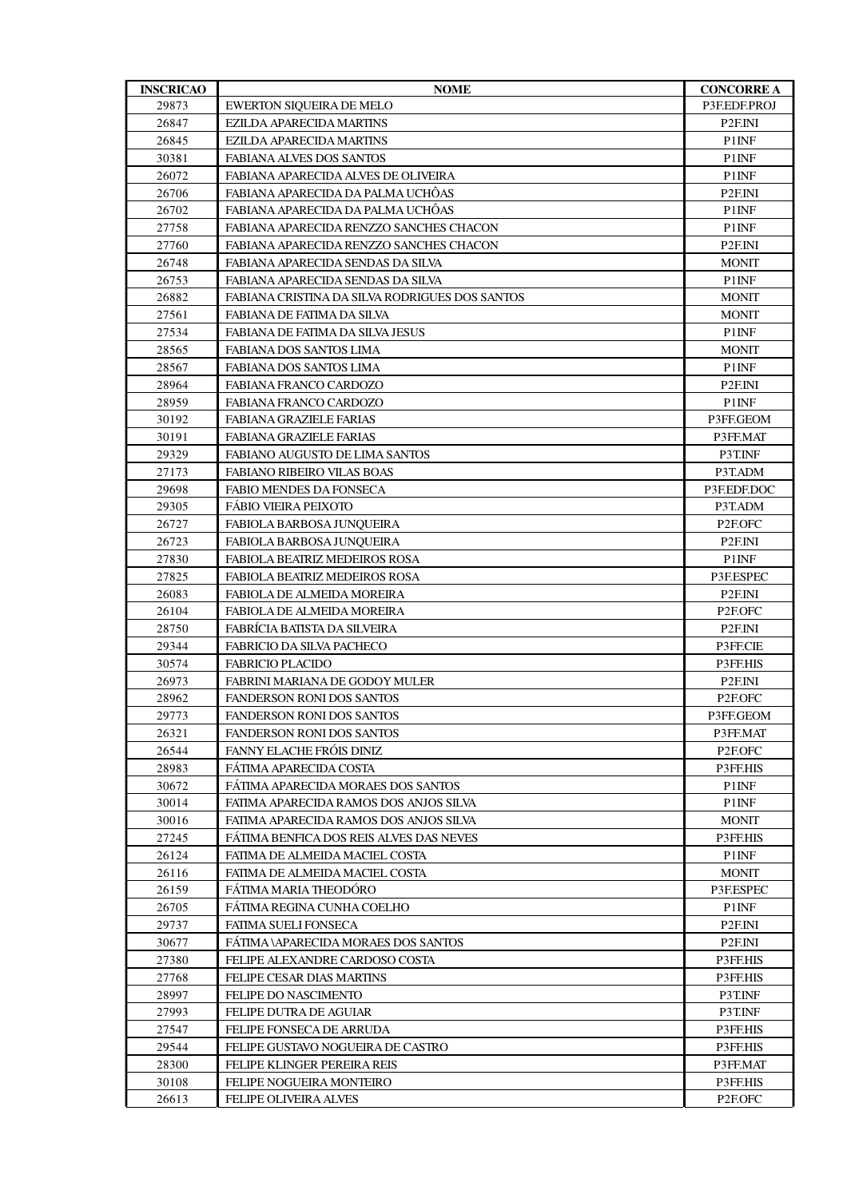| <b>INSCRICAO</b> | <b>NOME</b>                                                        | <b>CONCORRE A</b>             |
|------------------|--------------------------------------------------------------------|-------------------------------|
| 29873            | <b>EWERTON SIQUEIRA DE MELO</b>                                    | P3F.EDF.PROJ                  |
| 26847            | <b>EZILDA APARECIDA MARTINS</b>                                    | P <sub>2F.INI</sub>           |
| 26845            | EZILDA APARECIDA MARTINS                                           | P1INF                         |
| 30381            | <b>FABIANA ALVES DOS SANTOS</b>                                    | P1INF                         |
| 26072            | FABIANA APARECIDA ALVES DE OLIVEIRA                                | P1INF                         |
| 26706            | FABIANA APARECIDA DA PALMA UCHÓAS                                  | P <sub>2F.INI</sub>           |
| 26702            | FABIANA APARECIDA DA PALMA UCHÓAS                                  | P1INF                         |
| 27758            | FABIANA APARECIDA RENZZO SANCHES CHACON                            | P1INF                         |
| 27760            | FABIANA APARECIDA RENZZO SANCHES CHACON                            | P <sub>2F.INI</sub>           |
| 26748            | FABIANA APARECIDA SENDAS DA SILVA                                  | <b>MONIT</b>                  |
| 26753            | FABIANA APARECIDA SENDAS DA SILVA                                  | P1INF                         |
| 26882            | FABIANA CRISTINA DA SILVA RODRIGUES DOS SANTOS                     | <b>MONIT</b>                  |
| 27561            | FABIANA DE FATIMA DA SILVA                                         | <b>MONIT</b>                  |
| 27534            | FABIANA DE FATIMA DA SILVA JESUS                                   | P1INF                         |
| 28565            | FABIANA DOS SANTOS LIMA                                            | <b>MONIT</b>                  |
| 28567            | FABIANA DOS SANTOS LIMA                                            | P1INF                         |
| 28964            | FABIANA FRANCO CARDOZO                                             | P <sub>2F.INI</sub>           |
| 28959            | <b>FABIANA FRANCO CARDOZO</b>                                      | P1INF                         |
| 30192            | FABIANA GRAZIELE FARIAS                                            | P3FF.GEOM                     |
| 30191            | FABIANA GRAZIELE FARIAS                                            | P3FF.MAT                      |
| 29329            | FABIANO AUGUSTO DE LIMA SANTOS                                     | P3T.INF                       |
| 27173            | <b>FABIANO RIBEIRO VILAS BOAS</b>                                  | P3T.ADM                       |
| 29698            | FABIO MENDES DA FONSECA                                            | P3F.EDF.DOC                   |
| 29305            | <b>FÁBIO VIEIRA PEIXOTO</b>                                        | P3T.ADM                       |
| 26727            | FABIOLA BARBOSA JUNQUEIRA                                          | P <sub>2</sub> F.OFC          |
| 26723            | FABIOLA BARBOSA JUNQUEIRA                                          | P <sub>2F.INI</sub>           |
| 27830            | <b>FABIOLA BEATRIZ MEDEIROS ROSA</b>                               | P1INF                         |
| 27825            | <b>FABIOLA BEATRIZ MEDEIROS ROSA</b>                               | P3F.ESPEC                     |
| 26083            | FABIOLA DE ALMEIDA MOREIRA                                         | P <sub>2</sub> F.INI          |
| 26104            | FABIOLA DE ALMEIDA MOREIRA                                         | P <sub>2</sub> F.OFC          |
| 28750            | FABRÍCIA BATISTA DA SILVEIRA                                       | P <sub>2F.INI</sub>           |
| 29344            | <b>FABRICIO DA SILVA PACHECO</b>                                   | P3FF.CIE                      |
| 30574            | <b>FABRICIO PLACIDO</b>                                            | P3FF.HIS                      |
| 26973            | FABRINI MARIANA DE GODOY MULER                                     | P <sub>2F.INI</sub>           |
| 28962            | FANDERSON RONI DOS SANTOS                                          | P <sub>2</sub> F.OFC          |
| 29773            | <b>FANDERSON RONI DOS SANTOS</b>                                   | P3FF.GEOM                     |
| 26321            | <b>FANDERSON RONI DOS SANTOS</b>                                   | P3FF.MAT                      |
| 26544            | <b>FANNY ELACHE FRÓIS DINIZ</b>                                    | P <sub>2</sub> F.OFC          |
| 28983            | FÁTIMA APARECIDA COSTA                                             | P3FF.HIS                      |
| 30672            | FÁTIMA APARECIDA MORAES DOS SANTOS                                 | P1INF                         |
| 30014            | FATIMA APARECIDA RAMOS DOS ANJOS SILVA                             | P1INF                         |
| 30016            | FATIMA APARECIDA RAMOS DOS ANJOS SILVA                             | <b>MONIT</b>                  |
| 27245            | FATIMA BENFICA DOS REIS ALVES DAS NEVES                            | P3FF.HIS                      |
| 26124            | FATIMA DE ALMEIDA MACIEL COSTA                                     | P1INF                         |
| 26116            | FATIMA DE ALMEIDA MACIEL COSTA                                     | <b>MONIT</b>                  |
| 26159            | FÁTIMA MARIA THEODÓRO                                              | P3F.ESPEC                     |
| 26705<br>29737   | FÁTIMA REGINA CUNHA COELHO                                         | P1INF<br>P <sub>2</sub> F.INI |
| 30677            | <b>FATIMA SUELI FONSECA</b><br>FÁTIMA \APARECIDA MORAES DOS SANTOS | P <sub>2F.INI</sub>           |
| 27380            | FELIPE ALEXANDRE CARDOSO COSTA                                     | P3FF.HIS                      |
| 27768            | FELIPE CESAR DIAS MARTINS                                          | P3FF.HIS                      |
| 28997            | <b>FELIPE DO NASCIMENTO</b>                                        | P3T.INF                       |
| 27993            | FELIPE DUTRA DE AGUIAR                                             | P3T.INF                       |
| 27547            | FELIPE FONSECA DE ARRUDA                                           | P3FF.HIS                      |
| 29544            | FELIPE GUSTAVO NOGUEIRA DE CASTRO                                  | P3FF.HIS                      |
| 28300            | FELIPE KLINGER PEREIRA REIS                                        | P3FF.MAT                      |
| 30108            | <b>FELIPE NOGUEIRA MONTEIRO</b>                                    | P3FF.HIS                      |
| 26613            | <b>FELIPE OLIVEIRA ALVES</b>                                       | P <sub>2</sub> F.OFC          |
|                  |                                                                    |                               |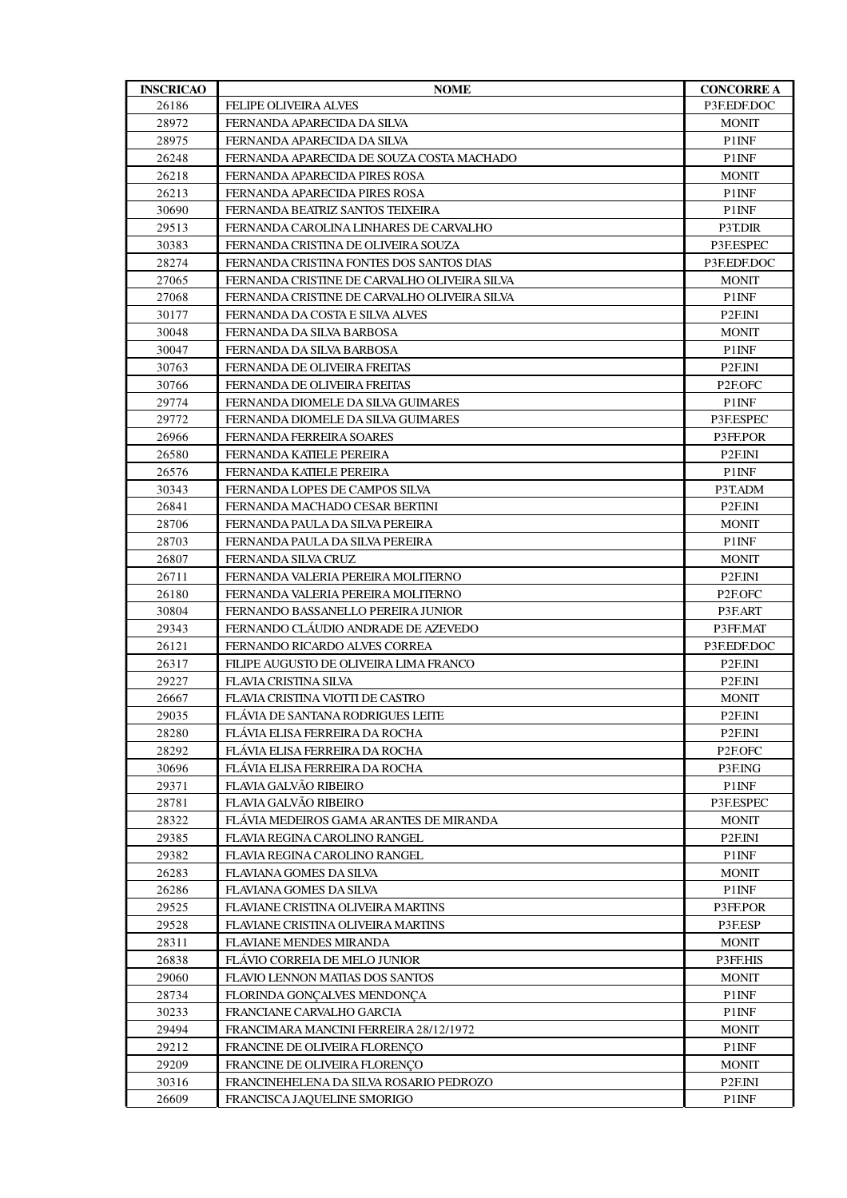| <b>INSCRICAO</b> | <b>NOME</b>                                  | <b>CONCORRE A</b>    |
|------------------|----------------------------------------------|----------------------|
| 26186            | <b>FELIPE OLIVEIRA ALVES</b>                 | P3F.EDF.DOC          |
| 28972            | FERNANDA APARECIDA DA SILVA                  | <b>MONIT</b>         |
| 28975            | FERNANDA APARECIDA DA SILVA                  | P1INF                |
| 26248            | FERNANDA APARECIDA DE SOUZA COSTA MACHADO    | P1INF                |
| 26218            | FERNANDA APARECIDA PIRES ROSA                | <b>MONIT</b>         |
| 26213            | FERNANDA APARECIDA PIRES ROSA                | P1INF                |
| 30690            | FERNANDA BEATRIZ SANTOS TEIXEIRA             | P1INF                |
| 29513            | FERNANDA CAROLINA LINHARES DE CARVALHO       | P3T.DIR              |
| 30383            | FERNANDA CRISTINA DE OLIVEIRA SOUZA          | P3F.ESPEC            |
| 28274            | FERNANDA CRISTINA FONTES DOS SANTOS DIAS     | P3F.EDF.DOC          |
| 27065            | FERNANDA CRISTINE DE CARVALHO OLIVEIRA SILVA | <b>MONIT</b>         |
| 27068            | FERNANDA CRISTINE DE CARVALHO OLIVEIRA SILVA | P1INF                |
| 30177            | FERNANDA DA COSTA E SILVA ALVES              | P <sub>2F.INI</sub>  |
| 30048            | FERNANDA DA SILVA BARBOSA                    | <b>MONIT</b>         |
| 30047            | FERNANDA DA SILVA BARBOSA                    | P1INF                |
| 30763            | FERNANDA DE OLIVEIRA FREITAS                 | P <sub>2F.INI</sub>  |
| 30766            | FERNANDA DE OLIVEIRA FREITAS                 | P <sub>2</sub> F.OFC |
| 29774            | FERNANDA DIOMELE DA SILVA GUIMARES           | P1INF                |
| 29772            | FERNANDA DIOMELE DA SILVA GUIMARES           | P3F.ESPEC            |
| 26966            | <b>FERNANDA FERREIRA SOARES</b>              | P3FF.POR             |
| 26580            | FERNANDA KATIELE PEREIRA                     | P <sub>2</sub> F.INI |
| 26576            | FERNANDA KATIELE PEREIRA                     | P1INF                |
| 30343            | FERNANDA LOPES DE CAMPOS SILVA               | P3T.ADM              |
| 26841            | FERNANDA MACHADO CESAR BERTINI               | P <sub>2F.INI</sub>  |
| 28706            | FERNANDA PAULA DA SILVA PEREIRA              | <b>MONIT</b>         |
| 28703            | FERNANDA PAULA DA SILVA PEREIRA              | P1INF                |
| 26807            | FERNANDA SILVA CRUZ                          | <b>MONIT</b>         |
| 26711            | FERNANDA VALERIA PEREIRA MOLITERNO           | P <sub>2F.INI</sub>  |
| 26180            | FERNANDA VALERIA PEREIRA MOLITERNO           | P <sub>2</sub> F.OFC |
| 30804            | FERNANDO BASSANELLO PEREIRA JUNIOR           | P3F.ART              |
| 29343            | FERNANDO CLAUDIO ANDRADE DE AZEVEDO          | P3FF.MAT             |
| 26121            | FERNANDO RICARDO ALVES CORREA                | P3F.EDF.DOC          |
| 26317            | FILIPE AUGUSTO DE OLIVEIRA LIMA FRANCO       | P <sub>2F.INI</sub>  |
| 29227            | <b>FLAVIA CRISTINA SILVA</b>                 | P <sub>2F.INI</sub>  |
| 26667            | FLAVIA CRISTINA VIOTTI DE CASTRO             | <b>MONIT</b>         |
| 29035            | FLAVIA DE SANTANA RODRIGUES LEITE            | P <sub>2</sub> F.INI |
| 28280            | FLÁVIA ELISA FERREIRA DA ROCHA               | P2F.INI              |
| 28292            | FLÀVIA ELISA FERREIRA DA ROCHA               | P <sub>2</sub> F.OFC |
| 30696            | FLÀVIA ELISA FERREIRA DA ROCHA               | P3F.ING              |
| 29371            | <b>FLAVIA GALVÃO RIBEIRO</b>                 | P1INF                |
| 28781            | FLAVIA GALVÃO RIBEIRO                        | P3F.ESPEC            |
| 28322            | FLÁVIA MEDEIROS GAMA ARANTES DE MIRANDA      | <b>MONIT</b>         |
| 29385            | FLAVIA REGINA CAROLINO RANGEL                | P <sub>2F.INI</sub>  |
| 29382            | FLAVIA REGINA CAROLINO RANGEL                | P1INF                |
| 26283            | <b>FLAVIANA GOMES DA SILVA</b>               | <b>MONIT</b>         |
| 26286            | FLAVIANA GOMES DA SILVA                      | P1INF                |
| 29525            | FLAVIANE CRISTINA OLIVEIRA MARTINS           | P3FF.POR             |
| 29528            | FLAVIANE CRISTINA OLIVEIRA MARTINS           | P3F.ESP              |
| 28311            | <b>FLAVIANE MENDES MIRANDA</b>               | <b>MONIT</b>         |
| 26838            | FLAVIO CORREIA DE MELO JUNIOR                | P3FF.HIS             |
| 29060            | FLAVIO LENNON MATIAS DOS SANTOS              | <b>MONIT</b>         |
| 28734            | FLORINDA GONÇALVES MENDONÇA                  | P1INF                |
| 30233            | FRANCIANE CARVALHO GARCIA                    | P1INF                |
| 29494            | FRANCIMARA MANCINI FERREIRA 28/12/1972       | <b>MONIT</b>         |
| 29212            | FRANCINE DE OLIVEIRA FLORENÇO                | P1INF                |
| 29209            | FRANCINE DE OLIVEIRA FLORENÇO                | <b>MONIT</b>         |
| 30316            | FRANCINEHELENA DA SILVA ROSARIO PEDROZO      | P <sub>2F.INI</sub>  |
| 26609            | FRANCISCA JAQUELINE SMORIGO                  | P1INF                |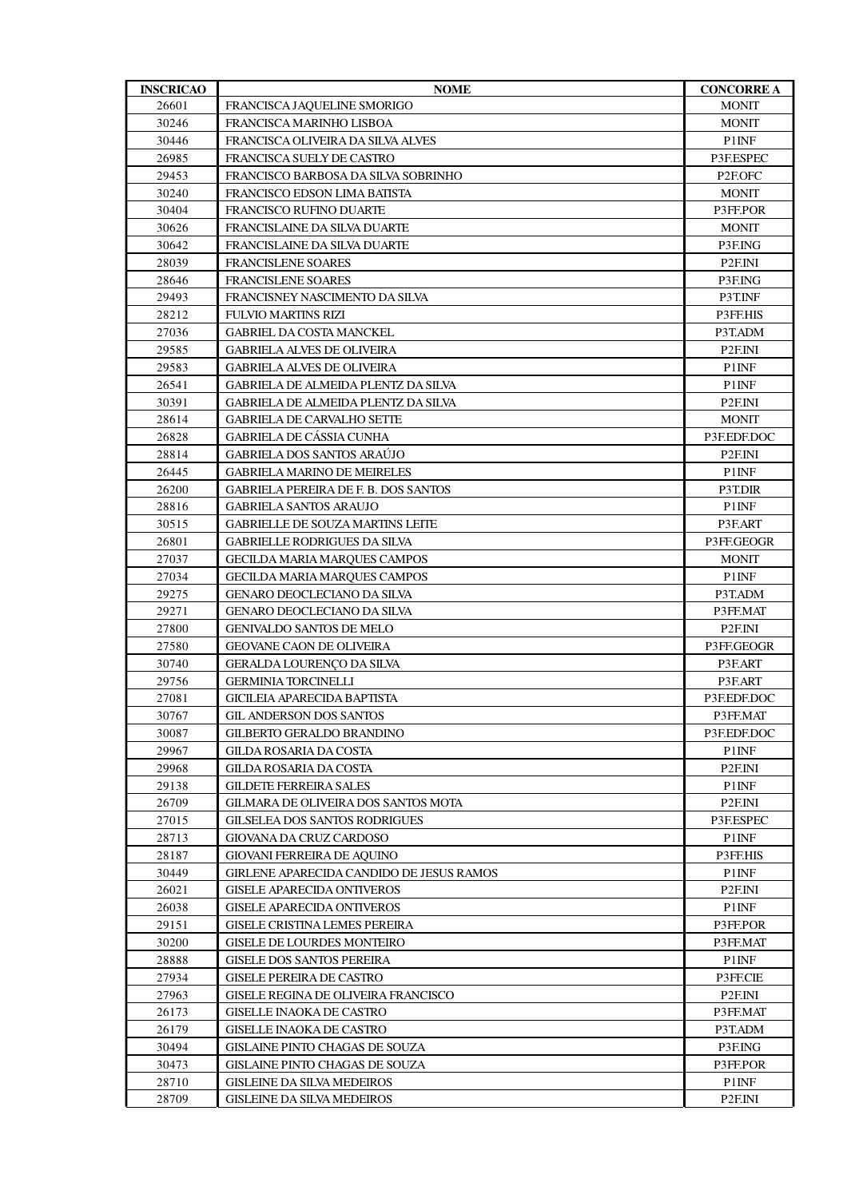| <b>INSCRICAO</b> | <b>NOME</b>                                     | <b>CONCORRE A</b>    |
|------------------|-------------------------------------------------|----------------------|
| 26601            | FRANCISCA JAQUELINE SMORIGO                     | <b>MONIT</b>         |
| 30246            | FRANCISCA MARINHO LISBOA                        | <b>MONIT</b>         |
| 30446            | FRANCISCA OLIVEIRA DA SILVA ALVES               | P1INF                |
| 26985            | FRANCISCA SUELY DE CASTRO                       | P3F.ESPEC            |
| 29453            | FRANCISCO BARBOSA DA SILVA SOBRINHO             | P <sub>2</sub> F.OFC |
| 30240            | FRANCISCO EDSON LIMA BATISTA                    | <b>MONIT</b>         |
| 30404            | FRANCISCO RUFINO DUARTE                         | P3FF.POR             |
| 30626            | FRANCISLAINE DA SILVA DUARTE                    | <b>MONIT</b>         |
| 30642            | FRANCISLAINE DA SILVA DUARTE                    | P3F.ING              |
| 28039            | <b>FRANCISLENE SOARES</b>                       | P <sub>2</sub> F.INI |
| 28646            | <b>FRANCISLENE SOARES</b>                       | P3F.ING              |
| 29493            |                                                 |                      |
|                  | FRANCISNEY NASCIMENTO DA SILVA                  | P3T.INF              |
| 28212            | <b>FULVIO MARTINS RIZI</b>                      | P3FF.HIS             |
| 27036            | <b>GABRIEL DA COSTA MANCKEL</b>                 | P3T.ADM              |
| 29585            | <b>GABRIELA ALVES DE OLIVEIRA</b>               | P <sub>2F.INI</sub>  |
| 29583            | <b>GABRIELA ALVES DE OLIVEIRA</b>               | P1INF                |
| 26541            | GABRIELA DE ALMEIDA PLENTZ DA SILVA             | P1INF                |
| 30391            | GABRIELA DE ALMEIDA PLENTZ DA SILVA             | P <sub>2F.INI</sub>  |
| 28614            | <b>GABRIELA DE CARVALHO SETTE</b>               | <b>MONIT</b>         |
| 26828            | <b>GABRIELA DE CÁSSIA CUNHA</b>                 | P3F.EDF.DOC          |
| 28814            | <b>GABRIELA DOS SANTOS ARAÚJO</b>               | P <sub>2F.INI</sub>  |
| 26445            | <b>GABRIELA MARINO DE MEIRELES</b>              | P1INF                |
| 26200            | <b>GABRIELA PEREIRA DE F. B. DOS SANTOS</b>     | P3T.DIR              |
| 28816            | <b>GABRIELA SANTOS ARAUJO</b>                   | P1INF                |
| 30515            | <b>GABRIELLE DE SOUZA MARTINS LEITE</b>         | P3F.ART              |
| 26801            | <b>GABRIELLE RODRIGUES DA SILVA</b>             | P3FF.GEOGR           |
| 27037            | <b>GECILDA MARIA MARQUES CAMPOS</b>             | <b>MONIT</b>         |
| 27034            | <b>GECILDA MARIA MARQUES CAMPOS</b>             | P1INF                |
| 29275            | GENARO DEOCLECIANO DA SILVA                     | P3T.ADM              |
| 29271            | GENARO DEOCLECIANO DA SILVA                     | P3FF.MAT             |
| 27800            | <b>GENIVALDO SANTOS DE MELO</b>                 | P <sub>2F.INI</sub>  |
| 27580            | <b>GEOVANE CAON DE OLIVEIRA</b>                 | P3FF.GEOGR           |
| 30740            | GERALDA LOURENÇO DA SILVA                       | P3F.ART              |
| 29756            | <b>GERMINIA TORCINELLI</b>                      | P3F.ART              |
| 27081            | GICILEIA APARECIDA BAPTISTA                     | P3F.EDF.DOC          |
| 30767            | <b>GIL ANDERSON DOS SANTOS</b>                  | P3FF.MAT             |
| 30087            | GILBERTO GERALDO BRANDINO                       | P3F.EDF.DOC          |
| 29967            | GILDA ROSARIA DA COSTA                          | P1INF                |
| 29968            | GILDA ROSARIA DA COSTA                          | P <sub>2F.INI</sub>  |
| 29138            | <b>GILDETE FERREIRA SALES</b>                   | P1INF                |
| 26709            | GILMARA DE OLIVEIRA DOS SANTOS MOTA             | P <sub>2</sub> F.INI |
| 27015            | <b>GILSELEA DOS SANTOS RODRIGUES</b>            | P3F.ESPEC            |
| 28713            | GIOVANA DA CRUZ CARDOSO                         | P1INF                |
| 28187            | GIOVANI FERREIRA DE AQUINO                      | P3FF.HIS             |
| 30449            | <b>GIRLENE APARECIDA CANDIDO DE JESUS RAMOS</b> | P1INF                |
| 26021            | <b>GISELE APARECIDA ONTIVEROS</b>               | P <sub>2F.INI</sub>  |
|                  | <b>GISELE APARECIDA ONTIVEROS</b>               | P1INF                |
| 26038            |                                                 |                      |
| 29151            | GISELE CRISTINA LEMES PEREIRA                   | P3FF.POR             |
| 30200            | GISELE DE LOURDES MONTEIRO                      | P3FF.MAT             |
| 28888            | GISELE DOS SANTOS PEREIRA                       | P1INF                |
| 27934            | GISELE PEREIRA DE CASTRO                        | P3FF.CIE             |
| 27963            | GISELE REGINA DE OLIVEIRA FRANCISCO             | P <sub>2F.INI</sub>  |
| 26173            | GISELLE INAOKA DE CASTRO                        | P3FF.MAT             |
| 26179            | GISELLE INAOKA DE CASTRO                        | P3T.ADM              |
| 30494            | GISLAINE PINTO CHAGAS DE SOUZA                  | P3F.ING              |
| 30473            | GISLAINE PINTO CHAGAS DE SOUZA                  | P3FF.POR             |
| 28710            | GISLEINE DA SILVA MEDEIROS                      | P1INF                |
| 28709            | <b>GISLEINE DA SILVA MEDEIROS</b>               | P <sub>2</sub> F.INI |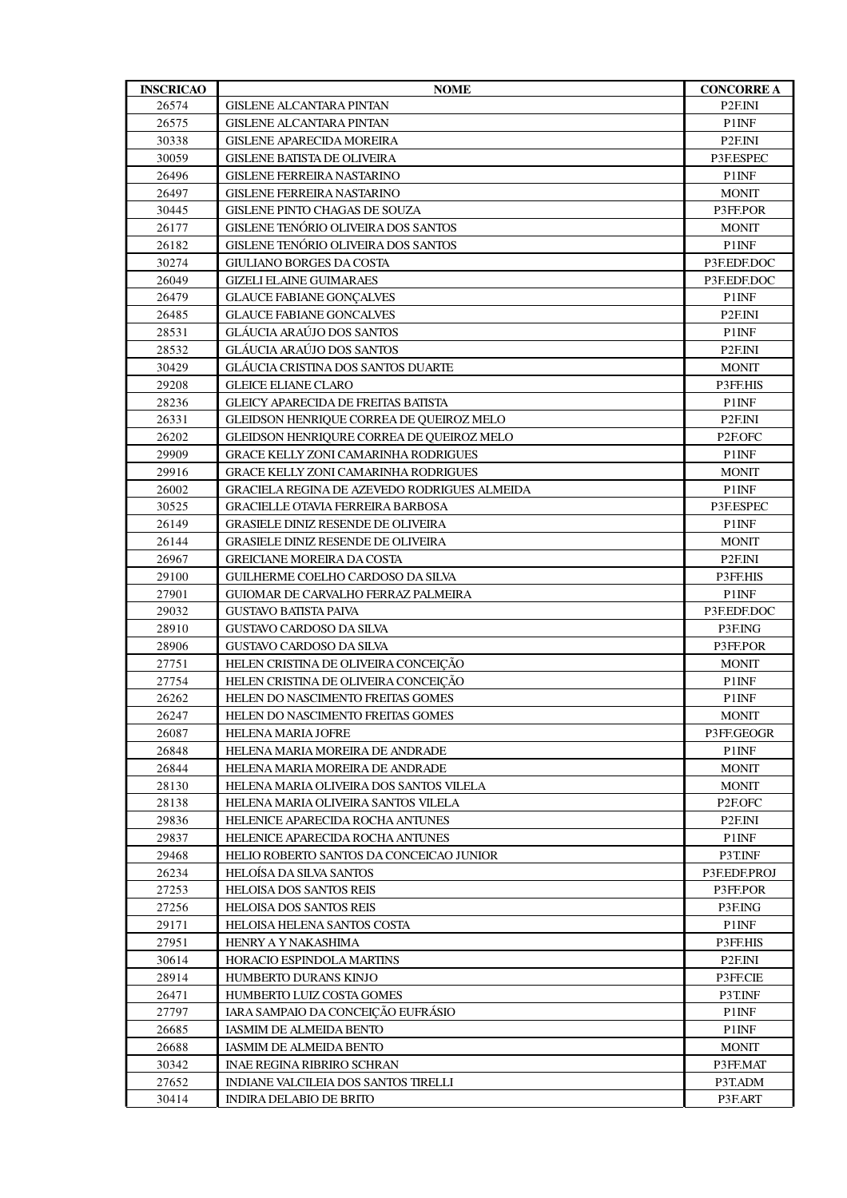| <b>INSCRICAO</b> | <b>NOME</b>                                  | <b>CONCORRE A</b>    |
|------------------|----------------------------------------------|----------------------|
| 26574            | <b>GISLENE ALCANTARA PINTAN</b>              | P <sub>2F.INI</sub>  |
| 26575            | <b>GISLENE ALCANTARA PINTAN</b>              | P1INF                |
| 30338            | <b>GISLENE APARECIDA MOREIRA</b>             | P <sub>2F.INI</sub>  |
| 30059            | <b>GISLENE BATISTA DE OLIVEIRA</b>           | P3F.ESPEC            |
| 26496            | <b>GISLENE FERREIRA NASTARINO</b>            | P1INF                |
| 26497            | <b>GISLENE FERREIRA NASTARINO</b>            | <b>MONIT</b>         |
| 30445            | GISLENE PINTO CHAGAS DE SOUZA                | P3FF.POR             |
| 26177            | GISLENE TENÓRIO OLIVEIRA DOS SANTOS          | <b>MONIT</b>         |
| 26182            | GISLENE TENÓRIO OLIVEIRA DOS SANTOS          | P1INF                |
| 30274            | <b>GIULIANO BORGES DA COSTA</b>              | P3F.EDF.DOC          |
| 26049            | <b>GIZELI ELAINE GUIMARAES</b>               | P3F.EDF.DOC          |
| 26479            | <b>GLAUCE FABIANE GONÇALVES</b>              | P1INF                |
| 26485            | <b>GLAUCE FABIANE GONCALVES</b>              | P <sub>2F.INI</sub>  |
| 28531            | <b>GLÁUCIA ARAÚJO DOS SANTOS</b>             | P1INF                |
| 28532            | <b>GLÁUCIA ARAÚJO DOS SANTOS</b>             | P <sub>2F.INI</sub>  |
| 30429            | GLÁUCIA CRISTINA DOS SANTOS DUARTE           | <b>MONIT</b>         |
| 29208            | <b>GLEICE ELIANE CLARO</b>                   | P3FF.HIS             |
| 28236            | <b>GLEICY APARECIDA DE FREITAS BATISTA</b>   | P1INF                |
| 26331            | GLEIDSON HENRIQUE CORREA DE QUEIROZ MELO     | P <sub>2F.INI</sub>  |
| 26202            | GLEIDSON HENRIQURE CORREA DE QUEIROZ MELO    | P <sub>2</sub> F.OFC |
| 29909            | <b>GRACE KELLY ZONI CAMARINHA RODRIGUES</b>  | P1INF                |
| 29916            | <b>GRACE KELLY ZONI CAMARINHA RODRIGUES</b>  | <b>MONIT</b>         |
| 26002            | GRACIELA REGINA DE AZEVEDO RODRIGUES ALMEIDA | P1INF                |
| 30525            | <b>GRACIELLE OTAVIA FERREIRA BARBOSA</b>     | P3F.ESPEC            |
| 26149            | <b>GRASIELE DINIZ RESENDE DE OLIVEIRA</b>    | P1INF                |
| 26144            | <b>GRASIELE DINIZ RESENDE DE OLIVEIRA</b>    | <b>MONIT</b>         |
| 26967            | <b>GREICIANE MOREIRA DA COSTA</b>            | P <sub>2F.INI</sub>  |
| 29100            | GUILHERME COELHO CARDOSO DA SILVA            | P3FF.HIS             |
| 27901            | GUIOMAR DE CARVALHO FERRAZ PALMEIRA          | P1INF                |
| 29032            | <b>GUSTAVO BATISTA PAIVA</b>                 | P3F.EDF.DOC          |
| 28910            | <b>GUSTAVO CARDOSO DA SILVA</b>              | P3F.ING              |
| 28906            | <b>GUSTAVO CARDOSO DA SILVA</b>              | P3FF.POR             |
| 27751            | HELEN CRISTINA DE OLIVEIRA CONCEIÇÃO         | <b>MONIT</b>         |
| 27754            | HELEN CRISTINA DE OLIVEIRA CONCEICÃO         | P1INF                |
| 26262            | HELEN DO NASCIMENTO FREITAS GOMES            | P1INF                |
| 26247            | HELEN DO NASCIMENTO FREITAS GOMES            | <b>MONIT</b>         |
| 26087            | <b>HELENA MARIA JOFRE</b>                    | P3FF.GEOGR           |
| 26848            | HELENA MARIA MOREIRA DE ANDRADE              | P1INF                |
| 26844            | HELENA MARIA MOREIRA DE ANDRADE              | <b>MONIT</b>         |
| 28130            | HELENA MARIA OLIVEIRA DOS SANTOS VILELA      | <b>MONIT</b>         |
| 28138            | HELENA MARIA OLIVEIRA SANTOS VILELA          | P <sub>2</sub> F.OFC |
| 29836            | HELENICE APARECIDA ROCHA ANTUNES             | P <sub>2</sub> F.INI |
| 29837            | HELENICE APARECIDA ROCHA ANTUNES             | P1INF                |
| 29468            | HELIO ROBERTO SANTOS DA CONCEICAO JUNIOR     | P3T.INF              |
| 26234            | HELOISA DA SILVA SANTOS                      | P3F.EDF.PROJ         |
| 27253            | HELOISA DOS SANTOS REIS                      | P3FF.POR             |
| 27256            | <b>HELOISA DOS SANTOS REIS</b>               | P3F.ING              |
| 29171            | HELOISA HELENA SANTOS COSTA                  | P1INF                |
| 27951            | HENRY A Y NAKASHIMA                          | P3FF.HIS             |
| 30614            | <b>HORACIO ESPINDOLA MARTINS</b>             | P <sub>2</sub> F.INI |
| 28914            | <b>HUMBERTO DURANS KINJO</b>                 | P3FF.CIE             |
| 26471            | HUMBERTO LUIZ COSTA GOMES                    | P3T.INF              |
| 27797            | IARA SAMPAIO DA CONCEICAO EUFRÁSIO           | P1INF                |
| 26685            | IASMIM DE ALMEIDA BENTO                      | P1INF                |
| 26688            | <b>IASMIM DE ALMEIDA BENTO</b>               | <b>MONIT</b>         |
| 30342            | INAE REGINA RIBRIRO SCHRAN                   | P3FF.MAT             |
| 27652            | INDIANE VALCILEIA DOS SANTOS TIRELLI         | P3T.ADM              |
| 30414            | <b>INDIRA DELABIO DE BRITO</b>               | P3F.ART              |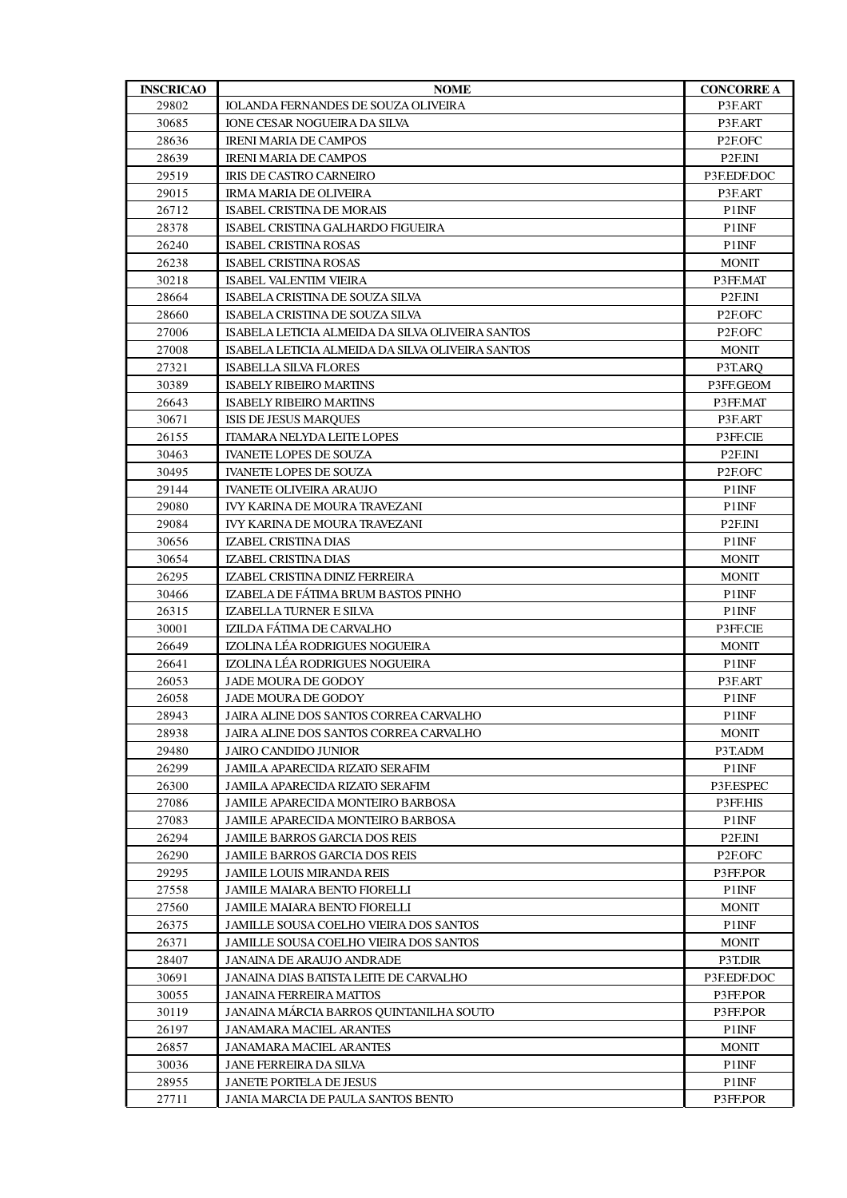| <b>INSCRICAO</b> | <b>NOME</b>                                      | <b>CONCORRE A</b>    |
|------------------|--------------------------------------------------|----------------------|
| 29802            | <b>IOLANDA FERNANDES DE SOUZA OLIVEIRA</b>       | P3F.ART              |
| 30685            | <b>IONE CESAR NOGUEIRA DA SILVA</b>              | P3F.ART              |
| 28636            | <b>IRENI MARIA DE CAMPOS</b>                     | P <sub>2</sub> F.OFC |
| 28639            | <b>IRENI MARIA DE CAMPOS</b>                     | P <sub>2F.INI</sub>  |
| 29519            | <b>IRIS DE CASTRO CARNEIRO</b>                   | P3F.EDF.DOC          |
| 29015            | <b>IRMA MARIA DE OLIVEIRA</b>                    | P3F.ART              |
| 26712            | <b>ISABEL CRISTINA DE MORAIS</b>                 | P1INF                |
| 28378            | ISABEL CRISTINA GALHARDO FIGUEIRA                | P1INF                |
| 26240            | <b>ISABEL CRISTINA ROSAS</b>                     | P1INF                |
| 26238            | <b>ISABEL CRISTINA ROSAS</b>                     | <b>MONIT</b>         |
| 30218            | <b>ISABEL VALENTIM VIEIRA</b>                    | P3FF.MAT             |
| 28664            | ISABELA CRISTINA DE SOUZA SILVA                  | P <sub>2F.INI</sub>  |
| 28660            | ISABELA CRISTINA DE SOUZA SILVA                  | P <sub>2</sub> F.OFC |
| 27006            | ISABELA LETICIA ALMEIDA DA SILVA OLIVEIRA SANTOS | P <sub>2</sub> F.OFC |
| 27008            |                                                  |                      |
|                  | ISABELA LETICIA ALMEIDA DA SILVA OLIVEIRA SANTOS | <b>MONIT</b>         |
| 27321            | <b>ISABELLA SILVA FLORES</b>                     | P3T.ARQ              |
| 30389            | <b>ISABELY RIBEIRO MARTINS</b>                   | P3FF.GEOM            |
| 26643            | <b>ISABELY RIBEIRO MARTINS</b>                   | P3FF.MAT             |
| 30671            | ISIS DE JESUS MARQUES                            | P3F.ART              |
| 26155            | <b>ITAMARA NELYDA LEITE LOPES</b>                | P3FF.CIE             |
| 30463            | <b>IVANETE LOPES DE SOUZA</b>                    | P <sub>2F.INI</sub>  |
| 30495            | <b>IVANETE LOPES DE SOUZA</b>                    | P <sub>2</sub> F.OFC |
| 29144            | <b>IVANETE OLIVEIRA ARAUJO</b>                   | P1INF                |
| 29080            | <b>IVY KARINA DE MOURA TRAVEZANI</b>             | P1INF                |
| 29084            | <b>IVY KARINA DE MOURA TRAVEZANI</b>             | P <sub>2</sub> F.INI |
| 30656            | <b>IZABEL CRISTINA DIAS</b>                      | P1INF                |
| 30654            | <b>IZABEL CRISTINA DIAS</b>                      | <b>MONIT</b>         |
| 26295            | IZABEL CRISTINA DINIZ FERREIRA                   | <b>MONIT</b>         |
| 30466            | IZABELA DE FÁTIMA BRUM BASTOS PINHO              | P1INF                |
| 26315            | <b>IZABELLA TURNER E SILVA</b>                   | P1INF                |
| 30001            | IZILDA FÁTIMA DE CARVALHO                        | P3FF.CIE             |
| 26649            | IZOLINA LÉA RODRIGUES NOGUEIRA                   | <b>MONIT</b>         |
| 26641            | IZOLINA LÉA RODRIGUES NOGUEIRA                   | P1INF                |
| 26053            | <b>JADE MOURA DE GODOY</b>                       | P3F.ART              |
| 26058            | JADE MOURA DE GODOY                              | P1INF                |
| 28943            | JAIRA ALINE DOS SANTOS CORREA CARVALHO           | P1INF                |
| 28938            | JAIRA ALINE DOS SANTOS CORREA CARVALHO           | <b>MONIT</b>         |
| 29480            | <b>JAIRO CANDIDO JUNIOR</b>                      | P3T.ADM              |
| 26299            | <b>JAMILA APARECIDA RIZATO SERAFIM</b>           | P1INF                |
| 26300            | <b>JAMILA APARECIDA RIZATO SERAFIM</b>           | P3F.ESPEC            |
| 27086            | JAMILE APARECIDA MONTEIRO BARBOSA                | P3FF.HIS             |
| 27083            | JAMILE APARECIDA MONTEIRO BARBOSA                | P1INF                |
| 26294            | <b>JAMILE BARROS GARCIA DOS REIS</b>             | P <sub>2F.INI</sub>  |
| 26290            | <b>JAMILE BARROS GARCIA DOS REIS</b>             | P <sub>2</sub> F.OFC |
| 29295            | <b>JAMILE LOUIS MIRANDA REIS</b>                 | P3FF.POR             |
| 27558            | <b>JAMILE MAIARA BENTO FIORELLI</b>              | P1INF                |
| 27560            | <b>JAMILE MAIARA BENTO FIORELLI</b>              | <b>MONIT</b>         |
| 26375            | <b>JAMILLE SOUSA COELHO VIEIRA DOS SANTOS</b>    | P1INF                |
| 26371            | <b>JAMILLE SOUSA COELHO VIEIRA DOS SANTOS</b>    | <b>MONIT</b>         |
| 28407            | <b>JANAINA DE ARAUJO ANDRADE</b>                 | P3T.DIR              |
| 30691            | JANAINA DIAS BATISTA LEITE DE CARVALHO           | P3F.EDF.DOC          |
| 30055            | <b>JANAINA FERREIRA MATTOS</b>                   | P3FF.POR             |
| 30119            | JANAINA MÁRCIA BARROS QUINTANILHA SOUTO          | P3FF.POR             |
| 26197            | JANAMARA MACIEL ARANTES                          | P1INF                |
| 26857            | JANAMARA MACIEL ARANTES                          | <b>MONIT</b>         |
| 30036            | <b>JANE FERREIRA DA SILVA</b>                    | P1INF                |
| 28955            | <b>JANETE PORTELA DE JESUS</b>                   | P1INF                |
| 27711            | JANIA MARCIA DE PAULA SANTOS BENTO               | P3FF.POR             |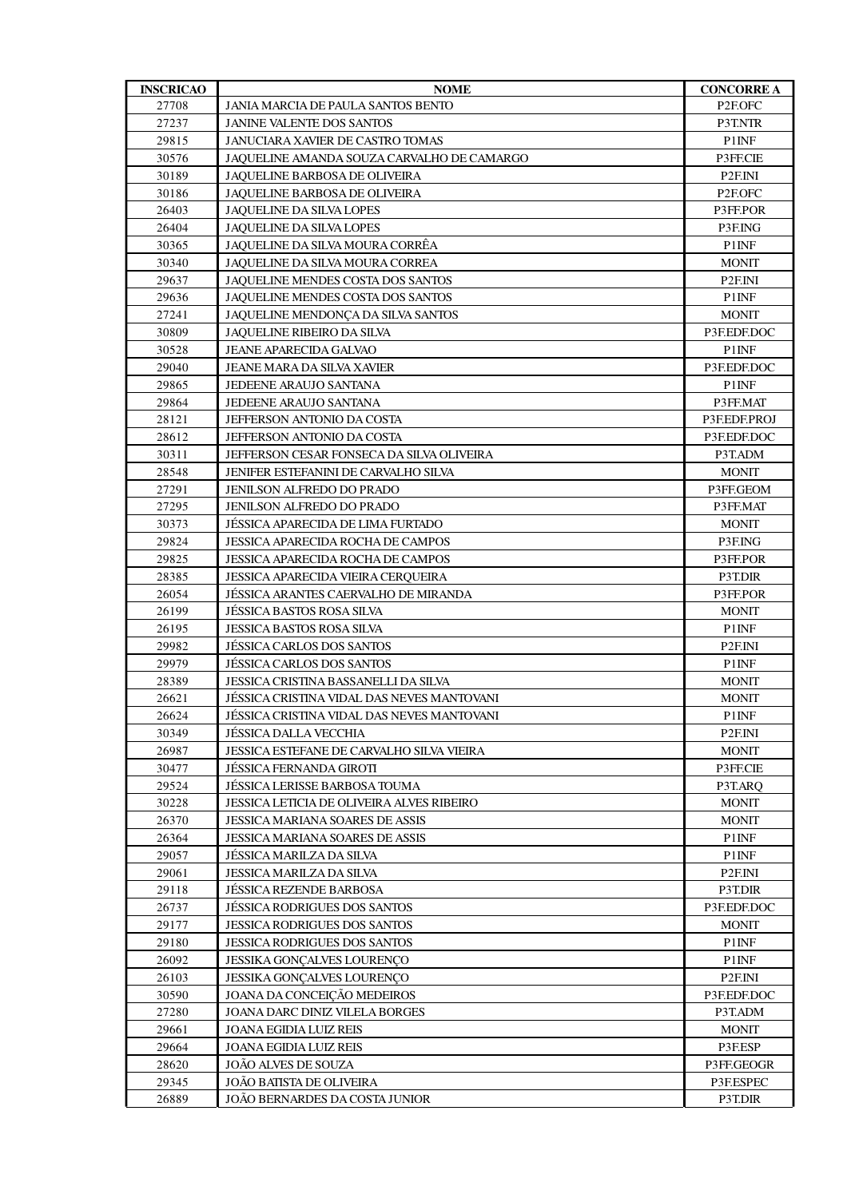| <b>INSCRICAO</b> | <b>NOME</b>                                      | <b>CONCORRE A</b>    |
|------------------|--------------------------------------------------|----------------------|
| 27708            | JANIA MARCIA DE PAULA SANTOS BENTO               | P <sub>2</sub> F.OFC |
| 27237            | <b>JANINE VALENTE DOS SANTOS</b>                 | P3T.NTR              |
| 29815            | <b>JANUCIARA XAVIER DE CASTRO TOMAS</b>          | P1INF                |
| 30576            | JAQUELINE AMANDA SOUZA CARVALHO DE CAMARGO       | P3FF.CIE             |
| 30189            | JAQUELINE BARBOSA DE OLIVEIRA                    | P <sub>2F.INI</sub>  |
| 30186            | JAQUELINE BARBOSA DE OLIVEIRA                    | P <sub>2</sub> F.OFC |
| 26403            | <b>JAQUELINE DA SILVA LOPES</b>                  | P3FF.POR             |
| 26404            | <b>JAOUELINE DA SILVA LOPES</b>                  | P3F.ING              |
| 30365            | JAQUELINE DA SILVA MOURA CORRÊA                  | P1INF                |
| 30340            | JAQUELINE DA SILVA MOURA CORREA                  | <b>MONIT</b>         |
| 29637            | JAQUELINE MENDES COSTA DOS SANTOS                | P <sub>2F.INI</sub>  |
| 29636            | JAQUELINE MENDES COSTA DOS SANTOS                | P1INF                |
| 27241            | JAQUELINE MENDONÇA DA SILVA SANTOS               | <b>MONIT</b>         |
| 30809            | <b>JAQUELINE RIBEIRO DA SILVA</b>                | P3F.EDF.DOC          |
| 30528            | <b>JEANE APARECIDA GALVAO</b>                    | P1INF                |
| 29040            | <b>JEANE MARA DA SILVA XAVIER</b>                | P3F.EDF.DOC          |
| 29865            | <b>JEDEENE ARAUJO SANTANA</b>                    | P1INF                |
| 29864            | <b>JEDEENE ARAUJO SANTANA</b>                    | P3FF.MAT             |
| 28121            | <b>JEFFERSON ANTONIO DA COSTA</b>                | P3F.EDF.PROJ         |
| 28612            | <b>JEFFERSON ANTONIO DA COSTA</b>                | P3F.EDF.DOC          |
| 30311            | JEFFERSON CESAR FONSECA DA SILVA OLIVEIRA        | P3T.ADM              |
| 28548            | JENIFER ESTEFANINI DE CARVALHO SILVA             | <b>MONIT</b>         |
| 27291            | JENILSON ALFREDO DO PRADO                        | P3FF.GEOM            |
| 27295            | <b>JENILSON ALFREDO DO PRADO</b>                 | P3FF.MAT             |
| 30373            | JESSICA APARECIDA DE LIMA FURTADO                | <b>MONIT</b>         |
| 29824            | <b>JESSICA APARECIDA ROCHA DE CAMPOS</b>         | P3F.ING              |
| 29825            | <b>JESSICA APARECIDA ROCHA DE CAMPOS</b>         | P3FF.POR             |
| 28385            | <b>JESSICA APARECIDA VIEIRA CERQUEIRA</b>        | P3T.DIR              |
| 26054            | JÉSSICA ARANTES CAERVALHO DE MIRANDA             | P3FF.POR             |
| 26199            | JÉSSICA BASTOS ROSA SILVA                        | <b>MONIT</b>         |
| 26195            | <b>JESSICA BASTOS ROSA SILVA</b>                 | P1INF                |
| 29982            | <b>JÉSSICA CARLOS DOS SANTOS</b>                 | P <sub>2F.INI</sub>  |
| 29979            | <b>JÉSSICA CARLOS DOS SANTOS</b>                 | P1INF                |
| 28389            | <b>JESSICA CRISTINA BASSANELLI DA SILVA</b>      | <b>MONIT</b>         |
| 26621            | JÉSSICA CRISTINA VIDAL DAS NEVES MANTOVANI       | <b>MONIT</b>         |
| 26624            | JÉSSICA CRISTINA VIDAL DAS NEVES MANTOVANI       | P1INF                |
| 30349            | <b>JESSICA DALLA VECCHIA</b>                     | P <sub>2</sub> F.INI |
| 26987            | <b>JESSICA ESTEFANE DE CARVALHO SILVA VIEIRA</b> | <b>MONIT</b>         |
| 30477            | <b>JESSICA FERNANDA GIROTI</b>                   | P3FF.CIE             |
| 29524            | <b>JÉSSICA LERISSE BARBOSA TOUMA</b>             | P3T.ARQ              |
| 30228            | <b>JESSICA LETICIA DE OLIVEIRA ALVES RIBEIRO</b> | <b>MONIT</b>         |
| 26370            | JESSICA MARIANA SOARES DE ASSIS                  | <b>MONIT</b>         |
| 26364            | <b>JESSICA MARIANA SOARES DE ASSIS</b>           | P1INF                |
| 29057            | JÉSSICA MARILZA DA SILVA                         | P1INF                |
| 29061            | <b>JESSICA MARILZA DA SILVA</b>                  | P <sub>2F.INI</sub>  |
| 29118            | <b>JESSICA REZENDE BARBOSA</b>                   | P3T.DIR              |
| 26737            | <b>JÉSSICA RODRIGUES DOS SANTOS</b>              | P3F.EDF.DOC          |
| 29177            | <b>JESSICA RODRIGUES DOS SANTOS</b>              | <b>MONIT</b>         |
| 29180            | <b>JESSICA RODRIGUES DOS SANTOS</b>              | P1INF                |
| 26092            | <b>JESSIKA GONCALVES LOURENCO</b>                | P1INF                |
| 26103            | <b>JESSIKA GONÇALVES LOURENÇO</b>                | P <sub>2</sub> F.INI |
| 30590            | JOANA DA CONCEIÇÃO MEDEIROS                      | P3F.EDF.DOC          |
| 27280            | JOANA DARC DINIZ VILELA BORGES                   | P3T.ADM              |
| 29661            | JOANA EGIDIA LUIZ REIS                           | <b>MONIT</b>         |
| 29664            | <b>JOANA EGIDIA LUIZ REIS</b>                    | P3F.ESP              |
| 28620            | <b>JOAO ALVES DE SOUZA</b>                       | P3FF.GEOGR           |
| 29345            | <b>JOAO BATISTA DE OLIVEIRA</b>                  | P3F.ESPEC            |
| 26889            | JOÃO BERNARDES DA COSTA JUNIOR                   | P3T.DIR              |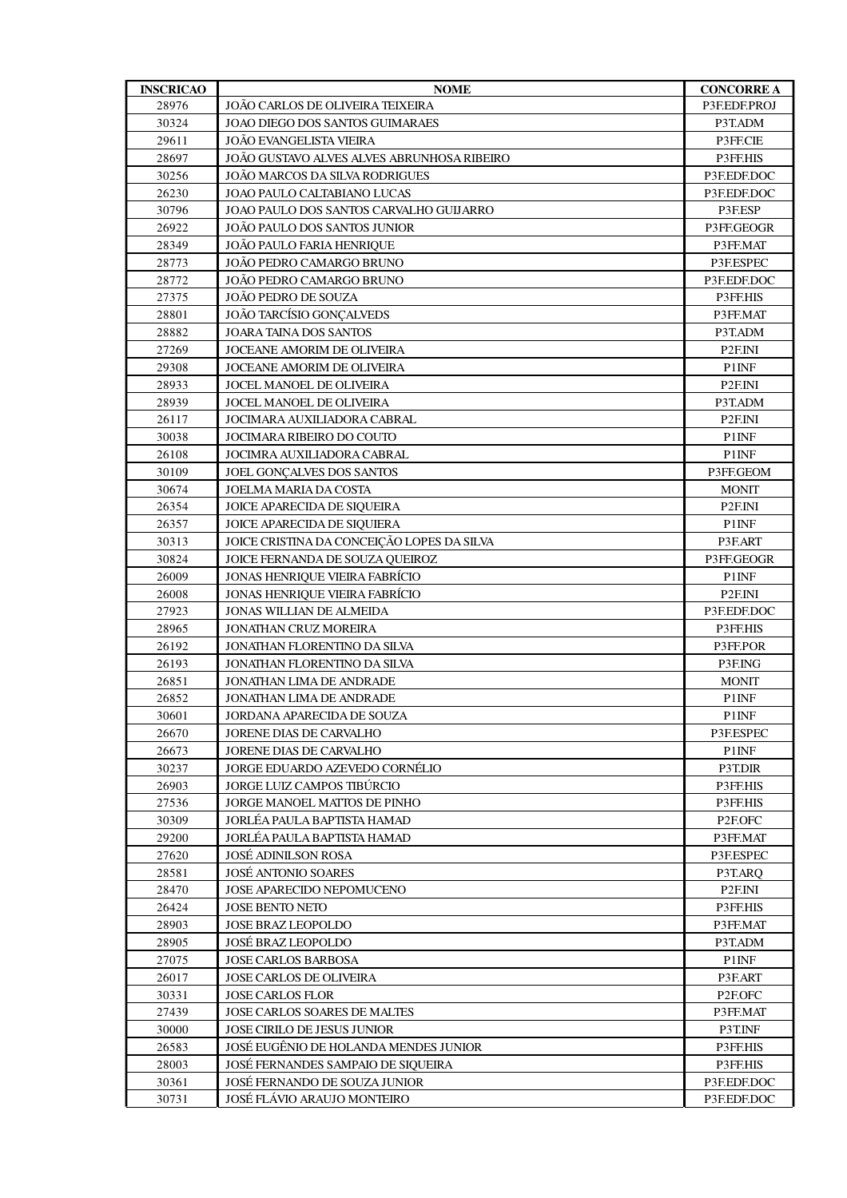| <b>INSCRICAO</b> | <b>NOME</b>                                | <b>CONCORRE A</b>    |
|------------------|--------------------------------------------|----------------------|
| 28976            | JOÃO CARLOS DE OLIVEIRA TEIXEIRA           | P3F.EDF.PROJ         |
| 30324            | <b>JOAO DIEGO DOS SANTOS GUIMARAES</b>     | P3T.ADM              |
| 29611            | <b>JOÃO EVANGELISTA VIEIRA</b>             | P3FF.CIE             |
| 28697            | JOÃO GUSTAVO ALVES ALVES ABRUNHOSA RIBEIRO | P3FF.HIS             |
| 30256            | JOÃO MARCOS DA SILVA RODRIGUES             | P3F.EDF.DOC          |
| 26230            | JOAO PAULO CALTABIANO LUCAS                | P3F.EDF.DOC          |
| 30796            | JOAO PAULO DOS SANTOS CARVALHO GUIJARRO    | P3F.ESP              |
| 26922            | JOÃO PAULO DOS SANTOS JUNIOR               | P3FF.GEOGR           |
| 28349            | <b>JOÃO PAULO FARIA HENRIQUE</b>           | P3FF.MAT             |
| 28773            | JOÃO PEDRO CAMARGO BRUNO                   | P3F.ESPEC            |
| 28772            | JOÃO PEDRO CAMARGO BRUNO                   | P3F.EDF.DOC          |
| 27375            | <b>JOÃO PEDRO DE SOUZA</b>                 |                      |
|                  |                                            | P3FF.HIS             |
| 28801            | JOÃO TARCÍSIO GONÇALVEDS                   | P3FF.MAT             |
| 28882            | <b>JOARA TAINA DOS SANTOS</b>              | P3T.ADM              |
| 27269            | <b>JOCEANE AMORIM DE OLIVEIRA</b>          | P <sub>2F.INI</sub>  |
| 29308            | JOCEANE AMORIM DE OLIVEIRA                 | P1INF                |
| 28933            | JOCEL MANOEL DE OLIVEIRA                   | P <sub>2F.INI</sub>  |
| 28939            | <b>JOCEL MANOEL DE OLIVEIRA</b>            | P3T.ADM              |
| 26117            | JOCIMARA AUXILIADORA CABRAL                | P <sub>2F.INI</sub>  |
| 30038            | <b>JOCIMARA RIBEIRO DO COUTO</b>           | P1INF                |
| 26108            | JOCIMRA AUXILIADORA CABRAL                 | P1INF                |
| 30109            | JOEL GONCALVES DOS SANTOS                  | P3FF.GEOM            |
| 30674            | JOELMA MARIA DA COSTA                      | <b>MONIT</b>         |
| 26354            | JOICE APARECIDA DE SIQUEIRA                | P <sub>2F.INI</sub>  |
| 26357            | JOICE APARECIDA DE SIQUIERA                | P1INF                |
| 30313            | JOICE CRISTINA DA CONCEIÇÃO LOPES DA SILVA | P3F.ART              |
| 30824            | JOICE FERNANDA DE SOUZA QUEIROZ            | P3FF.GEOGR           |
| 26009            | <b>JONAS HENRIQUE VIEIRA FABRÍCIO</b>      | P1INF                |
| 26008            | <b>JONAS HENRIQUE VIEIRA FABRÍCIO</b>      | P <sub>2F.INI</sub>  |
| 27923            | <b>JONAS WILLIAN DE ALMEIDA</b>            | P3F.EDF.DOC          |
| 28965            | <b>JONATHAN CRUZ MOREIRA</b>               | P3FF.HIS             |
| 26192            | <b>JONATHAN FLORENTINO DA SILVA</b>        | P3FF.POR             |
| 26193            | <b>JONATHAN FLORENTINO DA SILVA</b>        | P3F.ING              |
| 26851            | <b>JONATHAN LIMA DE ANDRADE</b>            | <b>MONIT</b>         |
| 26852            | JONATHAN LIMA DE ANDRADE                   | P1INF                |
| 30601            | JORDANA APARECIDA DE SOUZA                 | P1INF                |
| 26670            | <b>JORENE DIAS DE CARVALHO</b>             | P3F.ESPEC            |
| 26673            | <b>JORENE DIAS DE CARVALHO</b>             | P1INF                |
| 30237            | JORGE EDUARDO AZEVEDO CORNÉLIO             | P3T.DIR              |
| 26903            | JORGE LUIZ CAMPOS TIBÚRCIO                 | P3FF.HIS             |
|                  | JORGE MANOEL MATTOS DE PINHO               |                      |
| 27536            |                                            | P3FF.HIS             |
| 30309            | JORLÉA PAULA BAPTISTA HAMAD                | P <sub>2</sub> F.OFC |
| 29200            | JORLÉA PAULA BAPTISTA HAMAD                | P3FF.MAT             |
| 27620            | <b>JOSÉ ADINILSON ROSA</b>                 | P3F.ESPEC            |
| 28581            | <b>JOSÉ ANTONIO SOARES</b>                 | P3T.ARQ              |
| 28470            | <b>JOSE APARECIDO NEPOMUCENO</b>           | P <sub>2F.INI</sub>  |
| 26424            | <b>JOSE BENTO NETO</b>                     | P3FF.HIS             |
| 28903            | JOSE BRAZ LEOPOLDO                         | P3FF.MAT             |
| 28905            | <b>JOSÉ BRAZ LEOPOLDO</b>                  | P3T.ADM              |
| 27075            | <b>JOSE CARLOS BARBOSA</b>                 | P1INF                |
| 26017            | <b>JOSE CARLOS DE OLIVEIRA</b>             | P3F.ART              |
| 30331            | <b>JOSE CARLOS FLOR</b>                    | P <sub>2</sub> F.OFC |
| 27439            | JOSE CARLOS SOARES DE MALTES               | P3FF.MAT             |
| 30000            | <b>JOSE CIRILO DE JESUS JUNIOR</b>         | P3T.INF              |
| 26583            | JOSÉ EUGÊNIO DE HOLANDA MENDES JUNIOR      | P3FF.HIS             |
| 28003            | <b>JOSÉ FERNANDES SAMPAIO DE SIQUEIRA</b>  | P3FF.HIS             |
| 30361            | <b>JOSÉ FERNANDO DE SOUZA JUNIOR</b>       | P3F.EDF.DOC          |
| 30731            | <b>JOSÉ FLÁVIO ARAUJO MONTEIRO</b>         | P3F.EDF.DOC          |
|                  |                                            |                      |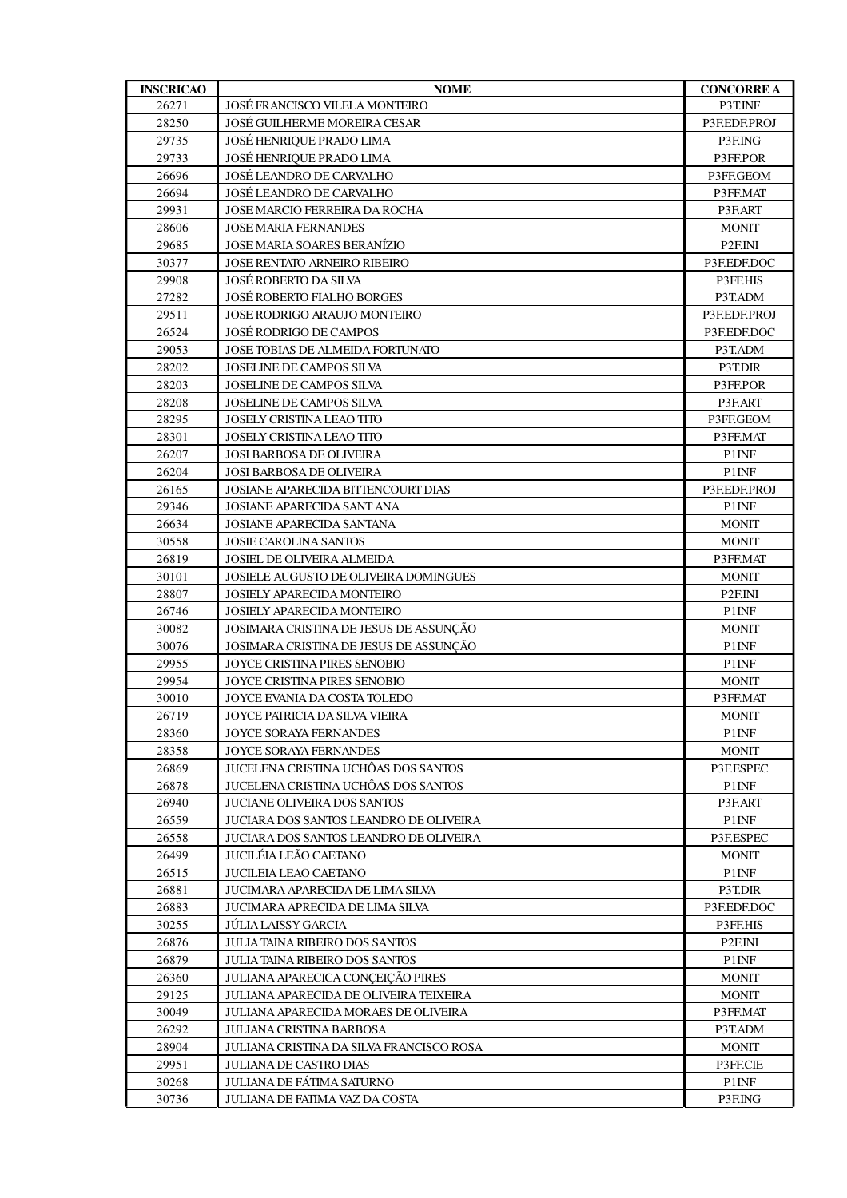| <b>INSCRICAO</b> | <b>NOME</b>                                   | <b>CONCORRE A</b>   |
|------------------|-----------------------------------------------|---------------------|
| 26271            | <b>JOSÉ FRANCISCO VILELA MONTEIRO</b>         | P3T.INF             |
| 28250            | <b>JOSÉ GUILHERME MOREIRA CESAR</b>           | P3F.EDF.PROJ        |
| 29735            | <b>JOSÉ HENRIQUE PRADO LIMA</b>               | P3F.ING             |
| 29733            | <b>JOSÉ HENRIQUE PRADO LIMA</b>               | P3FF.POR            |
| 26696            | <b>JOSÉ LEANDRO DE CARVALHO</b>               | P3FF.GEOM           |
| 26694            | JOSÉ LEANDRO DE CARVALHO                      | P3FF.MAT            |
| 29931            | <b>JOSE MARCIO FERREIRA DA ROCHA</b>          | P3F.ART             |
| 28606            | <b>JOSE MARIA FERNANDES</b>                   | <b>MONIT</b>        |
| 29685            | JOSE MARIA SOARES BERANÍZIO                   | P <sub>2F.INI</sub> |
| 30377            | <b>JOSE RENTATO ARNEIRO RIBEIRO</b>           | P3F.EDF.DOC         |
| 29908            | <b>JOSÉ ROBERTO DA SILVA</b>                  | P3FF.HIS            |
| 27282            | <b>JOSÉ ROBERTO FIALHO BORGES</b>             | P3T.ADM             |
| 29511            | JOSE RODRIGO ARAUJO MONTEIRO                  | P3F.EDF.PROJ        |
| 26524            | <b>JOSÉ RODRIGO DE CAMPOS</b>                 | P3F.EDF.DOC         |
| 29053            | <b>JOSE TOBIAS DE ALMEIDA FORTUNATO</b>       | P3T.ADM             |
| 28202            | <b>JOSELINE DE CAMPOS SILVA</b>               | P3T.DIR             |
| 28203            | <b>JOSELINE DE CAMPOS SILVA</b>               | P3FF.POR            |
| 28208            | <b>JOSELINE DE CAMPOS SILVA</b>               | P3F.ART             |
| 28295            | <b>JOSELY CRISTINA LEAO TITO</b>              | P3FF.GEOM           |
| 28301            | <b>JOSELY CRISTINA LEAO TITO</b>              | P3FF.MAT            |
| 26207            | <b>JOSI BARBOSA DE OLIVEIRA</b>               | P1INF               |
| 26204            | <b>JOSI BARBOSA DE OLIVEIRA</b>               | P1INF               |
| 26165            | JOSIANE APARECIDA BITTENCOURT DIAS            | P3F.EDF.PROJ        |
| 29346            | <b>JOSIANE APARECIDA SANT ANA</b>             | P1INF               |
| 26634            | <b>JOSIANE APARECIDA SANTANA</b>              | <b>MONIT</b>        |
| 30558            | <b>JOSIE CAROLINA SANTOS</b>                  | <b>MONIT</b>        |
| 26819            | <b>JOSIEL DE OLIVEIRA ALMEIDA</b>             | P3FF.MAT            |
| 30101            | <b>JOSIELE AUGUSTO DE OLIVEIRA DOMINGUES</b>  | <b>MONIT</b>        |
| 28807            | <b>JOSIELY APARECIDA MONTEIRO</b>             | P <sub>2F.INI</sub> |
| 26746            | <b>JOSIELY APARECIDA MONTEIRO</b>             | P1INF               |
| 30082            | JOSIMARA CRISTINA DE JESUS DE ASSUNCAO        | <b>MONIT</b>        |
| 30076            | JOSIMARA CRISTINA DE JESUS DE ASSUNCÃO        | P1INF               |
| 29955            | <b>JOYCE CRISTINA PIRES SENOBIO</b>           | P1INF               |
| 29954            | <b>JOYCE CRISTINA PIRES SENOBIO</b>           | <b>MONIT</b>        |
| 30010            | JOYCE EVANIA DA COSTA TOLEDO                  | P3FF.MAT            |
| 26719            | JOYCE PATRICIA DA SILVA VIEIRA                | <b>MONIT</b>        |
| 28360            | <b>JOYCE SORAYA FERNANDES</b>                 | P1INF               |
| 28358            | <b>JOYCE SORAYA FERNANDES</b>                 | <b>MONIT</b>        |
| 26869            | JUCELENA CRISTINA UCHÔAS DOS SANTOS           | P3F.ESPEC           |
| 26878            | JUCELENA CRISTINA UCHÔAS DOS SANTOS           | P1INF               |
| 26940            | <b>JUCIANE OLIVEIRA DOS SANTOS</b>            | P3F.ART             |
| 26559            | JUCIARA DOS SANTOS LEANDRO DE OLIVEIRA        | P1INF               |
| 26558            | <b>JUCIARA DOS SANTOS LEANDRO DE OLIVEIRA</b> | P3F.ESPEC           |
| 26499            | JUCILÉIA LEÃO CAETANO                         | <b>MONIT</b>        |
| 26515            | <b>JUCILEIA LEAO CAETANO</b>                  | P1INF               |
| 26881            | JUCIMARA APARECIDA DE LIMA SILVA              | P3T.DIR             |
| 26883            | JUCIMARA APRECIDA DE LIMA SILVA               | P3F.EDF.DOC         |
| 30255            | <b>JULIA LAISSY GARCIA</b>                    | P3FF.HIS            |
| 26876            | <b>JULIA TAINA RIBEIRO DOS SANTOS</b>         | P <sub>2F.INI</sub> |
| 26879            | <b>JULIA TAINA RIBEIRO DOS SANTOS</b>         | P1INF               |
| 26360            | JULIANA APARECICA CONÇEIÇÃO PIRES             | <b>MONIT</b>        |
| 29125            | JULIANA APARECIDA DE OLIVEIRA TEIXEIRA        | <b>MONIT</b>        |
| 30049            | JULIANA APARECIDA MORAES DE OLIVEIRA          | P3FF.MAT            |
| 26292            | <b>JULIANA CRISTINA BARBOSA</b>               | P3T.ADM             |
| 28904            | JULIANA CRISTINA DA SILVA FRANCISCO ROSA      | <b>MONIT</b>        |
| 29951            | <b>JULIANA DE CASTRO DIAS</b>                 | P3FF.CIE            |
| 30268            | <b>JULIANA DE FÁTIMA SATURNO</b>              | P1INF               |
| 30736            | JULIANA DE FATIMA VAZ DA COSTA                | P3F.ING             |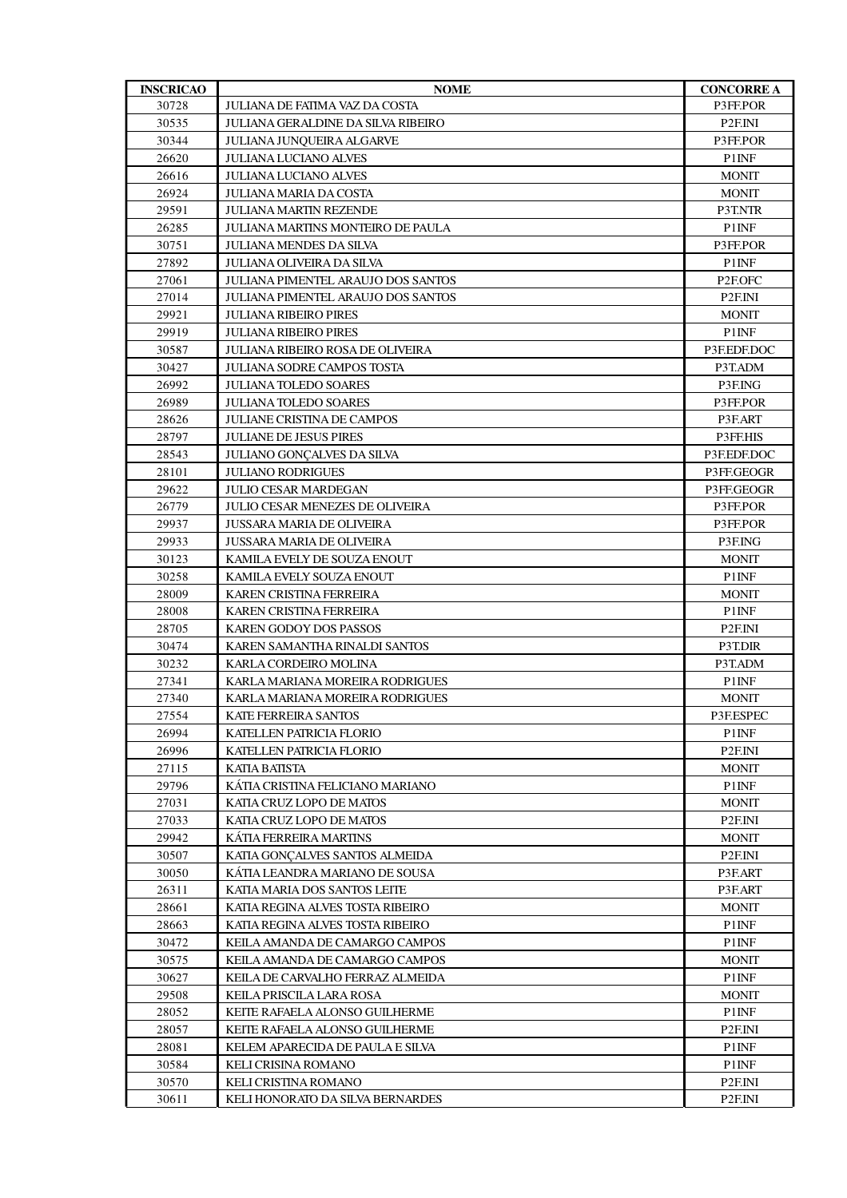| 30728<br><b>JULIANA DE FATIMA VAZ DA COSTA</b><br>P3FF.POR<br>30535<br><b>JULIANA GERALDINE DA SILVA RIBEIRO</b><br>P <sub>2F.INI</sub><br>30344<br><b>JULIANA JUNOUEIRA ALGARVE</b><br>P3FF.POR<br>26620<br><b>JULIANA LUCIANO ALVES</b><br>P1INF<br>26616<br><b>JULIANA LUCIANO ALVES</b><br><b>MONIT</b><br>26924<br>JULIANA MARIA DA COSTA<br><b>MONIT</b><br>29591<br><b>JULIANA MARTIN REZENDE</b><br>P3T.NTR<br>26285<br><b>JULIANA MARTINS MONTEIRO DE PAULA</b><br>P1INF<br>30751<br><b>JULIANA MENDES DA SILVA</b><br>P3FF.POR<br>27892<br><b>JULIANA OLIVEIRA DA SILVA</b><br>P1INF<br>27061<br><b>JULIANA PIMENTEL ARAUJO DOS SANTOS</b><br>P <sub>2</sub> F.OFC<br>27014<br><b>JULIANA PIMENTEL ARAUJO DOS SANTOS</b><br>P <sub>2F.INI</sub><br>29921<br><b>JULIANA RIBEIRO PIRES</b><br><b>MONIT</b><br>29919<br><b>JULIANA RIBEIRO PIRES</b><br>P1INF<br>30587<br><b>JULIANA RIBEIRO ROSA DE OLIVEIRA</b><br>P3F.EDF.DOC<br>30427<br><b>JULIANA SODRE CAMPOS TOSTA</b><br>P3T.ADM<br>26992<br><b>JULIANA TOLEDO SOARES</b><br>P3F.ING<br>26989<br><b>JULIANA TOLEDO SOARES</b><br>P3FF.POR<br>28626<br><b>JULIANE CRISTINA DE CAMPOS</b><br>P3F.ART<br>28797<br><b>JULIANE DE JESUS PIRES</b><br>P3FF.HIS<br>28543<br><b>JULIANO GONCALVES DA SILVA</b><br>P3F.EDF.DOC<br>28101<br><b>JULIANO RODRIGUES</b><br>P3FF.GEOGR<br>29622<br><b>JULIO CESAR MARDEGAN</b><br>P3FF.GEOGR<br>26779<br><b>JULIO CESAR MENEZES DE OLIVEIRA</b><br>P3FF.POR<br>29937<br><b>JUSSARA MARIA DE OLIVEIRA</b><br>P3FF.POR<br>29933<br><b>JUSSARA MARIA DE OLIVEIRA</b><br>P3F.ING<br>30123<br>KAMILA EVELY DE SOUZA ENOUT<br><b>MONIT</b><br>30258<br>KAMILA EVELY SOUZA ENOUT<br>P1INF<br>28009<br>KAREN CRISTINA FERREIRA<br><b>MONIT</b><br>28008<br>KAREN CRISTINA FERREIRA<br>P1INF<br>28705<br><b>KAREN GODOY DOS PASSOS</b><br>P <sub>2F.INI</sub><br>30474<br>KAREN SAMANTHA RINALDI SANTOS<br>P3T.DIR<br>30232<br>KARLA CORDEIRO MOLINA<br>P3T.ADM<br>27341<br>KARLA MARIANA MOREIRA RODRIGUES<br>P1INF<br>27340<br>KARLA MARIANA MOREIRA RODRIGUES<br><b>MONIT</b><br>27554<br><b>KATE FERREIRA SANTOS</b><br>P3EESPEC<br>26994<br>KATELLEN PATRICIA FLORIO<br>P1INF<br>26996<br>P <sub>2F.INI</sub><br>KATELLEN PATRICIA FLORIO<br>27115<br><b>KATIA BATISTA</b><br><b>MONIT</b><br>KÁTIA CRISTINA FELICIANO MARIANO<br>29796<br>P1INF<br>27031<br>KATIA CRUZ LOPO DE MATOS<br><b>MONIT</b><br>27033<br>KATIA CRUZ LOPO DE MATOS<br>P <sub>2</sub> F.INI<br>29942<br>KATIA FERREIRA MARTINS<br><b>MONIT</b><br>KATIA GONÇALVES SANTOS ALMEIDA<br>30507<br>P <sub>2</sub> F.INI<br>KÁTIA LEANDRA MARIANO DE SOUSA<br>30050<br>P3F.ART<br>26311<br>KATIA MARIA DOS SANTOS LEITE<br>P3F.ART<br>28661<br>KATIA REGINA ALVES TOSTA RIBEIRO<br><b>MONIT</b><br>28663<br>KATIA REGINA ALVES TOSTA RIBEIRO<br>P1INF<br>30472<br>KEILA AMANDA DE CAMARGO CAMPOS<br>P1INF<br>KEILA AMANDA DE CAMARGO CAMPOS<br>30575<br><b>MONIT</b><br>30627<br>KEILA DE CARVALHO FERRAZ ALMEIDA<br>P1INF<br>29508<br>KEILA PRISCILA LARA ROSA<br><b>MONIT</b><br>28052<br>KEITE RAFAELA ALONSO GUILHERME<br>P1INF<br>28057<br>KEITE RAFAELA ALONSO GUILHERME<br>P <sub>2</sub> F.INI<br>28081<br>KELEM APARECIDA DE PAULA E SILVA<br>P1INF<br><b>KELI CRISINA ROMANO</b><br>30584<br>P1INF<br>P <sub>2F.INI</sub><br>30570<br>KELI CRISTINA ROMANO<br>P <sub>2</sub> F.INI<br>30611<br>KELI HONORATO DA SILVA BERNARDES | <b>INSCRICAO</b> | <b>NOME</b> | <b>CONCORRE A</b> |
|---------------------------------------------------------------------------------------------------------------------------------------------------------------------------------------------------------------------------------------------------------------------------------------------------------------------------------------------------------------------------------------------------------------------------------------------------------------------------------------------------------------------------------------------------------------------------------------------------------------------------------------------------------------------------------------------------------------------------------------------------------------------------------------------------------------------------------------------------------------------------------------------------------------------------------------------------------------------------------------------------------------------------------------------------------------------------------------------------------------------------------------------------------------------------------------------------------------------------------------------------------------------------------------------------------------------------------------------------------------------------------------------------------------------------------------------------------------------------------------------------------------------------------------------------------------------------------------------------------------------------------------------------------------------------------------------------------------------------------------------------------------------------------------------------------------------------------------------------------------------------------------------------------------------------------------------------------------------------------------------------------------------------------------------------------------------------------------------------------------------------------------------------------------------------------------------------------------------------------------------------------------------------------------------------------------------------------------------------------------------------------------------------------------------------------------------------------------------------------------------------------------------------------------------------------------------------------------------------------------------------------------------------------------------------------------------------------------------------------------------------------------------------------------------------------------------------------------------------------------------------------------------------------------------------------------------------------------------------------------------------------------------------------------------------------------------------------------------------------------------------------------------------------------------------------------------------------------------------------------------------------------------------------------------------------------------------------------------------------------------------------------------------------|------------------|-------------|-------------------|
|                                                                                                                                                                                                                                                                                                                                                                                                                                                                                                                                                                                                                                                                                                                                                                                                                                                                                                                                                                                                                                                                                                                                                                                                                                                                                                                                                                                                                                                                                                                                                                                                                                                                                                                                                                                                                                                                                                                                                                                                                                                                                                                                                                                                                                                                                                                                                                                                                                                                                                                                                                                                                                                                                                                                                                                                                                                                                                                                                                                                                                                                                                                                                                                                                                                                                                                                                                                                         |                  |             |                   |
|                                                                                                                                                                                                                                                                                                                                                                                                                                                                                                                                                                                                                                                                                                                                                                                                                                                                                                                                                                                                                                                                                                                                                                                                                                                                                                                                                                                                                                                                                                                                                                                                                                                                                                                                                                                                                                                                                                                                                                                                                                                                                                                                                                                                                                                                                                                                                                                                                                                                                                                                                                                                                                                                                                                                                                                                                                                                                                                                                                                                                                                                                                                                                                                                                                                                                                                                                                                                         |                  |             |                   |
|                                                                                                                                                                                                                                                                                                                                                                                                                                                                                                                                                                                                                                                                                                                                                                                                                                                                                                                                                                                                                                                                                                                                                                                                                                                                                                                                                                                                                                                                                                                                                                                                                                                                                                                                                                                                                                                                                                                                                                                                                                                                                                                                                                                                                                                                                                                                                                                                                                                                                                                                                                                                                                                                                                                                                                                                                                                                                                                                                                                                                                                                                                                                                                                                                                                                                                                                                                                                         |                  |             |                   |
|                                                                                                                                                                                                                                                                                                                                                                                                                                                                                                                                                                                                                                                                                                                                                                                                                                                                                                                                                                                                                                                                                                                                                                                                                                                                                                                                                                                                                                                                                                                                                                                                                                                                                                                                                                                                                                                                                                                                                                                                                                                                                                                                                                                                                                                                                                                                                                                                                                                                                                                                                                                                                                                                                                                                                                                                                                                                                                                                                                                                                                                                                                                                                                                                                                                                                                                                                                                                         |                  |             |                   |
|                                                                                                                                                                                                                                                                                                                                                                                                                                                                                                                                                                                                                                                                                                                                                                                                                                                                                                                                                                                                                                                                                                                                                                                                                                                                                                                                                                                                                                                                                                                                                                                                                                                                                                                                                                                                                                                                                                                                                                                                                                                                                                                                                                                                                                                                                                                                                                                                                                                                                                                                                                                                                                                                                                                                                                                                                                                                                                                                                                                                                                                                                                                                                                                                                                                                                                                                                                                                         |                  |             |                   |
|                                                                                                                                                                                                                                                                                                                                                                                                                                                                                                                                                                                                                                                                                                                                                                                                                                                                                                                                                                                                                                                                                                                                                                                                                                                                                                                                                                                                                                                                                                                                                                                                                                                                                                                                                                                                                                                                                                                                                                                                                                                                                                                                                                                                                                                                                                                                                                                                                                                                                                                                                                                                                                                                                                                                                                                                                                                                                                                                                                                                                                                                                                                                                                                                                                                                                                                                                                                                         |                  |             |                   |
|                                                                                                                                                                                                                                                                                                                                                                                                                                                                                                                                                                                                                                                                                                                                                                                                                                                                                                                                                                                                                                                                                                                                                                                                                                                                                                                                                                                                                                                                                                                                                                                                                                                                                                                                                                                                                                                                                                                                                                                                                                                                                                                                                                                                                                                                                                                                                                                                                                                                                                                                                                                                                                                                                                                                                                                                                                                                                                                                                                                                                                                                                                                                                                                                                                                                                                                                                                                                         |                  |             |                   |
|                                                                                                                                                                                                                                                                                                                                                                                                                                                                                                                                                                                                                                                                                                                                                                                                                                                                                                                                                                                                                                                                                                                                                                                                                                                                                                                                                                                                                                                                                                                                                                                                                                                                                                                                                                                                                                                                                                                                                                                                                                                                                                                                                                                                                                                                                                                                                                                                                                                                                                                                                                                                                                                                                                                                                                                                                                                                                                                                                                                                                                                                                                                                                                                                                                                                                                                                                                                                         |                  |             |                   |
|                                                                                                                                                                                                                                                                                                                                                                                                                                                                                                                                                                                                                                                                                                                                                                                                                                                                                                                                                                                                                                                                                                                                                                                                                                                                                                                                                                                                                                                                                                                                                                                                                                                                                                                                                                                                                                                                                                                                                                                                                                                                                                                                                                                                                                                                                                                                                                                                                                                                                                                                                                                                                                                                                                                                                                                                                                                                                                                                                                                                                                                                                                                                                                                                                                                                                                                                                                                                         |                  |             |                   |
|                                                                                                                                                                                                                                                                                                                                                                                                                                                                                                                                                                                                                                                                                                                                                                                                                                                                                                                                                                                                                                                                                                                                                                                                                                                                                                                                                                                                                                                                                                                                                                                                                                                                                                                                                                                                                                                                                                                                                                                                                                                                                                                                                                                                                                                                                                                                                                                                                                                                                                                                                                                                                                                                                                                                                                                                                                                                                                                                                                                                                                                                                                                                                                                                                                                                                                                                                                                                         |                  |             |                   |
|                                                                                                                                                                                                                                                                                                                                                                                                                                                                                                                                                                                                                                                                                                                                                                                                                                                                                                                                                                                                                                                                                                                                                                                                                                                                                                                                                                                                                                                                                                                                                                                                                                                                                                                                                                                                                                                                                                                                                                                                                                                                                                                                                                                                                                                                                                                                                                                                                                                                                                                                                                                                                                                                                                                                                                                                                                                                                                                                                                                                                                                                                                                                                                                                                                                                                                                                                                                                         |                  |             |                   |
|                                                                                                                                                                                                                                                                                                                                                                                                                                                                                                                                                                                                                                                                                                                                                                                                                                                                                                                                                                                                                                                                                                                                                                                                                                                                                                                                                                                                                                                                                                                                                                                                                                                                                                                                                                                                                                                                                                                                                                                                                                                                                                                                                                                                                                                                                                                                                                                                                                                                                                                                                                                                                                                                                                                                                                                                                                                                                                                                                                                                                                                                                                                                                                                                                                                                                                                                                                                                         |                  |             |                   |
|                                                                                                                                                                                                                                                                                                                                                                                                                                                                                                                                                                                                                                                                                                                                                                                                                                                                                                                                                                                                                                                                                                                                                                                                                                                                                                                                                                                                                                                                                                                                                                                                                                                                                                                                                                                                                                                                                                                                                                                                                                                                                                                                                                                                                                                                                                                                                                                                                                                                                                                                                                                                                                                                                                                                                                                                                                                                                                                                                                                                                                                                                                                                                                                                                                                                                                                                                                                                         |                  |             |                   |
|                                                                                                                                                                                                                                                                                                                                                                                                                                                                                                                                                                                                                                                                                                                                                                                                                                                                                                                                                                                                                                                                                                                                                                                                                                                                                                                                                                                                                                                                                                                                                                                                                                                                                                                                                                                                                                                                                                                                                                                                                                                                                                                                                                                                                                                                                                                                                                                                                                                                                                                                                                                                                                                                                                                                                                                                                                                                                                                                                                                                                                                                                                                                                                                                                                                                                                                                                                                                         |                  |             |                   |
|                                                                                                                                                                                                                                                                                                                                                                                                                                                                                                                                                                                                                                                                                                                                                                                                                                                                                                                                                                                                                                                                                                                                                                                                                                                                                                                                                                                                                                                                                                                                                                                                                                                                                                                                                                                                                                                                                                                                                                                                                                                                                                                                                                                                                                                                                                                                                                                                                                                                                                                                                                                                                                                                                                                                                                                                                                                                                                                                                                                                                                                                                                                                                                                                                                                                                                                                                                                                         |                  |             |                   |
|                                                                                                                                                                                                                                                                                                                                                                                                                                                                                                                                                                                                                                                                                                                                                                                                                                                                                                                                                                                                                                                                                                                                                                                                                                                                                                                                                                                                                                                                                                                                                                                                                                                                                                                                                                                                                                                                                                                                                                                                                                                                                                                                                                                                                                                                                                                                                                                                                                                                                                                                                                                                                                                                                                                                                                                                                                                                                                                                                                                                                                                                                                                                                                                                                                                                                                                                                                                                         |                  |             |                   |
|                                                                                                                                                                                                                                                                                                                                                                                                                                                                                                                                                                                                                                                                                                                                                                                                                                                                                                                                                                                                                                                                                                                                                                                                                                                                                                                                                                                                                                                                                                                                                                                                                                                                                                                                                                                                                                                                                                                                                                                                                                                                                                                                                                                                                                                                                                                                                                                                                                                                                                                                                                                                                                                                                                                                                                                                                                                                                                                                                                                                                                                                                                                                                                                                                                                                                                                                                                                                         |                  |             |                   |
|                                                                                                                                                                                                                                                                                                                                                                                                                                                                                                                                                                                                                                                                                                                                                                                                                                                                                                                                                                                                                                                                                                                                                                                                                                                                                                                                                                                                                                                                                                                                                                                                                                                                                                                                                                                                                                                                                                                                                                                                                                                                                                                                                                                                                                                                                                                                                                                                                                                                                                                                                                                                                                                                                                                                                                                                                                                                                                                                                                                                                                                                                                                                                                                                                                                                                                                                                                                                         |                  |             |                   |
|                                                                                                                                                                                                                                                                                                                                                                                                                                                                                                                                                                                                                                                                                                                                                                                                                                                                                                                                                                                                                                                                                                                                                                                                                                                                                                                                                                                                                                                                                                                                                                                                                                                                                                                                                                                                                                                                                                                                                                                                                                                                                                                                                                                                                                                                                                                                                                                                                                                                                                                                                                                                                                                                                                                                                                                                                                                                                                                                                                                                                                                                                                                                                                                                                                                                                                                                                                                                         |                  |             |                   |
|                                                                                                                                                                                                                                                                                                                                                                                                                                                                                                                                                                                                                                                                                                                                                                                                                                                                                                                                                                                                                                                                                                                                                                                                                                                                                                                                                                                                                                                                                                                                                                                                                                                                                                                                                                                                                                                                                                                                                                                                                                                                                                                                                                                                                                                                                                                                                                                                                                                                                                                                                                                                                                                                                                                                                                                                                                                                                                                                                                                                                                                                                                                                                                                                                                                                                                                                                                                                         |                  |             |                   |
|                                                                                                                                                                                                                                                                                                                                                                                                                                                                                                                                                                                                                                                                                                                                                                                                                                                                                                                                                                                                                                                                                                                                                                                                                                                                                                                                                                                                                                                                                                                                                                                                                                                                                                                                                                                                                                                                                                                                                                                                                                                                                                                                                                                                                                                                                                                                                                                                                                                                                                                                                                                                                                                                                                                                                                                                                                                                                                                                                                                                                                                                                                                                                                                                                                                                                                                                                                                                         |                  |             |                   |
|                                                                                                                                                                                                                                                                                                                                                                                                                                                                                                                                                                                                                                                                                                                                                                                                                                                                                                                                                                                                                                                                                                                                                                                                                                                                                                                                                                                                                                                                                                                                                                                                                                                                                                                                                                                                                                                                                                                                                                                                                                                                                                                                                                                                                                                                                                                                                                                                                                                                                                                                                                                                                                                                                                                                                                                                                                                                                                                                                                                                                                                                                                                                                                                                                                                                                                                                                                                                         |                  |             |                   |
|                                                                                                                                                                                                                                                                                                                                                                                                                                                                                                                                                                                                                                                                                                                                                                                                                                                                                                                                                                                                                                                                                                                                                                                                                                                                                                                                                                                                                                                                                                                                                                                                                                                                                                                                                                                                                                                                                                                                                                                                                                                                                                                                                                                                                                                                                                                                                                                                                                                                                                                                                                                                                                                                                                                                                                                                                                                                                                                                                                                                                                                                                                                                                                                                                                                                                                                                                                                                         |                  |             |                   |
|                                                                                                                                                                                                                                                                                                                                                                                                                                                                                                                                                                                                                                                                                                                                                                                                                                                                                                                                                                                                                                                                                                                                                                                                                                                                                                                                                                                                                                                                                                                                                                                                                                                                                                                                                                                                                                                                                                                                                                                                                                                                                                                                                                                                                                                                                                                                                                                                                                                                                                                                                                                                                                                                                                                                                                                                                                                                                                                                                                                                                                                                                                                                                                                                                                                                                                                                                                                                         |                  |             |                   |
|                                                                                                                                                                                                                                                                                                                                                                                                                                                                                                                                                                                                                                                                                                                                                                                                                                                                                                                                                                                                                                                                                                                                                                                                                                                                                                                                                                                                                                                                                                                                                                                                                                                                                                                                                                                                                                                                                                                                                                                                                                                                                                                                                                                                                                                                                                                                                                                                                                                                                                                                                                                                                                                                                                                                                                                                                                                                                                                                                                                                                                                                                                                                                                                                                                                                                                                                                                                                         |                  |             |                   |
|                                                                                                                                                                                                                                                                                                                                                                                                                                                                                                                                                                                                                                                                                                                                                                                                                                                                                                                                                                                                                                                                                                                                                                                                                                                                                                                                                                                                                                                                                                                                                                                                                                                                                                                                                                                                                                                                                                                                                                                                                                                                                                                                                                                                                                                                                                                                                                                                                                                                                                                                                                                                                                                                                                                                                                                                                                                                                                                                                                                                                                                                                                                                                                                                                                                                                                                                                                                                         |                  |             |                   |
|                                                                                                                                                                                                                                                                                                                                                                                                                                                                                                                                                                                                                                                                                                                                                                                                                                                                                                                                                                                                                                                                                                                                                                                                                                                                                                                                                                                                                                                                                                                                                                                                                                                                                                                                                                                                                                                                                                                                                                                                                                                                                                                                                                                                                                                                                                                                                                                                                                                                                                                                                                                                                                                                                                                                                                                                                                                                                                                                                                                                                                                                                                                                                                                                                                                                                                                                                                                                         |                  |             |                   |
|                                                                                                                                                                                                                                                                                                                                                                                                                                                                                                                                                                                                                                                                                                                                                                                                                                                                                                                                                                                                                                                                                                                                                                                                                                                                                                                                                                                                                                                                                                                                                                                                                                                                                                                                                                                                                                                                                                                                                                                                                                                                                                                                                                                                                                                                                                                                                                                                                                                                                                                                                                                                                                                                                                                                                                                                                                                                                                                                                                                                                                                                                                                                                                                                                                                                                                                                                                                                         |                  |             |                   |
|                                                                                                                                                                                                                                                                                                                                                                                                                                                                                                                                                                                                                                                                                                                                                                                                                                                                                                                                                                                                                                                                                                                                                                                                                                                                                                                                                                                                                                                                                                                                                                                                                                                                                                                                                                                                                                                                                                                                                                                                                                                                                                                                                                                                                                                                                                                                                                                                                                                                                                                                                                                                                                                                                                                                                                                                                                                                                                                                                                                                                                                                                                                                                                                                                                                                                                                                                                                                         |                  |             |                   |
|                                                                                                                                                                                                                                                                                                                                                                                                                                                                                                                                                                                                                                                                                                                                                                                                                                                                                                                                                                                                                                                                                                                                                                                                                                                                                                                                                                                                                                                                                                                                                                                                                                                                                                                                                                                                                                                                                                                                                                                                                                                                                                                                                                                                                                                                                                                                                                                                                                                                                                                                                                                                                                                                                                                                                                                                                                                                                                                                                                                                                                                                                                                                                                                                                                                                                                                                                                                                         |                  |             |                   |
|                                                                                                                                                                                                                                                                                                                                                                                                                                                                                                                                                                                                                                                                                                                                                                                                                                                                                                                                                                                                                                                                                                                                                                                                                                                                                                                                                                                                                                                                                                                                                                                                                                                                                                                                                                                                                                                                                                                                                                                                                                                                                                                                                                                                                                                                                                                                                                                                                                                                                                                                                                                                                                                                                                                                                                                                                                                                                                                                                                                                                                                                                                                                                                                                                                                                                                                                                                                                         |                  |             |                   |
|                                                                                                                                                                                                                                                                                                                                                                                                                                                                                                                                                                                                                                                                                                                                                                                                                                                                                                                                                                                                                                                                                                                                                                                                                                                                                                                                                                                                                                                                                                                                                                                                                                                                                                                                                                                                                                                                                                                                                                                                                                                                                                                                                                                                                                                                                                                                                                                                                                                                                                                                                                                                                                                                                                                                                                                                                                                                                                                                                                                                                                                                                                                                                                                                                                                                                                                                                                                                         |                  |             |                   |
|                                                                                                                                                                                                                                                                                                                                                                                                                                                                                                                                                                                                                                                                                                                                                                                                                                                                                                                                                                                                                                                                                                                                                                                                                                                                                                                                                                                                                                                                                                                                                                                                                                                                                                                                                                                                                                                                                                                                                                                                                                                                                                                                                                                                                                                                                                                                                                                                                                                                                                                                                                                                                                                                                                                                                                                                                                                                                                                                                                                                                                                                                                                                                                                                                                                                                                                                                                                                         |                  |             |                   |
|                                                                                                                                                                                                                                                                                                                                                                                                                                                                                                                                                                                                                                                                                                                                                                                                                                                                                                                                                                                                                                                                                                                                                                                                                                                                                                                                                                                                                                                                                                                                                                                                                                                                                                                                                                                                                                                                                                                                                                                                                                                                                                                                                                                                                                                                                                                                                                                                                                                                                                                                                                                                                                                                                                                                                                                                                                                                                                                                                                                                                                                                                                                                                                                                                                                                                                                                                                                                         |                  |             |                   |
|                                                                                                                                                                                                                                                                                                                                                                                                                                                                                                                                                                                                                                                                                                                                                                                                                                                                                                                                                                                                                                                                                                                                                                                                                                                                                                                                                                                                                                                                                                                                                                                                                                                                                                                                                                                                                                                                                                                                                                                                                                                                                                                                                                                                                                                                                                                                                                                                                                                                                                                                                                                                                                                                                                                                                                                                                                                                                                                                                                                                                                                                                                                                                                                                                                                                                                                                                                                                         |                  |             |                   |
|                                                                                                                                                                                                                                                                                                                                                                                                                                                                                                                                                                                                                                                                                                                                                                                                                                                                                                                                                                                                                                                                                                                                                                                                                                                                                                                                                                                                                                                                                                                                                                                                                                                                                                                                                                                                                                                                                                                                                                                                                                                                                                                                                                                                                                                                                                                                                                                                                                                                                                                                                                                                                                                                                                                                                                                                                                                                                                                                                                                                                                                                                                                                                                                                                                                                                                                                                                                                         |                  |             |                   |
|                                                                                                                                                                                                                                                                                                                                                                                                                                                                                                                                                                                                                                                                                                                                                                                                                                                                                                                                                                                                                                                                                                                                                                                                                                                                                                                                                                                                                                                                                                                                                                                                                                                                                                                                                                                                                                                                                                                                                                                                                                                                                                                                                                                                                                                                                                                                                                                                                                                                                                                                                                                                                                                                                                                                                                                                                                                                                                                                                                                                                                                                                                                                                                                                                                                                                                                                                                                                         |                  |             |                   |
|                                                                                                                                                                                                                                                                                                                                                                                                                                                                                                                                                                                                                                                                                                                                                                                                                                                                                                                                                                                                                                                                                                                                                                                                                                                                                                                                                                                                                                                                                                                                                                                                                                                                                                                                                                                                                                                                                                                                                                                                                                                                                                                                                                                                                                                                                                                                                                                                                                                                                                                                                                                                                                                                                                                                                                                                                                                                                                                                                                                                                                                                                                                                                                                                                                                                                                                                                                                                         |                  |             |                   |
|                                                                                                                                                                                                                                                                                                                                                                                                                                                                                                                                                                                                                                                                                                                                                                                                                                                                                                                                                                                                                                                                                                                                                                                                                                                                                                                                                                                                                                                                                                                                                                                                                                                                                                                                                                                                                                                                                                                                                                                                                                                                                                                                                                                                                                                                                                                                                                                                                                                                                                                                                                                                                                                                                                                                                                                                                                                                                                                                                                                                                                                                                                                                                                                                                                                                                                                                                                                                         |                  |             |                   |
|                                                                                                                                                                                                                                                                                                                                                                                                                                                                                                                                                                                                                                                                                                                                                                                                                                                                                                                                                                                                                                                                                                                                                                                                                                                                                                                                                                                                                                                                                                                                                                                                                                                                                                                                                                                                                                                                                                                                                                                                                                                                                                                                                                                                                                                                                                                                                                                                                                                                                                                                                                                                                                                                                                                                                                                                                                                                                                                                                                                                                                                                                                                                                                                                                                                                                                                                                                                                         |                  |             |                   |
|                                                                                                                                                                                                                                                                                                                                                                                                                                                                                                                                                                                                                                                                                                                                                                                                                                                                                                                                                                                                                                                                                                                                                                                                                                                                                                                                                                                                                                                                                                                                                                                                                                                                                                                                                                                                                                                                                                                                                                                                                                                                                                                                                                                                                                                                                                                                                                                                                                                                                                                                                                                                                                                                                                                                                                                                                                                                                                                                                                                                                                                                                                                                                                                                                                                                                                                                                                                                         |                  |             |                   |
|                                                                                                                                                                                                                                                                                                                                                                                                                                                                                                                                                                                                                                                                                                                                                                                                                                                                                                                                                                                                                                                                                                                                                                                                                                                                                                                                                                                                                                                                                                                                                                                                                                                                                                                                                                                                                                                                                                                                                                                                                                                                                                                                                                                                                                                                                                                                                                                                                                                                                                                                                                                                                                                                                                                                                                                                                                                                                                                                                                                                                                                                                                                                                                                                                                                                                                                                                                                                         |                  |             |                   |
|                                                                                                                                                                                                                                                                                                                                                                                                                                                                                                                                                                                                                                                                                                                                                                                                                                                                                                                                                                                                                                                                                                                                                                                                                                                                                                                                                                                                                                                                                                                                                                                                                                                                                                                                                                                                                                                                                                                                                                                                                                                                                                                                                                                                                                                                                                                                                                                                                                                                                                                                                                                                                                                                                                                                                                                                                                                                                                                                                                                                                                                                                                                                                                                                                                                                                                                                                                                                         |                  |             |                   |
|                                                                                                                                                                                                                                                                                                                                                                                                                                                                                                                                                                                                                                                                                                                                                                                                                                                                                                                                                                                                                                                                                                                                                                                                                                                                                                                                                                                                                                                                                                                                                                                                                                                                                                                                                                                                                                                                                                                                                                                                                                                                                                                                                                                                                                                                                                                                                                                                                                                                                                                                                                                                                                                                                                                                                                                                                                                                                                                                                                                                                                                                                                                                                                                                                                                                                                                                                                                                         |                  |             |                   |
|                                                                                                                                                                                                                                                                                                                                                                                                                                                                                                                                                                                                                                                                                                                                                                                                                                                                                                                                                                                                                                                                                                                                                                                                                                                                                                                                                                                                                                                                                                                                                                                                                                                                                                                                                                                                                                                                                                                                                                                                                                                                                                                                                                                                                                                                                                                                                                                                                                                                                                                                                                                                                                                                                                                                                                                                                                                                                                                                                                                                                                                                                                                                                                                                                                                                                                                                                                                                         |                  |             |                   |
|                                                                                                                                                                                                                                                                                                                                                                                                                                                                                                                                                                                                                                                                                                                                                                                                                                                                                                                                                                                                                                                                                                                                                                                                                                                                                                                                                                                                                                                                                                                                                                                                                                                                                                                                                                                                                                                                                                                                                                                                                                                                                                                                                                                                                                                                                                                                                                                                                                                                                                                                                                                                                                                                                                                                                                                                                                                                                                                                                                                                                                                                                                                                                                                                                                                                                                                                                                                                         |                  |             |                   |
|                                                                                                                                                                                                                                                                                                                                                                                                                                                                                                                                                                                                                                                                                                                                                                                                                                                                                                                                                                                                                                                                                                                                                                                                                                                                                                                                                                                                                                                                                                                                                                                                                                                                                                                                                                                                                                                                                                                                                                                                                                                                                                                                                                                                                                                                                                                                                                                                                                                                                                                                                                                                                                                                                                                                                                                                                                                                                                                                                                                                                                                                                                                                                                                                                                                                                                                                                                                                         |                  |             |                   |
|                                                                                                                                                                                                                                                                                                                                                                                                                                                                                                                                                                                                                                                                                                                                                                                                                                                                                                                                                                                                                                                                                                                                                                                                                                                                                                                                                                                                                                                                                                                                                                                                                                                                                                                                                                                                                                                                                                                                                                                                                                                                                                                                                                                                                                                                                                                                                                                                                                                                                                                                                                                                                                                                                                                                                                                                                                                                                                                                                                                                                                                                                                                                                                                                                                                                                                                                                                                                         |                  |             |                   |
|                                                                                                                                                                                                                                                                                                                                                                                                                                                                                                                                                                                                                                                                                                                                                                                                                                                                                                                                                                                                                                                                                                                                                                                                                                                                                                                                                                                                                                                                                                                                                                                                                                                                                                                                                                                                                                                                                                                                                                                                                                                                                                                                                                                                                                                                                                                                                                                                                                                                                                                                                                                                                                                                                                                                                                                                                                                                                                                                                                                                                                                                                                                                                                                                                                                                                                                                                                                                         |                  |             |                   |
|                                                                                                                                                                                                                                                                                                                                                                                                                                                                                                                                                                                                                                                                                                                                                                                                                                                                                                                                                                                                                                                                                                                                                                                                                                                                                                                                                                                                                                                                                                                                                                                                                                                                                                                                                                                                                                                                                                                                                                                                                                                                                                                                                                                                                                                                                                                                                                                                                                                                                                                                                                                                                                                                                                                                                                                                                                                                                                                                                                                                                                                                                                                                                                                                                                                                                                                                                                                                         |                  |             |                   |
|                                                                                                                                                                                                                                                                                                                                                                                                                                                                                                                                                                                                                                                                                                                                                                                                                                                                                                                                                                                                                                                                                                                                                                                                                                                                                                                                                                                                                                                                                                                                                                                                                                                                                                                                                                                                                                                                                                                                                                                                                                                                                                                                                                                                                                                                                                                                                                                                                                                                                                                                                                                                                                                                                                                                                                                                                                                                                                                                                                                                                                                                                                                                                                                                                                                                                                                                                                                                         |                  |             |                   |
|                                                                                                                                                                                                                                                                                                                                                                                                                                                                                                                                                                                                                                                                                                                                                                                                                                                                                                                                                                                                                                                                                                                                                                                                                                                                                                                                                                                                                                                                                                                                                                                                                                                                                                                                                                                                                                                                                                                                                                                                                                                                                                                                                                                                                                                                                                                                                                                                                                                                                                                                                                                                                                                                                                                                                                                                                                                                                                                                                                                                                                                                                                                                                                                                                                                                                                                                                                                                         |                  |             |                   |
|                                                                                                                                                                                                                                                                                                                                                                                                                                                                                                                                                                                                                                                                                                                                                                                                                                                                                                                                                                                                                                                                                                                                                                                                                                                                                                                                                                                                                                                                                                                                                                                                                                                                                                                                                                                                                                                                                                                                                                                                                                                                                                                                                                                                                                                                                                                                                                                                                                                                                                                                                                                                                                                                                                                                                                                                                                                                                                                                                                                                                                                                                                                                                                                                                                                                                                                                                                                                         |                  |             |                   |
|                                                                                                                                                                                                                                                                                                                                                                                                                                                                                                                                                                                                                                                                                                                                                                                                                                                                                                                                                                                                                                                                                                                                                                                                                                                                                                                                                                                                                                                                                                                                                                                                                                                                                                                                                                                                                                                                                                                                                                                                                                                                                                                                                                                                                                                                                                                                                                                                                                                                                                                                                                                                                                                                                                                                                                                                                                                                                                                                                                                                                                                                                                                                                                                                                                                                                                                                                                                                         |                  |             |                   |
|                                                                                                                                                                                                                                                                                                                                                                                                                                                                                                                                                                                                                                                                                                                                                                                                                                                                                                                                                                                                                                                                                                                                                                                                                                                                                                                                                                                                                                                                                                                                                                                                                                                                                                                                                                                                                                                                                                                                                                                                                                                                                                                                                                                                                                                                                                                                                                                                                                                                                                                                                                                                                                                                                                                                                                                                                                                                                                                                                                                                                                                                                                                                                                                                                                                                                                                                                                                                         |                  |             |                   |
|                                                                                                                                                                                                                                                                                                                                                                                                                                                                                                                                                                                                                                                                                                                                                                                                                                                                                                                                                                                                                                                                                                                                                                                                                                                                                                                                                                                                                                                                                                                                                                                                                                                                                                                                                                                                                                                                                                                                                                                                                                                                                                                                                                                                                                                                                                                                                                                                                                                                                                                                                                                                                                                                                                                                                                                                                                                                                                                                                                                                                                                                                                                                                                                                                                                                                                                                                                                                         |                  |             |                   |
|                                                                                                                                                                                                                                                                                                                                                                                                                                                                                                                                                                                                                                                                                                                                                                                                                                                                                                                                                                                                                                                                                                                                                                                                                                                                                                                                                                                                                                                                                                                                                                                                                                                                                                                                                                                                                                                                                                                                                                                                                                                                                                                                                                                                                                                                                                                                                                                                                                                                                                                                                                                                                                                                                                                                                                                                                                                                                                                                                                                                                                                                                                                                                                                                                                                                                                                                                                                                         |                  |             |                   |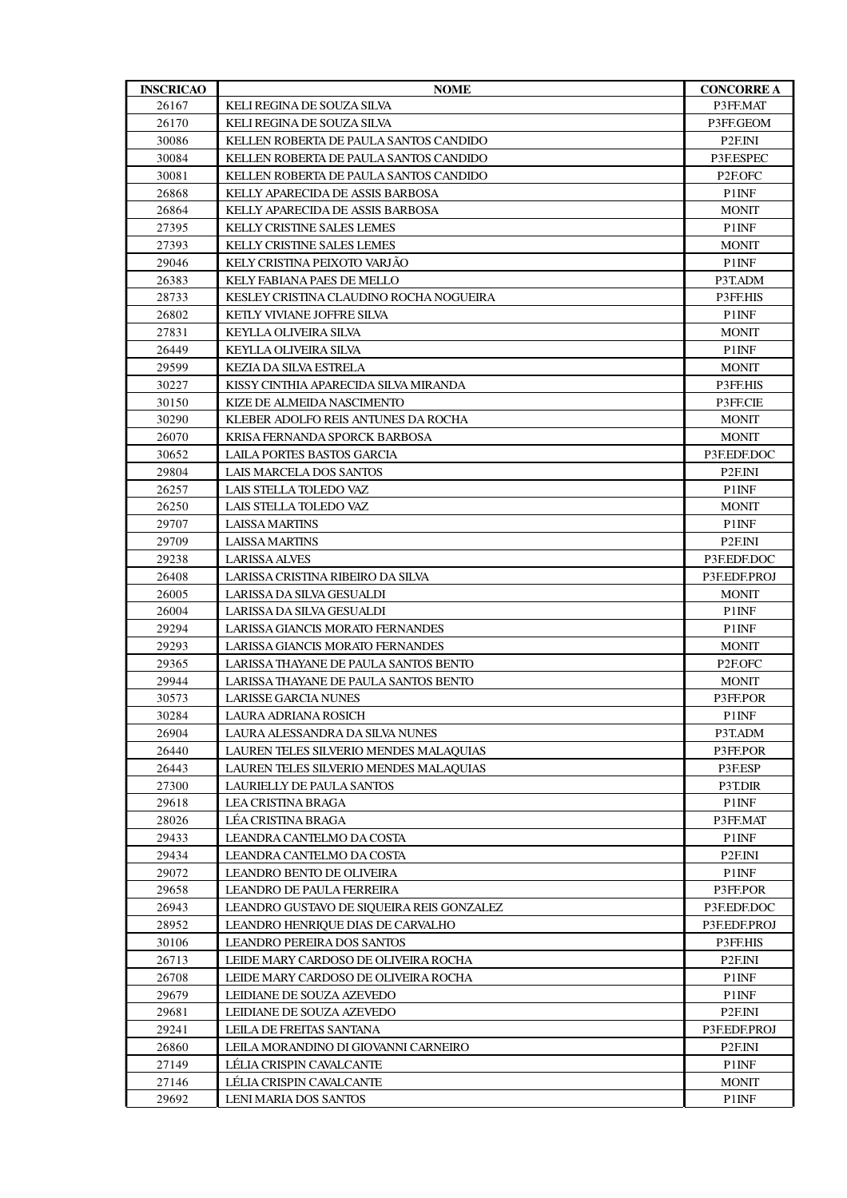| <b>INSCRICAO</b> | <b>NOME</b>                               | <b>CONCORRE A</b>    |
|------------------|-------------------------------------------|----------------------|
| 26167            | KELI REGINA DE SOUZA SILVA                | P3FF.MAT             |
| 26170            | KELI REGINA DE SOUZA SILVA                | P3FF.GEOM            |
| 30086            | KELLEN ROBERTA DE PAULA SANTOS CANDIDO    | P <sub>2</sub> F.INI |
| 30084            | KELLEN ROBERTA DE PAULA SANTOS CANDIDO    | P3F.ESPEC            |
| 30081            | KELLEN ROBERTA DE PAULA SANTOS CANDIDO    | P <sub>2</sub> F.OFC |
| 26868            | KELLY APARECIDA DE ASSIS BARBOSA          | P1INF                |
| 26864            | KELLY APARECIDA DE ASSIS BARBOSA          | <b>MONIT</b>         |
| 27395            | KELLY CRISTINE SALES LEMES                | P1INF                |
| 27393            | KELLY CRISTINE SALES LEMES                | <b>MONIT</b>         |
| 29046            | KELY CRISTINA PEIXOTO VARJAO              | P1INF                |
| 26383            | KELY FABIANA PAES DE MELLO                | P3T.ADM              |
| 28733            | KESLEY CRISTINA CLAUDINO ROCHA NOGUEIRA   | P3FF.HIS             |
| 26802            | KETLY VIVIANE JOFFRE SILVA                | P1INF                |
| 27831            | <b>KEYLLA OLIVEIRA SILVA</b>              | <b>MONIT</b>         |
| 26449            | <b>KEYLLA OLIVEIRA SILVA</b>              | P1INF                |
| 29599            | KEZIA DA SILVA ESTRELA                    | <b>MONIT</b>         |
| 30227            | KISSY CINTHIA APARECIDA SILVA MIRANDA     | P3FF.HIS             |
| 30150            | KIZE DE ALMEIDA NASCIMENTO                | P3FF.CIE             |
| 30290            | KLEBER ADOLFO REIS ANTUNES DA ROCHA       | <b>MONIT</b>         |
| 26070            | KRISA FERNANDA SPORCK BARBOSA             | <b>MONIT</b>         |
| 30652            | LAILA PORTES BASTOS GARCIA                | P3F.EDF.DOC          |
| 29804            | <b>LAIS MARCELA DOS SANTOS</b>            | P <sub>2F.INI</sub>  |
| 26257            | LAIS STELLA TOLEDO VAZ                    | P1INF                |
| 26250            | LAIS STELLA TOLEDO VAZ                    | <b>MONIT</b>         |
| 29707            | <b>LAISSA MARTINS</b>                     | P1INF                |
| 29709            | <b>LAISSA MARTINS</b>                     | P <sub>2F.INI</sub>  |
| 29238            | <b>LARISSA ALVES</b>                      | P3F.EDF.DOC          |
| 26408            | LARISSA CRISTINA RIBEIRO DA SILVA         | P3F.EDF.PROJ         |
| 26005            | LARISSA DA SILVA GESUALDI                 | <b>MONIT</b>         |
| 26004            | LARISSA DA SILVA GESUALDI                 | P1INF                |
| 29294            | LARISSA GIANCIS MORATO FERNANDES          | P1INF                |
| 29293            | <b>LARISSA GIANCIS MORATO FERNANDES</b>   | <b>MONIT</b>         |
| 29365            | LARISSA THAYANE DE PAULA SANTOS BENTO     | P <sub>2</sub> F.OFC |
| 29944            | LARISSA THAYANE DE PAULA SANTOS BENTO     | <b>MONIT</b>         |
| 30573            | <b>LARISSE GARCIA NUNES</b>               | P3FF.POR             |
| 30284            | LAURA ADRIANA ROSICH                      | P1INF                |
| 26904            | LAURA ALESSANDRA DA SILVA NUNES           | P3T.ADM              |
| 26440            | LAUREN TELES SILVERIO MENDES MALAQUIAS    | P3FF.POR             |
| 26443            | LAUREN TELES SILVERIO MENDES MALAQUIAS    | P3F.ESP              |
| 27300            | LAURIELLY DE PAULA SANTOS                 | P3T.DIR              |
| 29618            | LEA CRISTINA BRAGA                        | P1INF                |
| 28026            | LÉA CRISTINA BRAGA                        | P3FF.MAT             |
| 29433            | LEANDRA CANTELMO DA COSTA                 | P1INF                |
| 29434            | LEANDRA CANTELMO DA COSTA                 | P <sub>2</sub> F.INI |
| 29072            | LEANDRO BENTO DE OLIVEIRA                 | P1INF                |
| 29658            | LEANDRO DE PAULA FERREIRA                 | P3FF.POR             |
| 26943            | LEANDRO GUSTAVO DE SIQUEIRA REIS GONZALEZ | P3F.EDF.DOC          |
| 28952            | LEANDRO HENRIQUE DIAS DE CARVALHO         | P3F.EDF.PROJ         |
| 30106            | LEANDRO PEREIRA DOS SANTOS                | P3FF.HIS             |
| 26713            | LEIDE MARY CARDOSO DE OLIVEIRA ROCHA      | P <sub>2F.INI</sub>  |
| 26708            | LEIDE MARY CARDOSO DE OLIVEIRA ROCHA      | P1INF                |
| 29679            | LEIDIANE DE SOUZA AZEVEDO                 | P1INF                |
| 29681            | LEIDIANE DE SOUZA AZEVEDO                 | P <sub>2</sub> F.INI |
| 29241            | LEILA DE FREITAS SANTANA                  | P3F.EDF.PROJ         |
| 26860            | LEILA MORANDINO DI GIOVANNI CARNEIRO      | P <sub>2</sub> F.INI |
| 27149            | LÉLIA CRISPIN CAVALCANTE                  | P1INF                |
| 27146            | LÉLIA CRISPIN CAVALCANTE                  | <b>MONIT</b>         |
| 29692            | LENI MARIA DOS SANTOS                     | P1INF                |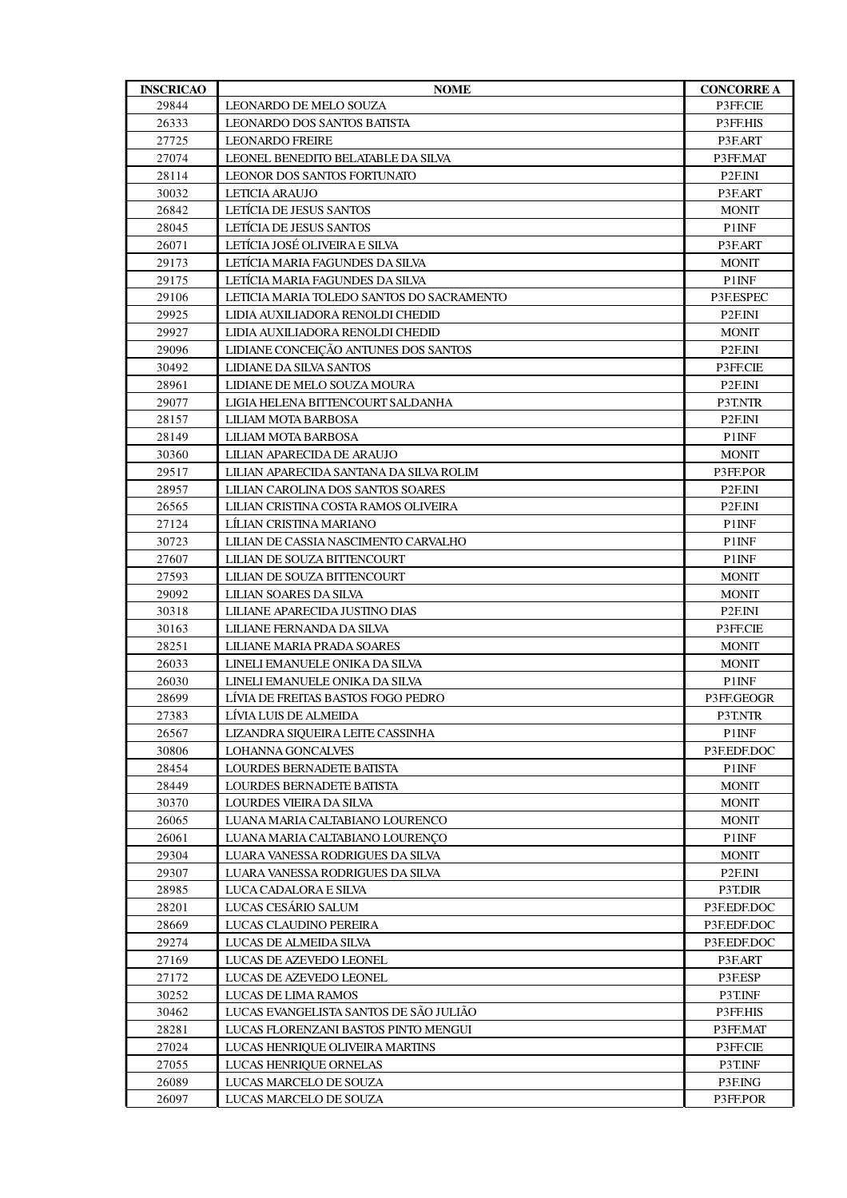| <b>INSCRICAO</b> | <b>NOME</b>                                   | <b>CONCORRE A</b>          |
|------------------|-----------------------------------------------|----------------------------|
| 29844            | <b>LEONARDO DE MELO SOUZA</b>                 | P3FF.CIE                   |
| 26333            | <b>LEONARDO DOS SANTOS BATISTA</b>            | P3FF.HIS                   |
| 27725            | <b>LEONARDO FREIRE</b>                        | P3F.ART                    |
| 27074            | LEONEL BENEDITO BELATABLE DA SILVA            | P3FF.MAT                   |
| 28114            | <b>LEONOR DOS SANTOS FORTUNATO</b>            | P <sub>2F.INI</sub>        |
| 30032            | <b>LETICIA ARAUJO</b>                         | P3F.ART                    |
| 26842            | LETICIA DE JESUS SANTOS                       | <b>MONIT</b>               |
| 28045            | LETÍCIA DE JESUS SANTOS                       | P1INF                      |
| 26071            | LETÍCIA JOSÉ OLIVEIRA E SILVA                 | P3F.ART                    |
| 29173            | LETICIA MARIA FAGUNDES DA SILVA               | <b>MONIT</b>               |
| 29175            | LETICIA MARIA FAGUNDES DA SILVA               | P1INF                      |
| 29106            | LETICIA MARIA TOLEDO SANTOS DO SACRAMENTO     | P3F.ESPEC                  |
| 29925            | LIDIA AUXILIADORA RENOLDI CHEDID              | P <sub>2F.INI</sub>        |
| 29927            | LIDIA AUXILIADORA RENOLDI CHEDID              | <b>MONIT</b>               |
| 29096            | LIDIANE CONCEIÇÃO ANTUNES DOS SANTOS          | P <sub>2F.INI</sub>        |
| 30492            | LIDIANE DA SILVA SANTOS                       | P3FF.CIE                   |
| 28961            | LIDIANE DE MELO SOUZA MOURA                   | P <sub>2</sub> F.INI       |
| 29077            | LIGIA HELENA BITTENCOURT SALDANHA             | P3T.NTR                    |
| 28157            | LILIAM MOTA BARBOSA                           | P <sub>2F.INI</sub>        |
| 28149            | LILIAM MOTA BARBOSA                           | P1INF                      |
| 30360            | LILIAN APARECIDA DE ARAUJO                    | <b>MONIT</b>               |
| 29517            | LILIAN APARECIDA SANTANA DA SILVA ROLIM       | P3FF.POR                   |
| 28957            | LILIAN CAROLINA DOS SANTOS SOARES             | P <sub>2F.INI</sub>        |
| 26565            | LILIAN CRISTINA COSTA RAMOS OLIVEIRA          | P <sub>2F.INI</sub>        |
| 27124            | LÍLIAN CRISTINA MARIANO                       | P1INF                      |
| 30723            | LILIAN DE CASSIA NASCIMENTO CARVALHO          | P1INF                      |
| 27607            | LILIAN DE SOUZA BITTENCOURT                   | P1INF                      |
| 27593            | LILIAN DE SOUZA BITTENCOURT                   | <b>MONIT</b>               |
| 29092            | LILIAN SOARES DA SILVA                        | <b>MONIT</b>               |
| 30318            | LILIANE APARECIDA JUSTINO DIAS                | P <sub>2</sub> F.INI       |
| 30163            | LILIANE FERNANDA DA SILVA                     | P3FF.CIE                   |
| 28251            | LILIANE MARIA PRADA SOARES                    | <b>MONIT</b>               |
| 26033            | LINELI EMANUELE ONIKA DA SILVA                | <b>MONIT</b>               |
| 26030            | LINELI EMANUELE ONIKA DA SILVA                | P1INF                      |
| 28699            | LÍVIA DE FREITAS BASTOS FOGO PEDRO            | P3FF.GEOGR                 |
| 27383            | LÍVIA LUIS DE ALMEIDA                         | P3T.NTR                    |
| 26567            | LIZANDRA SIQUEIRA LEITE CASSINHA              | P1INF                      |
| 30806            | LOHANNA GONCALVES                             | P3F.EDF.DOC                |
| 28454            | LOURDES BERNADETE BATISTA                     | P1INF                      |
| 28449            | <b>LOURDES BERNADETE BATISTA</b>              | <b>MONIT</b>               |
| 30370            | LOURDES VIEIRA DA SILVA                       | <b>MONIT</b>               |
| 26065            | LUANA MARIA CALTABIANO LOURENCO               | <b>MONIT</b>               |
| 26061            | LUANA MARIA CALTABIANO LOURENÇO               | P1INF                      |
| 29304            | LUARA VANESSA RODRIGUES DA SILVA              | <b>MONIT</b>               |
| 29307            | LUARA VANESSA RODRIGUES DA SILVA              | P <sub>2F.INI</sub>        |
| 28985            | LUCA CADALORA E SILVA                         | P3T.DIR                    |
| 28201<br>28669   | LUCAS CESÁRIO SALUM<br>LUCAS CLAUDINO PEREIRA | P3F.EDF.DOC                |
| 29274            | LUCAS DE ALMEIDA SILVA                        | P3F.EDF.DOC<br>P3F.EDF.DOC |
| 27169            | LUCAS DE AZEVEDO LEONEL                       | P3F.ART                    |
| 27172            | LUCAS DE AZEVEDO LEONEL                       | P3F.ESP                    |
| 30252            | LUCAS DE LIMA RAMOS                           | P3T.INF                    |
| 30462            | LUCAS EVANGELISTA SANTOS DE SÃO JULIÃO        | P3FF.HIS                   |
| 28281            | LUCAS FLORENZANI BASTOS PINTO MENGUI          | P3FF.MAT                   |
| 27024            | LUCAS HENRIQUE OLIVEIRA MARTINS               | P3FF.CIE                   |
| 27055            | LUCAS HENRIQUE ORNELAS                        | P3T.INF                    |
| 26089            | LUCAS MARCELO DE SOUZA                        | P3F.ING                    |
| 26097            | LUCAS MARCELO DE SOUZA                        | P3FF.POR                   |
|                  |                                               |                            |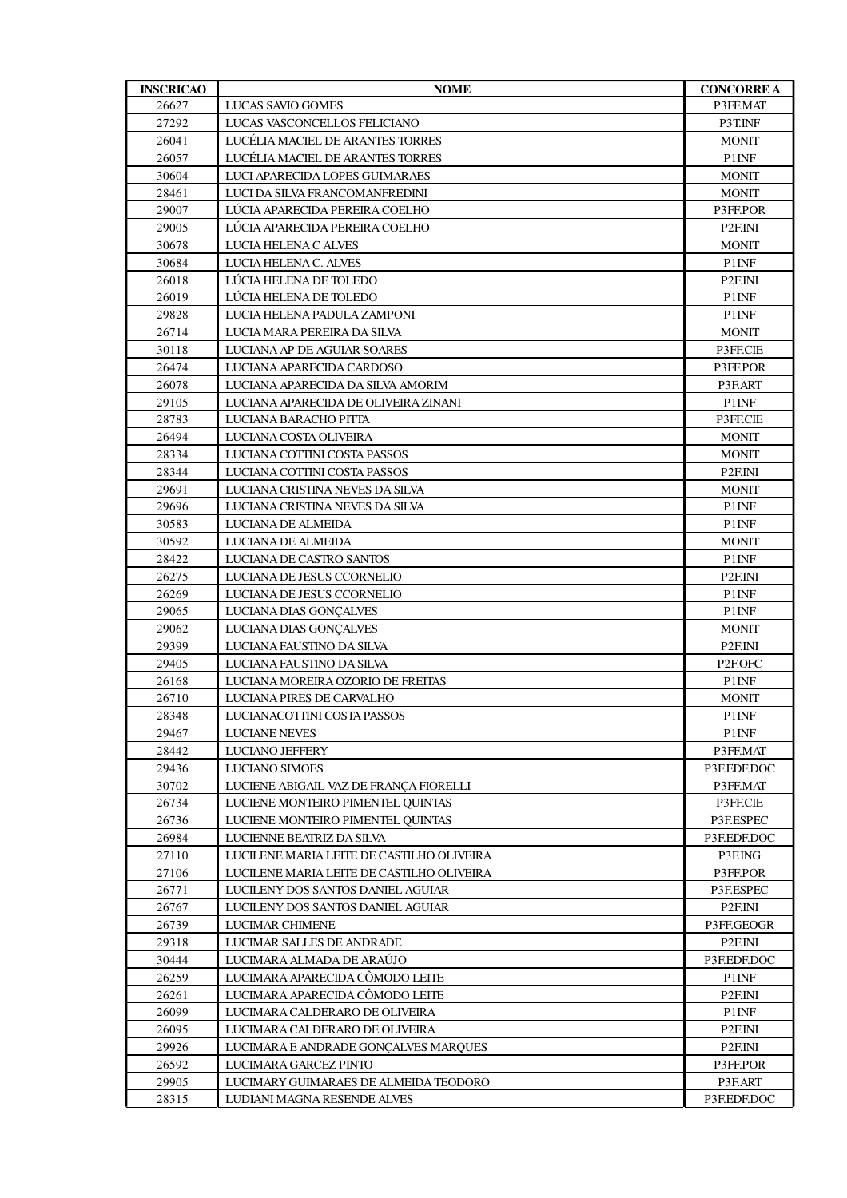| <b>INSCRICAO</b> | <b>NOME</b>                               | <b>CONCORRE A</b>     |
|------------------|-------------------------------------------|-----------------------|
| 26627            | <b>LUCAS SAVIO GOMES</b>                  | P3FF.MAT              |
| 27292            | LUCAS VASCONCELLOS FELICIANO              | P3T.INF               |
| 26041            | LUCÉLIA MACIEL DE ARANTES TORRES          | <b>MONIT</b>          |
| 26057            | LUCÉLIA MACIEL DE ARANTES TORRES          | P1INF                 |
| 30604            | LUCI APARECIDA LOPES GUIMARAES            | <b>MONIT</b>          |
| 28461            | LUCI DA SILVA FRANCOMANFREDINI            | <b>MONIT</b>          |
| 29007            | LÚCIA APARECIDA PEREIRA COELHO            | P3FF.POR              |
| 29005            | LÚCIA APARECIDA PEREIRA COELHO            | P <sub>2F.INI</sub>   |
| 30678            | LUCIA HELENA C ALVES                      | <b>MONIT</b>          |
| 30684            | LUCIA HELENA C. ALVES                     | P1INF                 |
| 26018            | LÚCIA HELENA DE TOLEDO                    | P <sub>2F.INI</sub>   |
| 26019            | LÚCIA HELENA DE TOLEDO                    | P1INF                 |
| 29828            | LUCIA HELENA PADULA ZAMPONI               | P1INF                 |
| 26714            | LUCIA MARA PEREIRA DA SILVA               | <b>MONIT</b>          |
| 30118            | LUCIANA AP DE AGUIAR SOARES               | P3FF.CIE              |
| 26474            | LUCIANA APARECIDA CARDOSO                 | P3FF.POR              |
| 26078            | LUCIANA APARECIDA DA SILVA AMORIM         | P3F.ART               |
| 29105            | LUCIANA APARECIDA DE OLIVEIRA ZINANI      | P1INF                 |
| 28783            | LUCIANA BARACHO PITTA                     | P3FF.CIE              |
| 26494            | LUCIANA COSTA OLIVEIRA                    | <b>MONIT</b>          |
| 28334            | LUCIANA COTTINI COSTA PASSOS              | <b>MONIT</b>          |
| 28344            | LUCIANA COTTINI COSTA PASSOS              | P <sub>2F.INI</sub>   |
| 29691            | LUCIANA CRISTINA NEVES DA SILVA           | <b>MONIT</b>          |
| 29696            | LUCIANA CRISTINA NEVES DA SILVA           | P1INF                 |
| 30583            | LUCIANA DE ALMEIDA                        | P1INF                 |
| 30592            | LUCIANA DE ALMEIDA                        | <b>MONIT</b>          |
| 28422            | LUCIANA DE CASTRO SANTOS                  | P1INF                 |
| 26275            | LUCIANA DE JESUS CCORNELIO                | P <sub>2F.INI</sub>   |
| 26269            | LUCIANA DE JESUS CCORNELIO                | P1INF                 |
| 29065            | LUCIANA DIAS GONCALVES                    | P1INF                 |
| 29062            | LUCIANA DIAS GONÇALVES                    | <b>MONIT</b>          |
| 29399            | LUCIANA FAUSTINO DA SILVA                 | P <sub>2F.INI</sub>   |
| 29405            | LUCIANA FAUSTINO DA SILVA                 | P <sub>2</sub> F.OFC  |
| 26168            | LUCIANA MOREIRA OZORIO DE FREITAS         | P1INF                 |
| 26710            | LUCIANA PIRES DE CARVALHO                 | <b>MONIT</b>          |
| 28348            | LUCIANACOTTINI COSTA PASSOS               |                       |
| 29467            | <b>LUCIANE NEVES</b>                      | P1INF<br>P1INF        |
| 28442            | <b>LUCIANO JEFFERY</b>                    | P3FF.MAT              |
|                  |                                           |                       |
| 29436            | <b>LUCIANO SIMOES</b>                     | P3F.EDF.DOC           |
| 30702            | LUCIENE ABIGAIL VAZ DE FRANÇA FIORELLI    | P3FF.MAT              |
| 26734            | LUCIENE MONTEIRO PIMENTEL QUINTAS         | P3FF.CIE<br>P3F.ESPEC |
| 26736            | LUCIENE MONTEIRO PIMENTEL QUINTAS         |                       |
| 26984            | LUCIENNE BEATRIZ DA SILVA                 | P3F.EDF.DOC           |
| 27110            | LUCILENE MARIA LEITE DE CASTILHO OLIVEIRA | P3F.ING               |
| 27106            | LUCILENE MARIA LEITE DE CASTILHO OLIVEIRA | P3FF.POR              |
| 26771            | LUCILENY DOS SANTOS DANIEL AGUIAR         | P3F.ESPEC             |
| 26767            | LUCILENY DOS SANTOS DANIEL AGUIAR         | P <sub>2F.INI</sub>   |
| 26739            | <b>LUCIMAR CHIMENE</b>                    | P3FF.GEOGR            |
| 29318            | LUCIMAR SALLES DE ANDRADE                 | P <sub>2</sub> F.INI  |
| 30444            | LUCIMARA ALMADA DE ARAÚJO                 | P3F.EDF.DOC           |
| 26259            | LUCIMARA APARECIDA CÔMODO LEITE           | P1INF                 |
| 26261            | LUCIMARA APARECIDA CÔMODO LEITE           | P <sub>2</sub> F.INI  |
| 26099            | LUCIMARA CALDERARO DE OLIVEIRA            | P1INF                 |
| 26095            | LUCIMARA CALDERARO DE OLIVEIRA            | P <sub>2F.INI</sub>   |
| 29926            | LUCIMARA E ANDRADE GONÇALVES MARQUES      | P2F.INI               |
| 26592            | LUCIMARA GARCEZ PINTO                     | P3FF.POR              |
| 29905            | LUCIMARY GUIMARAES DE ALMEIDA TEODORO     | P3F.ART               |
| 28315            | LUDIANI MAGNA RESENDE ALVES               | P3F.EDF.DOC           |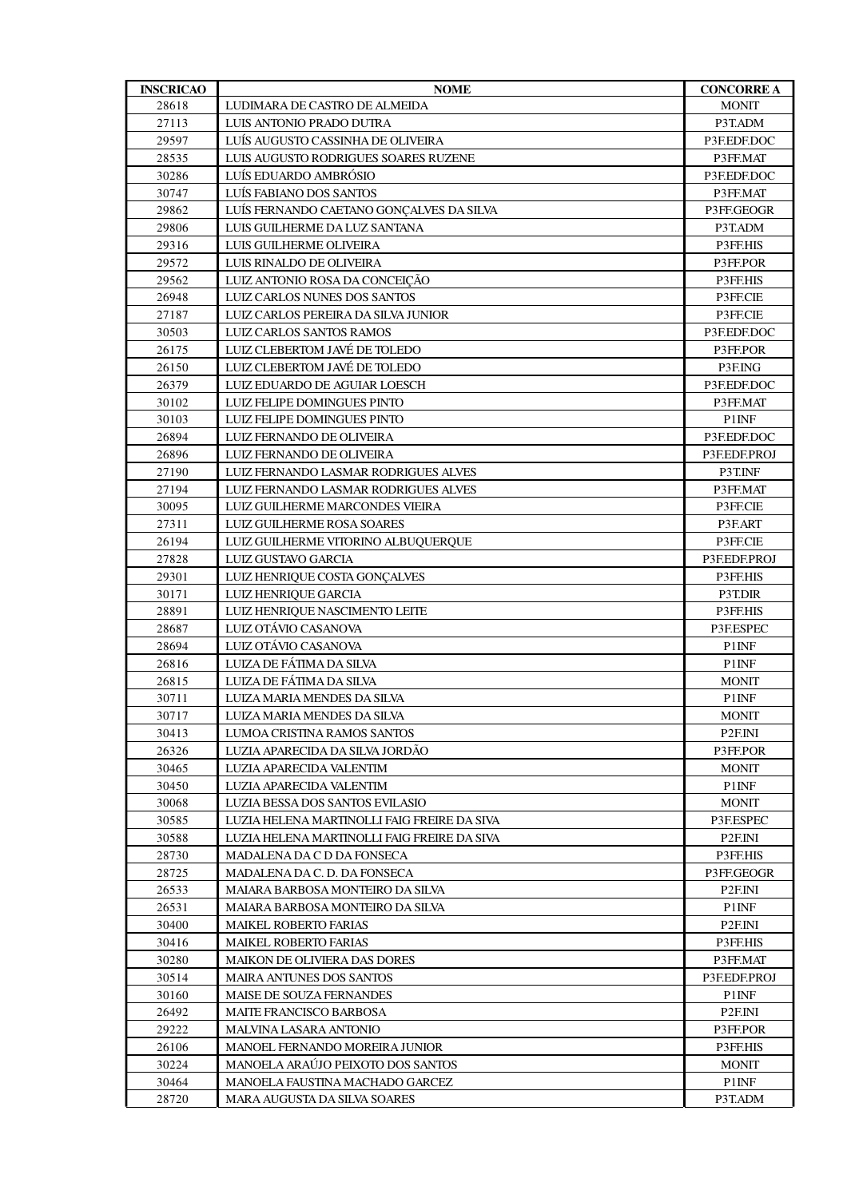| <b>INSCRICAO</b> | <b>NOME</b>                                 | <b>CONCORRE A</b>    |
|------------------|---------------------------------------------|----------------------|
| 28618            | LUDIMARA DE CASTRO DE ALMEIDA               | <b>MONIT</b>         |
| 27113            | LUIS ANTONIO PRADO DUTRA                    | P3T.ADM              |
| 29597            | LUÍS AUGUSTO CASSINHA DE OLIVEIRA           | P3F.EDF.DOC          |
| 28535            | LUIS AUGUSTO RODRIGUES SOARES RUZENE        | P3FF.MAT             |
| 30286            | LUÍS EDUARDO AMBRÓSIO                       | P3F.EDF.DOC          |
| 30747            | LUÍS FABIANO DOS SANTOS                     | P3FF.MAT             |
| 29862            | LUÍS FERNANDO CAETANO GONCALVES DA SILVA    | P3FF.GEOGR           |
| 29806            | LUIS GUILHERME DA LUZ SANTANA               | P3T.ADM              |
| 29316            | LUIS GUILHERME OLIVEIRA                     | P3FF.HIS             |
| 29572            | LUIS RINALDO DE OLIVEIRA                    | P3FF.POR             |
| 29562            | LUIZ ANTONIO ROSA DA CONCEIÇÃO              | P3FF.HIS             |
| 26948            | LUIZ CARLOS NUNES DOS SANTOS                | P3FF.CIE             |
| 27187            | LUIZ CARLOS PEREIRA DA SILVA JUNIOR         | P3FF.CIE             |
| 30503            | LUIZ CARLOS SANTOS RAMOS                    | P3F.EDF.DOC          |
|                  |                                             |                      |
| 26175            | LUIZ CLEBERTOM JAVÉ DE TOLEDO               | P3FF.POR             |
| 26150            | LUIZ CLEBERTOM JAVÉ DE TOLEDO               | P3F.ING              |
| 26379            | LUIZ EDUARDO DE AGUIAR LOESCH               | P3F.EDF.DOC          |
| 30102            | LUIZ FELIPE DOMINGUES PINTO                 | P3FF.MAT             |
| 30103            | LUIZ FELIPE DOMINGUES PINTO                 | P1INF                |
| 26894            | LUIZ FERNANDO DE OLIVEIRA                   | P3F.EDF.DOC          |
| 26896            | LUIZ FERNANDO DE OLIVEIRA                   | P3F.EDF.PROJ         |
| 27190            | LUIZ FERNANDO LASMAR RODRIGUES ALVES        | P3T.INF              |
| 27194            | LUIZ FERNANDO LASMAR RODRIGUES ALVES        | P3FF.MAT             |
| 30095            | LUIZ GUILHERME MARCONDES VIEIRA             | P3FF.CIE             |
| 27311            | LUIZ GUILHERME ROSA SOARES                  | P3F.ART              |
| 26194            | LUIZ GUILHERME VITORINO ALBUQUERQUE         | P3FF.CIE             |
| 27828            | LUIZ GUSTAVO GARCIA                         | P3F.EDF.PROJ         |
| 29301            | LUIZ HENRIQUE COSTA GONÇALVES               | P3FF.HIS             |
| 30171            | LUIZ HENRIQUE GARCIA                        | P3T.DIR              |
| 28891            | LUIZ HENRIQUE NASCIMENTO LEITE              | P3FF.HIS             |
| 28687            | LUIZ OTÁVIO CASANOVA                        | P3F.ESPEC            |
| 28694            | LUIZ OTÁVIO CASANOVA                        | P1INF                |
| 26816            | LUIZA DE FÁTIMA DA SILVA                    | P1INF                |
| 26815            | LUIZA DE FÁTIMA DA SILVA                    | <b>MONIT</b>         |
| 30711            | LUIZA MARIA MENDES DA SILVA                 | P1INF                |
| 30717            | LUIZA MARIA MENDES DA SILVA                 | <b>MONIT</b>         |
| 30413            | LUMOA CRISTINA RAMOS SANTOS                 | P <sub>2</sub> F.INI |
| 26326            | LUZIA APARECIDA DA SILVA JORDAO             | P3FF.POR             |
| 30465            | LUZIA APARECIDA VALENTIM                    | <b>MONIT</b>         |
| 30450            | LUZIA APARECIDA VALENTIM                    | P1INF                |
| 30068            | LUZIA BESSA DOS SANTOS EVILASIO             | <b>MONIT</b>         |
| 30585            | LUZIA HELENA MARTINOLLI FAIG FREIRE DA SIVA | P3F.ESPEC            |
| 30588            | LUZIA HELENA MARTINOLLI FAIG FREIRE DA SIVA | P <sub>2</sub> F.INI |
| 28730            | MADALENA DA C D DA FONSECA                  | P3FF.HIS             |
| 28725            | MADALENA DA C. D. DA FONSECA                | P3FF.GEOGR           |
| 26533            | MAIARA BARBOSA MONTEIRO DA SILVA            | P <sub>2</sub> F.INI |
| 26531            | MAIARA BARBOSA MONTEIRO DA SILVA            | P1INF                |
| 30400            | <b>MAIKEL ROBERTO FARIAS</b>                | P <sub>2</sub> F.INI |
| 30416            | <b>MAIKEL ROBERTO FARIAS</b>                | P3FF.HIS             |
| 30280            | <b>MAIKON DE OLIVIERA DAS DORES</b>         | P3FF.MAT             |
| 30514            | <b>MAIRA ANTUNES DOS SANTOS</b>             | P3F.EDF.PROJ         |
| 30160            | <b>MAISE DE SOUZA FERNANDES</b>             | P1INF                |
| 26492            | <b>MAITE FRANCISCO BARBOSA</b>              | P <sub>2</sub> F.INI |
| 29222            | <b>MALVINA LASARA ANTONIO</b>               | P3FF.POR             |
| 26106            | <b>MANOEL FERNANDO MOREIRA JUNIOR</b>       | P3FF.HIS             |
| 30224            | <b>MANOELA ARAÚJO PEIXOTO DOS SANTOS</b>    | <b>MONIT</b>         |
| 30464            | MANOELA FAUSTINA MACHADO GARCEZ             | P1INF                |
| 28720            | <b>MARA AUGUSTA DA SILVA SOARES</b>         | P3T.ADM              |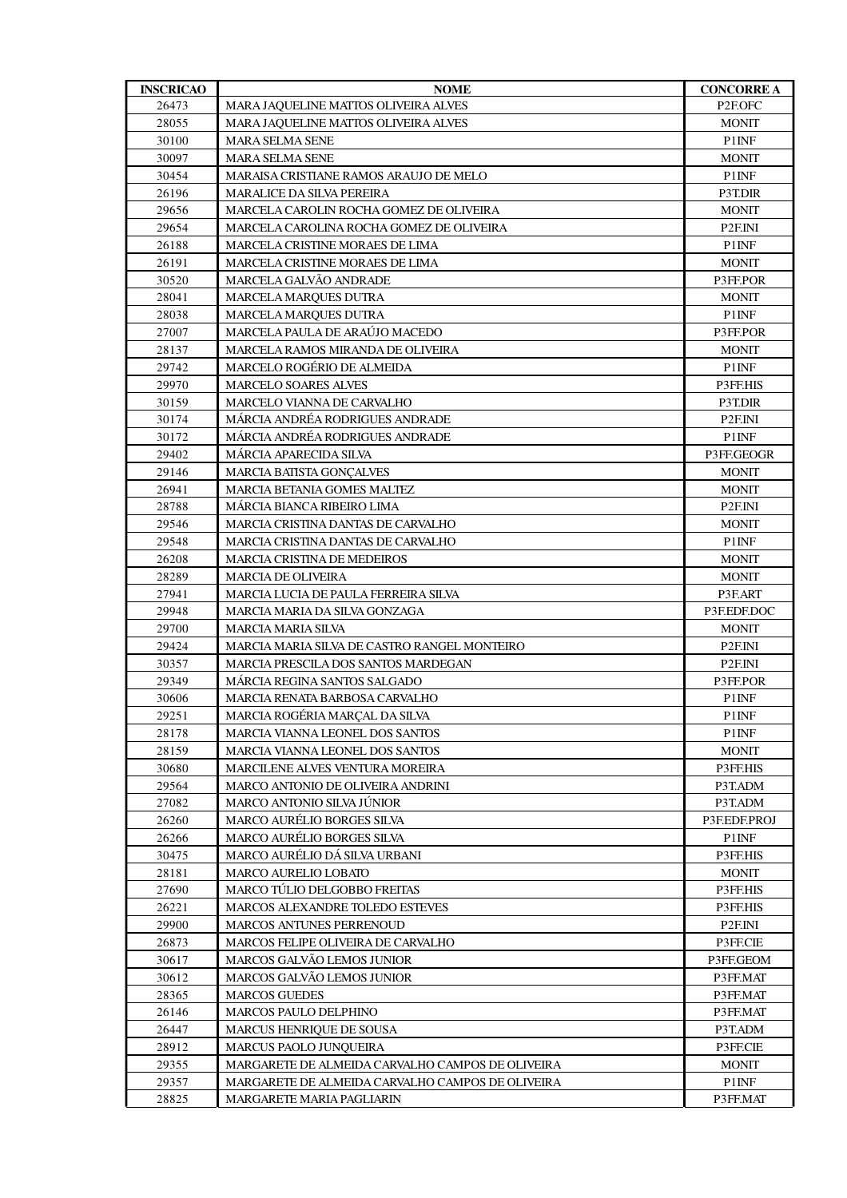| <b>INSCRICAO</b> | <b>NOME</b>                                      | <b>CONCORRE A</b>    |
|------------------|--------------------------------------------------|----------------------|
| 26473            | MARA JAQUELINE MATTOS OLIVEIRA ALVES             | P <sub>2</sub> F.OFC |
| 28055            | MARA JAQUELINE MATTOS OLIVEIRA ALVES             | <b>MONIT</b>         |
| 30100            | <b>MARA SELMA SENE</b>                           | P1INF                |
| 30097            | <b>MARA SELMA SENE</b>                           | <b>MONIT</b>         |
| 30454            | MARAISA CRISTIANE RAMOS ARAUJO DE MELO           | P1INF                |
| 26196            | MARALICE DA SILVA PEREIRA                        | P3T.DIR              |
| 29656            | MARCELA CAROLIN ROCHA GOMEZ DE OLIVEIRA          | <b>MONIT</b>         |
| 29654            | MARCELA CAROLINA ROCHA GOMEZ DE OLIVEIRA         | P <sub>2F.INI</sub>  |
| 26188            | <b>MARCELA CRISTINE MORAES DE LIMA</b>           | P1INF                |
| 26191            | MARCELA CRISTINE MORAES DE LIMA                  | <b>MONIT</b>         |
| 30520            | MARCELA GALVÃO ANDRADE                           | P3FF.POR             |
| 28041            | MARCELA MARQUES DUTRA                            | <b>MONIT</b>         |
| 28038            | <b>MARCELA MARQUES DUTRA</b>                     | P1INF                |
| 27007            | MARCELA PAULA DE ARAÚJO MACEDO                   | P3FF.POR             |
| 28137            | MARCELA RAMOS MIRANDA DE OLIVEIRA                | <b>MONIT</b>         |
| 29742            | MARCELO ROGÉRIO DE ALMEIDA                       | P1INF                |
| 29970            | <b>MARCELO SOARES ALVES</b>                      | P3FF.HIS             |
| 30159            | MARCELO VIANNA DE CARVALHO                       | P3T.DIR              |
| 30174            | MÁRCIA ANDRÉA RODRIGUES ANDRADE                  | P <sub>2F.INI</sub>  |
| 30172            | MÁRCIA ANDRÉA RODRIGUES ANDRADE                  | P1INF                |
| 29402            | MÀRCIA APARECIDA SILVA                           | P3FF.GEOGR           |
| 29146            | <b>MARCIA BATISTA GONCALVES</b>                  | <b>MONIT</b>         |
| 26941            | <b>MARCIA BETANIA GOMES MALTEZ</b>               | <b>MONIT</b>         |
| 28788            | MÁRCIA BIANCA RIBEIRO LIMA                       | P <sub>2F.INI</sub>  |
| 29546            | MARCIA CRISTINA DANTAS DE CARVALHO               | <b>MONIT</b>         |
| 29548            | MARCIA CRISTINA DANTAS DE CARVALHO               | P1INF                |
| 26208            | <b>MARCIA CRISTINA DE MEDEIROS</b>               | <b>MONIT</b>         |
| 28289            | <b>MARCIA DE OLIVEIRA</b>                        | <b>MONIT</b>         |
| 27941            | MARCIA LUCIA DE PAULA FERREIRA SILVA             | P3F.ART              |
| 29948            | MARCIA MARIA DA SILVA GONZAGA                    | P3F.EDF.DOC          |
| 29700            | <b>MARCIA MARIA SILVA</b>                        | <b>MONIT</b>         |
| 29424            | MARCIA MARIA SILVA DE CASTRO RANGEL MONTEIRO     | P <sub>2F.INI</sub>  |
| 30357            | MARCIA PRESCILA DOS SANTOS MARDEGAN              | P <sub>2F.INI</sub>  |
| 29349            | MÁRCIA REGINA SANTOS SALGADO                     | P3FF.POR             |
| 30606            | MARCIA RENATA BARBOSA CARVALHO                   | P1INF                |
| 29251            | MARCIA ROGÉRIA MARCAL DA SILVA                   | P1INF                |
| 28178            | MARCIA VIANNA LEONEL DOS SANTOS                  | $P1$ INF             |
| 28159            | <b>MARCIA VIANNA LEONEL DOS SANTOS</b>           | <b>MONIT</b>         |
| 30680            | MARCILENE ALVES VENTURA MOREIRA                  | P3FF.HIS             |
| 29564            | MARCO ANTONIO DE OLIVEIRA ANDRINI                | P3T.ADM              |
| 27082            | MARCO ANTONIO SILVA JÚNIOR                       | P3T.ADM              |
| 26260            | <b>MARCO AURÉLIO BORGES SILVA</b>                | P3F.EDF.PROJ         |
| 26266            | <b>MARCO AURÉLIO BORGES SILVA</b>                | P1INF                |
| 30475            | MARCO AURÉLIO DÁ SILVA URBANI                    | P3FF.HIS             |
| 28181            | MARCO AURELIO LOBATO                             | <b>MONIT</b>         |
| 27690            | <b>MARCO TULIO DELGOBBO FREITAS</b>              | P3FF.HIS             |
| 26221            | MARCOS ALEXANDRE TOLEDO ESTEVES                  | P3FF.HIS             |
| 29900            | MARCOS ANTUNES PERRENOUD                         | P <sub>2F.INI</sub>  |
| 26873            | MARCOS FELIPE OLIVEIRA DE CARVALHO               | P3FF.CIE             |
| 30617            | <b>MARCOS GALVAO LEMOS JUNIOR</b>                | P3FF.GEOM            |
| 30612            | MARCOS GALVÃO LEMOS JUNIOR                       | P3FF.MAT             |
| 28365            | <b>MARCOS GUEDES</b>                             | P3FF.MAT             |
| 26146            | <b>MARCOS PAULO DELPHINO</b>                     | P3FF.MAT             |
| 26447            | <b>MARCUS HENRIQUE DE SOUSA</b>                  | P3T.ADM              |
| 28912            | <b>MARCUS PAOLO JUNQUEIRA</b>                    | P3FF.CIE             |
| 29355            | MARGARETE DE ALMEIDA CARVALHO CAMPOS DE OLIVEIRA | <b>MONIT</b>         |
| 29357            | MARGARETE DE ALMEIDA CARVALHO CAMPOS DE OLIVEIRA | P1INF                |
| 28825            | MARGARETE MARIA PAGLIARIN                        | P3FF.MAT             |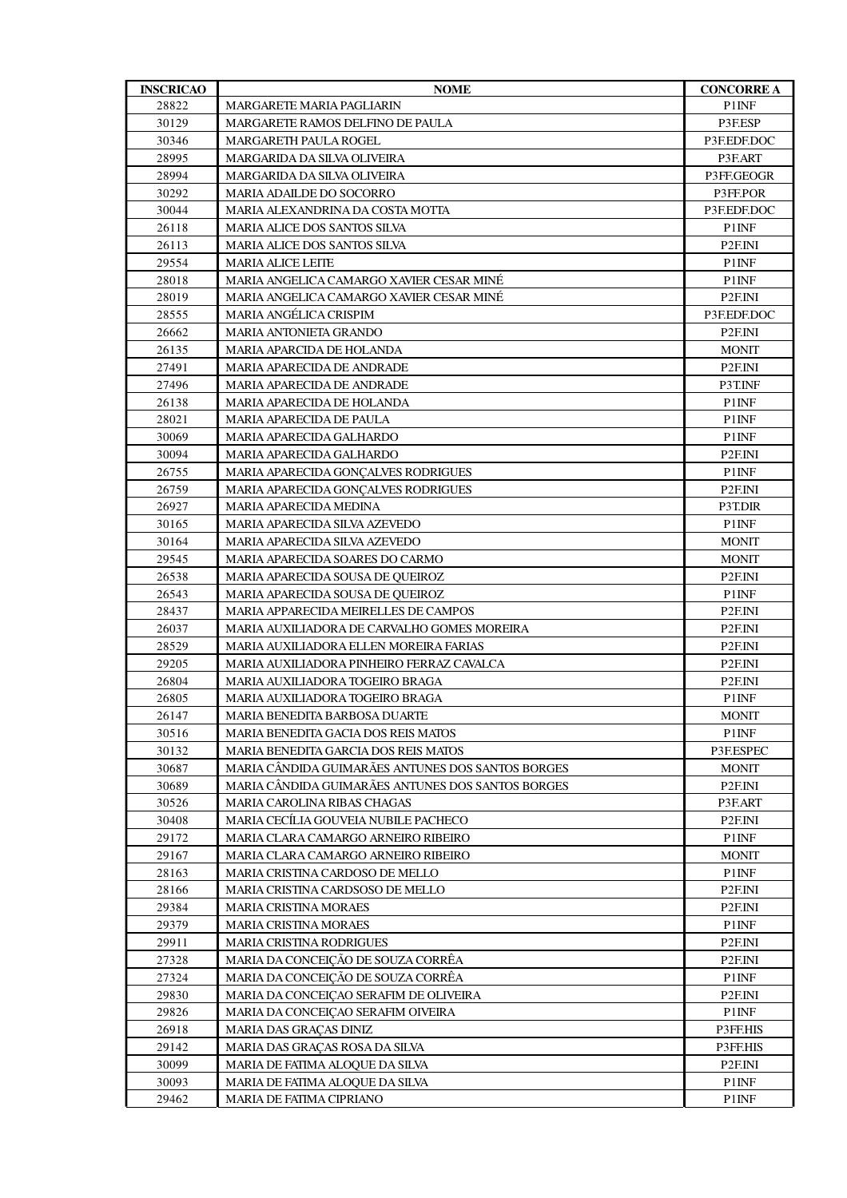| <b>INSCRICAO</b> | <b>NOME</b>                                                                         | <b>CONCORRE A</b>                          |
|------------------|-------------------------------------------------------------------------------------|--------------------------------------------|
| 28822            | <b>MARGARETE MARIA PAGLIARIN</b>                                                    | P1INF                                      |
| 30129            | MARGARETE RAMOS DELFINO DE PAULA                                                    | P3F.ESP                                    |
| 30346            | <b>MARGARETH PAULA ROGEL</b>                                                        | P3F.EDF.DOC                                |
| 28995            | MARGARIDA DA SILVA OLIVEIRA                                                         | P3F.ART                                    |
| 28994            | MARGARIDA DA SILVA OLIVEIRA                                                         | P3FF.GEOGR                                 |
| 30292            | <b>MARIA ADAILDE DO SOCORRO</b>                                                     | P3FF.POR                                   |
| 30044            | MARIA ALEXANDRINA DA COSTA MOTTA                                                    | P3F.EDF.DOC                                |
| 26118            | <b>MARIA ALICE DOS SANTOS SILVA</b>                                                 | P1INF                                      |
| 26113            | <b>MARIA ALICE DOS SANTOS SILVA</b>                                                 | P <sub>2F.INI</sub>                        |
| 29554            | <b>MARIA ALICE LEITE</b>                                                            | P1INF                                      |
| 28018            | MARIA ANGELICA CAMARGO XAVIER CESAR MINÉ                                            | P1INF                                      |
| 28019            | MARIA ANGELICA CAMARGO XAVIER CESAR MINÉ                                            | P <sub>2F.INI</sub>                        |
| 28555            | <b>MARIA ANGÉLICA CRISPIM</b>                                                       | P3F.EDF.DOC                                |
| 26662            | <b>MARIA ANTONIETA GRANDO</b>                                                       | P <sub>2F.INI</sub>                        |
| 26135            | MARIA APARCIDA DE HOLANDA                                                           | <b>MONIT</b>                               |
| 27491            | MARIA APARECIDA DE ANDRADE                                                          | P <sub>2F.INI</sub>                        |
| 27496            | MARIA APARECIDA DE ANDRADE                                                          | P3T.INF                                    |
| 26138            | MARIA APARECIDA DE HOLANDA                                                          | P1INF                                      |
| 28021            | <b>MARIA APARECIDA DE PAULA</b>                                                     | P1INF                                      |
| 30069            | MARIA APARECIDA GALHARDO                                                            | P1INF                                      |
| 30094            | <b>MARIA APARECIDA GALHARDO</b>                                                     | P <sub>2F.INI</sub>                        |
| 26755            | MARIA APARECIDA GONCALVES RODRIGUES                                                 | P1INF                                      |
| 26759            | MARIA APARECIDA GONÇALVES RODRIGUES                                                 | P <sub>2F.INI</sub>                        |
| 26927            | <b>MARIA APARECIDA MEDINA</b>                                                       | P3T.DIR                                    |
| 30165            | MARIA APARECIDA SILVA AZEVEDO                                                       | P1INF                                      |
| 30164            | MARIA APARECIDA SILVA AZEVEDO                                                       | <b>MONIT</b>                               |
| 29545            | MARIA APARECIDA SOARES DO CARMO                                                     | <b>MONIT</b>                               |
| 26538            | MARIA APARECIDA SOUSA DE QUEIROZ                                                    | P <sub>2F.INI</sub>                        |
| 26543            | MARIA APARECIDA SOUSA DE QUEIROZ                                                    | P1INF                                      |
| 28437            | MARIA APPARECIDA MEIRELLES DE CAMPOS                                                | P <sub>2F.INI</sub>                        |
| 26037            | MARIA AUXILIADORA DE CARVALHO GOMES MOREIRA                                         | P <sub>2F.INI</sub>                        |
| 28529<br>29205   | MARIA AUXILIADORA ELLEN MOREIRA FARIAS<br>MARIA AUXILIADORA PINHEIRO FERRAZ CAVALCA | P <sub>2F.INI</sub><br>P <sub>2F.INI</sub> |
| 26804            | MARIA AUXILIADORA TOGEIRO BRAGA                                                     | P <sub>2F.INI</sub>                        |
| 26805            | MARIA AUXILIADORA TOGEIRO BRAGA                                                     | P1INF                                      |
| 26147            | MARIA BENEDITA BARBOSA DUARTE                                                       | <b>MONIT</b>                               |
| 30516            | MARIA BENEDITA GACIA DOS REIS MATOS                                                 | P1INF                                      |
| 30132            | MARIA BENEDITA GARCIA DOS REIS MATOS                                                | P3F.ESPEC                                  |
| 30687            | MARIA CÂNDIDA GUIMARÃES ANTUNES DOS SANTOS BORGES                                   | <b>MONIT</b>                               |
| 30689            | MARIA CÂNDIDA GUIMARÃES ANTUNES DOS SANTOS BORGES                                   | P <sub>2F.INI</sub>                        |
| 30526            | MARIA CAROLINA RIBAS CHAGAS                                                         | P3F.ART                                    |
| 30408            | MARIA CECÍLIA GOUVEIA NUBILE PACHECO                                                | P <sub>2F.INI</sub>                        |
| 29172            | MARIA CLARA CAMARGO ARNEIRO RIBEIRO                                                 | P1INF                                      |
| 29167            | MARIA CLARA CAMARGO ARNEIRO RIBEIRO                                                 | <b>MONIT</b>                               |
| 28163            | MARIA CRISTINA CARDOSO DE MELLO                                                     | P1INF                                      |
| 28166            | MARIA CRISTINA CARDSOSO DE MELLO                                                    | P <sub>2</sub> F.INI                       |
| 29384            | <b>MARIA CRISTINA MORAES</b>                                                        | P <sub>2F.INI</sub>                        |
| 29379            | <b>MARIA CRISTINA MORAES</b>                                                        | P1INF                                      |
| 29911            | <b>MARIA CRISTINA RODRIGUES</b>                                                     | P <sub>2F.INI</sub>                        |
| 27328            | MARIA DA CONCEIÇÃO DE SOUZA CORRÊA                                                  | P <sub>2</sub> F.INI                       |
| 27324            | MARIA DA CONCEIÇÃO DE SOUZA CORRÊA                                                  | P1INF                                      |
| 29830            | MARIA DA CONCEIÇAO SERAFIM DE OLIVEIRA                                              | P <sub>2</sub> F.INI                       |
| 29826            | MARIA DA CONCEIÇAO SERAFIM OIVEIRA                                                  | P1INF                                      |
| 26918            | MARIA DAS GRAÇAS DINIZ                                                              | P3FF.HIS                                   |
| 29142            | MARIA DAS GRAÇAS ROSA DA SILVA                                                      | P3FF.HIS                                   |
| 30099            | MARIA DE FATIMA ALOQUE DA SILVA                                                     | P <sub>2</sub> F.INI                       |
| 30093            | MARIA DE FATIMA ALOQUE DA SILVA                                                     | P1INF                                      |
| 29462            | MARIA DE FATIMA CIPRIANO                                                            | P1INF                                      |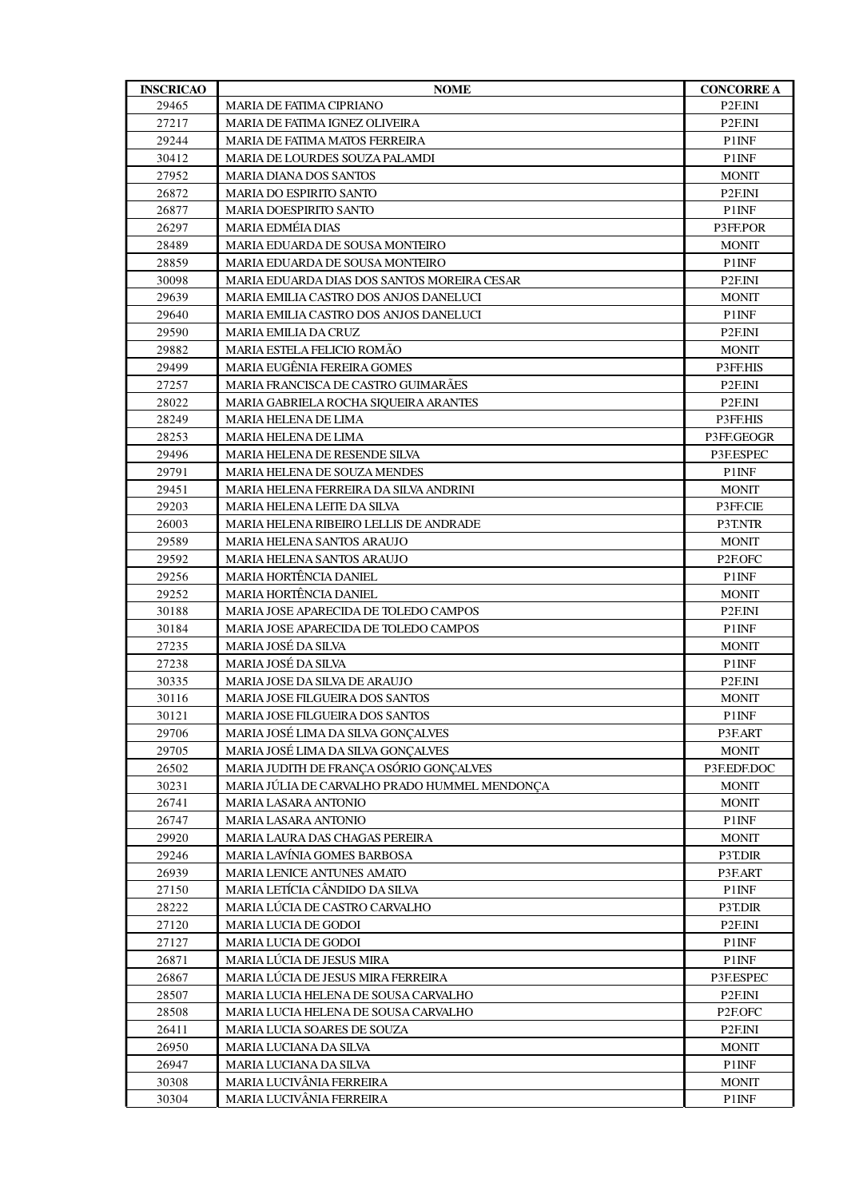| <b>INSCRICAO</b> | <b>NOME</b>                                   | <b>CONCORRE A</b>    |
|------------------|-----------------------------------------------|----------------------|
| 29465            | <b>MARIA DE FATIMA CIPRIANO</b>               | P <sub>2F.INI</sub>  |
| 27217            | MARIA DE FATIMA IGNEZ OLIVEIRA                | P <sub>2F.INI</sub>  |
| 29244            | MARIA DE FATIMA MATOS FERREIRA                | P1INF                |
| 30412            | MARIA DE LOURDES SOUZA PALAMDI                | P1INF                |
| 27952            | <b>MARIA DIANA DOS SANTOS</b>                 | <b>MONIT</b>         |
| 26872            | <b>MARIA DO ESPIRITO SANTO</b>                | P <sub>2</sub> F.INI |
| 26877            | MARIA DOESPIRITO SANTO                        | P1INF                |
| 26297            | <b>MARIA EDMÉIA DIAS</b>                      | P3FF.POR             |
| 28489            | MARIA EDUARDA DE SOUSA MONTEIRO               | <b>MONIT</b>         |
| 28859            | MARIA EDUARDA DE SOUSA MONTEIRO               | P1INF                |
| 30098            | MARIA EDUARDA DIAS DOS SANTOS MOREIRA CESAR   | P <sub>2F.INI</sub>  |
| 29639            | MARIA EMILIA CASTRO DOS ANJOS DANELUCI        | <b>MONIT</b>         |
| 29640            | MARIA EMILIA CASTRO DOS ANJOS DANELUCI        | P1INF                |
| 29590            | MARIA EMILIA DA CRUZ                          | P <sub>2F.INI</sub>  |
| 29882            | MARIA ESTELA FELICIO ROMÃO                    | <b>MONIT</b>         |
| 29499            | MARIA EUGÊNIA FEREIRA GOMES                   | P3FF.HIS             |
| 27257            | MARIA FRANCISCA DE CASTRO GUIMARÃES           | P <sub>2F.INI</sub>  |
| 28022            | MARIA GABRIELA ROCHA SIQUEIRA ARANTES         | P <sub>2F.INI</sub>  |
| 28249            | MARIA HELENA DE LIMA                          | P3FF.HIS             |
| 28253            | <b>MARIA HELENA DE LIMA</b>                   | P3FF.GEOGR           |
| 29496            | MARIA HELENA DE RESENDE SILVA                 | P3F.ESPEC            |
| 29791            | <b>MARIA HELENA DE SOUZA MENDES</b>           | P1INF                |
| 29451            | MARIA HELENA FERREIRA DA SILVA ANDRINI        | <b>MONIT</b>         |
| 29203            | MARIA HELENA LEITE DA SILVA                   | P3FF.CIE             |
| 26003            | MARIA HELENA RIBEIRO LELLIS DE ANDRADE        | P3T.NTR              |
| 29589            | <b>MARIA HELENA SANTOS ARAUJO</b>             | <b>MONIT</b>         |
| 29592            | <b>MARIA HELENA SANTOS ARAUJO</b>             | P <sub>2</sub> F.OFC |
| 29256            | MARIA HORTÊNCIA DANIEL                        | P1INF                |
| 29252            | MARIA HORTÊNCIA DANIEL                        | <b>MONIT</b>         |
| 30188            | MARIA JOSE APARECIDA DE TOLEDO CAMPOS         | P <sub>2F.INI</sub>  |
| 30184            | MARIA JOSE APARECIDA DE TOLEDO CAMPOS         | P1INF                |
| 27235            | MARIA JOSÉ DA SILVA                           | <b>MONIT</b>         |
| 27238            | MARIA JOSÉ DA SILVA                           | P1INF                |
| 30335            | MARIA JOSE DA SILVA DE ARAUJO                 | P <sub>2F.INI</sub>  |
| 30116            | MARIA JOSE FILGUEIRA DOS SANTOS               | <b>MONIT</b>         |
| 30121            | <b>MARIA JOSE FILGUEIRA DOS SANTOS</b>        | P1INF                |
| 29706            | MARIA JOSÉ LIMA DA SILVA GONÇALVES            | P3F.ART              |
| 29705            | MARIA JOSÉ LIMA DA SILVA GONÇALVES            | <b>MONIT</b>         |
| 26502            | MARIA JUDITH DE FRANÇA OSÓRIO GONÇALVES       | P3F.EDF.DOC          |
| 30231            | MARIA JÚLIA DE CARVALHO PRADO HUMMEL MENDONÇA | <b>MONIT</b>         |
| 26741            | <b>MARIA LASARA ANTONIO</b>                   | <b>MONIT</b>         |
| 26747            | <b>MARIA LASARA ANTONIO</b>                   | P1INF                |
| 29920            | MARIA LAURA DAS CHAGAS PEREIRA                | <b>MONIT</b>         |
| 29246            | MARIA LAVÍNIA GOMES BARBOSA                   | P3T.DIR              |
| 26939            | MARIA LENICE ANTUNES AMATO                    | P3F.ART              |
| 27150            | MARIA LETÍCIA CÂNDIDO DA SILVA                | P1INF                |
| 28222            | MARIA LÚCIA DE CASTRO CARVALHO                | P3T.DIR              |
| 27120            | MARIA LUCIA DE GODOI                          | P <sub>2</sub> F.INI |
| 27127            | MARIA LUCIA DE GODOI                          | P1INF                |
|                  | MARIA LÚCIA DE JESUS MIRA                     |                      |
| 26871<br>26867   | MARIA LÚCIA DE JESUS MIRA FERREIRA            | P1INF<br>P3F.ESPEC   |
|                  |                                               |                      |
| 28507            | MARIA LUCIA HELENA DE SOUSA CARVALHO          | P <sub>2</sub> F.INI |
| 28508            | MARIA LUCIA HELENA DE SOUSA CARVALHO          | P2F.OFC              |
| 26411            | MARIA LUCIA SOARES DE SOUZA                   | P <sub>2</sub> F.INI |
| 26950            | MARIA LUCIANA DA SILVA                        | <b>MONIT</b>         |
| 26947            | MARIA LUCIANA DA SILVA                        | P1INF                |
| 30308            | MARIA LUCIVÂNIA FERREIRA                      | <b>MONIT</b>         |
| 30304            | MARIA LUCIVÂNIA FERREIRA                      | P1INF                |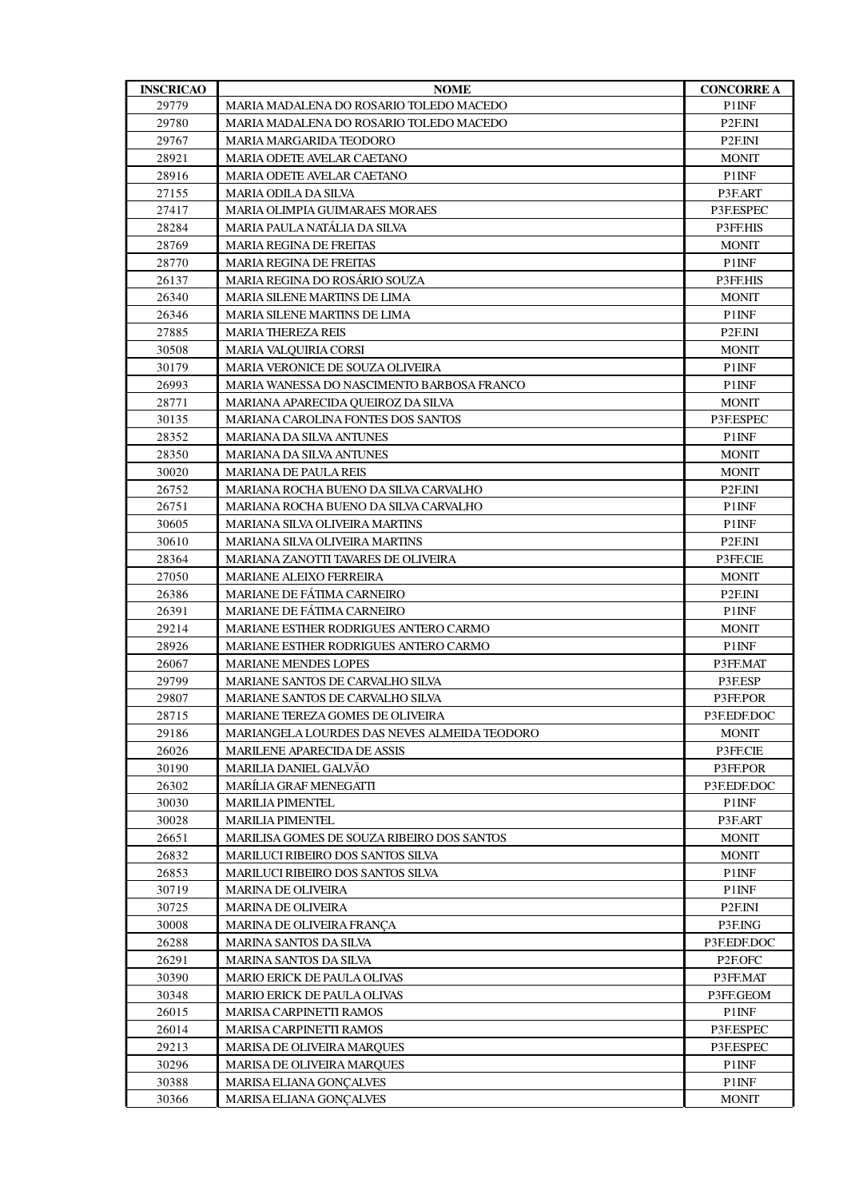| <b>INSCRICAO</b> | <b>NOME</b>                                  | <b>CONCORRE A</b>    |
|------------------|----------------------------------------------|----------------------|
| 29779            | MARIA MADALENA DO ROSARIO TOLEDO MACEDO      | P1INF                |
| 29780            | MARIA MADALENA DO ROSARIO TOLEDO MACEDO      | P <sub>2F.INI</sub>  |
| 29767            | <b>MARIA MARGARIDA TEODORO</b>               | P <sub>2F.INI</sub>  |
| 28921            | MARIA ODETE AVELAR CAETANO                   | <b>MONIT</b>         |
| 28916            | <b>MARIA ODETE AVELAR CAETANO</b>            | P1INF                |
| 27155            | MARIA ODILA DA SILVA                         | P3F.ART              |
| 27417            | MARIA OLIMPIA GUIMARAES MORAES               | P3F.ESPEC            |
| 28284            | MARIA PAULA NATÁLIA DA SILVA                 | P3FF.HIS             |
| 28769            | <b>MARIA REGINA DE FREITAS</b>               | <b>MONIT</b>         |
| 28770            | <b>MARIA REGINA DE FREITAS</b>               | P1INF                |
| 26137            | MARIA REGINA DO ROSÁRIO SOUZA                | P3FF.HIS             |
| 26340            | <b>MARIA SILENE MARTINS DE LIMA</b>          | <b>MONIT</b>         |
| 26346            | <b>MARIA SILENE MARTINS DE LIMA</b>          | P1INF                |
| 27885            | <b>MARIA THEREZA REIS</b>                    | P <sub>2F.INI</sub>  |
| 30508            | MARIA VALQUIRIA CORSI                        | <b>MONIT</b>         |
| 30179            | MARIA VERONICE DE SOUZA OLIVEIRA             | P1INF                |
| 26993            | MARIA WANESSA DO NASCIMENTO BARBOSA FRANCO   | P1INF                |
| 28771            | MARIANA APARECIDA QUEIROZ DA SILVA           | <b>MONIT</b>         |
| 30135            | <b>MARIANA CAROLINA FONTES DOS SANTOS</b>    | P3F.ESPEC            |
| 28352            | <b>MARIANA DA SILVA ANTUNES</b>              | P1INF                |
| 28350            | <b>MARIANA DA SILVA ANTUNES</b>              | <b>MONIT</b>         |
| 30020            | <b>MARIANA DE PAULA REIS</b>                 | <b>MONIT</b>         |
| 26752            | MARIANA ROCHA BUENO DA SILVA CARVALHO        | P <sub>2F.INI</sub>  |
| 26751            | MARIANA ROCHA BUENO DA SILVA CARVALHO        | P1INF                |
| 30605            | <b>MARIANA SILVA OLIVEIRA MARTINS</b>        | P1INF                |
| 30610            | <b>MARIANA SILVA OLIVEIRA MARTINS</b>        | P <sub>2F.INI</sub>  |
| 28364            | MARIANA ZANOTTI TAVARES DE OLIVEIRA          | P3FF.CIE             |
| 27050            | <b>MARIANE ALEIXO FERREIRA</b>               | <b>MONIT</b>         |
| 26386            | MARIANE DE FÁTIMA CARNEIRO                   | P <sub>2F.INI</sub>  |
| 26391            | MARIANE DE FÁTIMA CARNEIRO                   | P1INF                |
| 29214            | MARIANE ESTHER RODRIGUES ANTERO CARMO        | <b>MONIT</b>         |
| 28926            | MARIANE ESTHER RODRIGUES ANTERO CARMO        | P1INF                |
| 26067            | <b>MARIANE MENDES LOPES</b>                  | P3FF.MAT             |
| 29799            | MARIANE SANTOS DE CARVALHO SILVA             | P3F.ESP              |
| 29807            | MARIANE SANTOS DE CARVALHO SILVA             | P3FF.POR             |
| 28715            | MARIANE TEREZA GOMES DE OLIVEIRA             | P3F.EDF.DOC          |
| 29186            | MARIANGELA LOURDES DAS NEVES ALMEIDA TEODORO | <b>MONIT</b>         |
| 26026            | <b>MARILENE APARECIDA DE ASSIS</b>           | P3FF.CIE             |
| 30190            | MARILIA DANIEL GALVÃO                        | P3FF.POR             |
| 26302            | MARÍLIA GRAF MENEGATTI                       | P3F.EDF.DOC          |
| 30030            | <b>MARILIA PIMENTEL</b>                      | P1INF                |
| 30028            | <b>MARILIA PIMENTEL</b>                      | P3F.ART              |
| 26651            | MARILISA GOMES DE SOUZA RIBEIRO DOS SANTOS   | <b>MONIT</b>         |
| 26832            | MARILUCI RIBEIRO DOS SANTOS SILVA            | <b>MONIT</b>         |
| 26853            | MARILUCI RIBEIRO DOS SANTOS SILVA            | P1INF                |
| 30719            | <b>MARINA DE OLIVEIRA</b>                    | P1INF                |
| 30725            | <b>MARINA DE OLIVEIRA</b>                    | P <sub>2F.INI</sub>  |
| 30008            | MARINA DE OLIVEIRA FRANÇA                    | P3F.ING              |
| 26288            | MARINA SANTOS DA SILVA                       | P3F.EDF.DOC          |
| 26291            | <b>MARINA SANTOS DA SILVA</b>                | P <sub>2</sub> F.OFC |
| 30390            | MARIO ERICK DE PAULA OLIVAS                  | P3FF.MAT             |
| 30348            | <b>MARIO ERICK DE PAULA OLIVAS</b>           | P3FF.GEOM            |
| 26015            | <b>MARISA CARPINETTI RAMOS</b>               | P1INF                |
| 26014            | <b>MARISA CARPINETTI RAMOS</b>               | P3F.ESPEC            |
| 29213            | <b>MARISA DE OLIVEIRA MARQUES</b>            | P3F.ESPEC            |
| 30296            | <b>MARISA DE OLIVEIRA MARQUES</b>            | P1INF                |
| 30388            | MARISA ELIANA GONÇALVES                      | P1INF                |
| 30366            | MARISA ELIANA GONÇALVES                      | <b>MONIT</b>         |
|                  |                                              |                      |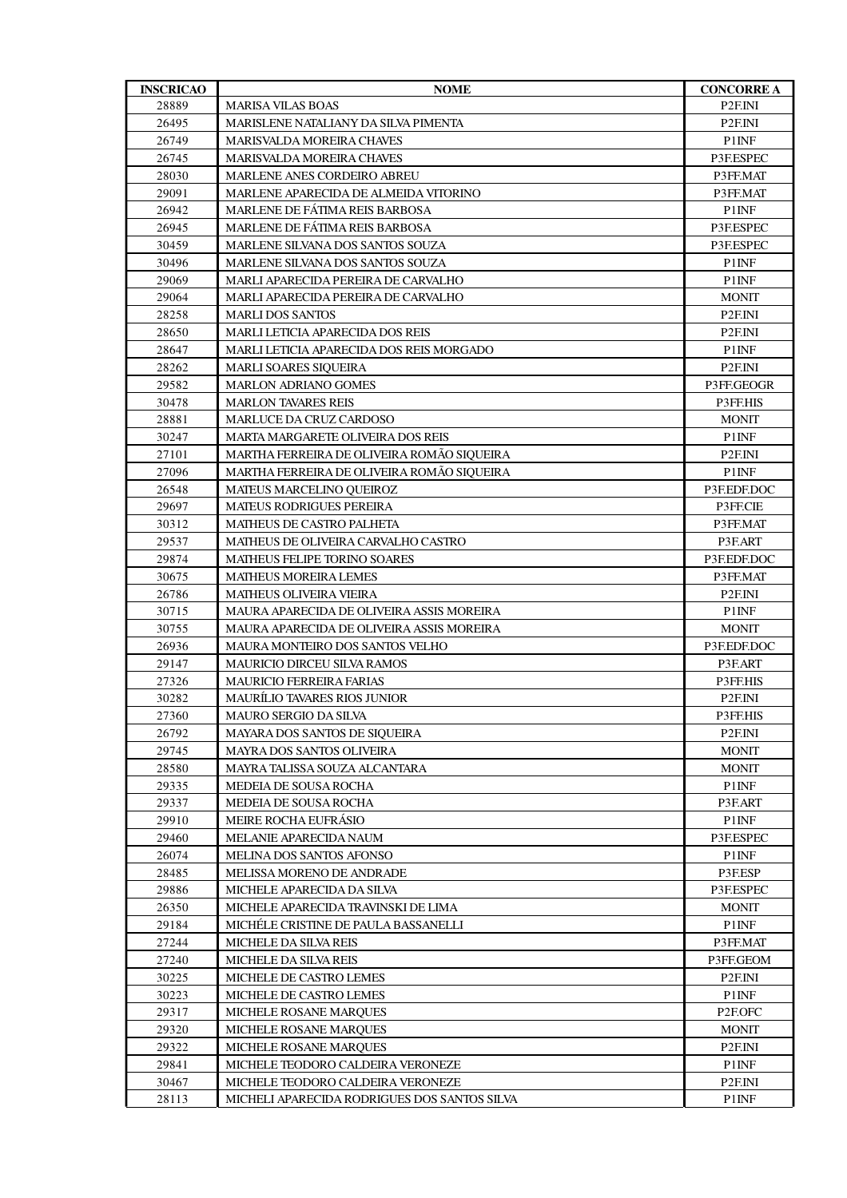| <b>INSCRICAO</b> | <b>NOME</b>                                  | <b>CONCORRE A</b>   |
|------------------|----------------------------------------------|---------------------|
| 28889            | <b>MARISA VILAS BOAS</b>                     | P <sub>2F.INI</sub> |
| 26495            | MARISLENE NATALIANY DA SILVA PIMENTA         | P <sub>2F.INI</sub> |
| 26749            | <b>MARISVALDA MOREIRA CHAVES</b>             | P1INF               |
| 26745            | <b>MARISVALDA MOREIRA CHAVES</b>             | P3F.ESPEC           |
| 28030            | <b>MARLENE ANES CORDEIRO ABREU</b>           | P3FF.MAT            |
| 29091            | MARLENE APARECIDA DE ALMEIDA VITORINO        | P3FF.MAT            |
| 26942            | MARLENE DE FÁTIMA REIS BARBOSA               | P1INF               |
| 26945            | MARLENE DE FÁTIMA REIS BARBOSA               | P3F.ESPEC           |
| 30459            | MARLENE SILVANA DOS SANTOS SOUZA             | P3F.ESPEC           |
| 30496            | MARLENE SILVANA DOS SANTOS SOUZA             | P1INF               |
| 29069            | MARLI APARECIDA PEREIRA DE CARVALHO          | P1INF               |
| 29064            | MARLI APARECIDA PEREIRA DE CARVALHO          | <b>MONIT</b>        |
| 28258            | <b>MARLI DOS SANTOS</b>                      | P <sub>2F.INI</sub> |
| 28650            | <b>MARLI LETICIA APARECIDA DOS REIS</b>      | P <sub>2F.INI</sub> |
| 28647            | MARLI LETICIA APARECIDA DOS REIS MORGADO     | P1INF               |
| 28262            | <b>MARLI SOARES SIQUEIRA</b>                 | P <sub>2F.INI</sub> |
| 29582            | <b>MARLON ADRIANO GOMES</b>                  | P3FF.GEOGR          |
| 30478            | <b>MARLON TAVARES REIS</b>                   | P3FF.HIS            |
| 28881            | MARLUCE DA CRUZ CARDOSO                      | <b>MONIT</b>        |
| 30247            | <b>MARTA MARGARETE OLIVEIRA DOS REIS</b>     | P1INF               |
| 27101            | MARTHA FERREIRA DE OLIVEIRA ROMÃO SIQUEIRA   | P <sub>2F.INI</sub> |
| 27096            | MARTHA FERREIRA DE OLIVEIRA ROMÃO SIQUEIRA   | P1INF               |
| 26548            | MATEUS MARCELINO QUEIROZ                     | P3F.EDF.DOC         |
| 29697            | <b>MATEUS RODRIGUES PEREIRA</b>              | P3FF.CIE            |
| 30312            | <b>MATHEUS DE CASTRO PALHETA</b>             | P3FF.MAT            |
| 29537            | MATHEUS DE OLIVEIRA CARVALHO CASTRO          | P3F.ART             |
| 29874            | <b>MATHEUS FELIPE TORINO SOARES</b>          | P3F.EDF.DOC         |
| 30675            | <b>MATHEUS MOREIRA LEMES</b>                 | P3FF.MAT            |
| 26786            | <b>MATHEUS OLIVEIRA VIEIRA</b>               | P <sub>2F.INI</sub> |
| 30715            | MAURA APARECIDA DE OLIVEIRA ASSIS MOREIRA    | P1INF               |
| 30755            | MAURA APARECIDA DE OLIVEIRA ASSIS MOREIRA    | <b>MONIT</b>        |
| 26936            | <b>MAURA MONTEIRO DOS SANTOS VELHO</b>       | P3F.EDF.DOC         |
| 29147            | <b>MAURICIO DIRCEU SILVA RAMOS</b>           | P3F.ART             |
| 27326            | <b>MAURICIO FERREIRA FARIAS</b>              | P3FF.HIS            |
| 30282            | <b>MAURÍLIO TAVARES RIOS JUNIOR</b>          | P <sub>2F.INI</sub> |
| 27360            | <b>MAURO SERGIO DA SILVA</b>                 | P3FF.HIS            |
| 26792            | MAYARA DOS SANTOS DE SIQUEIRA                | P2F.INI             |
| 29745            | <b>MAYRA DOS SANTOS OLIVEIRA</b>             | <b>MONIT</b>        |
| 28580            | MAYRA TALISSA SOUZA ALCANTARA                | <b>MONIT</b>        |
| 29335            | MEDEIA DE SOUSA ROCHA                        | P1INF               |
| 29337            | MEDEIA DE SOUSA ROCHA                        | P3F.ART             |
| 29910            | MEIRE ROCHA EUFRÁSIO                         | P1INF               |
| 29460            | MELANIE APARECIDA NAUM                       | P3F.ESPEC           |
| 26074            | MELINA DOS SANTOS AFONSO                     | P1INF               |
| 28485            | MELISSA MORENO DE ANDRADE                    | P3F.ESP             |
| 29886            | MICHELE APARECIDA DA SILVA                   | P3F.ESPEC           |
| 26350            | MICHELE APARECIDA TRAVINSKI DE LIMA          | <b>MONIT</b>        |
| 29184            | MICHÉLE CRISTINE DE PAULA BASSANELLI         | P1INF               |
| 27244            | MICHELE DA SILVA REIS                        | P3FF.MAT            |
| 27240            | MICHELE DA SILVA REIS                        | P3FF.GEOM           |
| 30225            | MICHELE DE CASTRO LEMES                      | P <sub>2F.INI</sub> |
| 30223            | MICHELE DE CASTRO LEMES                      | P1INF               |
| 29317            | MICHELE ROSANE MARQUES                       | P2F.OFC             |
| 29320            | <b>MICHELE ROSANE MARQUES</b>                | <b>MONIT</b>        |
| 29322            | MICHELE ROSANE MARQUES                       | P <sub>2F.INI</sub> |
| 29841            | MICHELE TEODORO CALDEIRA VERONEZE            | P1INF               |
| 30467            | MICHELE TEODORO CALDEIRA VERONEZE            | P <sub>2F.INI</sub> |
| 28113            | MICHELI APARECIDA RODRIGUES DOS SANTOS SILVA | P1INF               |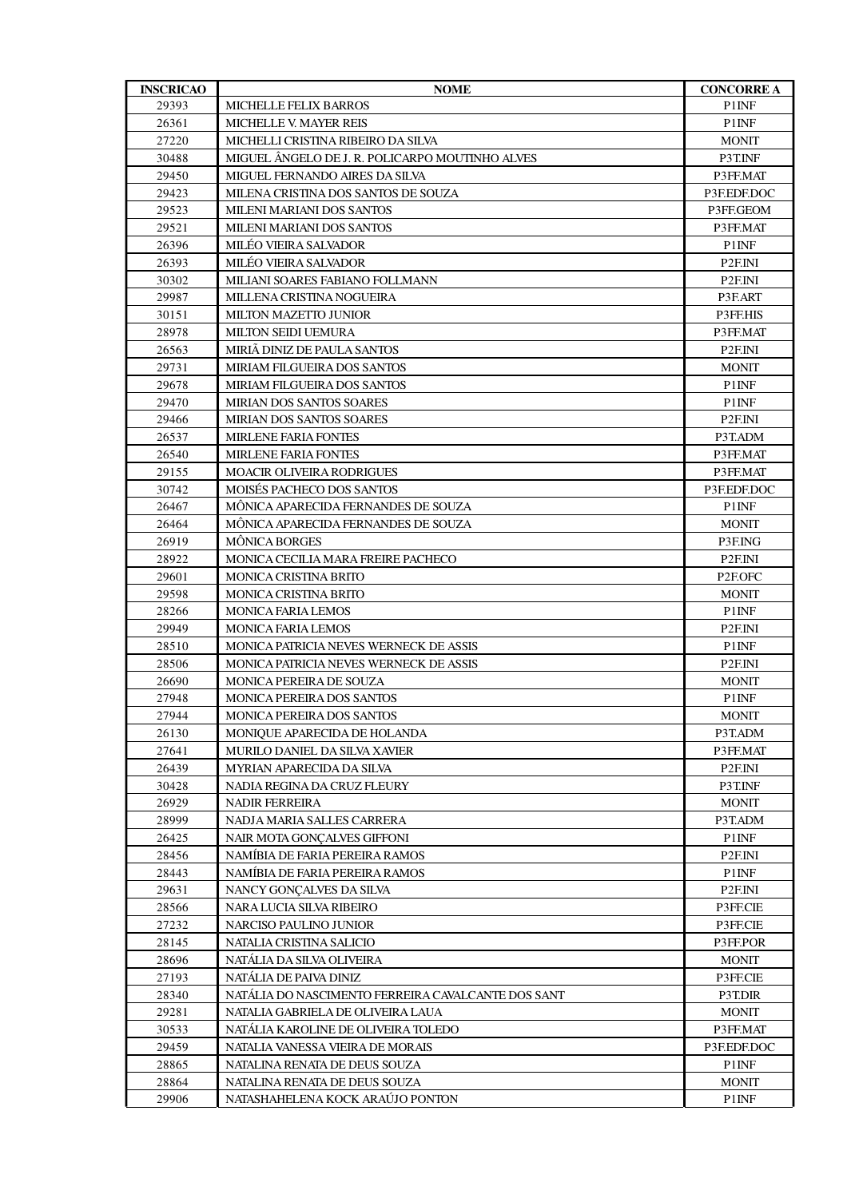| <b>INSCRICAO</b> | <b>NOME</b>                                        | <b>CONCORRE A</b>    |
|------------------|----------------------------------------------------|----------------------|
| 29393            | <b>MICHELLE FELIX BARROS</b>                       | P1INF                |
| 26361            | MICHELLE V. MAYER REIS                             | P1INF                |
| 27220            | MICHELLI CRISTINA RIBEIRO DA SILVA                 | <b>MONIT</b>         |
| 30488            | MIGUEL ÂNGELO DE J. R. POLICARPO MOUTINHO ALVES    | P3T.INF              |
| 29450            | MIGUEL FERNANDO AIRES DA SILVA                     | P3FF.MAT             |
| 29423            | MILENA CRISTINA DOS SANTOS DE SOUZA                | P3F.EDF.DOC          |
| 29523            | <b>MILENI MARIANI DOS SANTOS</b>                   | P3FF.GEOM            |
| 29521            | <b>MILENI MARIANI DOS SANTOS</b>                   | P3FF.MAT             |
| 26396            | MILÉO VIEIRA SALVADOR                              | P1INF                |
| 26393            | MILÉO VIEIRA SALVADOR                              | P <sub>2F.INI</sub>  |
| 30302            | MILIANI SOARES FABIANO FOLLMANN                    | P <sub>2F.INI</sub>  |
| 29987            | MILLENA CRISTINA NOGUEIRA                          | P3F.ART              |
| 30151            | <b>MILTON MAZETTO JUNIOR</b>                       | P3FF.HIS             |
| 28978            | <b>MILTON SEIDI UEMURA</b>                         | P3FF.MAT             |
| 26563            | MIRIA DINIZ DE PAULA SANTOS                        | P <sub>2F.INI</sub>  |
| 29731            | MIRIAM FILGUEIRA DOS SANTOS                        | <b>MONIT</b>         |
| 29678            | MIRIAM FILGUEIRA DOS SANTOS                        | P1INF                |
| 29470            | <b>MIRIAN DOS SANTOS SOARES</b>                    | P1INF                |
| 29466            | <b>MIRIAN DOS SANTOS SOARES</b>                    | P <sub>2F.INI</sub>  |
| 26537            | <b>MIRLENE FARIA FONTES</b>                        | P3T.ADM              |
| 26540            | <b>MIRLENE FARIA FONTES</b>                        | P3FF.MAT             |
| 29155            | <b>MOACIR OLIVEIRA RODRIGUES</b>                   | P3FF.MAT             |
| 30742            | MOISÉS PACHECO DOS SANTOS                          | P3F.EDF.DOC          |
| 26467            | MÔNICA APARECIDA FERNANDES DE SOUZA                | P1INF                |
| 26464            | MÔNICA APARECIDA FERNANDES DE SOUZA                | <b>MONIT</b>         |
| 26919            | <b>MÖNICA BORGES</b>                               | P3F.ING              |
| 28922            | MONICA CECILIA MARA FREIRE PACHECO                 | P <sub>2F.INI</sub>  |
| 29601            | <b>MONICA CRISTINA BRITO</b>                       | P <sub>2</sub> F.OFC |
| 29598            | <b>MONICA CRISTINA BRITO</b>                       | <b>MONIT</b>         |
| 28266            | <b>MONICA FARIA LEMOS</b>                          | P1INF                |
| 29949            | <b>MONICA FARIA LEMOS</b>                          | P <sub>2F.INI</sub>  |
| 28510            | MONICA PATRICIA NEVES WERNECK DE ASSIS             | P1INF                |
| 28506            | MONICA PATRICIA NEVES WERNECK DE ASSIS             | P <sub>2F.INI</sub>  |
| 26690            | <b>MONICA PEREIRA DE SOUZA</b>                     | <b>MONIT</b>         |
| 27948            | <b>MONICA PEREIRA DOS SANTOS</b>                   | P1INF                |
| 27944            | <b>MONICA PEREIRA DOS SANTOS</b>                   | <b>MONIT</b>         |
| 26130            | MONIQUE APARECIDA DE HOLANDA                       | P3T.ADM              |
| 27641            | MURILO DANIEL DA SILVA XAVIER                      | P3FF.MAT             |
| 26439            | MYRIAN APARECIDA DA SILVA                          | P <sub>2</sub> F.INI |
| 30428            | NADIA REGINA DA CRUZ FLEURY                        | P3T.INF              |
| 26929            | <b>NADIR FERREIRA</b>                              | <b>MONIT</b>         |
| 28999            | NADJA MARIA SALLES CARRERA                         | P3T.ADM              |
| 26425            | NAIR MOTA GONCALVES GIFFONI                        | P1INF                |
| 28456            | NAMÍBIA DE FARIA PEREIRA RAMOS                     | P <sub>2F.INI</sub>  |
| 28443            | NAMÍBIA DE FARIA PEREIRA RAMOS                     | P1INF                |
| 29631            | NANCY GONCALVES DA SILVA                           | P <sub>2</sub> F.INI |
| 28566            | NARA LUCIA SILVA RIBEIRO                           | P3FF.CIE             |
| 27232            | NARCISO PAULINO JUNIOR                             | P3FF.CIE             |
| 28145            | NATALIA CRISTINA SALICIO                           | P3FF.POR             |
| 28696            | NATÀLIA DA SILVA OLIVEIRA                          | <b>MONIT</b>         |
| 27193            | NATÁLIA DE PAIVA DINIZ                             | P3FF.CIE             |
| 28340            | NATÀLIA DO NASCIMENTO FERREIRA CAVALCANTE DOS SANT | P3T.DIR              |
| 29281            | NATALIA GABRIELA DE OLIVEIRA LAUA                  | <b>MONIT</b>         |
| 30533            | NATALIA KAROLINE DE OLIVEIRA TOLEDO                | P3FF.MAT             |
| 29459            | NATALIA VANESSA VIEIRA DE MORAIS                   | P3F.EDF.DOC          |
| 28865            | NATALINA RENATA DE DEUS SOUZA                      | P1INF                |
| 28864            | NATALINA RENATA DE DEUS SOUZA                      | <b>MONIT</b>         |
| 29906            | NATASHAHELENA KOCK ARAÚJO PONTON                   | P1INF                |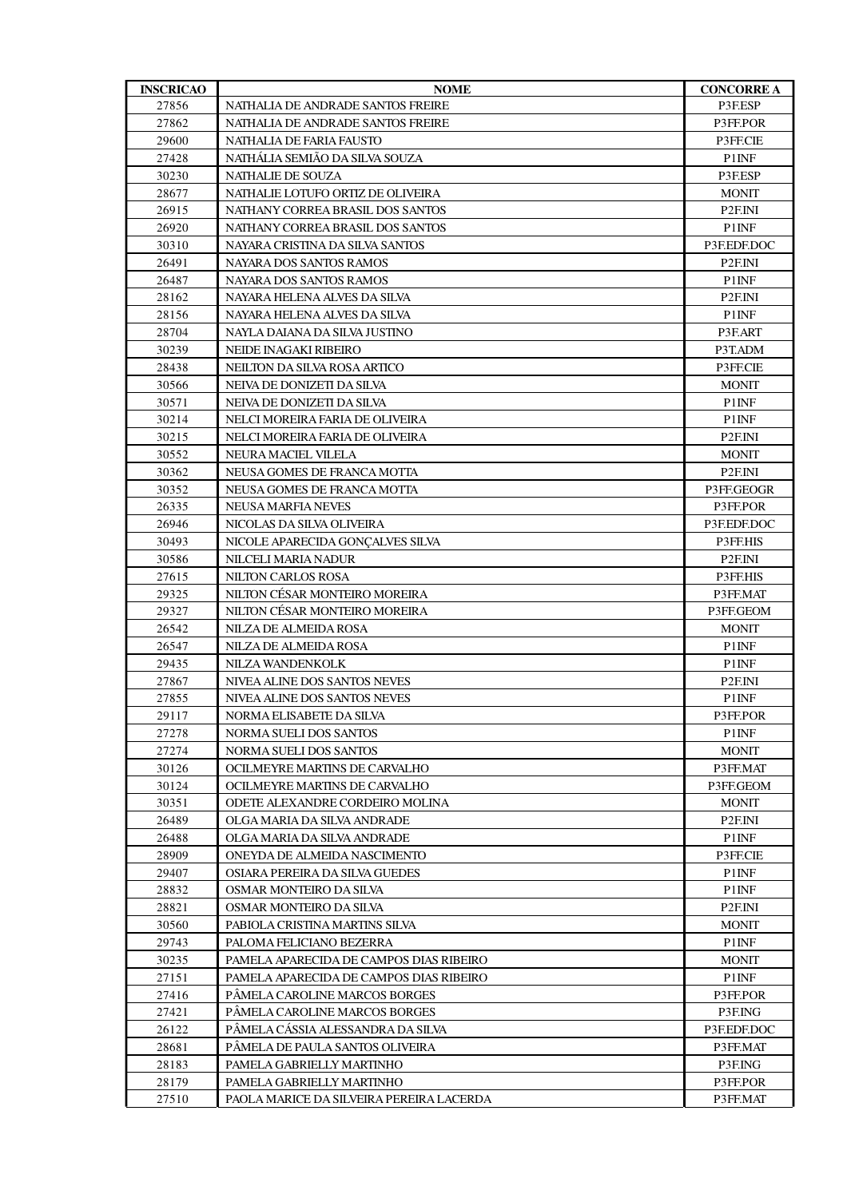| <b>INSCRICAO</b> | <b>NOME</b>                                                  | <b>CONCORRE A</b>    |
|------------------|--------------------------------------------------------------|----------------------|
| 27856            | NATHALIA DE ANDRADE SANTOS FREIRE                            | P3F.ESP              |
| 27862            | NATHALIA DE ANDRADE SANTOS FREIRE                            | P3FF.POR             |
| 29600            | NATHALIA DE FARIA FAUSTO                                     | P3FF.CIE             |
| 27428            | NATHÁLIA SEMIÃO DA SILVA SOUZA                               | P1INF                |
| 30230            | <b>NATHALIE DE SOUZA</b>                                     | P3F.ESP              |
| 28677            | NATHALIE LOTUFO ORTIZ DE OLIVEIRA                            | <b>MONIT</b>         |
| 26915            | NATHANY CORREA BRASIL DOS SANTOS                             | P <sub>2F.INI</sub>  |
| 26920            | NATHANY CORREA BRASIL DOS SANTOS                             | P1INF                |
| 30310            | NAYARA CRISTINA DA SILVA SANTOS                              | P3F.EDF.DOC          |
| 26491            | <b>NAYARA DOS SANTOS RAMOS</b>                               | P <sub>2F.INI</sub>  |
| 26487            | NAYARA DOS SANTOS RAMOS                                      | P1INF                |
| 28162            | NAYARA HELENA ALVES DA SILVA                                 | P <sub>2F.INI</sub>  |
| 28156            | NAYARA HELENA ALVES DA SILVA                                 | P1INF                |
| 28704            | NAYLA DAIANA DA SILVA JUSTINO                                | P3F.ART              |
| 30239            | NEIDE INAGAKI RIBEIRO                                        | P3T.ADM              |
| 28438            | NEILTON DA SILVA ROSA ARTICO                                 | P3FF.CIE             |
| 30566            | NEIVA DE DONIZETI DA SILVA                                   | <b>MONIT</b>         |
| 30571            | NEIVA DE DONIZETI DA SILVA                                   | P1INF                |
| 30214            | NELCI MOREIRA FARIA DE OLIVEIRA                              | P1INF                |
| 30215            | NELCI MOREIRA FARIA DE OLIVEIRA                              | P <sub>2F.INI</sub>  |
| 30552            | NEURA MACIEL VILELA                                          | <b>MONIT</b>         |
| 30362            | NEUSA GOMES DE FRANCA MOTTA                                  | P <sub>2F.INI</sub>  |
| 30352            | NEUSA GOMES DE FRANCA MOTTA                                  | P3FF.GEOGR           |
| 26335            | <b>NEUSA MARFIA NEVES</b>                                    | P3FF.POR             |
| 26946            | NICOLAS DA SILVA OLIVEIRA                                    | P3F.EDF.DOC          |
| 30493            | NICOLE APARECIDA GONÇALVES SILVA                             | P3FF.HIS             |
| 30586            | NILCELI MARIA NADUR                                          | P <sub>2F.INI</sub>  |
| 27615            | <b>NILTON CARLOS ROSA</b>                                    | P3FF.HIS             |
| 29325            | NILTON CÉSAR MONTEIRO MOREIRA                                | P3FF.MAT             |
| 29327            | NILTON CÉSAR MONTEIRO MOREIRA                                | P3FF.GEOM            |
| 26542            | NILZA DE ALMEIDA ROSA                                        | <b>MONIT</b>         |
| 26547            | NILZA DE ALMEIDA ROSA                                        | P1INF                |
| 29435            | NILZA WANDENKOLK                                             | P1INF                |
| 27867            | NIVEA ALINE DOS SANTOS NEVES                                 | P <sub>2F.INI</sub>  |
| 27855            | NIVEA ALINE DOS SANTOS NEVES                                 | P1INF                |
| 29117            | NORMA ELISABETE DA SILVA                                     | P3FEPOR              |
| 27278            | NORMA SUELI DOS SANTOS                                       | P1INF                |
| 27274            | NORMA SUELI DOS SANTOS                                       | <b>MONIT</b>         |
| 30126            | OCILMEYRE MARTINS DE CARVALHO                                | P3FF.MAT             |
| 30124            | OCILMEYRE MARTINS DE CARVALHO                                | P3FF.GEOM            |
| 30351            | ODETE ALEXANDRE CORDEIRO MOLINA                              | <b>MONIT</b>         |
| 26489            | OLGA MARIA DA SILVA ANDRADE                                  | P <sub>2</sub> F.INI |
| 26488            | OLGA MARIA DA SILVA ANDRADE                                  | P1INF                |
| 28909            | ONEYDA DE ALMEIDA NASCIMENTO                                 | P3FF.CIE             |
| 29407            | OSIARA PEREIRA DA SILVA GUEDES                               | P1INF                |
| 28832            | OSMAR MONTEIRO DA SILVA                                      | P1INF                |
| 28821            | OSMAR MONTEIRO DA SILVA                                      | P <sub>2</sub> F.INI |
| 30560            | PABIOLA CRISTINA MARTINS SILVA                               | <b>MONIT</b>         |
| 29743            | PALOMA FELICIANO BEZERRA                                     | P1INF                |
| 30235            | PAMELA APARECIDA DE CAMPOS DIAS RIBEIRO                      | <b>MONIT</b>         |
| 27151            | PAMELA APARECIDA DE CAMPOS DIAS RIBEIRO                      | P1INF                |
| 27416            | PÂMELA CAROLINE MARCOS BORGES                                | P3FF.POR             |
| 27421            | <b>PAMELA CAROLINE MARCOS BORGES</b>                         | P3F.ING              |
| 26122            | PÂMELA CÀSSIA ALESSANDRA DA SILVA                            | P3F.EDF.DOC          |
| 28681<br>28183   | PÂMELA DE PAULA SANTOS OLIVEIRA<br>PAMELA GABRIELLY MARTINHO | P3FF.MAT<br>P3F.ING  |
| 28179            | PAMELA GABRIELLY MARTINHO                                    | P3FF.POR             |
| 27510            | PAOLA MARICE DA SILVEIRA PEREIRA LACERDA                     | P3FF.MAT             |
|                  |                                                              |                      |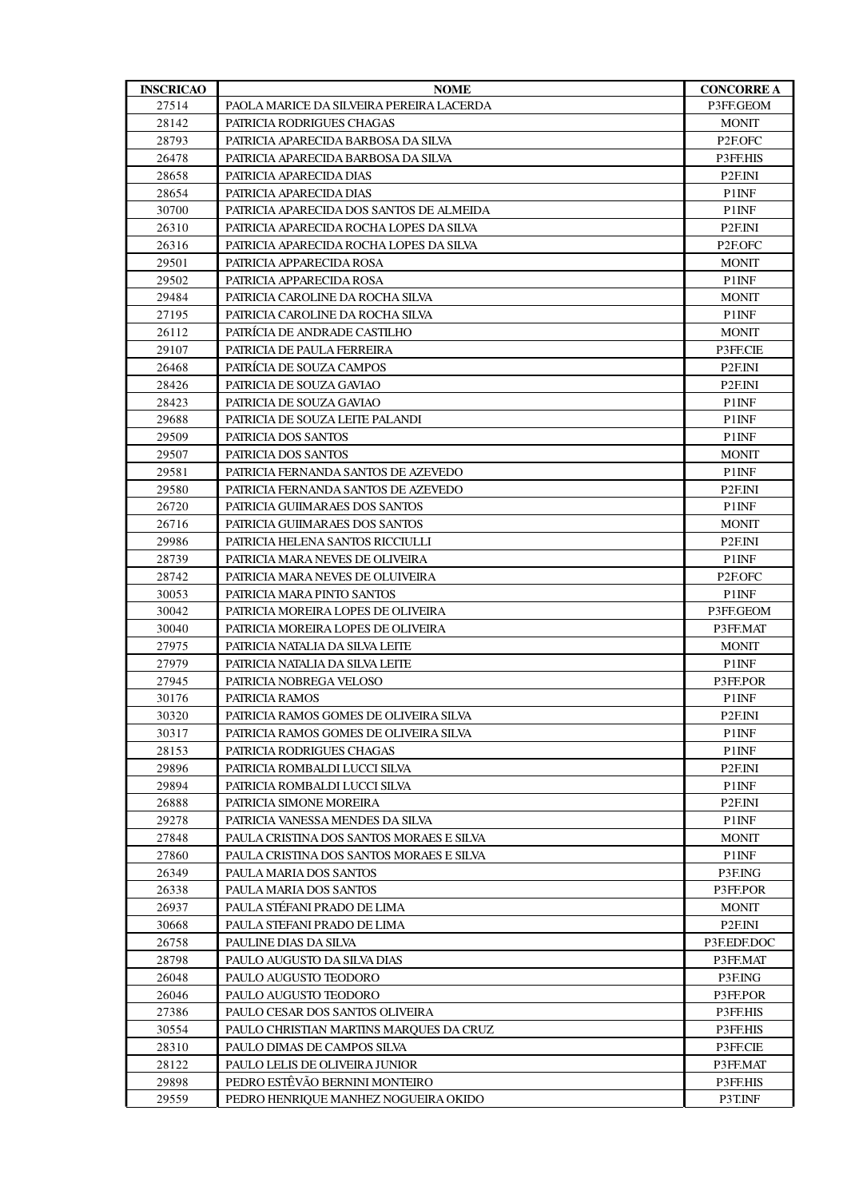| <b>INSCRICAO</b> | <b>NOME</b>                              | <b>CONCORRE A</b>    |
|------------------|------------------------------------------|----------------------|
| 27514            | PAOLA MARICE DA SILVEIRA PEREIRA LACERDA | P3FF.GEOM            |
| 28142            | PATRICIA RODRIGUES CHAGAS                | <b>MONIT</b>         |
| 28793            | PATRICIA APARECIDA BARBOSA DA SILVA      | P <sub>2</sub> F.OFC |
| 26478            | PATRICIA APARECIDA BARBOSA DA SILVA      | P3FF.HIS             |
| 28658            | PATRICIA APARECIDA DIAS                  | P <sub>2F.INI</sub>  |
| 28654            | PATRICIA APARECIDA DIAS                  | P1INF                |
| 30700            | PATRICIA APARECIDA DOS SANTOS DE ALMEIDA | P1INF                |
| 26310            | PATRICIA APARECIDA ROCHA LOPES DA SILVA  | P <sub>2F.INI</sub>  |
| 26316            | PATRICIA APARECIDA ROCHA LOPES DA SILVA  | P <sub>2</sub> F.OFC |
| 29501            | PATRICIA APPARECIDA ROSA                 | <b>MONIT</b>         |
| 29502            | PATRICIA APPARECIDA ROSA                 | P1INF                |
|                  |                                          |                      |
| 29484            | PATRICIA CAROLINE DA ROCHA SILVA         | <b>MONIT</b>         |
| 27195            | PATRICIA CAROLINE DA ROCHA SILVA         | P1INF                |
| 26112            | PATRÍCIA DE ANDRADE CASTILHO             | <b>MONIT</b>         |
| 29107            | PATRICIA DE PAULA FERREIRA               | P3FF.CIE             |
| 26468            | PATRÍCIA DE SOUZA CAMPOS                 | P <sub>2F.INI</sub>  |
| 28426            | PATRICIA DE SOUZA GAVIAO                 | P <sub>2F.INI</sub>  |
| 28423            | PATRICIA DE SOUZA GAVIAO                 | P1INF                |
| 29688            | PATRICIA DE SOUZA LEITE PALANDI          | P1INF                |
| 29509            | PATRICIA DOS SANTOS                      | P1INF                |
| 29507            | PATRICIA DOS SANTOS                      | <b>MONIT</b>         |
| 29581            | PATRICIA FERNANDA SANTOS DE AZEVEDO      | P1INF                |
| 29580            | PATRICIA FERNANDA SANTOS DE AZEVEDO      | P <sub>2F.INI</sub>  |
| 26720            | PATRICIA GUIIMARAES DOS SANTOS           | P1INF                |
| 26716            | PATRICIA GUIIMARAES DOS SANTOS           | <b>MONIT</b>         |
| 29986            | PATRICIA HELENA SANTOS RICCIULLI         | P <sub>2F.INI</sub>  |
| 28739            | PATRICIA MARA NEVES DE OLIVEIRA          | P1INF                |
| 28742            | PATRICIA MARA NEVES DE OLUIVEIRA         | P <sub>2</sub> F.OFC |
| 30053            | PATRICIA MARA PINTO SANTOS               | P1INF                |
| 30042            | PATRICIA MOREIRA LOPES DE OLIVEIRA       | P3FF.GEOM            |
| 30040            | PATRICIA MOREIRA LOPES DE OLIVEIRA       | P3FF.MAT             |
| 27975            | PATRICIA NATALIA DA SILVA LEITE          | <b>MONIT</b>         |
| 27979            | PATRICIA NATALIA DA SILVA LEITE          | P1INF                |
| 27945            | PATRICIA NOBREGA VELOSO                  | P3FF.POR             |
| 30176            | PATRICIA RAMOS                           | P1INF                |
| 30320            | PATRICIA RAMOS GOMES DE OLIVEIRA SILVA   | P2F.INI              |
| 30317            | PATRICIA RAMOS GOMES DE OLIVEIRA SILVA   | P1INF                |
| 28153            | PATRICIA RODRIGUES CHAGAS                | P1INF                |
| 29896            | PATRICIA ROMBALDI LUCCI SILVA            | P <sub>2F.INI</sub>  |
| 29894            | PATRICIA ROMBALDI LUCCI SILVA            | P1INF                |
| 26888            | PATRICIA SIMONE MOREIRA                  | P <sub>2F.INI</sub>  |
|                  |                                          | P1INF                |
| 29278            | PATRICIA VANESSA MENDES DA SILVA         |                      |
| 27848            | PAULA CRISTINA DOS SANTOS MORAES E SILVA | <b>MONIT</b>         |
| 27860            | PAULA CRISTINA DOS SANTOS MORAES E SILVA | P1INF                |
| 26349            | PAULA MARIA DOS SANTOS                   | P3F.ING              |
| 26338            | PAULA MARIA DOS SANTOS                   | P3FF.POR             |
| 26937            | PAULA STÉFANI PRADO DE LIMA              | <b>MONIT</b>         |
| 30668            | PAULA STEFANI PRADO DE LIMA              | P <sub>2F.INI</sub>  |
| 26758            | PAULINE DIAS DA SILVA                    | P3F.EDF.DOC          |
| 28798            | PAULO AUGUSTO DA SILVA DIAS              | P3FF.MAT             |
| 26048            | PAULO AUGUSTO TEODORO                    | P3F.ING              |
| 26046            | PAULO AUGUSTO TEODORO                    | P3FF.POR             |
| 27386            | PAULO CESAR DOS SANTOS OLIVEIRA          | P3FF.HIS             |
| 30554            | PAULO CHRISTIAN MARTINS MARQUES DA CRUZ  | P3FF.HIS             |
| 28310            | PAULO DIMAS DE CAMPOS SILVA              | P3FF.CIE             |
| 28122            | PAULO LELIS DE OLIVEIRA JUNIOR           | P3FF.MAT             |
| 29898            | PEDRO ESTÉVAO BERNINI MONTEIRO           | P3FF.HIS             |
| 29559            | PEDRO HENRIQUE MANHEZ NOGUEIRA OKIDO     | P3T.INF              |
|                  |                                          |                      |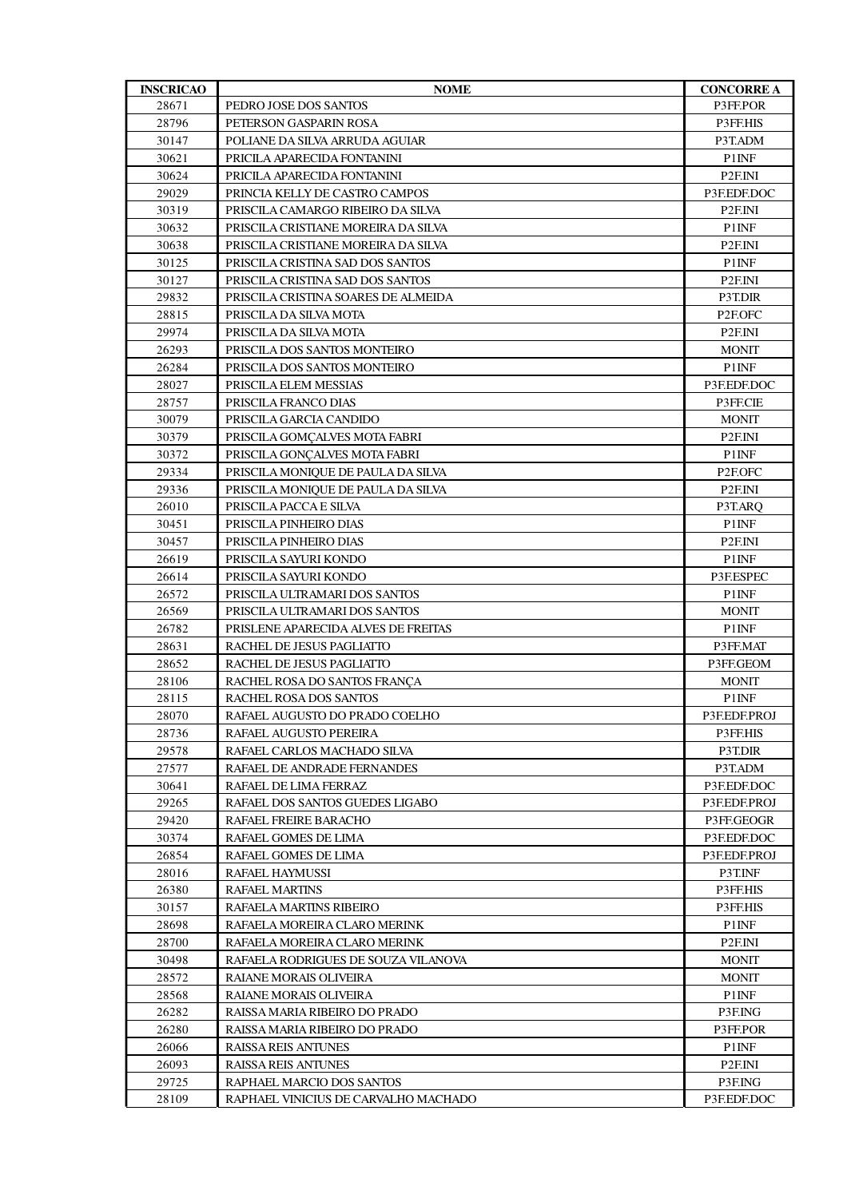| <b>INSCRICAO</b> | <b>NOME</b>                                              | <b>CONCORRE A</b>                          |
|------------------|----------------------------------------------------------|--------------------------------------------|
| 28671            | PEDRO JOSE DOS SANTOS                                    | P3FF.POR                                   |
| 28796            | PETERSON GASPARIN ROSA                                   | P3FF.HIS                                   |
| 30147            | POLIANE DA SILVA ARRUDA AGUIAR                           | P3T.ADM                                    |
| 30621            | PRICILA APARECIDA FONTANINI                              | P1INF                                      |
| 30624            | PRICILA APARECIDA FONTANINI                              | P <sub>2F.INI</sub>                        |
| 29029            | PRINCIA KELLY DE CASTRO CAMPOS                           | P3F.EDF.DOC                                |
| 30319            | PRISCILA CAMARGO RIBEIRO DA SILVA                        | P <sub>2F.INI</sub>                        |
| 30632            | PRISCILA CRISTIANE MOREIRA DA SILVA                      | P1INF                                      |
| 30638            | PRISCILA CRISTIANE MOREIRA DA SILVA                      | P <sub>2F.INI</sub>                        |
| 30125            | PRISCILA CRISTINA SAD DOS SANTOS                         | P1INF                                      |
| 30127            | PRISCILA CRISTINA SAD DOS SANTOS                         | P <sub>2F.INI</sub>                        |
| 29832            | PRISCILA CRISTINA SOARES DE ALMEIDA                      | P3T.DIR                                    |
| 28815            | PRISCILA DA SILVA MOTA                                   | P <sub>2</sub> F.OFC                       |
| 29974            | PRISCILA DA SILVA MOTA                                   | P <sub>2F.INI</sub>                        |
| 26293            | PRISCILA DOS SANTOS MONTEIRO                             | <b>MONIT</b>                               |
| 26284            | PRISCILA DOS SANTOS MONTEIRO                             | P1INF                                      |
| 28027            | PRISCILA ELEM MESSIAS                                    | P3F.EDF.DOC                                |
| 28757            | PRISCILA FRANCO DIAS                                     | P3FF.CIE                                   |
| 30079            | PRISCILA GARCIA CANDIDO                                  | <b>MONIT</b>                               |
| 30379            | PRISCILA GOMÇALVES MOTA FABRI                            | P <sub>2F.INI</sub>                        |
| 30372            | PRISCILA GONÇALVES MOTA FABRI                            | P1INF                                      |
| 29334            | PRISCILA MONIQUE DE PAULA DA SILVA                       | P <sub>2</sub> F.OFC                       |
| 29336            | PRISCILA MONIQUE DE PAULA DA SILVA                       | P <sub>2F.INI</sub>                        |
| 26010            | PRISCILA PACCA E SILVA                                   | P3T.ARQ                                    |
| 30451            | PRISCILA PINHEIRO DIAS                                   | P1INF                                      |
| 30457            | PRISCILA PINHEIRO DIAS                                   | P <sub>2F.INI</sub>                        |
| 26619            | PRISCILA SAYURI KONDO                                    | P1INF                                      |
| 26614            | PRISCILA SAYURI KONDO                                    | P3F.ESPEC                                  |
| 26572            | PRISCILA ULTRAMARI DOS SANTOS                            | P1INF                                      |
| 26569            | PRISCILA ULTRAMARI DOS SANTOS                            | <b>MONIT</b>                               |
| 26782            | PRISLENE APARECIDA ALVES DE FREITAS                      | P1INF                                      |
| 28631            | RACHEL DE JESUS PAGLIATTO                                | P3FF.MAT                                   |
| 28652            | RACHEL DE JESUS PAGLIATTO                                | P3FF.GEOM                                  |
| 28106            | RACHEL ROSA DO SANTOS FRANÇA                             | <b>MONIT</b>                               |
| 28115            | RACHEL ROSA DOS SANTOS                                   | P1INF                                      |
| 28070            | RAFAEL AUGUSTO DO PRADO COELHO                           | P3F.EDF.PROJ                               |
| 28736            | RAFAEL AUGUSTO PEREIRA                                   | P3FF.HIS                                   |
| 29578            | RAFAEL CARLOS MACHADO SILVA                              | P3T.DIR                                    |
| 27577            | RAFAEL DE ANDRADE FERNANDES                              | P3T.ADM                                    |
| 30641            | RAFAEL DE LIMA FERRAZ                                    | P3F.EDF.DOC                                |
| 29265            | RAFAEL DOS SANTOS GUEDES LIGABO                          | P3F.EDF.PROJ                               |
| 29420            | RAFAEL FREIRE BARACHO                                    | P3FF.GEOGR                                 |
| 30374            | RAFAEL GOMES DE LIMA                                     | P3F.EDF.DOC                                |
| 26854            | RAFAEL GOMES DE LIMA                                     | P3F.EDF.PROJ                               |
| 28016            | RAFAEL HAYMUSSI                                          | P3T.INF                                    |
| 26380            | <b>RAFAEL MARTINS</b>                                    | P3FF.HIS                                   |
| 30157            | RAFAELA MARTINS RIBEIRO                                  | P3FF.HIS                                   |
| 28698            | RAFAELA MOREIRA CLARO MERINK                             | P1INF                                      |
| 28700            | RAFAELA MOREIRA CLARO MERINK                             | P <sub>2</sub> F.INI                       |
| 30498            | RAFAELA RODRIGUES DE SOUZA VILANOVA                      | <b>MONIT</b>                               |
| 28572            | <b>RAIANE MORAIS OLIVEIRA</b>                            | <b>MONIT</b>                               |
| 28568            | RAIANE MORAIS OLIVEIRA                                   | P1INF                                      |
| 26282            | RAISSA MARIA RIBEIRO DO PRADO                            | P3F.ING                                    |
| 26280            | RAISSA MARIA RIBEIRO DO PRADO                            | P3FF.POR                                   |
| 26066<br>26093   | <b>RAISSA REIS ANTUNES</b><br><b>RAISSA REIS ANTUNES</b> | P1INF<br>P <sub>2</sub> F <sub>.</sub> INI |
| 29725            | RAPHAEL MARCIO DOS SANTOS                                | P3F.ING                                    |
| 28109            | RAPHAEL VINICIUS DE CARVALHO MACHADO                     | P3F.EDF.DOC                                |
|                  |                                                          |                                            |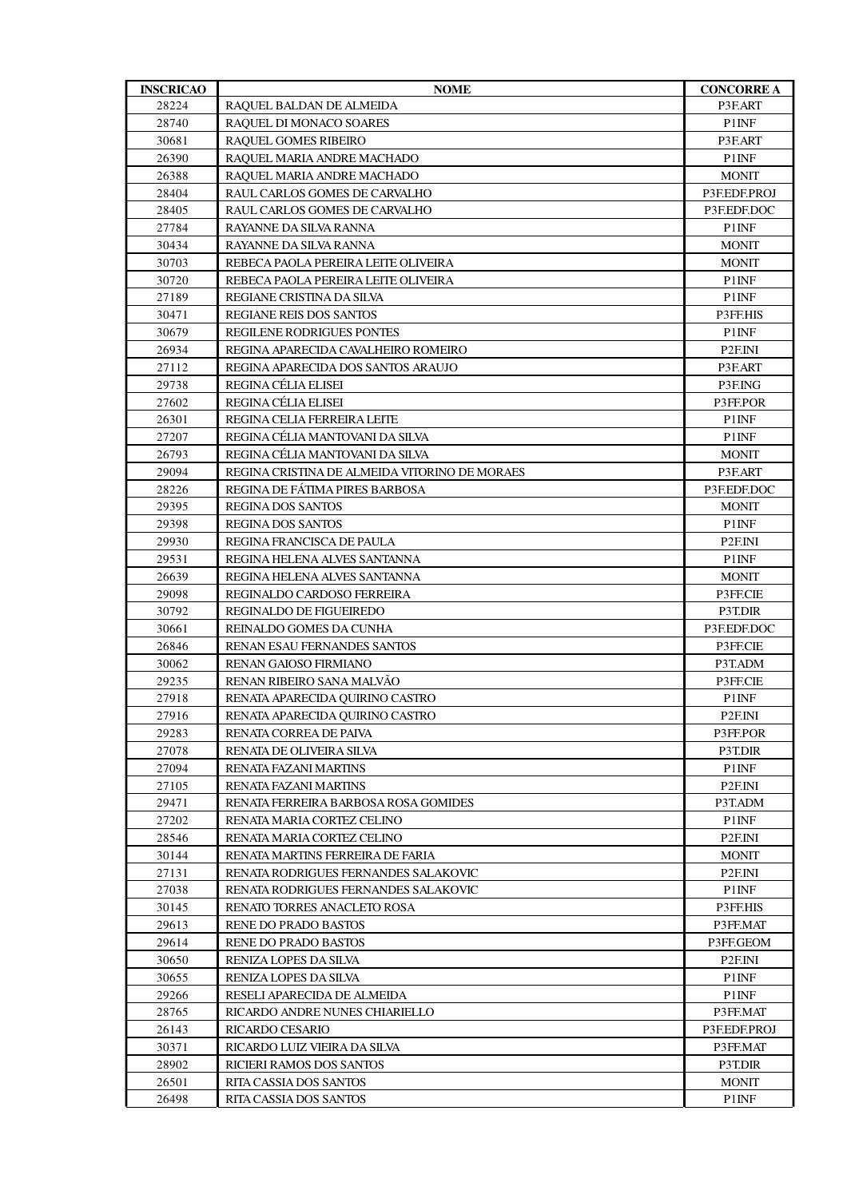| <b>INSCRICAO</b> | <b>NOME</b>                                       | <b>CONCORRE A</b>                          |
|------------------|---------------------------------------------------|--------------------------------------------|
| 28224            | RAOUEL BALDAN DE ALMEIDA                          | P3F.ART                                    |
| 28740            | RAQUEL DI MONACO SOARES                           | P1INF                                      |
| 30681            | <b>RAQUEL GOMES RIBEIRO</b>                       | P3F.ART                                    |
| 26390            | RAQUEL MARIA ANDRE MACHADO                        | P1INF                                      |
| 26388            | RAQUEL MARIA ANDRE MACHADO                        | <b>MONIT</b>                               |
| 28404            | RAUL CARLOS GOMES DE CARVALHO                     | P3F.EDF.PROJ                               |
| 28405            | RAUL CARLOS GOMES DE CARVALHO                     | P3F.EDF.DOC                                |
| 27784            | RAYANNE DA SILVA RANNA                            | P1INF                                      |
| 30434            | RAYANNE DA SILVA RANNA                            | <b>MONIT</b>                               |
| 30703            | REBECA PAOLA PEREIRA LEITE OLIVEIRA               | <b>MONIT</b>                               |
| 30720            | REBECA PAOLA PEREIRA LEITE OLIVEIRA               | P1INF                                      |
| 27189            | REGIANE CRISTINA DA SILVA                         | P1INF                                      |
| 30471            | <b>REGIANE REIS DOS SANTOS</b>                    | P3FF.HIS                                   |
| 30679            | REGILENE RODRIGUES PONTES                         | P1INF                                      |
| 26934            | REGINA APARECIDA CAVALHEIRO ROMEIRO               | P <sub>2F.INI</sub>                        |
| 27112            | REGINA APARECIDA DOS SANTOS ARAUJO                | P3F.ART                                    |
| 29738            | REGINA CÉLIA ELISEI                               | P3F.ING                                    |
| 27602            | REGINA CÉLIA ELISEI                               | P3FF.POR                                   |
| 26301            | REGINA CELIA FERREIRA LEITE                       | P1INF                                      |
| 27207            | REGINA CÉLIA MANTOVANI DA SILVA                   | P1INF                                      |
| 26793            | REGINA CÉLIA MANTOVANI DA SILVA                   | <b>MONIT</b>                               |
| 29094            | REGINA CRISTINA DE ALMEIDA VITORINO DE MORAES     | P3F.ART                                    |
| 28226            | REGINA DE FÁTIMA PIRES BARBOSA                    | P3F.EDF.DOC                                |
| 29395            | <b>REGINA DOS SANTOS</b>                          | <b>MONIT</b>                               |
| 29398            | <b>REGINA DOS SANTOS</b>                          | P1INF                                      |
| 29930            | REGINA FRANCISCA DE PAULA                         | P <sub>2F.INI</sub>                        |
| 29531            | REGINA HELENA ALVES SANTANNA                      | P1INF                                      |
| 26639            | REGINA HELENA ALVES SANTANNA                      | <b>MONIT</b>                               |
| 29098            | REGINALDO CARDOSO FERREIRA                        | P3FF.CIE                                   |
| 30792            | REGINALDO DE FIGUEIREDO                           | P3T.DIR                                    |
| 30661            | REINALDO GOMES DA CUNHA                           | P3F.EDF.DOC                                |
| 26846            | RENAN ESAU FERNANDES SANTOS                       | P3FF.CIE                                   |
| 30062            | RENAN GAIOSO FIRMIANO                             | P3T.ADM                                    |
| 29235            | RENAN RIBEIRO SANA MALVÃO                         | P3FF.CIE                                   |
| 27918            | RENATA APARECIDA QUIRINO CASTRO                   | P1INF                                      |
| 27916            | RENATA APARECIDA QUIRINO CASTRO                   | P <sub>2</sub> F.INI                       |
| 29283            | RENATA CORREA DE PAIVA                            | P3FF.POR                                   |
| 27078            | RENATA DE OLIVEIRA SILVA                          | P3T.DIR                                    |
| 27094            | RENATA FAZANI MARTINS                             | P1INF                                      |
| 27105            | RENATA FAZANI MARTINS                             | P <sub>2F.INI</sub>                        |
| 29471            | RENATA FERREIRA BARBOSA ROSA GOMIDES              | P3T.ADM                                    |
| 27202            | RENATA MARIA CORTEZ CELINO                        | P1INF                                      |
| 28546            | RENATA MARIA CORTEZ CELINO                        | P <sub>2</sub> F.INI                       |
| 30144            | RENATA MARTINS FERREIRA DE FARIA                  | <b>MONIT</b>                               |
| 27131            | RENATA RODRIGUES FERNANDES SALAKOVIC              | P <sub>2</sub> F.INI                       |
| 27038            | RENATA RODRIGUES FERNANDES SALAKOVIC              | P1INF                                      |
| 30145            | RENATO TORRES ANACLETO ROSA                       | P3FF.HIS                                   |
| 29613            | RENE DO PRADO BASTOS                              | P3FF.MAT                                   |
| 29614            | RENE DO PRADO BASTOS                              | P3FF.GEOM                                  |
| 30650            | RENIZA LOPES DA SILVA                             | P <sub>2</sub> F <sub>J</sub> <sub>N</sub> |
| 30655            | RENIZA LOPES DA SILVA                             | P1INF                                      |
| 29266            | RESELI APARECIDA DE ALMEIDA                       | P1INF                                      |
| 28765<br>26143   | RICARDO ANDRE NUNES CHIARIELLO<br>RICARDO CESARIO | P3FF.MAT<br>P3F.EDF.PROJ                   |
| 30371            | RICARDO LUIZ VIEIRA DA SILVA                      | P3FF.MAT                                   |
| 28902            | RICIERI RAMOS DOS SANTOS                          | P3T.DIR                                    |
| 26501            | RITA CASSIA DOS SANTOS                            | <b>MONIT</b>                               |
| 26498            | RITA CASSIA DOS SANTOS                            | P1INF                                      |
|                  |                                                   |                                            |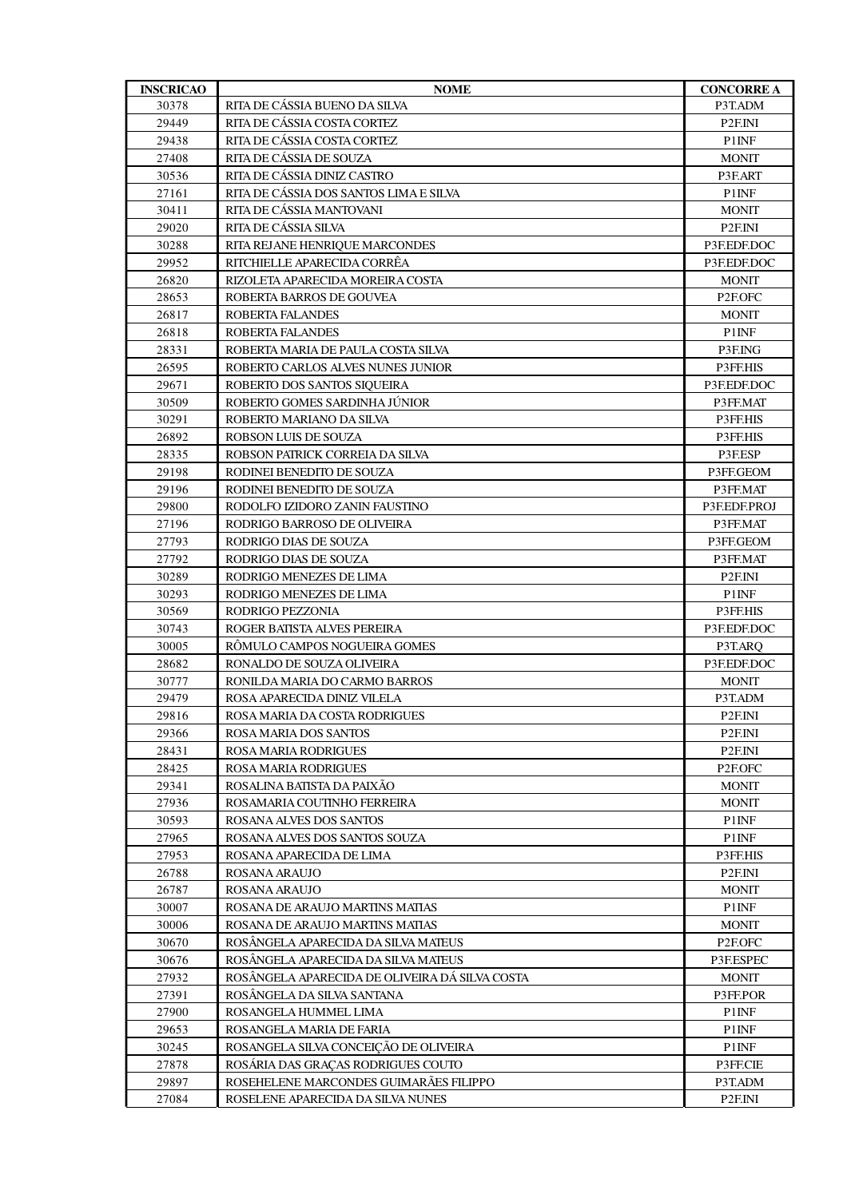| <b>INSCRICAO</b> | <b>NOME</b>                                    | <b>CONCORRE A</b>    |
|------------------|------------------------------------------------|----------------------|
| 30378            | RITA DE CÁSSIA BUENO DA SILVA                  | P3T.ADM              |
| 29449            | RITA DE CÁSSIA COSTA CORTEZ                    | P <sub>2F.INI</sub>  |
| 29438            | RITA DE CÁSSIA COSTA CORTEZ                    | P1INF                |
| 27408            | RITA DE CÁSSIA DE SOUZA                        | <b>MONIT</b>         |
| 30536            | RITA DE CÁSSIA DINIZ CASTRO                    | P3F.ART              |
| 27161            | RITA DE CÁSSIA DOS SANTOS LIMA E SILVA         | P1INF                |
| 30411            | RITA DE CÁSSIA MANTOVANI                       | <b>MONIT</b>         |
| 29020            | RITA DE CÁSSIA SILVA                           | P <sub>2F.INI</sub>  |
| 30288            | RITA REJANE HENRIQUE MARCONDES                 | P3F.EDF.DOC          |
| 29952            | RITCHIELLE APARECIDA CORRÊA                    | P3F.EDF.DOC          |
| 26820            | RIZOLETA APARECIDA MOREIRA COSTA               | <b>MONIT</b>         |
| 28653            | ROBERTA BARROS DE GOUVEA                       | P <sub>2</sub> F.OFC |
| 26817            | ROBERTA FALANDES                               | <b>MONIT</b>         |
|                  |                                                |                      |
| 26818            | ROBERTA FALANDES                               | P1INF                |
| 28331            | ROBERTA MARIA DE PAULA COSTA SILVA             | P3F.ING              |
| 26595            | ROBERTO CARLOS ALVES NUNES JUNIOR              | P3FF.HIS             |
| 29671            | ROBERTO DOS SANTOS SIQUEIRA                    | P3F.EDF.DOC          |
| 30509            | ROBERTO GOMES SARDINHA JÚNIOR                  | P3FF.MAT             |
| 30291            | ROBERTO MARIANO DA SILVA                       | P3FF.HIS             |
| 26892            | ROBSON LUIS DE SOUZA                           | P3FF.HIS             |
| 28335            | ROBSON PATRICK CORREIA DA SILVA                | P3F.ESP              |
| 29198            | RODINEI BENEDITO DE SOUZA                      | P3FF.GEOM            |
| 29196            | RODINEI BENEDITO DE SOUZA                      | P3FF.MAT             |
| 29800            | RODOLFO IZIDORO ZANIN FAUSTINO                 | P3F.EDF.PROJ         |
| 27196            | RODRIGO BARROSO DE OLIVEIRA                    | P3FF.MAT             |
| 27793            | RODRIGO DIAS DE SOUZA                          | P3FF.GEOM            |
| 27792            | RODRIGO DIAS DE SOUZA                          | P3FF.MAT             |
| 30289            | RODRIGO MENEZES DE LIMA                        | P <sub>2F.INI</sub>  |
| 30293            | RODRIGO MENEZES DE LIMA                        | P1INF                |
| 30569            | RODRIGO PEZZONIA                               | P3FF.HIS             |
| 30743            | ROGER BATISTA ALVES PEREIRA                    | P3F.EDF.DOC          |
| 30005            | RÓMULO CAMPOS NOGUEIRA GOMES                   | P3T.ARQ              |
| 28682            | RONALDO DE SOUZA OLIVEIRA                      | P3F.EDF.DOC          |
| 30777            | RONILDA MARIA DO CARMO BARROS                  | <b>MONIT</b>         |
| 29479            | ROSA APARECIDA DINIZ VILELA                    | P3T.ADM              |
| 29816            | ROSA MARIA DA COSTA RODRIGUES                  | P <sub>2</sub> F.INI |
| 29366            | <b>ROSA MARIA DOS SANTOS</b>                   | P <sub>2F.INI</sub>  |
| 28431            | <b>ROSA MARIA RODRIGUES</b>                    | P <sub>2F.INI</sub>  |
| 28425            | <b>ROSA MARIA RODRIGUES</b>                    | P <sub>2</sub> F.OFC |
| 29341            | ROSALINA BATISTA DA PAIXÃO                     | <b>MONIT</b>         |
| 27936            | ROSAMARIA COUTINHO FERREIRA                    | <b>MONIT</b>         |
| 30593            | ROSANA ALVES DOS SANTOS                        | P1INF                |
| 27965            | ROSANA ALVES DOS SANTOS SOUZA                  | P1INF                |
| 27953            | ROSANA APARECIDA DE LIMA                       | P3FF.HIS             |
| 26788            | ROSANA ARAUJO                                  | P <sub>2F.INI</sub>  |
| 26787            | ROSANA ARAUJO                                  | <b>MONIT</b>         |
| 30007            | ROSANA DE ARAUJO MARTINS MATIAS                | P1INF                |
| 30006            | ROSANA DE ARAUJO MARTINS MATIAS                | <b>MONIT</b>         |
| 30670            | ROSANGELA APARECIDA DA SILVA MATEUS            | P <sub>2</sub> F.OFC |
| 30676            | ROSANGELA APARECIDA DA SILVA MATEUS            | P3F.ESPEC            |
| 27932            | ROSÂNGELA APARECIDA DE OLIVEIRA DA SILVA COSTA | <b>MONIT</b>         |
| 27391            | ROSANGELA DA SILVA SANTANA                     | P3FF.POR             |
|                  |                                                |                      |
| 27900            | ROSANGELA HUMMEL LIMA                          | P1INF                |
| 29653            | ROSANGELA MARIA DE FARIA                       | P1INF                |
| 30245            | ROSANGELA SILVA CONCEIÇÃO DE OLIVEIRA          | P1INF                |
| 27878            | ROSARIA DAS GRACAS RODRIGUES COUTO             | P3FF.CIE             |
| 29897            | ROSEHELENE MARCONDES GUIMARÃES FILIPPO         | P3T.ADM              |
| 27084            | ROSELENE APARECIDA DA SILVA NUNES              | P <sub>2F.INI</sub>  |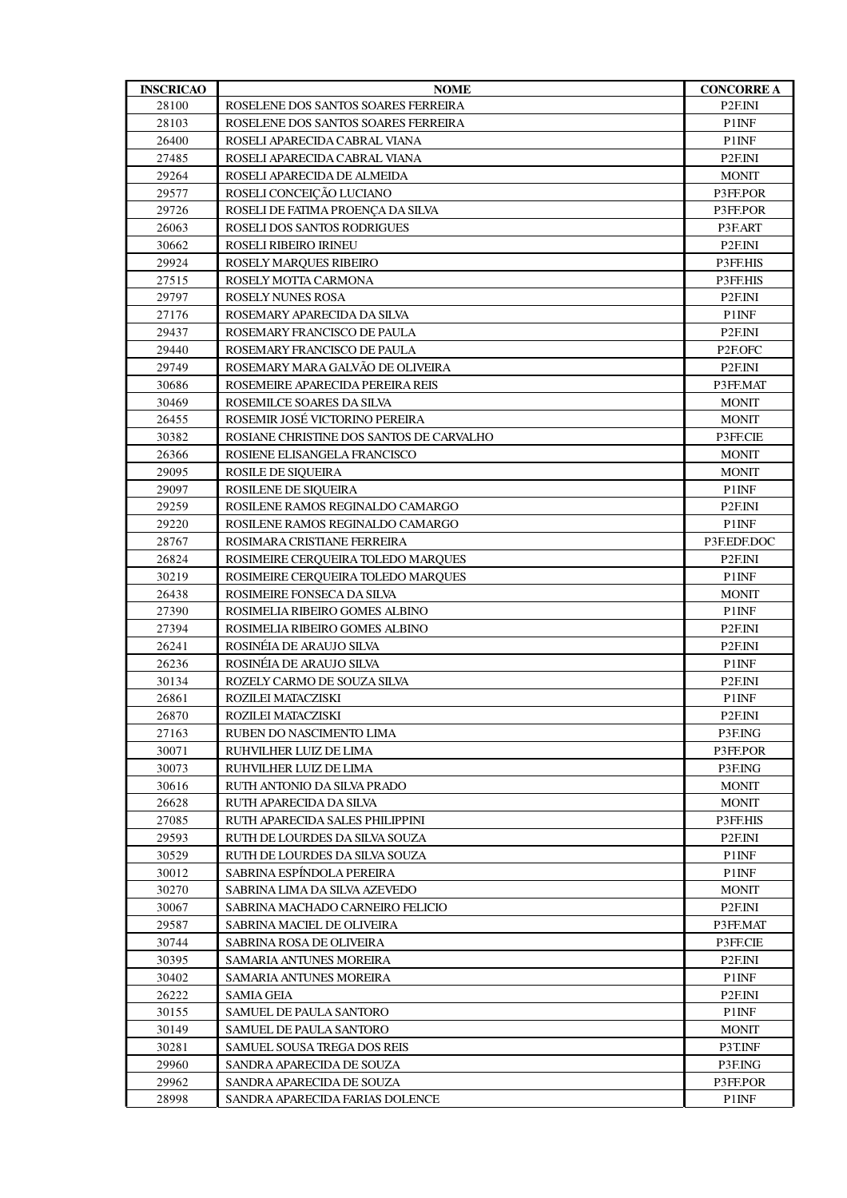| <b>INSCRICAO</b> | <b>NOME</b>                                                      | <b>CONCORRE A</b>    |
|------------------|------------------------------------------------------------------|----------------------|
| 28100            | ROSELENE DOS SANTOS SOARES FERREIRA                              | P <sub>2F.INI</sub>  |
| 28103            | ROSELENE DOS SANTOS SOARES FERREIRA                              | P1INF                |
| 26400            | ROSELI APARECIDA CABRAL VIANA                                    | P1INF                |
| 27485            | ROSELI APARECIDA CABRAL VIANA                                    | P <sub>2</sub> F.INI |
| 29264            | ROSELI APARECIDA DE ALMEIDA                                      | <b>MONIT</b>         |
| 29577            | ROSELI CONCEIÇÃO LUCIANO                                         | P3FF.POR             |
| 29726            | ROSELI DE FATIMA PROENÇA DA SILVA                                | P3FF.POR             |
| 26063            | ROSELI DOS SANTOS RODRIGUES                                      | P3F.ART              |
| 30662            | ROSELI RIBEIRO IRINEU                                            | P2F.INI              |
| 29924            | ROSELY MARQUES RIBEIRO                                           | P3FF.HIS             |
| 27515            | ROSELY MOTTA CARMONA                                             | P3FF.HIS             |
| 29797            | <b>ROSELY NUNES ROSA</b>                                         | P <sub>2F.INI</sub>  |
| 27176            | ROSEMARY APARECIDA DA SILVA                                      | P1INF                |
| 29437            | ROSEMARY FRANCISCO DE PAULA                                      | P <sub>2F.INI</sub>  |
| 29440            | ROSEMARY FRANCISCO DE PAULA                                      | P <sub>2</sub> F.OFC |
| 29749            | ROSEMARY MARA GALVÃO DE OLIVEIRA                                 | P <sub>2F.INI</sub>  |
| 30686            | ROSEMEIRE APARECIDA PEREIRA REIS                                 | P3FF.MAT             |
| 30469            | ROSEMILCE SOARES DA SILVA                                        | <b>MONIT</b>         |
| 26455            | ROSEMIR JOSÉ VICTORINO PEREIRA                                   | <b>MONIT</b>         |
| 30382            | ROSIANE CHRISTINE DOS SANTOS DE CARVALHO                         | P3FF.CIE             |
| 26366            | ROSIENE ELISANGELA FRANCISCO                                     | <b>MONIT</b>         |
| 29095            | <b>ROSILE DE SIQUEIRA</b>                                        | <b>MONIT</b>         |
| 29097            | ROSILENE DE SIQUEIRA                                             | P1INF                |
| 29259            | ROSILENE RAMOS REGINALDO CAMARGO                                 | P <sub>2F.INI</sub>  |
| 29220            | ROSILENE RAMOS REGINALDO CAMARGO                                 | P1INF                |
| 28767            | ROSIMARA CRISTIANE FERREIRA                                      | P3F.EDF.DOC          |
| 26824            | ROSIMEIRE CERQUEIRA TOLEDO MARQUES                               | P <sub>2F.INI</sub>  |
| 30219            | ROSIMEIRE CERQUEIRA TOLEDO MARQUES                               | P1INF                |
| 26438            | ROSIMEIRE FONSECA DA SILVA                                       | <b>MONIT</b>         |
| 27390            | ROSIMELIA RIBEIRO GOMES ALBINO                                   | P1INF                |
| 27394            | ROSIMELIA RIBEIRO GOMES ALBINO                                   | P <sub>2F.INI</sub>  |
| 26241            | ROSINÉIA DE ARAUJO SILVA                                         | P <sub>2F.INI</sub>  |
| 26236            | ROSINÉIA DE ARAUJO SILVA                                         | P1INF                |
| 30134            | ROZELY CARMO DE SOUZA SILVA                                      | P <sub>2F.INI</sub>  |
| 26861            | ROZILEI MATACZISKI                                               | P1INF                |
| 26870            | ROZILEI MATACZISKI                                               | P2F.INI              |
| 27163            | RUBEN DO NASCIMENTO LIMA                                         | P3F.ING              |
| 30071            | RUHVILHER LUIZ DE LIMA                                           | P3FF.POR             |
| 30073            | RUHVILHER LUIZ DE LIMA                                           | P3F.ING              |
| 30616            | RUTH ANTONIO DA SILVA PRADO                                      | <b>MONIT</b>         |
| 26628            | RUTH APARECIDA DA SILVA                                          | <b>MONIT</b>         |
| 27085            | RUTH APARECIDA SALES PHILIPPINI                                  | P3FF.HIS             |
| 29593            |                                                                  | P <sub>2F.INI</sub>  |
|                  | RUTH DE LOURDES DA SILVA SOUZA<br>RUTH DE LOURDES DA SILVA SOUZA |                      |
| 30529<br>30012   | SABRINA ESPÍNDOLA PEREIRA                                        | P1INF<br>P1INF       |
|                  |                                                                  |                      |
| 30270            | SABRINA LIMA DA SILVA AZEVEDO                                    | <b>MONIT</b>         |
| 30067            | SABRINA MACHADO CARNEIRO FELICIO                                 | P <sub>2</sub> F.INI |
| 29587            | SABRINA MACIEL DE OLIVEIRA                                       | P3FF.MAT             |
| 30744            | SABRINA ROSA DE OLIVEIRA                                         | P3FF.CIE             |
| 30395            | SAMARIA ANTUNES MOREIRA                                          | P <sub>2F.INI</sub>  |
| 30402            | SAMARIA ANTUNES MOREIRA                                          | P1INF                |
| 26222            | SAMIA GEIA                                                       | P <sub>2F.INI</sub>  |
| 30155            | SAMUEL DE PAULA SANTORO                                          | P1INF                |
| 30149            | SAMUEL DE PAULA SANTORO                                          | <b>MONIT</b>         |
| 30281            | SAMUEL SOUSA TREGA DOS REIS                                      | P3T.INF              |
| 29960            | SANDRA APARECIDA DE SOUZA                                        | P3F.ING              |
| 29962            | SANDRA APARECIDA DE SOUZA                                        | P3FF.POR             |
| 28998            | SANDRA APARECIDA FARIAS DOLENCE                                  | P1INF                |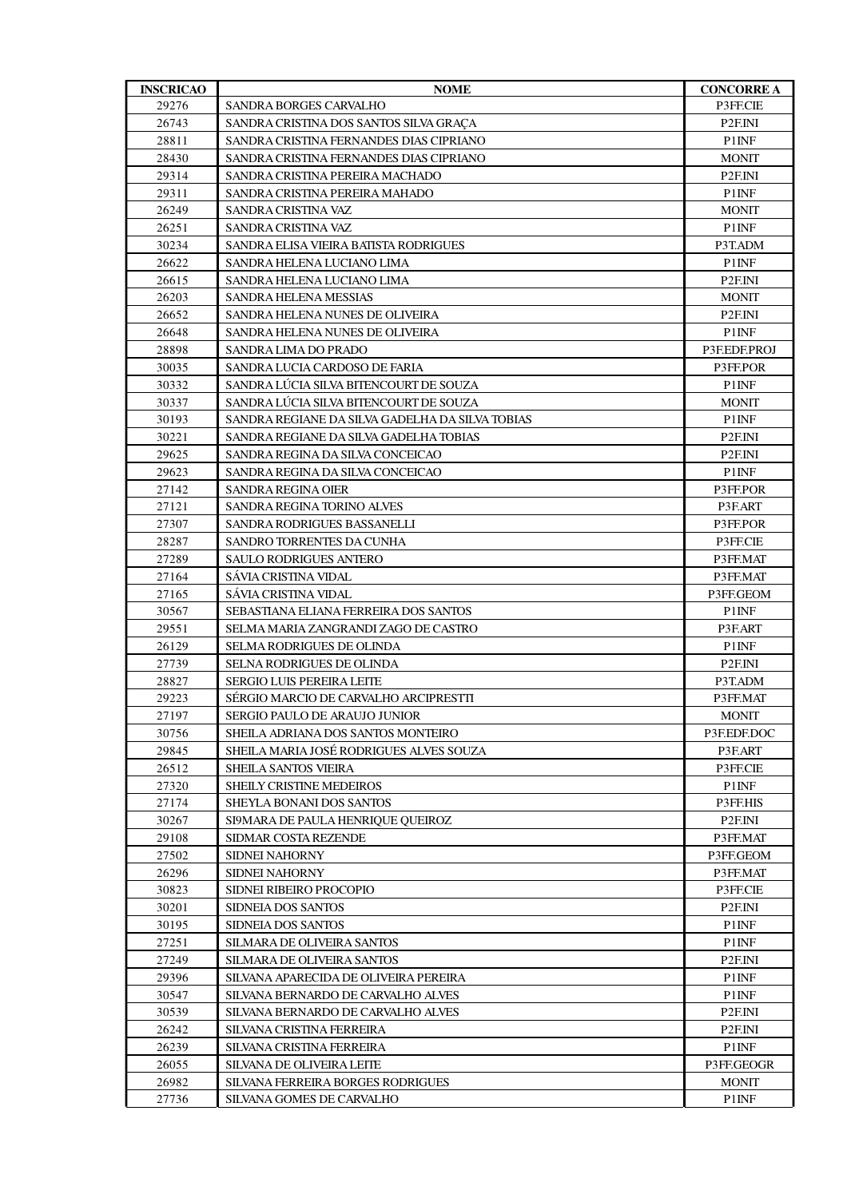| <b>INSCRICAO</b> | <b>NOME</b>                                     | <b>CONCORRE A</b>    |
|------------------|-------------------------------------------------|----------------------|
| 29276            | <b>SANDRA BORGES CARVALHO</b>                   | P3FF.CIE             |
| 26743            | SANDRA CRISTINA DOS SANTOS SILVA GRAÇA          | P <sub>2F.INI</sub>  |
| 28811            | SANDRA CRISTINA FERNANDES DIAS CIPRIANO         | P1INF                |
| 28430            | SANDRA CRISTINA FERNANDES DIAS CIPRIANO         | <b>MONIT</b>         |
| 29314            | SANDRA CRISTINA PEREIRA MACHADO                 | P <sub>2F.INI</sub>  |
| 29311            | SANDRA CRISTINA PEREIRA MAHADO                  | P1INF                |
| 26249            | SANDRA CRISTINA VAZ                             | <b>MONIT</b>         |
| 26251            | SANDRA CRISTINA VAZ                             | P1INF                |
| 30234            | SANDRA ELISA VIEIRA BATISTA RODRIGUES           | P3T.ADM              |
| 26622            | SANDRA HELENA LUCIANO LIMA                      | P1INF                |
| 26615            | SANDRA HELENA LUCIANO LIMA                      | P <sub>2F.INI</sub>  |
| 26203            | SANDRA HELENA MESSIAS                           | <b>MONIT</b>         |
| 26652            | SANDRA HELENA NUNES DE OLIVEIRA                 | P <sub>2F.INI</sub>  |
| 26648            | SANDRA HELENA NUNES DE OLIVEIRA                 | P1INF                |
| 28898            | SANDRA LIMA DO PRADO                            | P3F.EDF.PROJ         |
| 30035            | SANDRA LUCIA CARDOSO DE FARIA                   | P3FF.POR             |
| 30332            | SANDRA LUCIA SILVA BITENCOURT DE SOUZA          | P1INF                |
| 30337            | SANDRA LÚCIA SILVA BITENCOURT DE SOUZA          | <b>MONIT</b>         |
| 30193            | SANDRA REGIANE DA SILVA GADELHA DA SILVA TOBIAS | P1INF                |
| 30221            | SANDRA REGIANE DA SILVA GADELHA TOBIAS          | P <sub>2F.INI</sub>  |
| 29625            | SANDRA REGINA DA SILVA CONCEICAO                | P <sub>2F.INI</sub>  |
| 29623            | SANDRA REGINA DA SILVA CONCEICAO                | P1INF                |
| 27142            | SANDRA REGINA OIER                              | P3FF.POR             |
| 27121            | SANDRA REGINA TORINO ALVES                      | P3F.ART              |
| 27307            | SANDRA RODRIGUES BASSANELLI                     | P3FF.POR             |
| 28287            | SANDRO TORRENTES DA CUNHA                       | P3FF.CIE             |
| 27289            | <b>SAULO RODRIGUES ANTERO</b>                   | P3FF.MAT             |
| 27164            | SAVIA CRISTINA VIDAL                            | P3FF.MAT             |
| 27165            | SAVIA CRISTINA VIDAL                            | P3FF.GEOM            |
| 30567            | SEBASTIANA ELIANA FERREIRA DOS SANTOS           | P1INF                |
| 29551            | SELMA MARIA ZANGRANDI ZAGO DE CASTRO            | P3F.ART              |
| 26129            | <b>SELMA RODRIGUES DE OLINDA</b>                | P1INF                |
| 27739            | <b>SELNA RODRIGUES DE OLINDA</b>                | P <sub>2F.INI</sub>  |
| 28827            | <b>SERGIO LUIS PEREIRA LEITE</b>                | P3T.ADM              |
| 29223            | SÉRGIO MARCIO DE CARVALHO ARCIPRESTTI           | P3FF.MAT             |
| 27197            | SERGIO PAULO DE ARAUJO JUNIOR                   | <b>MONIT</b>         |
| 30756            | SHEILA ADRIANA DOS SANTOS MONTEIRO              | P3F.EDF.DOC          |
| 29845            | SHEILA MARIA JOSÉ RODRIGUES ALVES SOUZA         | P3F.ART              |
| 26512            | SHEILA SANTOS VIEIRA                            | P3FF.CIE             |
| 27320            | <b>SHEILY CRISTINE MEDEIROS</b>                 | P1INF                |
| 27174            | SHEYLA BONANI DOS SANTOS                        | P3FF.HIS             |
| 30267            | SI9MARA DE PAULA HENRIQUE QUEIROZ               | P <sub>2F.INI</sub>  |
| 29108            | SIDMAR COSTA REZENDE                            | P3FF.MAT             |
| 27502            | <b>SIDNEI NAHORNY</b>                           | P3FF.GEOM            |
| 26296            | SIDNEI NAHORNY                                  | P3FF.MAT             |
| 30823            | SIDNEI RIBEIRO PROCOPIO                         | P3FF.CIE             |
| 30201            | SIDNEIA DOS SANTOS                              | P <sub>2F.INI</sub>  |
| 30195            | SIDNEIA DOS SANTOS                              | P1INF                |
| 27251            | <b>SILMARA DE OLIVEIRA SANTOS</b>               | P1INF                |
| 27249            | SILMARA DE OLIVEIRA SANTOS                      | P <sub>2</sub> F.INI |
| 29396            | SILVANA APARECIDA DE OLIVEIRA PEREIRA           | P1INF                |
| 30547            | SILVANA BERNARDO DE CARVALHO ALVES              | P1INF                |
| 30539            | SILVANA BERNARDO DE CARVALHO ALVES              | P <sub>2F.INI</sub>  |
| 26242            | SILVANA CRISTINA FERREIRA                       | P <sub>2F.INI</sub>  |
| 26239            | SILVANA CRISTINA FERREIRA                       | P1INF                |
| 26055            | <b>SILVANA DE OLIVEIRA LEITE</b>                | P3FF.GEOGR           |
| 26982            | SILVANA FERREIRA BORGES RODRIGUES               | <b>MONIT</b>         |
| 27736            | SILVANA GOMES DE CARVALHO                       | P1INF                |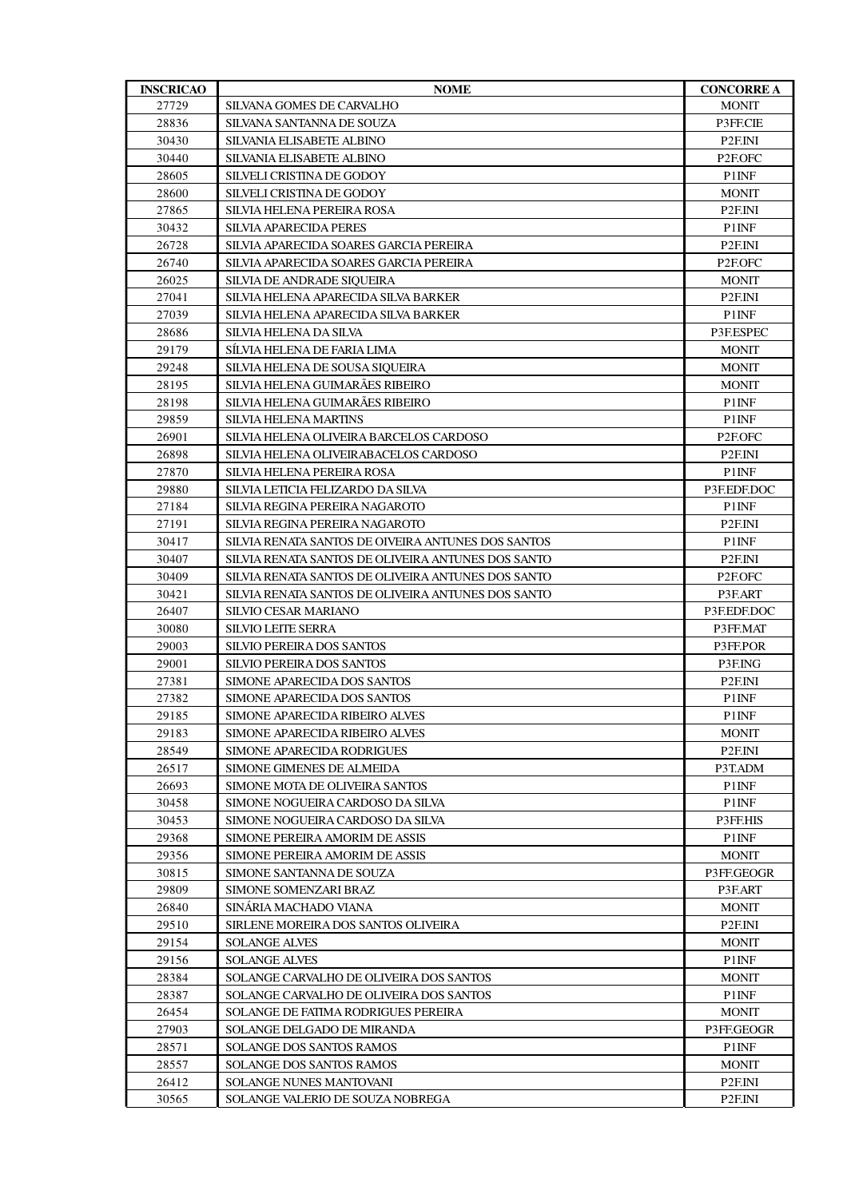| <b>INSCRICAO</b> | <b>NOME</b>                                        | <b>CONCORRE A</b>    |
|------------------|----------------------------------------------------|----------------------|
| 27729            | <b>SILVANA GOMES DE CARVALHO</b>                   | <b>MONIT</b>         |
| 28836            | SILVANA SANTANNA DE SOUZA                          | P3FF.CIE             |
| 30430            | SILVANIA ELISABETE ALBINO                          | P <sub>2F.INI</sub>  |
| 30440            | SILVANIA ELISABETE ALBINO                          | P <sub>2</sub> F.OFC |
| 28605            | SILVELI CRISTINA DE GODOY                          | P1INF                |
| 28600            | SILVELI CRISTINA DE GODOY                          | <b>MONIT</b>         |
| 27865            | SILVIA HELENA PEREIRA ROSA                         | P <sub>2F.INI</sub>  |
| 30432            | <b>SILVIA APARECIDA PERES</b>                      | P1INF                |
| 26728            | SILVIA APARECIDA SOARES GARCIA PEREIRA             | P <sub>2F.INI</sub>  |
| 26740            | SILVIA APARECIDA SOARES GARCIA PEREIRA             | P <sub>2</sub> F.OFC |
| 26025            | SILVIA DE ANDRADE SIQUEIRA                         | <b>MONIT</b>         |
| 27041            | SILVIA HELENA APARECIDA SILVA BARKER               | P <sub>2F.INI</sub>  |
| 27039            | SILVIA HELENA APARECIDA SILVA BARKER               | P1INF                |
| 28686            | SILVIA HELENA DA SILVA                             | P3F.ESPEC            |
| 29179            | SILVIA HELENA DE FARIA LIMA                        | <b>MONIT</b>         |
| 29248            | SILVIA HELENA DE SOUSA SIQUEIRA                    | <b>MONIT</b>         |
| 28195            | SILVIA HELENA GUIMARÃES RIBEIRO                    | <b>MONIT</b>         |
| 28198            | SILVIA HELENA GUIMARÃES RIBEIRO                    | P1INF                |
| 29859            | <b>SILVIA HELENA MARTINS</b>                       | P1INF                |
| 26901            | SILVIA HELENA OLIVEIRA BARCELOS CARDOSO            | P <sub>2</sub> F.OFC |
| 26898            | SILVIA HELENA OLIVEIRABACELOS CARDOSO              | P <sub>2F.INI</sub>  |
| 27870            | SILVIA HELENA PEREIRA ROSA                         | P1INF                |
| 29880            | SILVIA LETICIA FELIZARDO DA SILVA                  | P3F.EDF.DOC          |
| 27184            | SILVIA REGINA PEREIRA NAGAROTO                     | P1INF                |
| 27191            | SILVIA REGINA PEREIRA NAGAROTO                     | P <sub>2F.INI</sub>  |
| 30417            | SILVIA RENATA SANTOS DE OIVEIRA ANTUNES DOS SANTOS | P1INF                |
| 30407            | SILVIA RENATA SANTOS DE OLIVEIRA ANTUNES DOS SANTO | P <sub>2F.INI</sub>  |
| 30409            | SILVIA RENATA SANTOS DE OLIVEIRA ANTUNES DOS SANTO | P <sub>2</sub> F.OFC |
| 30421            | SILVIA RENATA SANTOS DE OLIVEIRA ANTUNES DOS SANTO | P3F.ART              |
| 26407            | SILVIO CESAR MARIANO                               | P3F.EDF.DOC          |
| 30080            | <b>SILVIO LEITE SERRA</b>                          | P3FF.MAT             |
| 29003            | <b>SILVIO PEREIRA DOS SANTOS</b>                   | P3FF.POR             |
| 29001            | <b>SILVIO PEREIRA DOS SANTOS</b>                   | P3F.ING              |
| 27381            | SIMONE APARECIDA DOS SANTOS                        | P <sub>2F.INI</sub>  |
| 27382            | SIMONE APARECIDA DOS SANTOS                        | P1INF                |
| 29185            | SIMONE APARECIDA RIBEIRO ALVES                     | P1INF                |
| 29183            | SIMONE APARECIDA RIBEIRO ALVES                     | <b>MONIT</b>         |
| 28549            | SIMONE APARECIDA RODRIGUES                         | P <sub>2</sub> F.INI |
| 26517            | <b>SIMONE GIMENES DE ALMEIDA</b>                   | P3T.ADM              |
| 26693            | SIMONE MOTA DE OLIVEIRA SANTOS                     | P1INF                |
| 30458            | SIMONE NOGUEIRA CARDOSO DA SILVA                   | P1INF                |
| 30453            | SIMONE NOGUEIRA CARDOSO DA SILVA                   | P3FF.HIS             |
| 29368            | SIMONE PEREIRA AMORIM DE ASSIS                     | P1INF                |
| 29356            | SIMONE PEREIRA AMORIM DE ASSIS                     | <b>MONIT</b>         |
| 30815            | SIMONE SANTANNA DE SOUZA                           | P3FF.GEOGR           |
| 29809            | <b>SIMONE SOMENZARI BRAZ</b>                       | P3F.ART              |
| 26840            | SINARIA MACHADO VIANA                              | <b>MONIT</b>         |
| 29510            | SIRLENE MOREIRA DOS SANTOS OLIVEIRA                | P <sub>2</sub> F.INI |
| 29154            | <b>SOLANGE ALVES</b>                               | <b>MONIT</b>         |
| 29156            | <b>SOLANGE ALVES</b>                               | P1INF                |
| 28384            | SOLANGE CARVALHO DE OLIVEIRA DOS SANTOS            | <b>MONIT</b>         |
| 28387            | SOLANGE CARVALHO DE OLIVEIRA DOS SANTOS            | P1INF                |
| 26454            | SOLANGE DE FATIMA RODRIGUES PEREIRA                | <b>MONIT</b>         |
| 27903            | SOLANGE DELGADO DE MIRANDA                         | P3FF.GEOGR           |
| 28571            | <b>SOLANGE DOS SANTOS RAMOS</b>                    | P1INF                |
| 28557            | SOLANGE DOS SANTOS RAMOS                           | <b>MONIT</b>         |
| 26412            | SOLANGE NUNES MANTOVANI                            | P <sub>2</sub> F.INI |
| 30565            | SOLANGE VALERIO DE SOUZA NOBREGA                   | P <sub>2</sub> F.INI |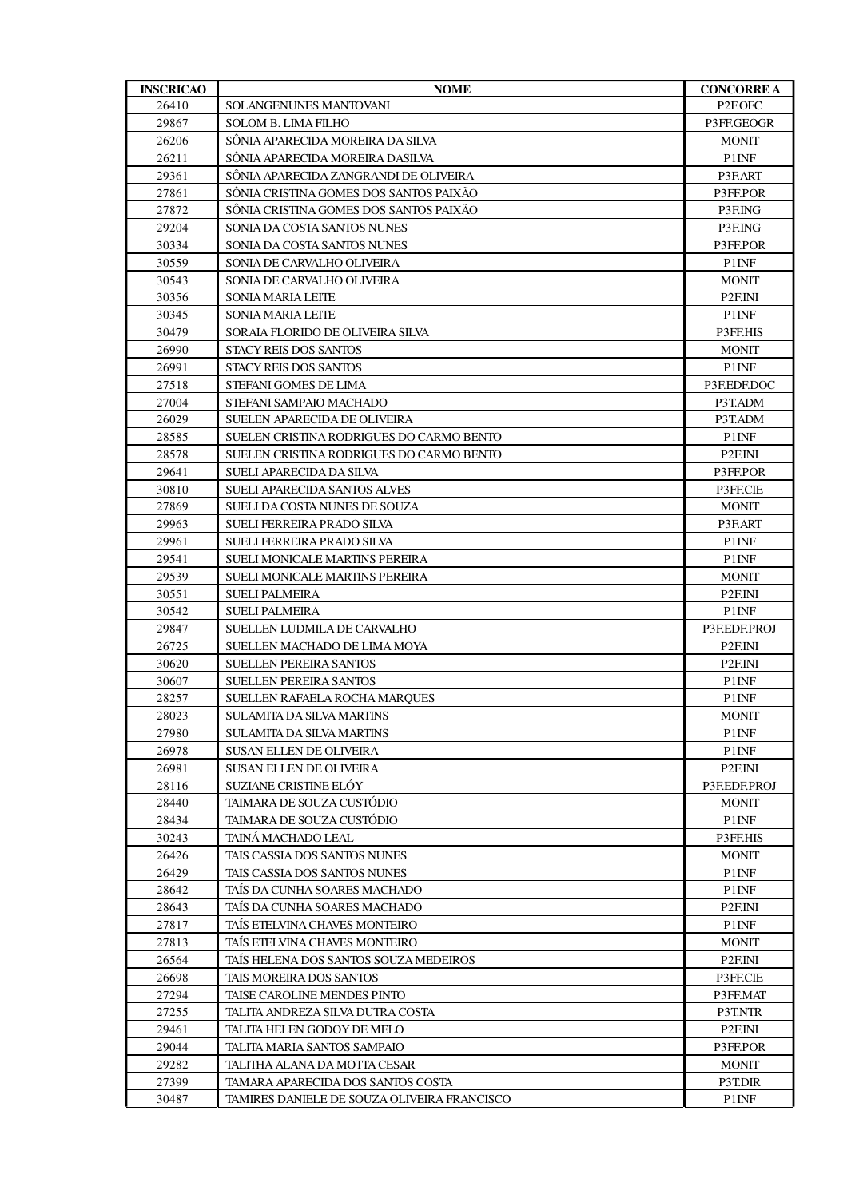| <b>INSCRICAO</b> | <b>NOME</b>                                 | <b>CONCORRE A</b>    |
|------------------|---------------------------------------------|----------------------|
| 26410            | SOLANGENUNES MANTOVANI                      | P <sub>2</sub> F.OFC |
| 29867            | <b>SOLOM B. LIMA FILHO</b>                  | P3FF.GEOGR           |
| 26206            | SÔNIA APARECIDA MOREIRA DA SILVA            | <b>MONIT</b>         |
| 26211            | SÓNIA APARECIDA MOREIRA DASILVA             | P1INF                |
| 29361            | SÕNIA APARECIDA ZANGRANDI DE OLIVEIRA       | P3F.ART              |
| 27861            | SÔNIA CRISTINA GOMES DOS SANTOS PAIXÃO      | P3FF.POR             |
| 27872            | SÔNIA CRISTINA GOMES DOS SANTOS PAIXÃO      | P3F.ING              |
| 29204            | SONIA DA COSTA SANTOS NUNES                 | P3F.ING              |
| 30334            | SONIA DA COSTA SANTOS NUNES                 | P3FF.POR             |
| 30559            | SONIA DE CARVALHO OLIVEIRA                  | P1INF                |
| 30543            | SONIA DE CARVALHO OLIVEIRA                  | <b>MONIT</b>         |
| 30356            | SONIA MARIA LEITE                           | P <sub>2F.INI</sub>  |
| 30345            | <b>SONIA MARIA LEITE</b>                    | P1INF                |
| 30479            | SORAIA FLORIDO DE OLIVEIRA SILVA            | P3FF.HIS             |
| 26990            | <b>STACY REIS DOS SANTOS</b>                | <b>MONIT</b>         |
| 26991            | <b>STACY REIS DOS SANTOS</b>                | P1INF                |
| 27518            | STEFANI GOMES DE LIMA                       | P3F.EDF.DOC          |
| 27004            | STEFANI SAMPAIO MACHADO                     | P3T.ADM              |
| 26029            | <b>SUELEN APARECIDA DE OLIVEIRA</b>         | P3T.ADM              |
| 28585            | SUELEN CRISTINA RODRIGUES DO CARMO BENTO    | P1INF                |
| 28578            | SUELEN CRISTINA RODRIGUES DO CARMO BENTO    | P <sub>2F.INI</sub>  |
| 29641            | SUELI APARECIDA DA SILVA                    | P3FF.POR             |
| 30810            | SUELI APARECIDA SANTOS ALVES                | P3FF.CIE             |
| 27869            | SUELI DA COSTA NUNES DE SOUZA               | <b>MONIT</b>         |
| 29963            | SUELI FERREIRA PRADO SILVA                  | P3F.ART              |
| 29961            | SUELI FERREIRA PRADO SILVA                  | P1INF                |
| 29541            | <b>SUELI MONICALE MARTINS PEREIRA</b>       | P1INF                |
| 29539            | <b>SUELI MONICALE MARTINS PEREIRA</b>       | <b>MONIT</b>         |
| 30551            | <b>SUELI PALMEIRA</b>                       | P <sub>2F.INI</sub>  |
| 30542            | <b>SUELI PALMEIRA</b>                       | P1INF                |
| 29847            | SUELLEN LUDMILA DE CARVALHO                 | P3F.EDF.PROJ         |
| 26725            | SUELLEN MACHADO DE LIMA MOYA                | P <sub>2F.INI</sub>  |
| 30620            | <b>SUELLEN PEREIRA SANTOS</b>               | P <sub>2F.INI</sub>  |
| 30607            | <b>SUELLEN PEREIRA SANTOS</b>               | P1INF                |
| 28257            | <b>SUELLEN RAFAELA ROCHA MARQUES</b>        | P1INF                |
| 28023            | SULAMITA DA SILVA MARTINS                   | <b>MONIT</b>         |
| 27980            | <b>SULAMITA DA SILVA MARTINS</b>            | P1INF                |
| 26978            | <b>SUSAN ELLEN DE OLIVEIRA</b>              | P1INF                |
| 26981            | <b>SUSAN ELLEN DE OLIVEIRA</b>              | P <sub>2F.INI</sub>  |
| 28116            | SUZIANE CRISTINE ELÓY                       | P3F.EDF.PROJ         |
| 28440            | TAIMARA DE SOUZA CUSTÓDIO                   | <b>MONIT</b>         |
| 28434            | TAIMARA DE SOUZA CUSTÓDIO                   | P1INF                |
| 30243            | TAINA MACHADO LEAL                          | P3FF.HIS             |
| 26426            | TAIS CASSIA DOS SANTOS NUNES                | <b>MONIT</b>         |
| 26429            | TAIS CASSIA DOS SANTOS NUNES                | P1INF                |
| 28642            | TAÍS DA CUNHA SOARES MACHADO                | P1INF                |
| 28643            | TAIS DA CUNHA SOARES MACHADO                | P <sub>2</sub> F.INI |
| 27817            | TAÍS ETELVINA CHAVES MONTEIRO               | P1INF                |
| 27813            | TAIS ETELVINA CHAVES MONTEIRO               | <b>MONIT</b>         |
| 26564            | TAIS HELENA DOS SANTOS SOUZA MEDEIROS       | P <sub>2</sub> F.INI |
| 26698            | TAIS MOREIRA DOS SANTOS                     | P3FF.CIE             |
| 27294            | TAISE CAROLINE MENDES PINTO                 | P3FF.MAT             |
| 27255            | TALITA ANDREZA SILVA DUTRA COSTA            | P3T.NTR              |
| 29461            | TALITA HELEN GODOY DE MELO                  | P <sub>2</sub> F.INI |
| 29044            | TALITA MARIA SANTOS SAMPAIO                 | P3FF.POR             |
| 29282            | TALITHA ALANA DA MOTTA CESAR                | <b>MONIT</b>         |
| 27399            | TAMARA APARECIDA DOS SANTOS COSTA           | P3T.DIR              |
| 30487            | TAMIRES DANIELE DE SOUZA OLIVEIRA FRANCISCO | P1INF                |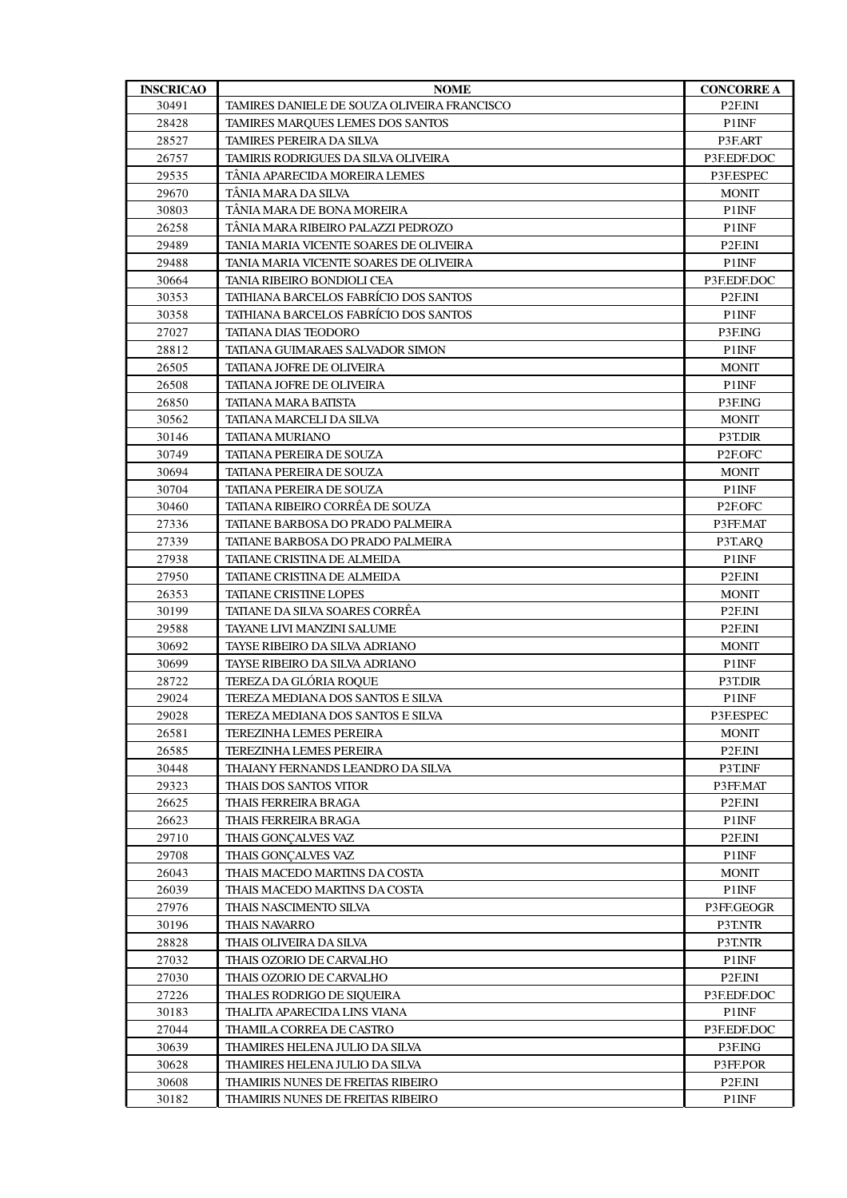| <b>INSCRICAO</b> | <b>NOME</b>                                 | <b>CONCORRE A</b>                 |
|------------------|---------------------------------------------|-----------------------------------|
| 30491            | TAMIRES DANIELE DE SOUZA OLIVEIRA FRANCISCO | P <sub>2F.INI</sub>               |
| 28428            | TAMIRES MAROUES LEMES DOS SANTOS            | P1INF                             |
| 28527            | <b>TAMIRES PEREIRA DA SILVA</b>             | P3F.ART                           |
| 26757            | TAMIRIS RODRIGUES DA SILVA OLIVEIRA         | P3F.EDF.DOC                       |
| 29535            | TÂNIA APARECIDA MOREIRA LEMES               | P3F.ESPEC                         |
| 29670            | TÂNIA MARA DA SILVA                         | <b>MONIT</b>                      |
| 30803            | TÂNIA MARA DE BONA MOREIRA                  | P1INF                             |
| 26258            | TÂNIA MARA RIBEIRO PALAZZI PEDROZO          | P1INF                             |
| 29489            | TANIA MARIA VICENTE SOARES DE OLIVEIRA      | P <sub>2F.INI</sub>               |
| 29488            | TANIA MARIA VICENTE SOARES DE OLIVEIRA      | P1INF                             |
| 30664            | TANIA RIBEIRO BONDIOLI CEA                  | P3F.EDF.DOC                       |
| 30353            | TATHIANA BARCELOS FABRÍCIO DOS SANTOS       | P <sub>2F.INI</sub>               |
| 30358            | TATHIANA BARCELOS FABRÍCIO DOS SANTOS       | P1INF                             |
| 27027            | <b>TATIANA DIAS TEODORO</b>                 | P3F.ING                           |
| 28812            | TATIANA GUIMARAES SALVADOR SIMON            | P1INF                             |
| 26505            | <b>TATIANA JOFRE DE OLIVEIRA</b>            | <b>MONIT</b>                      |
| 26508            | <b>TATIANA JOFRE DE OLIVEIRA</b>            | P1INF                             |
| 26850            | <b>TATIANA MARA BATISTA</b>                 | P3F.ING                           |
| 30562            | <b>TATIANA MARCELI DA SILVA</b>             | <b>MONIT</b>                      |
| 30146            | TATIANA MURIANO                             | P3T.DIR                           |
| 30749            | <b>TATIANA PEREIRA DE SOUZA</b>             | P <sub>2</sub> F.OFC              |
| 30694            | <b>TATIANA PEREIRA DE SOUZA</b>             | <b>MONIT</b>                      |
| 30704            | <b>TATIANA PEREIRA DE SOUZA</b>             | P1INF                             |
| 30460            | TATIANA RIBEIRO CORRÊA DE SOUZA             | P <sub>2</sub> F.OFC              |
| 27336            | TATIANE BARBOSA DO PRADO PALMEIRA           | P3FF.MAT                          |
| 27339            | TATIANE BARBOSA DO PRADO PALMEIRA           | P3T.ARQ                           |
| 27938            | TATIANE CRISTINA DE ALMEIDA                 | P1INF                             |
| 27950            | TATIANE CRISTINA DE ALMEIDA                 | P <sub>2F.INI</sub>               |
| 26353            | <b>TATIANE CRISTINE LOPES</b>               | <b>MONIT</b>                      |
| 30199            | TATIANE DA SILVA SOARES CORRÊA              | P <sub>2F.INI</sub>               |
| 29588            | TAYANE LIVI MANZINI SALUME                  | P <sub>2F.INI</sub>               |
| 30692            | TAYSE RIBEIRO DA SILVA ADRIANO              | <b>MONIT</b>                      |
| 30699            | TAYSE RIBEIRO DA SILVA ADRIANO              | P1INF                             |
| 28722            | <b>TEREZA DA GLÓRIA ROOUE</b>               | P3T.DIR                           |
| 29024            | TEREZA MEDIANA DOS SANTOS E SILVA           | P1INF                             |
| 29028            | TEREZA MEDIANA DOS SANTOS E SILVA           | P3F.ESPEC                         |
| 26581            | <b>TEREZINHA LEMES PEREIRA</b>              | <b>MONIT</b>                      |
| 26585            | <b>TEREZINHA LEMES PEREIRA</b>              | P <sub>2</sub> F.INI              |
| 30448            | THAIANY FERNANDS LEANDRO DA SILVA           | P3T.INF                           |
| 29323            | THAIS DOS SANTOS VITOR                      | P3FF.MAT                          |
| 26625            | THAIS FERREIRA BRAGA                        | P <sub>2F.INI</sub>               |
| 26623            | THAIS FERREIRA BRAGA                        | P1INF                             |
| 29710            | THAIS GONCALVES VAZ                         | P <sub>2</sub> F.INI              |
| 29708            | THAIS GONCALVES VAZ                         | P1INF                             |
| 26043            | THAIS MACEDO MARTINS DA COSTA               | <b>MONIT</b>                      |
| 26039            | THAIS MACEDO MARTINS DA COSTA               | P1INF                             |
| 27976            | THAIS NASCIMENTO SILVA                      | P3FF.GEOGR                        |
| 30196            | <b>THAIS NAVARRO</b>                        | P3T.NTR                           |
| 28828            | THAIS OLIVEIRA DA SILVA                     | P3T.NTR                           |
| 27032            | THAIS OZORIO DE CARVALHO                    | P1INF                             |
| 27030            | THAIS OZORIO DE CARVALHO                    | P <sub>2F.INI</sub>               |
| 27226            | THALES RODRIGO DE SIQUEIRA                  | P3F.EDF.DOC                       |
| 30183            | THALITA APARECIDA LINS VIANA                | P1INF                             |
| 27044            | THAMILA CORREA DE CASTRO                    | P3F.EDF.DOC                       |
| 30639            | THAMIRES HELENA JULIO DA SILVA              | P3F.ING                           |
| 30628            | THAMIRES HELENA JULIO DA SILVA              | P3FF.POR                          |
| 30608            | THAMIRIS NUNES DE FREITAS RIBEIRO           | P <sub>2</sub> F <sub>.</sub> INI |
| 30182            | THAMIRIS NUNES DE FREITAS RIBEIRO           | P1INF                             |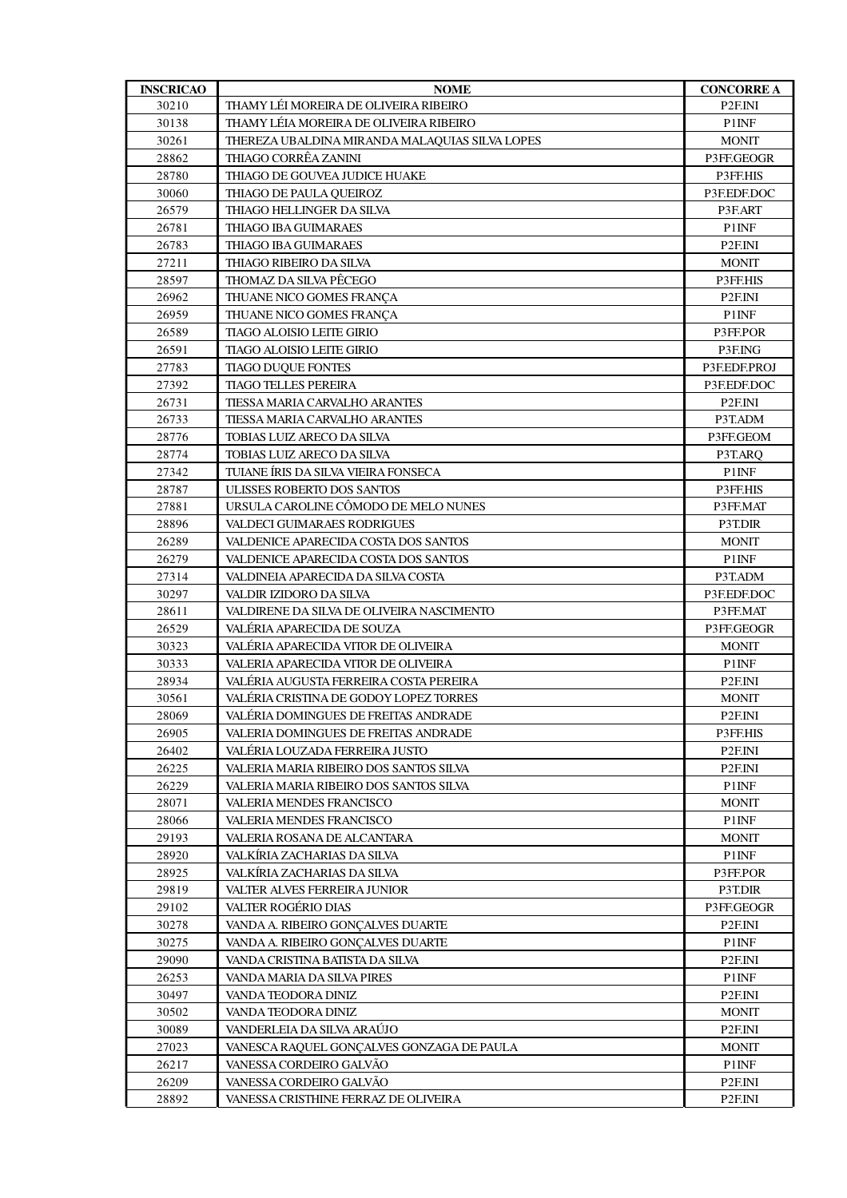| <b>INSCRICAO</b> | <b>NOME</b>                                    | <b>CONCORRE A</b>    |
|------------------|------------------------------------------------|----------------------|
| 30210            | THAMY LÉI MOREIRA DE OLIVEIRA RIBEIRO          | P <sub>2F.INI</sub>  |
| 30138            | THAMY LÉIA MOREIRA DE OLIVEIRA RIBEIRO         | P1INF                |
| 30261            | THEREZA UBALDINA MIRANDA MALAQUIAS SILVA LOPES | <b>MONIT</b>         |
| 28862            | THIAGO CORRÊA ZANINI                           | P3FF.GEOGR           |
| 28780            | THIAGO DE GOUVEA JUDICE HUAKE                  | P3FF.HIS             |
| 30060            | THIAGO DE PAULA QUEIROZ                        | P3F.EDF.DOC          |
| 26579            | THIAGO HELLINGER DA SILVA                      | P3F.ART              |
| 26781            | THIAGO IBA GUIMARAES                           | P1INF                |
| 26783            | <b>THIAGO IBA GUIMARAES</b>                    | P <sub>2F.INI</sub>  |
| 27211            | THIAGO RIBEIRO DA SILVA                        | <b>MONIT</b>         |
| 28597            | THOMAZ DA SILVA PÊCEGO                         | P3FF.HIS             |
|                  |                                                |                      |
| 26962            | THUANE NICO GOMES FRANÇA                       | P <sub>2</sub> F.INI |
| 26959            | THUANE NICO GOMES FRANCA                       | P1INF                |
| 26589            | <b>TIAGO ALOISIO LEITE GIRIO</b>               | P3FF.POR             |
| 26591            | <b>TIAGO ALOISIO LEITE GIRIO</b>               | P3F.ING              |
| 27783            | <b>TIAGO DUQUE FONTES</b>                      | P3F.EDF.PROJ         |
| 27392            | <b>TIAGO TELLES PEREIRA</b>                    | P3F.EDF.DOC          |
| 26731            | TIESSA MARIA CARVALHO ARANTES                  | P <sub>2F.INI</sub>  |
| 26733            | TIESSA MARIA CARVALHO ARANTES                  | P3T.ADM              |
| 28776            | TOBIAS LUIZ ARECO DA SILVA                     | P3FF.GEOM            |
| 28774            | TOBIAS LUIZ ARECO DA SILVA                     | P3T.ARQ              |
| 27342            | TUIANE ÍRIS DA SILVA VIEIRA FONSECA            | P1INF                |
| 28787            | <b>ULISSES ROBERTO DOS SANTOS</b>              | P3FF.HIS             |
| 27881            | URSULA CAROLINE CÔMODO DE MELO NUNES           | P3FF.MAT             |
| 28896            | <b>VALDECI GUIMARAES RODRIGUES</b>             | P3T.DIR              |
| 26289            | VALDENICE APARECIDA COSTA DOS SANTOS           | <b>MONIT</b>         |
| 26279            | VALDENICE APARECIDA COSTA DOS SANTOS           | P1INF                |
| 27314            | VALDINEIA APARECIDA DA SILVA COSTA             | P3T.ADM              |
| 30297            | VALDIR IZIDORO DA SILVA                        | P3F.EDF.DOC          |
| 28611            | VALDIRENE DA SILVA DE OLIVEIRA NASCIMENTO      | P3FF.MAT             |
| 26529            | VALÉRIA APARECIDA DE SOUZA                     | P3FF.GEOGR           |
| 30323            | VALÉRIA APARECIDA VITOR DE OLIVEIRA            | <b>MONIT</b>         |
| 30333            | VALERIA APARECIDA VITOR DE OLIVEIRA            | P1INF                |
| 28934            | VALÉRIA AUGUSTA FERREIRA COSTA PEREIRA         | P <sub>2F.INI</sub>  |
| 30561            | VALÉRIA CRISTINA DE GODOY LOPEZ TORRES         | <b>MONIT</b>         |
| 28069            | VALERIA DOMINGUES DE FREITAS ANDRADE           | P <sub>2F.INI</sub>  |
| 26905            | VALERIA DOMINGUES DE FREITAS ANDRADE           | P3FF.HIS             |
| 26402            | VALÈRIA LOUZADA FERREIRA JUSTO                 | P <sub>2F.INI</sub>  |
| 26225            | VALERIA MARIA RIBEIRO DOS SANTOS SILVA         | P <sub>2F.INI</sub>  |
| 26229            | VALERIA MARIA RIBEIRO DOS SANTOS SILVA         | P1INF                |
| 28071            | VALERIA MENDES FRANCISCO                       | <b>MONIT</b>         |
| 28066            | VALERIA MENDES FRANCISCO                       | P1INF                |
|                  |                                                |                      |
| 29193            | VALERIA ROSANA DE ALCANTARA                    | <b>MONIT</b>         |
| 28920            | VALKÍRIA ZACHARIAS DA SILVA                    | P1INF                |
| 28925            | VALKÍRIA ZACHARIAS DA SILVA                    | P3FF.POR             |
| 29819            | VALTER ALVES FERREIRA JUNIOR                   | P3T.DIR              |
| 29102            | VALTER ROGÉRIO DIAS                            | P3FF.GEOGR           |
| 30278            | VANDA A. RIBEIRO GONÇALVES DUARTE              | P <sub>2</sub> F.INI |
| 30275            | VANDA A. RIBEIRO GONÇALVES DUARTE              | P1INF                |
| 29090            | VANDA CRISTINA BATISTA DA SILVA                | P <sub>2F.INI</sub>  |
| 26253            | VANDA MARIA DA SILVA PIRES                     | P1INF                |
| 30497            | VANDA TEODORA DINIZ                            | P <sub>2F.INI</sub>  |
| 30502            | VANDA TEODORA DINIZ                            | <b>MONIT</b>         |
| 30089            | VANDERLEIA DA SILVA ARAÚJO                     | P <sub>2</sub> F.INI |
| 27023            | VANESCA RAQUEL GONÇALVES GONZAGA DE PAULA      | <b>MONIT</b>         |
| 26217            | VANESSA CORDEIRO GALVÃO                        | P1INF                |
| 26209            | VANESSA CORDEIRO GALVAO                        | P <sub>2F.INI</sub>  |
| 28892            | VANESSA CRISTHINE FERRAZ DE OLIVEIRA           | P <sub>2F.INI</sub>  |
|                  |                                                |                      |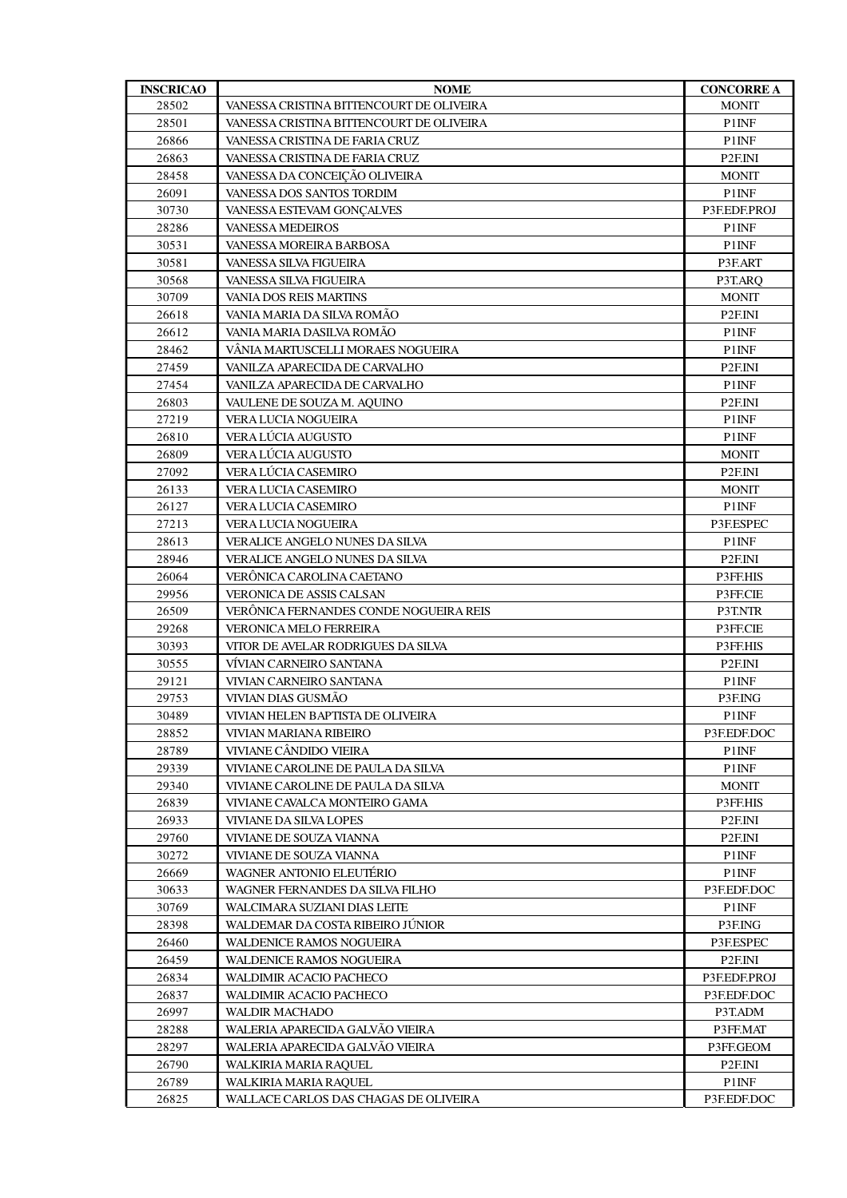| <b>INSCRICAO</b> | <b>NOME</b>                              | <b>CONCORRE A</b>    |
|------------------|------------------------------------------|----------------------|
| 28502            | VANESSA CRISTINA BITTENCOURT DE OLIVEIRA | <b>MONIT</b>         |
| 28501            | VANESSA CRISTINA BITTENCOURT DE OLIVEIRA | P1INF                |
| 26866            | VANESSA CRISTINA DE FARIA CRUZ           | $\rm P1INF$          |
| 26863            | VANESSA CRISTINA DE FARIA CRUZ           | P <sub>2F.INI</sub>  |
| 28458            | VANESSA DA CONCEIÇÃO OLIVEIRA            | <b>MONIT</b>         |
| 26091            | VANESSA DOS SANTOS TORDIM                | P1INF                |
| 30730            | VANESSA ESTEVAM GONCALVES                | P3F.EDF.PROJ         |
| 28286            | <b>VANESSA MEDEIROS</b>                  | P1INF                |
| 30531            | VANESSA MOREIRA BARBOSA                  | P1INF                |
| 30581            | VANESSA SILVA FIGUEIRA                   | P3F.ART              |
| 30568            | VANESSA SILVA FIGUEIRA                   | P3T.ARQ              |
| 30709            | VANIA DOS REIS MARTINS                   | <b>MONIT</b>         |
| 26618            | VANIA MARIA DA SILVA ROMÃO               | P <sub>2F.INI</sub>  |
| 26612            | VANIA MARIA DASILVA ROMÃO                | P1INF                |
| 28462            | VÂNIA MARTUSCELLI MORAES NOGUEIRA        | P1INF                |
| 27459            | VANILZA APARECIDA DE CARVALHO            | P <sub>2F.INI</sub>  |
| 27454            | VANILZA APARECIDA DE CARVALHO            | P1INF                |
| 26803            | VAULENE DE SOUZA M. AQUINO               | P <sub>2</sub> F.INI |
| 27219            | VERA LUCIA NOGUEIRA                      | P1INF                |
| 26810            | VERA LÚCIA AUGUSTO                       | P1INF                |
| 26809            | VERA LÚCIA AUGUSTO                       | <b>MONIT</b>         |
| 27092            | VERA LÚCIA CASEMIRO                      | P <sub>2F.INI</sub>  |
| 26133            | VERA LUCIA CASEMIRO                      | <b>MONIT</b>         |
| 26127            | <b>VERA LUCIA CASEMIRO</b>               | P1INF                |
| 27213            | VERA LUCIA NOGUEIRA                      | P3F.ESPEC            |
| 28613            | VERALICE ANGELO NUNES DA SILVA           | P1INF                |
| 28946            | VERALICE ANGELO NUNES DA SILVA           | P <sub>2F.INI</sub>  |
| 26064            | VERÔNICA CAROLINA CAETANO                | P3FF.HIS             |
| 29956            | <b>VERONICA DE ASSIS CALSAN</b>          | P3FF.CIE             |
| 26509            | VERÔNICA FERNANDES CONDE NOGUEIRA REIS   | P3T.NTR              |
| 29268            | <b>VERONICA MELO FERREIRA</b>            | P3FF.CIE             |
| 30393            | VITOR DE AVELAR RODRIGUES DA SILVA       | P3FF.HIS             |
| 30555            | VÍVIAN CARNEIRO SANTANA                  | P <sub>2F.INI</sub>  |
| 29121            | VIVIAN CARNEIRO SANTANA                  | P1INF                |
| 29753            | VIVIAN DIAS GUSMÃO                       | P3F.ING              |
| 30489            | VIVIAN HELEN BAPTISTA DE OLIVEIRA        | P1INF                |
| 28852            | VIVIAN MARIANA RIBEIRO                   | P3F.EDF.DOC          |
| 28789            | VIVIANE CÂNDIDO VIEIRA                   | P1INF                |
| 29339            | VIVIANE CAROLINE DE PAULA DA SILVA       | P1INF                |
| 29340            | VIVIANE CAROLINE DE PAULA DA SILVA       | <b>MONIT</b>         |
| 26839            | VIVIANE CAVALCA MONTEIRO GAMA            | P3FF.HIS             |
| 26933            | <b>VIVIANE DA SILVA LOPES</b>            | P <sub>2F.INI</sub>  |
| 29760            | VIVIANE DE SOUZA VIANNA                  | P <sub>2F.INI</sub>  |
| 30272            | VIVIANE DE SOUZA VIANNA                  | P1INF                |
| 26669            | WAGNER ANTONIO ELEUTERIO                 | P1INF                |
| 30633            | WAGNER FERNANDES DA SILVA FILHO          | P3F.EDF.DOC          |
| 30769            | WALCIMARA SUZIANI DIAS LEITE             | P1INF                |
| 28398            | WALDEMAR DA COSTA RIBEIRO JUNIOR         | P3F.ING              |
| 26460            | <b>WALDENICE RAMOS NOGUEIRA</b>          | P3F.ESPEC            |
| 26459            | <b>WALDENICE RAMOS NOGUEIRA</b>          | P <sub>2F.INI</sub>  |
| 26834            | WALDIMIR ACACIO PACHECO                  | P3F.EDF.PROJ         |
| 26837            | WALDIMIR ACACIO PACHECO                  | P3F.EDF.DOC          |
| 26997            | WALDIR MACHADO                           | P3T.ADM              |
| 28288            | WALERIA APARECIDA GALVAO VIEIRA          | P3FF.MAT             |
| 28297            | WALERIA APARECIDA GALVÃO VIEIRA          | P3FF.GEOM            |
| 26790            | WALKIRIA MARIA RAQUEL                    | P <sub>2F.INI</sub>  |
| 26789            | WALKIRIA MARIA RAQUEL                    | P1INF                |
| 26825            | WALLACE CARLOS DAS CHAGAS DE OLIVEIRA    | P3F.EDF.DOC          |